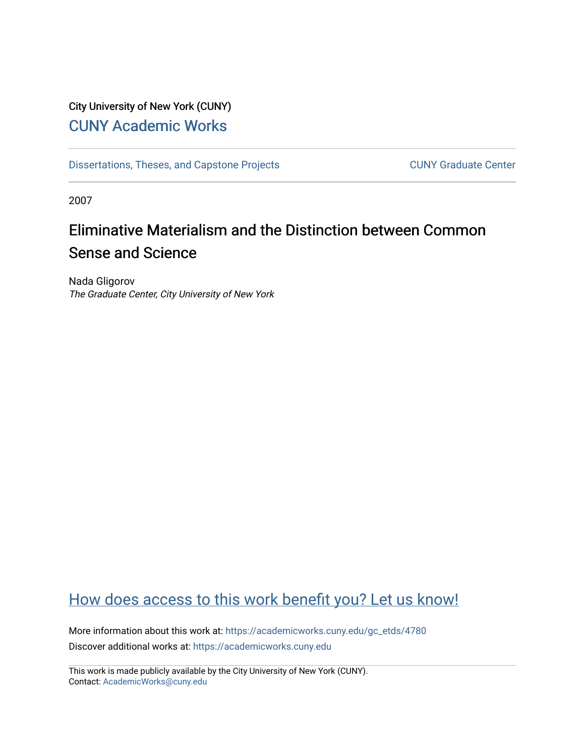### City University of New York (CUNY) [CUNY Academic Works](https://academicworks.cuny.edu/)

[Dissertations, Theses, and Capstone Projects](https://academicworks.cuny.edu/gc_etds) CUNY Graduate Center

2007

## Eliminative Materialism and the Distinction between Common Sense and Science

Nada Gligorov The Graduate Center, City University of New York

## [How does access to this work benefit you? Let us know!](http://ols.cuny.edu/academicworks/?ref=https://academicworks.cuny.edu/gc_etds/4780)

More information about this work at: [https://academicworks.cuny.edu/gc\\_etds/4780](https://academicworks.cuny.edu/gc_etds/4780) Discover additional works at: [https://academicworks.cuny.edu](https://academicworks.cuny.edu/?)

This work is made publicly available by the City University of New York (CUNY). Contact: [AcademicWorks@cuny.edu](mailto:AcademicWorks@cuny.edu)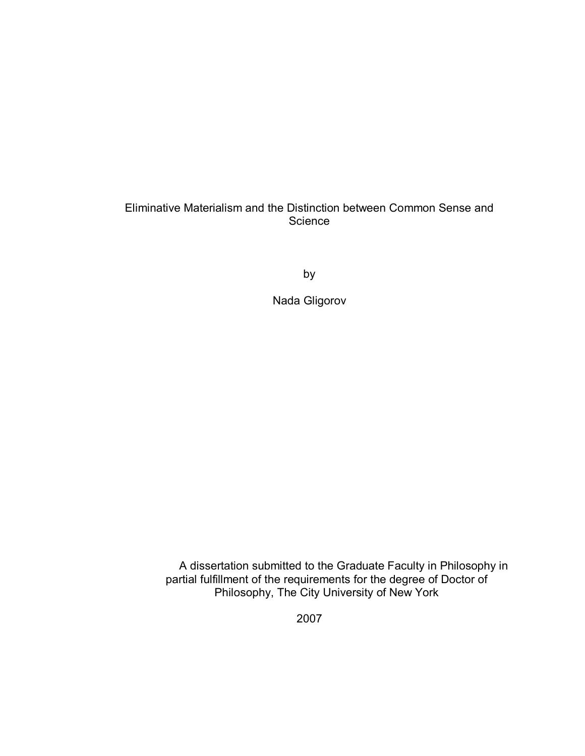#### Eliminative Materialism and the Distinction between Common Sense and **Science**

by

Nada Gligorov

A dissertation submitted to the Graduate Faculty in Philosophy in partial fulfillment of the requirements for the degree of Doctor of Philosophy, The City University of New York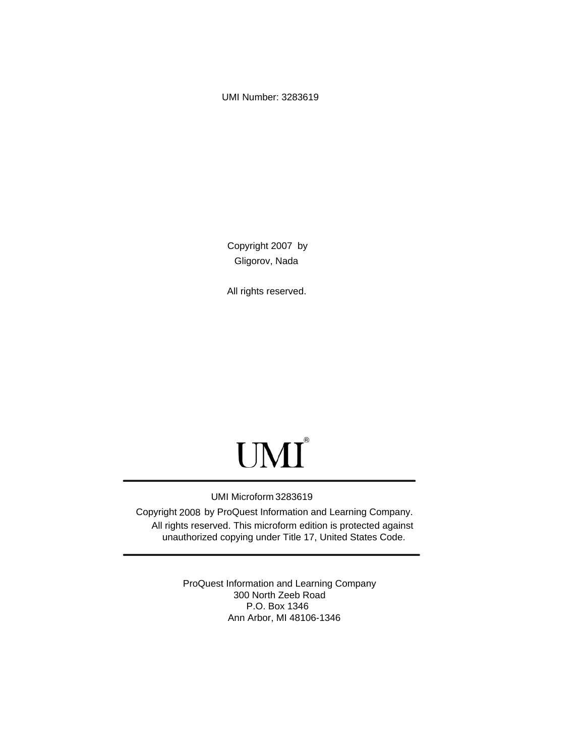UMI Number: 3283619

Copyright 2007 by Gligorov, Nada

All rights reserved.

# UMI<sup>®</sup>

#### UMI Microform 3283619

Copyright 2008 by ProQuest Information and Learning Company. All rights reserved. This microform edition is protected against unauthorized copying under Title 17, United States Code.

> ProQuest Information and Learning Company 300 North Zeeb Road P.O. Box 1346 Ann Arbor, MI 48106-1346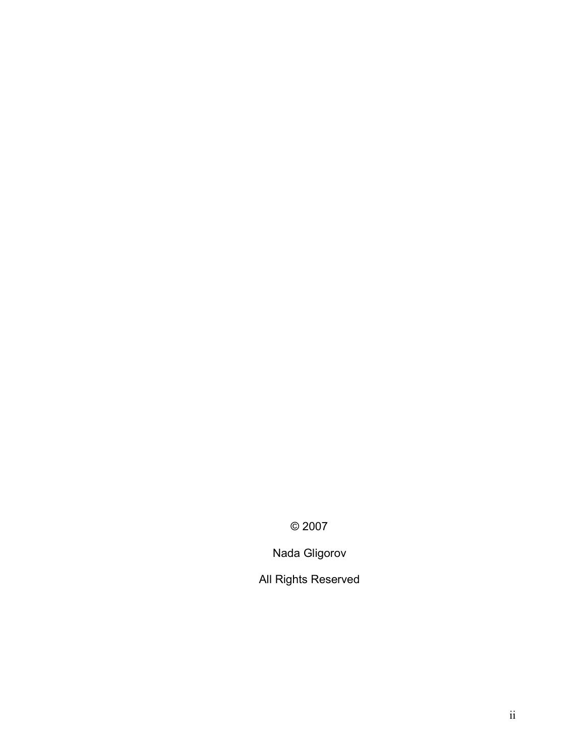© 2007

Nada Gligorov

All Rights Reserved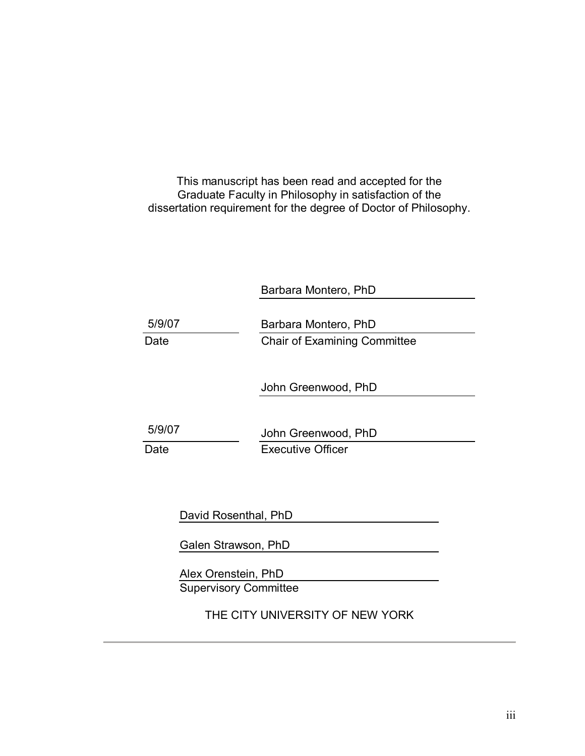This manuscript has been read and accepted for the Graduate Faculty in Philosophy in satisfaction of the dissertation requirement for the degree of Doctor of Philosophy.

Barbara Montero, PhD

| 5/9/07 | Barbara Montero, PhD                |
|--------|-------------------------------------|
| Date   | <b>Chair of Examining Committee</b> |
|        | John Greenwood, PhD                 |
| 5/9/07 | John Greenwood, PhD                 |
| Date   | <b>Executive Officer</b>            |

David Rosenthal, PhD

Galen Strawson, PhD

Alex Orenstein, PhD Supervisory Committee

THE CITY UNIVERSITY OF NEW YORK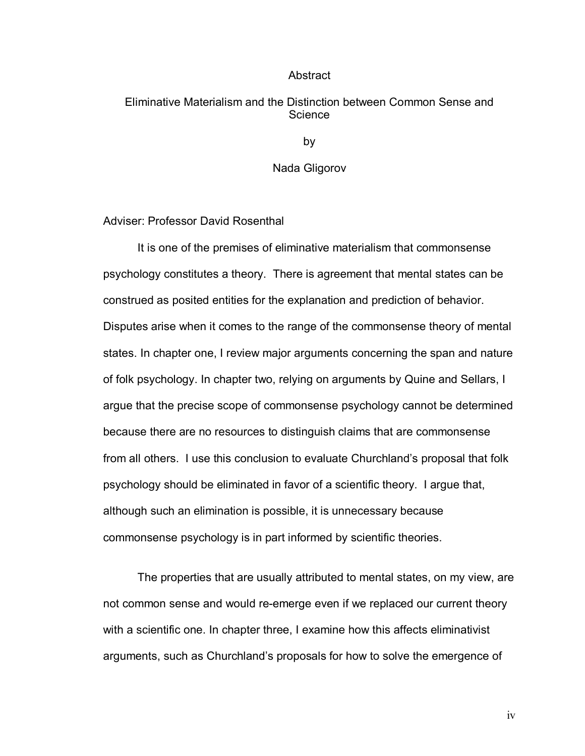#### Abstract

#### Eliminative Materialism and the Distinction between Common Sense and **Science**

by

#### Nada Gligorov

Adviser: Professor David Rosenthal

It is one of the premises of eliminative materialism that commonsense psychology constitutes a theory. There is agreement that mental states can be construed as posited entities for the explanation and prediction of behavior. Disputes arise when it comes to the range of the commonsense theory of mental states. In chapter one, I review major arguments concerning the span and nature of folk psychology. In chapter two, relying on arguments by Quine and Sellars, I argue that the precise scope of commonsense psychology cannot be determined because there are no resources to distinguish claims that are commonsense from all others. I use this conclusion to evaluate Churchlandís proposal that folk psychology should be eliminated in favor of a scientific theory. I argue that, although such an elimination is possible, it is unnecessary because commonsense psychology is in part informed by scientific theories.

The properties that are usually attributed to mental states, on my view, are not common sense and would re-emerge even if we replaced our current theory with a scientific one. In chapter three, I examine how this affects eliminativist arguments, such as Churchland's proposals for how to solve the emergence of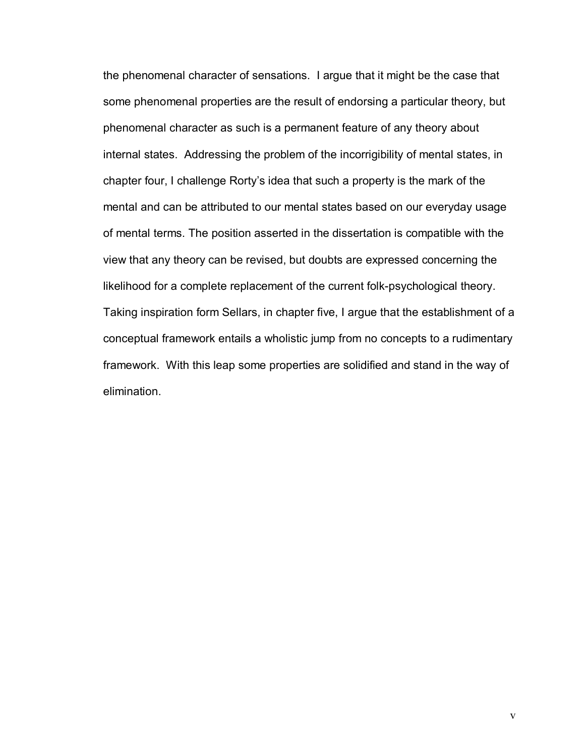the phenomenal character of sensations. I argue that it might be the case that some phenomenal properties are the result of endorsing a particular theory, but phenomenal character as such is a permanent feature of any theory about internal states. Addressing the problem of the incorrigibility of mental states, in chapter four, I challenge Rortyís idea that such a property is the mark of the mental and can be attributed to our mental states based on our everyday usage of mental terms. The position asserted in the dissertation is compatible with the view that any theory can be revised, but doubts are expressed concerning the likelihood for a complete replacement of the current folk-psychological theory. Taking inspiration form Sellars, in chapter five, I argue that the establishment of a conceptual framework entails a wholistic jump from no concepts to a rudimentary framework. With this leap some properties are solidified and stand in the way of elimination.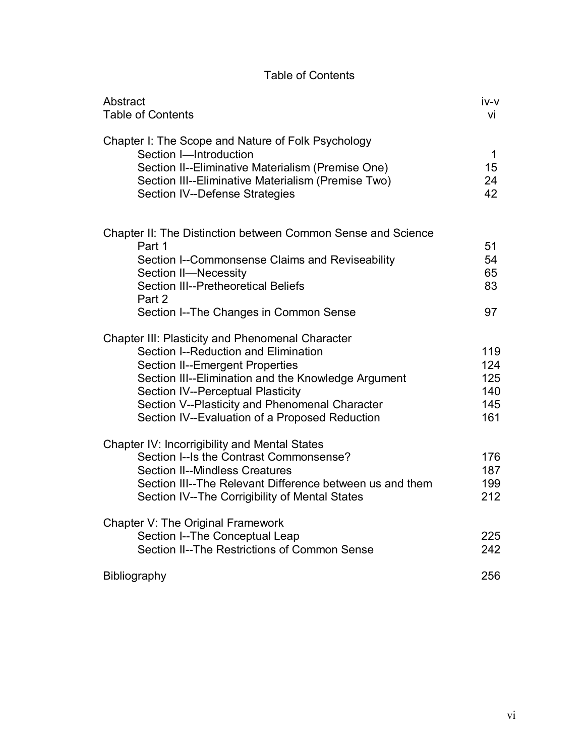#### Table of Contents

| Abstract<br><b>Table of Contents</b>                                                                                                                                                                                                                                                                                                             | iv-v<br>vi                             |
|--------------------------------------------------------------------------------------------------------------------------------------------------------------------------------------------------------------------------------------------------------------------------------------------------------------------------------------------------|----------------------------------------|
| Chapter I: The Scope and Nature of Folk Psychology<br>Section I-Introduction<br>Section II--Eliminative Materialism (Premise One)<br>Section III--Eliminative Materialism (Premise Two)<br><b>Section IV--Defense Strategies</b>                                                                                                                 | $\mathbf 1$<br>15<br>24<br>42          |
| Chapter II: The Distinction between Common Sense and Science<br>Part 1<br>Section I--Commonsense Claims and Reviseability<br>Section II-Necessity<br>Section III--Pretheoretical Beliefs<br>Part 2<br>Section I--The Changes in Common Sense                                                                                                     | 51<br>54<br>65<br>83<br>97             |
| <b>Chapter III: Plasticity and Phenomenal Character</b><br>Section I--Reduction and Elimination<br><b>Section II--Emergent Properties</b><br>Section III--Elimination and the Knowledge Argument<br><b>Section IV--Perceptual Plasticity</b><br>Section V--Plasticity and Phenomenal Character<br>Section IV--Evaluation of a Proposed Reduction | 119<br>124<br>125<br>140<br>145<br>161 |
| <b>Chapter IV: Incorrigibility and Mental States</b><br>Section I--Is the Contrast Commonsense?<br><b>Section II--Mindless Creatures</b><br>Section III--The Relevant Difference between us and them<br>Section IV--The Corrigibility of Mental States                                                                                           | 176<br>187<br>199<br>212               |
| Chapter V: The Original Framework<br>Section I--The Conceptual Leap<br>Section II--The Restrictions of Common Sense                                                                                                                                                                                                                              | 225<br>242                             |
| Bibliography                                                                                                                                                                                                                                                                                                                                     | 256                                    |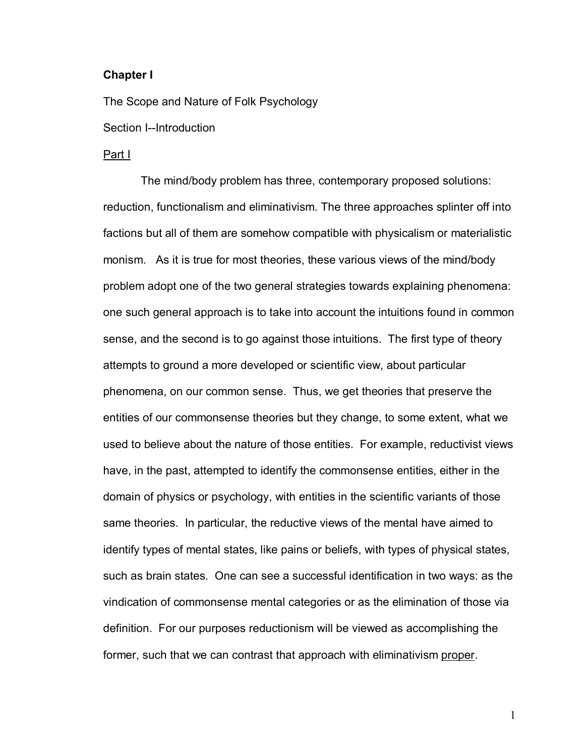#### **Chapter I**

The Scope and Nature of Folk Psychology

Section I--Introduction

#### Part I

 The mind/body problem has three, contemporary proposed solutions: reduction, functionalism and eliminativism. The three approaches splinter off into factions but all of them are somehow compatible with physicalism or materialistic monism. As it is true for most theories, these various views of the mind/body problem adopt one of the two general strategies towards explaining phenomena: one such general approach is to take into account the intuitions found in common sense, and the second is to go against those intuitions. The first type of theory attempts to ground a more developed or scientific view, about particular phenomena, on our common sense. Thus, we get theories that preserve the entities of our commonsense theories but they change, to some extent, what we used to believe about the nature of those entities. For example, reductivist views have, in the past, attempted to identify the commonsense entities, either in the domain of physics or psychology, with entities in the scientific variants of those same theories. In particular, the reductive views of the mental have aimed to identify types of mental states, like pains or beliefs, with types of physical states, such as brain states. One can see a successful identification in two ways: as the vindication of commonsense mental categories or as the elimination of those via definition. For our purposes reductionism will be viewed as accomplishing the former, such that we can contrast that approach with eliminativism proper.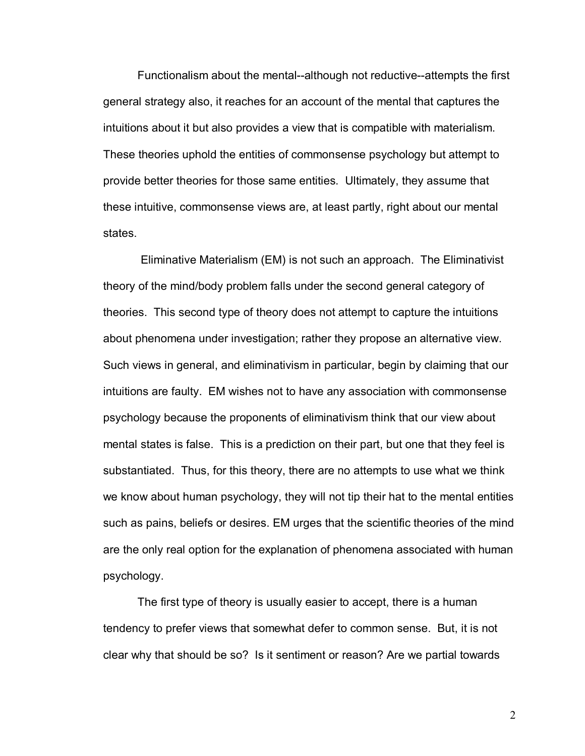Functionalism about the mental--although not reductive--attempts the first general strategy also, it reaches for an account of the mental that captures the intuitions about it but also provides a view that is compatible with materialism. These theories uphold the entities of commonsense psychology but attempt to provide better theories for those same entities. Ultimately, they assume that these intuitive, commonsense views are, at least partly, right about our mental states.

 Eliminative Materialism (EM) is not such an approach. The Eliminativist theory of the mind/body problem falls under the second general category of theories. This second type of theory does not attempt to capture the intuitions about phenomena under investigation; rather they propose an alternative view. Such views in general, and eliminativism in particular, begin by claiming that our intuitions are faulty. EM wishes not to have any association with commonsense psychology because the proponents of eliminativism think that our view about mental states is false. This is a prediction on their part, but one that they feel is substantiated. Thus, for this theory, there are no attempts to use what we think we know about human psychology, they will not tip their hat to the mental entities such as pains, beliefs or desires. EM urges that the scientific theories of the mind are the only real option for the explanation of phenomena associated with human psychology.

 The first type of theory is usually easier to accept, there is a human tendency to prefer views that somewhat defer to common sense. But, it is not clear why that should be so? Is it sentiment or reason? Are we partial towards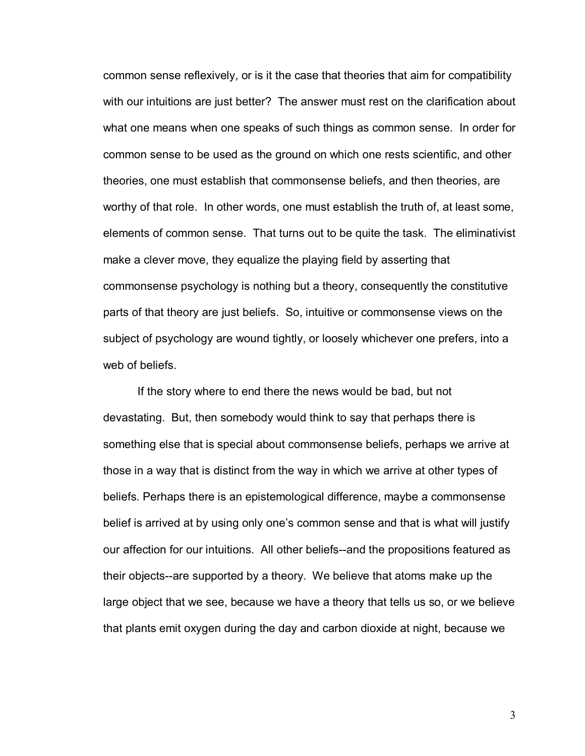common sense reflexively, or is it the case that theories that aim for compatibility with our intuitions are just better? The answer must rest on the clarification about what one means when one speaks of such things as common sense. In order for common sense to be used as the ground on which one rests scientific, and other theories, one must establish that commonsense beliefs, and then theories, are worthy of that role. In other words, one must establish the truth of, at least some, elements of common sense. That turns out to be quite the task. The eliminativist make a clever move, they equalize the playing field by asserting that commonsense psychology is nothing but a theory, consequently the constitutive parts of that theory are just beliefs. So, intuitive or commonsense views on the subject of psychology are wound tightly, or loosely whichever one prefers, into a web of beliefs.

 If the story where to end there the news would be bad, but not devastating. But, then somebody would think to say that perhaps there is something else that is special about commonsense beliefs, perhaps we arrive at those in a way that is distinct from the way in which we arrive at other types of beliefs. Perhaps there is an epistemological difference, maybe a commonsense belief is arrived at by using only one's common sense and that is what will justify our affection for our intuitions. All other beliefs--and the propositions featured as their objects--are supported by a theory. We believe that atoms make up the large object that we see, because we have a theory that tells us so, or we believe that plants emit oxygen during the day and carbon dioxide at night, because we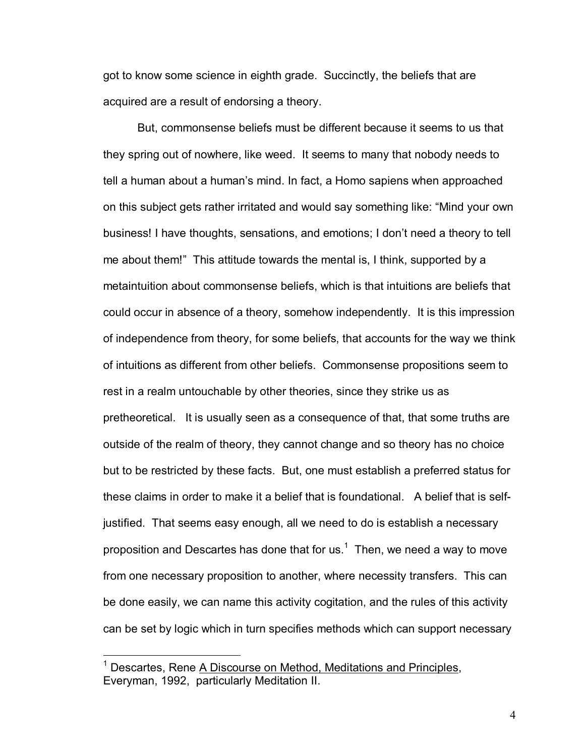got to know some science in eighth grade. Succinctly, the beliefs that are acquired are a result of endorsing a theory.

 But, commonsense beliefs must be different because it seems to us that they spring out of nowhere, like weed. It seems to many that nobody needs to tell a human about a humanís mind. In fact, a Homo sapiens when approached on this subject gets rather irritated and would say something like: "Mind your own business! I have thoughts, sensations, and emotions; I don't need a theory to tell me about them!" This attitude towards the mental is, I think, supported by a metaintuition about commonsense beliefs, which is that intuitions are beliefs that could occur in absence of a theory, somehow independently. It is this impression of independence from theory, for some beliefs, that accounts for the way we think of intuitions as different from other beliefs. Commonsense propositions seem to rest in a realm untouchable by other theories, since they strike us as pretheoretical. It is usually seen as a consequence of that, that some truths are outside of the realm of theory, they cannot change and so theory has no choice but to be restricted by these facts. But, one must establish a preferred status for these claims in order to make it a belief that is foundational. A belief that is selfjustified. That seems easy enough, all we need to do is establish a necessary proposition and Descartes has done that for us.<sup>1</sup> Then, we need a way to move from one necessary proposition to another, where necessity transfers. This can be done easily, we can name this activity cogitation, and the rules of this activity can be set by logic which in turn specifies methods which can support necessary

<sup>&</sup>lt;sup>1</sup> Descartes, Rene A Discourse on Method, Meditations and Principles, Everyman, 1992, particularly Meditation II.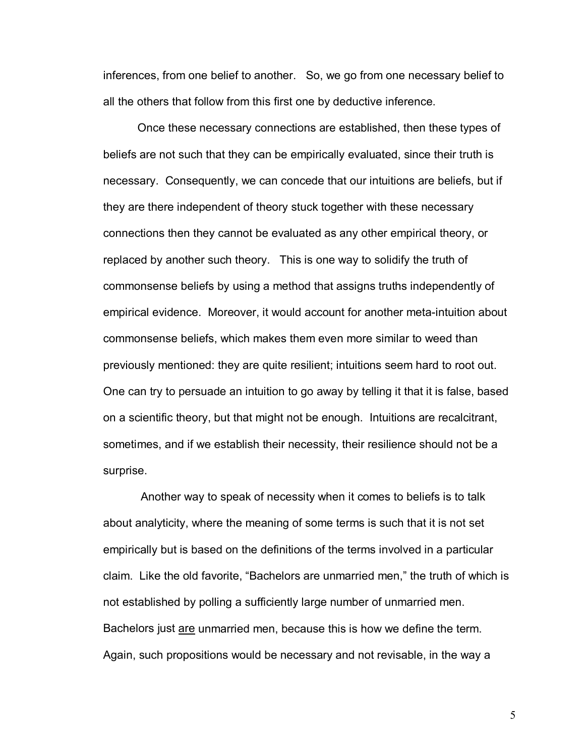inferences, from one belief to another. So, we go from one necessary belief to all the others that follow from this first one by deductive inference.

Once these necessary connections are established, then these types of beliefs are not such that they can be empirically evaluated, since their truth is necessary. Consequently, we can concede that our intuitions are beliefs, but if they are there independent of theory stuck together with these necessary connections then they cannot be evaluated as any other empirical theory, or replaced by another such theory. This is one way to solidify the truth of commonsense beliefs by using a method that assigns truths independently of empirical evidence. Moreover, it would account for another meta-intuition about commonsense beliefs, which makes them even more similar to weed than previously mentioned: they are quite resilient; intuitions seem hard to root out. One can try to persuade an intuition to go away by telling it that it is false, based on a scientific theory, but that might not be enough. Intuitions are recalcitrant, sometimes, and if we establish their necessity, their resilience should not be a surprise.

 Another way to speak of necessity when it comes to beliefs is to talk about analyticity, where the meaning of some terms is such that it is not set empirically but is based on the definitions of the terms involved in a particular claim. Like the old favorite, "Bachelors are unmarried men," the truth of which is not established by polling a sufficiently large number of unmarried men. Bachelors just are unmarried men, because this is how we define the term. Again, such propositions would be necessary and not revisable, in the way a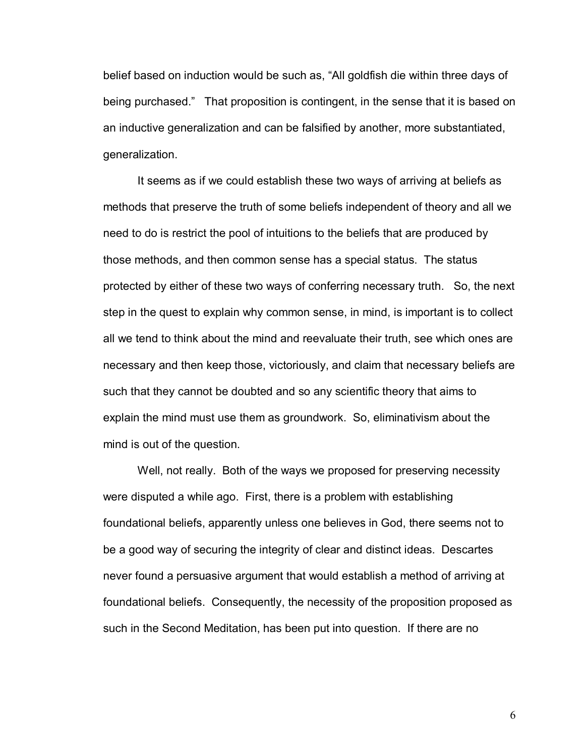belief based on induction would be such as, "All goldfish die within three days of being purchased." That proposition is contingent, in the sense that it is based on an inductive generalization and can be falsified by another, more substantiated, generalization.

 It seems as if we could establish these two ways of arriving at beliefs as methods that preserve the truth of some beliefs independent of theory and all we need to do is restrict the pool of intuitions to the beliefs that are produced by those methods, and then common sense has a special status. The status protected by either of these two ways of conferring necessary truth. So, the next step in the quest to explain why common sense, in mind, is important is to collect all we tend to think about the mind and reevaluate their truth, see which ones are necessary and then keep those, victoriously, and claim that necessary beliefs are such that they cannot be doubted and so any scientific theory that aims to explain the mind must use them as groundwork. So, eliminativism about the mind is out of the question.

 Well, not really. Both of the ways we proposed for preserving necessity were disputed a while ago. First, there is a problem with establishing foundational beliefs, apparently unless one believes in God, there seems not to be a good way of securing the integrity of clear and distinct ideas. Descartes never found a persuasive argument that would establish a method of arriving at foundational beliefs. Consequently, the necessity of the proposition proposed as such in the Second Meditation, has been put into question. If there are no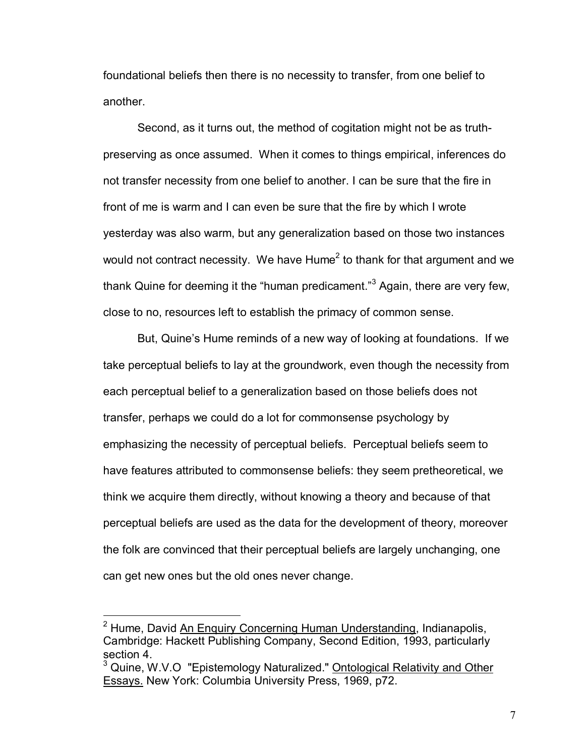foundational beliefs then there is no necessity to transfer, from one belief to another.

 Second, as it turns out, the method of cogitation might not be as truthpreserving as once assumed. When it comes to things empirical, inferences do not transfer necessity from one belief to another. I can be sure that the fire in front of me is warm and I can even be sure that the fire by which I wrote yesterday was also warm, but any generalization based on those two instances would not contract necessity. We have Hume<sup>2</sup> to thank for that argument and we thank Quine for deeming it the "human predicament."<sup>3</sup> Again, there are very few, close to no, resources left to establish the primacy of common sense.

But, Quine's Hume reminds of a new way of looking at foundations. If we take perceptual beliefs to lay at the groundwork, even though the necessity from each perceptual belief to a generalization based on those beliefs does not transfer, perhaps we could do a lot for commonsense psychology by emphasizing the necessity of perceptual beliefs. Perceptual beliefs seem to have features attributed to commonsense beliefs: they seem pretheoretical, we think we acquire them directly, without knowing a theory and because of that perceptual beliefs are used as the data for the development of theory, moreover the folk are convinced that their perceptual beliefs are largely unchanging, one can get new ones but the old ones never change.

<sup>&</sup>lt;sup>2</sup> Hume, David An Enquiry Concerning Human Understanding, Indianapolis, Cambridge: Hackett Publishing Company, Second Edition, 1993, particularly section 4.

<sup>&</sup>lt;sup>3</sup> Quine, W.V.O "Epistemology Naturalized." **Ontological Relativity and Other** Essays. New York: Columbia University Press, 1969, p72.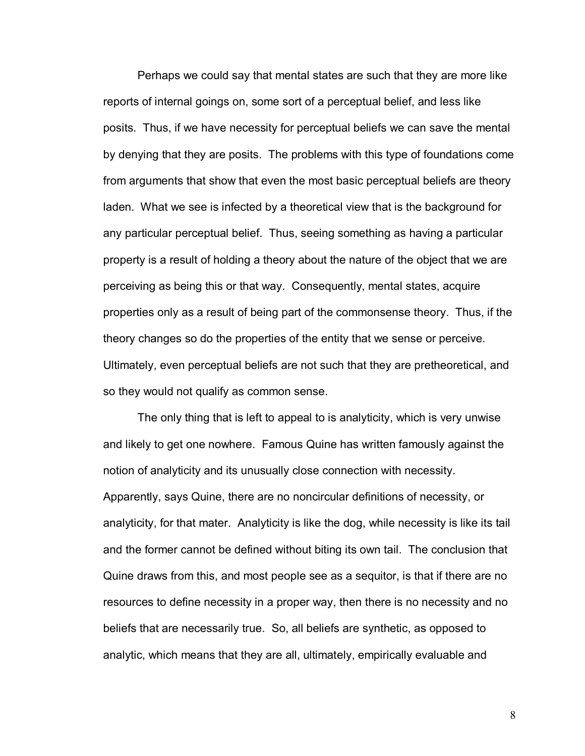Perhaps we could say that mental states are such that they are more like reports of internal goings on, some sort of a perceptual belief, and less like posits. Thus, if we have necessity for perceptual beliefs we can save the mental by denying that they are posits. The problems with this type of foundations come from arguments that show that even the most basic perceptual beliefs are theory laden. What we see is infected by a theoretical view that is the background for any particular perceptual belief. Thus, seeing something as having a particular property is a result of holding a theory about the nature of the object that we are perceiving as being this or that way. Consequently, mental states, acquire properties only as a result of being part of the commonsense theory. Thus, if the theory changes so do the properties of the entity that we sense or perceive. Ultimately, even perceptual beliefs are not such that they are pretheoretical, and so they would not qualify as common sense.

 The only thing that is left to appeal to is analyticity, which is very unwise and likely to get one nowhere. Famous Quine has written famously against the notion of analyticity and its unusually close connection with necessity. Apparently, says Quine, there are no noncircular definitions of necessity, or analyticity, for that mater. Analyticity is like the dog, while necessity is like its tail and the former cannot be defined without biting its own tail. The conclusion that Quine draws from this, and most people see as a sequitor, is that if there are no resources to define necessity in a proper way, then there is no necessity and no beliefs that are necessarily true. So, all beliefs are synthetic, as opposed to analytic, which means that they are all, ultimately, empirically evaluable and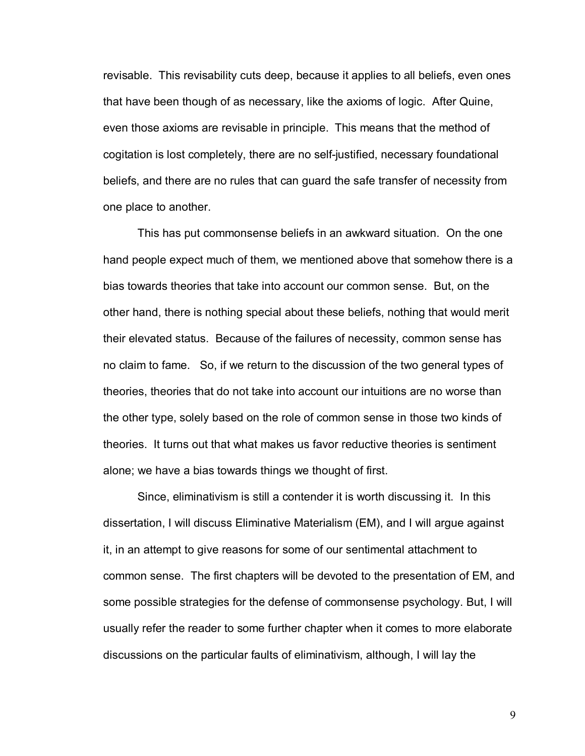revisable. This revisability cuts deep, because it applies to all beliefs, even ones that have been though of as necessary, like the axioms of logic. After Quine, even those axioms are revisable in principle. This means that the method of cogitation is lost completely, there are no self-justified, necessary foundational beliefs, and there are no rules that can guard the safe transfer of necessity from one place to another.

 This has put commonsense beliefs in an awkward situation. On the one hand people expect much of them, we mentioned above that somehow there is a bias towards theories that take into account our common sense. But, on the other hand, there is nothing special about these beliefs, nothing that would merit their elevated status. Because of the failures of necessity, common sense has no claim to fame. So, if we return to the discussion of the two general types of theories, theories that do not take into account our intuitions are no worse than the other type, solely based on the role of common sense in those two kinds of theories. It turns out that what makes us favor reductive theories is sentiment alone; we have a bias towards things we thought of first.

 Since, eliminativism is still a contender it is worth discussing it. In this dissertation, I will discuss Eliminative Materialism (EM), and I will argue against it, in an attempt to give reasons for some of our sentimental attachment to common sense. The first chapters will be devoted to the presentation of EM, and some possible strategies for the defense of commonsense psychology. But, I will usually refer the reader to some further chapter when it comes to more elaborate discussions on the particular faults of eliminativism, although, I will lay the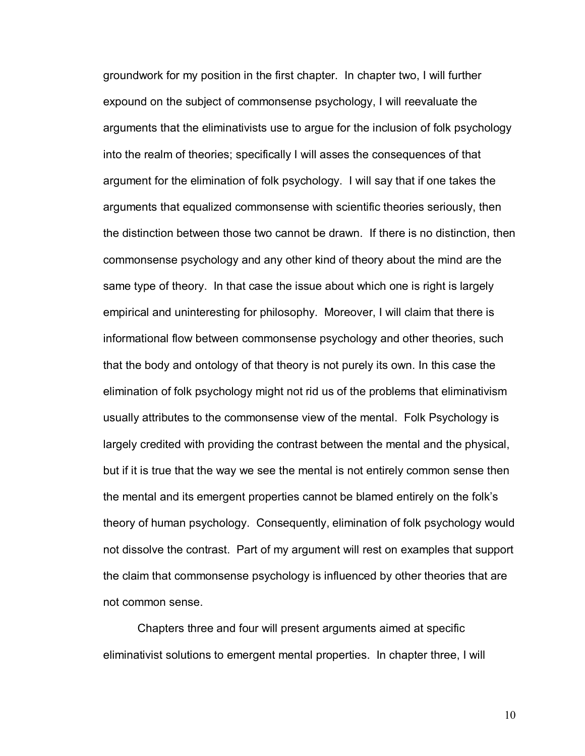groundwork for my position in the first chapter. In chapter two, I will further expound on the subject of commonsense psychology, I will reevaluate the arguments that the eliminativists use to argue for the inclusion of folk psychology into the realm of theories; specifically I will asses the consequences of that argument for the elimination of folk psychology. I will say that if one takes the arguments that equalized commonsense with scientific theories seriously, then the distinction between those two cannot be drawn. If there is no distinction, then commonsense psychology and any other kind of theory about the mind are the same type of theory. In that case the issue about which one is right is largely empirical and uninteresting for philosophy. Moreover, I will claim that there is informational flow between commonsense psychology and other theories, such that the body and ontology of that theory is not purely its own. In this case the elimination of folk psychology might not rid us of the problems that eliminativism usually attributes to the commonsense view of the mental. Folk Psychology is largely credited with providing the contrast between the mental and the physical, but if it is true that the way we see the mental is not entirely common sense then the mental and its emergent properties cannot be blamed entirely on the folk's theory of human psychology. Consequently, elimination of folk psychology would not dissolve the contrast. Part of my argument will rest on examples that support the claim that commonsense psychology is influenced by other theories that are not common sense.

 Chapters three and four will present arguments aimed at specific eliminativist solutions to emergent mental properties. In chapter three, I will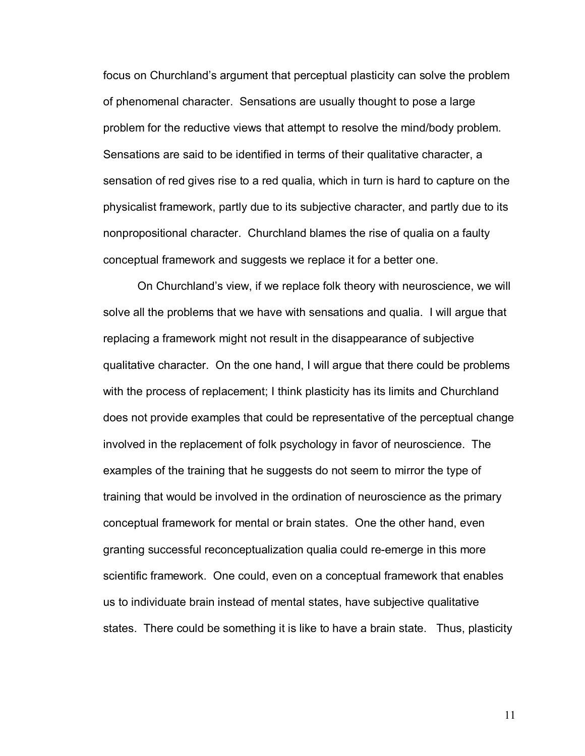focus on Churchlandís argument that perceptual plasticity can solve the problem of phenomenal character. Sensations are usually thought to pose a large problem for the reductive views that attempt to resolve the mind/body problem. Sensations are said to be identified in terms of their qualitative character, a sensation of red gives rise to a red qualia, which in turn is hard to capture on the physicalist framework, partly due to its subjective character, and partly due to its nonpropositional character. Churchland blames the rise of qualia on a faulty conceptual framework and suggests we replace it for a better one.

On Churchlandís view, if we replace folk theory with neuroscience, we will solve all the problems that we have with sensations and qualia. I will argue that replacing a framework might not result in the disappearance of subjective qualitative character. On the one hand, I will argue that there could be problems with the process of replacement; I think plasticity has its limits and Churchland does not provide examples that could be representative of the perceptual change involved in the replacement of folk psychology in favor of neuroscience. The examples of the training that he suggests do not seem to mirror the type of training that would be involved in the ordination of neuroscience as the primary conceptual framework for mental or brain states. One the other hand, even granting successful reconceptualization qualia could re-emerge in this more scientific framework. One could, even on a conceptual framework that enables us to individuate brain instead of mental states, have subjective qualitative states. There could be something it is like to have a brain state. Thus, plasticity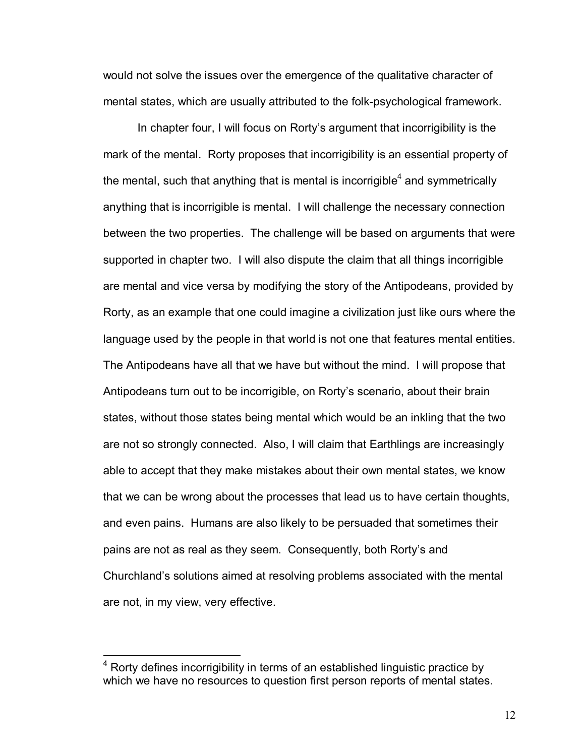would not solve the issues over the emergence of the qualitative character of mental states, which are usually attributed to the folk-psychological framework.

In chapter four, I will focus on Rorty's argument that incorrigibility is the mark of the mental. Rorty proposes that incorrigibility is an essential property of the mental, such that anything that is mental is incorrigible<sup>4</sup> and symmetrically anything that is incorrigible is mental. I will challenge the necessary connection between the two properties. The challenge will be based on arguments that were supported in chapter two. I will also dispute the claim that all things incorrigible are mental and vice versa by modifying the story of the Antipodeans, provided by Rorty, as an example that one could imagine a civilization just like ours where the language used by the people in that world is not one that features mental entities. The Antipodeans have all that we have but without the mind. I will propose that Antipodeans turn out to be incorrigible, on Rortyís scenario, about their brain states, without those states being mental which would be an inkling that the two are not so strongly connected. Also, I will claim that Earthlings are increasingly able to accept that they make mistakes about their own mental states, we know that we can be wrong about the processes that lead us to have certain thoughts, and even pains. Humans are also likely to be persuaded that sometimes their pains are not as real as they seem. Consequently, both Rorty's and Churchlandís solutions aimed at resolving problems associated with the mental are not, in my view, very effective.

1

 $4$  Rorty defines incorrigibility in terms of an established linguistic practice by which we have no resources to question first person reports of mental states.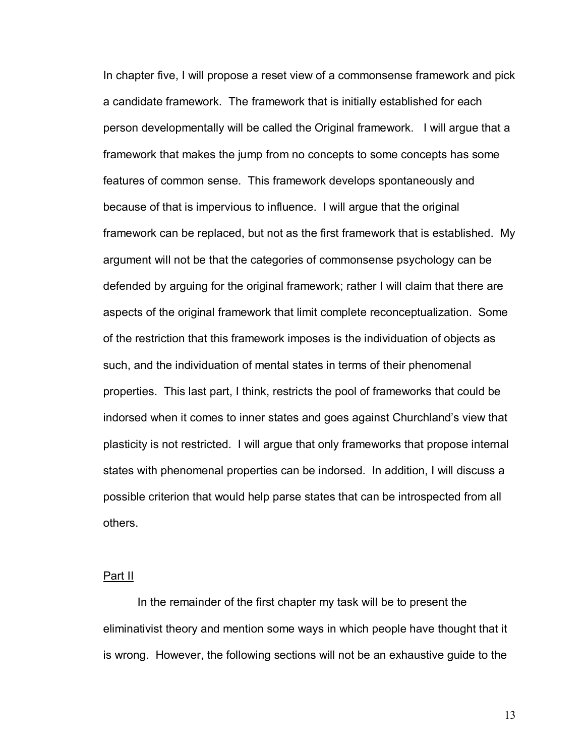In chapter five, I will propose a reset view of a commonsense framework and pick a candidate framework. The framework that is initially established for each person developmentally will be called the Original framework. I will argue that a framework that makes the jump from no concepts to some concepts has some features of common sense. This framework develops spontaneously and because of that is impervious to influence. I will argue that the original framework can be replaced, but not as the first framework that is established. My argument will not be that the categories of commonsense psychology can be defended by arguing for the original framework; rather I will claim that there are aspects of the original framework that limit complete reconceptualization. Some of the restriction that this framework imposes is the individuation of objects as such, and the individuation of mental states in terms of their phenomenal properties. This last part, I think, restricts the pool of frameworks that could be indorsed when it comes to inner states and goes against Churchland's view that plasticity is not restricted. I will argue that only frameworks that propose internal states with phenomenal properties can be indorsed. In addition, I will discuss a possible criterion that would help parse states that can be introspected from all others.

#### Part II

In the remainder of the first chapter my task will be to present the eliminativist theory and mention some ways in which people have thought that it is wrong. However, the following sections will not be an exhaustive guide to the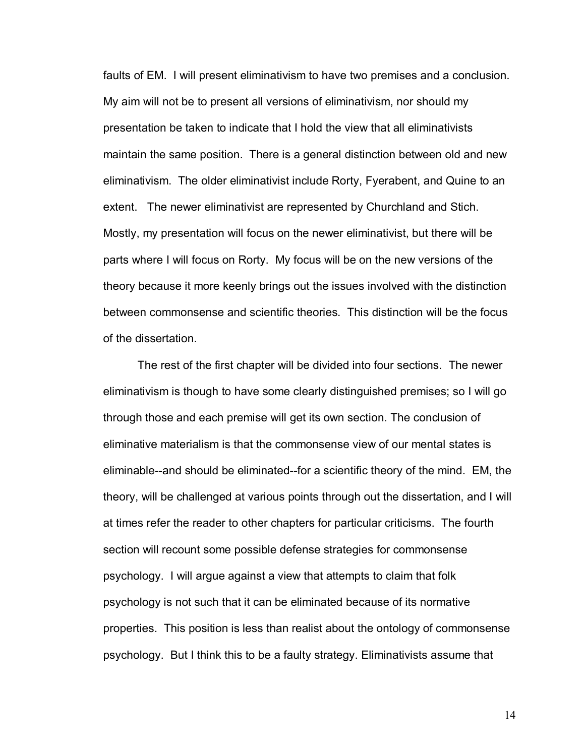faults of EM. I will present eliminativism to have two premises and a conclusion. My aim will not be to present all versions of eliminativism, nor should my presentation be taken to indicate that I hold the view that all eliminativists maintain the same position. There is a general distinction between old and new eliminativism. The older eliminativist include Rorty, Fyerabent, and Quine to an extent. The newer eliminativist are represented by Churchland and Stich. Mostly, my presentation will focus on the newer eliminativist, but there will be parts where I will focus on Rorty. My focus will be on the new versions of the theory because it more keenly brings out the issues involved with the distinction between commonsense and scientific theories. This distinction will be the focus of the dissertation.

The rest of the first chapter will be divided into four sections. The newer eliminativism is though to have some clearly distinguished premises; so I will go through those and each premise will get its own section. The conclusion of eliminative materialism is that the commonsense view of our mental states is eliminable--and should be eliminated--for a scientific theory of the mind. EM, the theory, will be challenged at various points through out the dissertation, and I will at times refer the reader to other chapters for particular criticisms. The fourth section will recount some possible defense strategies for commonsense psychology. I will argue against a view that attempts to claim that folk psychology is not such that it can be eliminated because of its normative properties. This position is less than realist about the ontology of commonsense psychology. But I think this to be a faulty strategy. Eliminativists assume that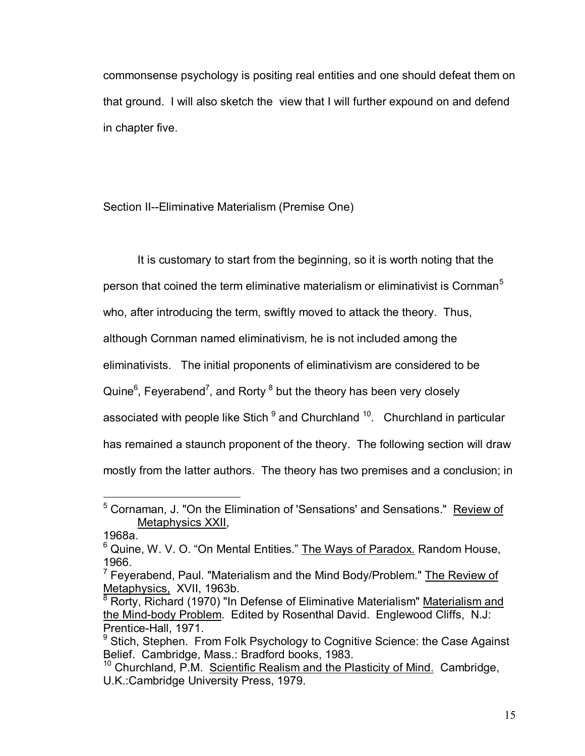commonsense psychology is positing real entities and one should defeat them on that ground. I will also sketch the view that I will further expound on and defend in chapter five.

Section II--Eliminative Materialism (Premise One)

It is customary to start from the beginning, so it is worth noting that the person that coined the term eliminative materialism or eliminativist is Cornman<sup>5</sup> who, after introducing the term, swiftly moved to attack the theory. Thus, although Cornman named eliminativism, he is not included among the eliminativists. The initial proponents of eliminativism are considered to be Quine $^6$ , Feyerabend<sup>7</sup>, and Rorty  $^8$  but the theory has been very closely associated with people like Stich <sup>9</sup> and Churchland <sup>10</sup>. Churchland in particular has remained a staunch proponent of the theory. The following section will draw mostly from the latter authors. The theory has two premises and a conclusion; in

 $\overline{a}$ <sup>5</sup> Cornaman, J. "On the Elimination of 'Sensations' and Sensations." Review of Metaphysics XXII,

<sup>1968</sup>a.

<sup>&</sup>lt;sup>6</sup> Quine, W. V. O. "On Mental Entities." The Ways of Paradox. Random House, 1966.

<sup>&</sup>lt;sup>7</sup> Feyerabend, Paul. "Materialism and the Mind Body/Problem." The Review of Metaphysics, XVII, 1963b.

<sup>&</sup>lt;sup>8</sup> Rorty, Richard (1970) "In Defense of Eliminative Materialism" Materialism and the Mind-body Problem. Edited by Rosenthal David. Englewood Cliffs, N.J: Prentice-Hall, 1971.

<sup>&</sup>lt;sup>9</sup> Stich, Stephen. From Folk Psychology to Cognitive Science: the Case Against Belief. Cambridge, Mass.: Bradford books, 1983.

<sup>10</sup> Churchland, P.M. Scientific Realism and the Plasticity of Mind.Cambridge, U.K.:Cambridge University Press, 1979.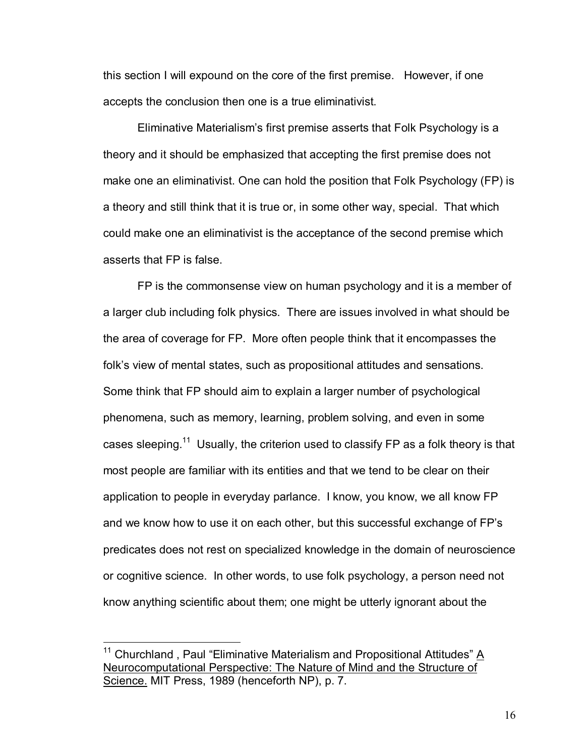this section I will expound on the core of the first premise. However, if one accepts the conclusion then one is a true eliminativist.

Eliminative Materialismís first premise asserts that Folk Psychology is a theory and it should be emphasized that accepting the first premise does not make one an eliminativist. One can hold the position that Folk Psychology (FP) is a theory and still think that it is true or, in some other way, special. That which could make one an eliminativist is the acceptance of the second premise which asserts that FP is false.

FP is the commonsense view on human psychology and it is a member of a larger club including folk physics. There are issues involved in what should be the area of coverage for FP. More often people think that it encompasses the folkís view of mental states, such as propositional attitudes and sensations. Some think that FP should aim to explain a larger number of psychological phenomena, such as memory, learning, problem solving, and even in some cases sleeping.<sup>11</sup> Usually, the criterion used to classify FP as a folk theory is that most people are familiar with its entities and that we tend to be clear on their application to people in everyday parlance. I know, you know, we all know FP and we know how to use it on each other, but this successful exchange of FPís predicates does not rest on specialized knowledge in the domain of neuroscience or cognitive science. In other words, to use folk psychology, a person need not know anything scientific about them; one might be utterly ignorant about the

<sup>&</sup>lt;sup>11</sup> Churchland, Paul "Eliminative Materialism and Propositional Attitudes"  $\underline{A}$ Neurocomputational Perspective: The Nature of Mind and the Structure of Science. MIT Press, 1989 (henceforth NP), p. 7.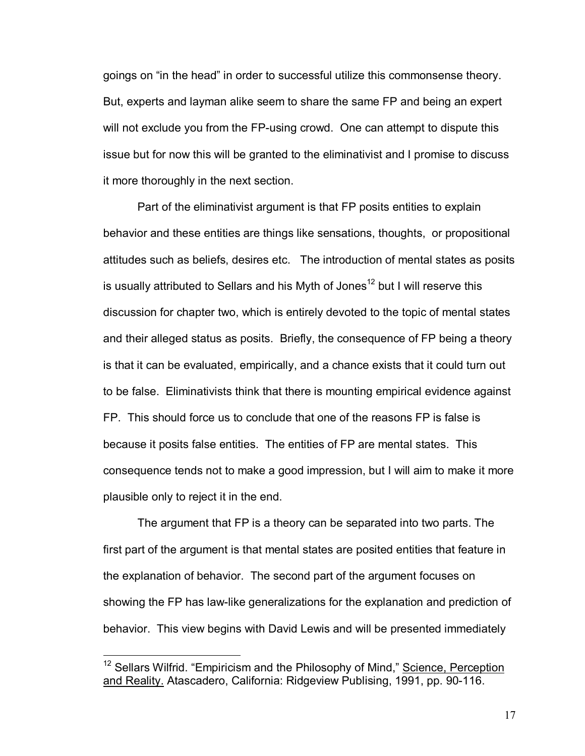goings on "in the head" in order to successful utilize this commonsense theory. But, experts and layman alike seem to share the same FP and being an expert will not exclude you from the FP-using crowd. One can attempt to dispute this issue but for now this will be granted to the eliminativist and I promise to discuss it more thoroughly in the next section.

 Part of the eliminativist argument is that FP posits entities to explain behavior and these entities are things like sensations, thoughts, or propositional attitudes such as beliefs, desires etc. The introduction of mental states as posits is usually attributed to Sellars and his Myth of Jones<sup>12</sup> but I will reserve this discussion for chapter two, which is entirely devoted to the topic of mental states and their alleged status as posits. Briefly, the consequence of FP being a theory is that it can be evaluated, empirically, and a chance exists that it could turn out to be false. Eliminativists think that there is mounting empirical evidence against FP. This should force us to conclude that one of the reasons FP is false is because it posits false entities. The entities of FP are mental states. This consequence tends not to make a good impression, but I will aim to make it more plausible only to reject it in the end.

 The argument that FP is a theory can be separated into two parts. The first part of the argument is that mental states are posited entities that feature in the explanation of behavior. The second part of the argument focuses on showing the FP has law-like generalizations for the explanation and prediction of behavior. This view begins with David Lewis and will be presented immediately

<sup>&</sup>lt;sup>12</sup> Sellars Wilfrid. "Empiricism and the Philosophy of Mind," Science, Perception and Reality. Atascadero, California: Ridgeview Publising, 1991, pp. 90-116.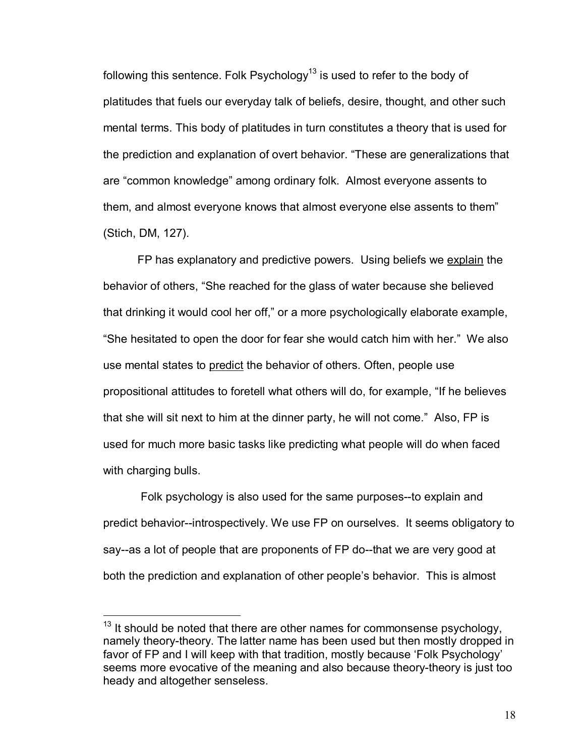following this sentence. Folk Psychology $^{13}$  is used to refer to the body of platitudes that fuels our everyday talk of beliefs, desire, thought, and other such mental terms. This body of platitudes in turn constitutes a theory that is used for the prediction and explanation of overt behavior. "These are generalizations that are "common knowledge" among ordinary folk. Almost everyone assents to them, and almost everyone knows that almost everyone else assents to them" (Stich, DM, 127).

FP has explanatory and predictive powers. Using beliefs we explain the behavior of others, "She reached for the glass of water because she believed that drinking it would cool her off," or a more psychologically elaborate example, "She hesitated to open the door for fear she would catch him with her." We also use mental states to predict the behavior of others. Often, people use propositional attitudes to foretell what others will do, for example, "If he believes that she will sit next to him at the dinner party, he will not come." Also, FP is used for much more basic tasks like predicting what people will do when faced with charging bulls.

 Folk psychology is also used for the same purposes--to explain and predict behavior--introspectively. We use FP on ourselves. It seems obligatory to say--as a lot of people that are proponents of FP do--that we are very good at both the prediction and explanation of other people's behavior. This is almost

 $13$  It should be noted that there are other names for commonsense psychology, namely theory-theory. The latter name has been used but then mostly dropped in favor of FP and I will keep with that tradition, mostly because 'Folk Psychology' seems more evocative of the meaning and also because theory-theory is just too heady and altogether senseless.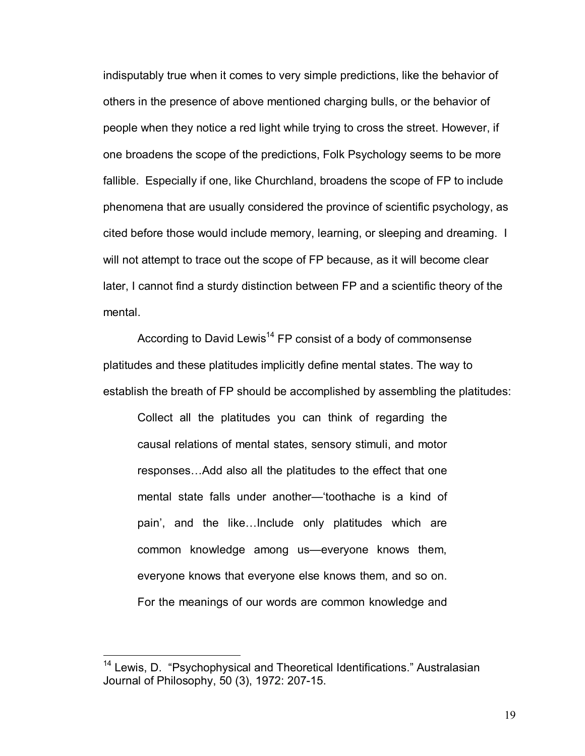indisputably true when it comes to very simple predictions, like the behavior of others in the presence of above mentioned charging bulls, or the behavior of people when they notice a red light while trying to cross the street. However, if one broadens the scope of the predictions, Folk Psychology seems to be more fallible. Especially if one, like Churchland, broadens the scope of FP to include phenomena that are usually considered the province of scientific psychology, as cited before those would include memory, learning, or sleeping and dreaming. I will not attempt to trace out the scope of FP because, as it will become clear later, I cannot find a sturdy distinction between FP and a scientific theory of the mental.

According to David Lewis<sup>14</sup> FP consist of a body of commonsense platitudes and these platitudes implicitly define mental states. The way to establish the breath of FP should be accomplished by assembling the platitudes:

Collect all the platitudes you can think of regarding the causal relations of mental states, sensory stimuli, and motor responses... Add also all the platitudes to the effect that one mental state falls under another—'toothache is a kind of pain', and the like...Include only platitudes which are common knowledge among us—everyone knows them, everyone knows that everyone else knows them, and so on. For the meanings of our words are common knowledge and

 $14$  Lewis, D.  $\degree$ Psychophysical and Theoretical Identifications.<sup>"</sup> Australasian Journal of Philosophy, 50 (3), 1972: 207-15.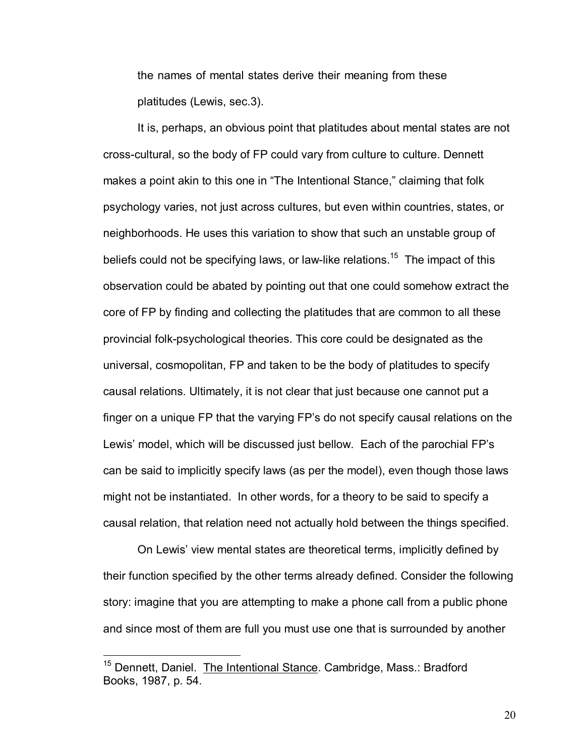the names of mental states derive their meaning from these platitudes (Lewis, sec.3).

It is, perhaps, an obvious point that platitudes about mental states are not cross-cultural, so the body of FP could vary from culture to culture. Dennett makes a point akin to this one in "The Intentional Stance," claiming that folk psychology varies, not just across cultures, but even within countries, states, or neighborhoods. He uses this variation to show that such an unstable group of beliefs could not be specifying laws, or law-like relations.<sup>15</sup> The impact of this observation could be abated by pointing out that one could somehow extract the core of FP by finding and collecting the platitudes that are common to all these provincial folk-psychological theories. This core could be designated as the universal, cosmopolitan, FP and taken to be the body of platitudes to specify causal relations. Ultimately, it is not clear that just because one cannot put a finger on a unique FP that the varying FP's do not specify causal relations on the Lewis' model, which will be discussed just bellow. Each of the parochial FP's can be said to implicitly specify laws (as per the model), even though those laws might not be instantiated. In other words, for a theory to be said to specify a causal relation, that relation need not actually hold between the things specified.

 On Lewisí view mental states are theoretical terms, implicitly defined by their function specified by the other terms already defined. Consider the following story: imagine that you are attempting to make a phone call from a public phone and since most of them are full you must use one that is surrounded by another

1

<sup>&</sup>lt;sup>15</sup> Dennett, Daniel. The Intentional Stance. Cambridge, Mass.: Bradford Books, 1987, p. 54.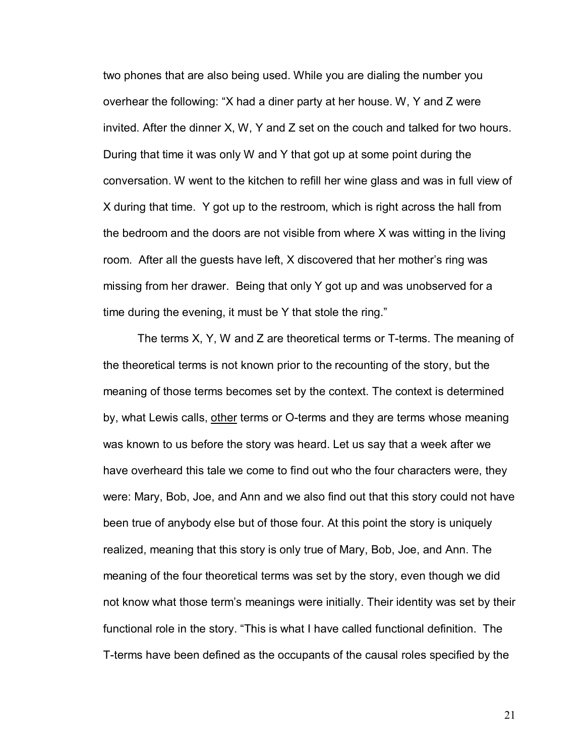two phones that are also being used. While you are dialing the number you overhear the following: "X had a diner party at her house. W, Y and Z were invited. After the dinner X, W, Y and Z set on the couch and talked for two hours. During that time it was only W and Y that got up at some point during the conversation. W went to the kitchen to refill her wine glass and was in full view of X during that time. Y got up to the restroom, which is right across the hall from the bedroom and the doors are not visible from where X was witting in the living room. After all the guests have left, X discovered that her mother's ring was missing from her drawer. Being that only Y got up and was unobserved for a time during the evening, it must be  $Y$  that stole the ring."

 The terms X, Y, W and Z are theoretical terms or T-terms. The meaning of the theoretical terms is not known prior to the recounting of the story, but the meaning of those terms becomes set by the context. The context is determined by, what Lewis calls, other terms or O-terms and they are terms whose meaning was known to us before the story was heard. Let us say that a week after we have overheard this tale we come to find out who the four characters were, they were: Mary, Bob, Joe, and Ann and we also find out that this story could not have been true of anybody else but of those four. At this point the story is uniquely realized, meaning that this story is only true of Mary, Bob, Joe, and Ann. The meaning of the four theoretical terms was set by the story, even though we did not know what those termís meanings were initially. Their identity was set by their functional role in the story. "This is what I have called functional definition. The T-terms have been defined as the occupants of the causal roles specified by the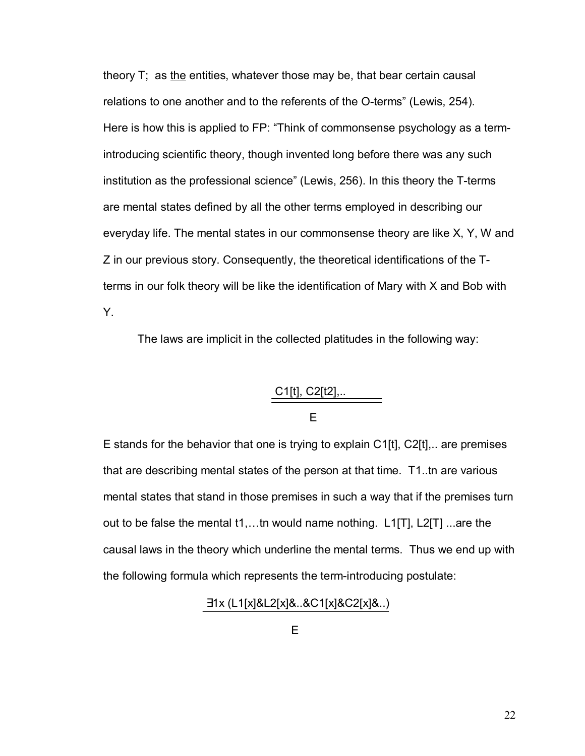theory T; as the entities, whatever those may be, that bear certain causal relations to one another and to the referents of the O-terms" (Lewis, 254). Here is how this is applied to FP: "Think of commonsense psychology as a termintroducing scientific theory, though invented long before there was any such institution as the professional science" (Lewis, 256). In this theory the T-terms are mental states defined by all the other terms employed in describing our everyday life. The mental states in our commonsense theory are like X, Y, W and Z in our previous story. Consequently, the theoretical identifications of the Tterms in our folk theory will be like the identification of Mary with X and Bob with Y.

The laws are implicit in the collected platitudes in the following way:

# C1[t], C2[t2],.. **Experience of the Contract Contract E**

E stands for the behavior that one is trying to explain C1[t], C2[t],.. are premises that are describing mental states of the person at that time. T1..tn are various mental states that stand in those premises in such a way that if the premises turn out to be false the mental  $t1$ ,...th would name nothing. L1[T], L2[T] ...are the causal laws in the theory which underline the mental terms. Thus we end up with the following formula which represents the term-introducing postulate:

∃1x (L1[x]&L2[x]&..&C1[x]&C2[x]&..)

**Experimental Control** Experimental Experimental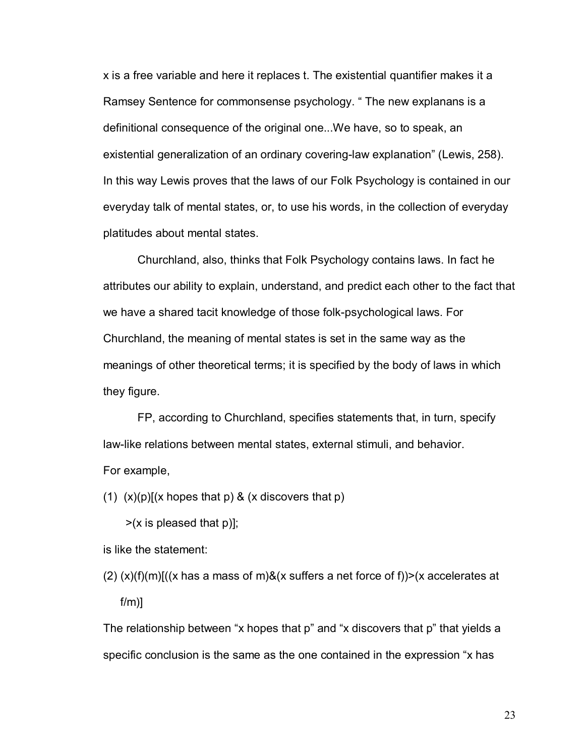x is a free variable and here it replaces t. The existential quantifier makes it a Ramsey Sentence for commonsense psychology. " The new explanans is a definitional consequence of the original one...We have, so to speak, an existential generalization of an ordinary covering-law explanation" (Lewis, 258). In this way Lewis proves that the laws of our Folk Psychology is contained in our everyday talk of mental states, or, to use his words, in the collection of everyday platitudes about mental states.

Churchland, also, thinks that Folk Psychology contains laws. In fact he attributes our ability to explain, understand, and predict each other to the fact that we have a shared tacit knowledge of those folk-psychological laws. For Churchland, the meaning of mental states is set in the same way as the meanings of other theoretical terms; it is specified by the body of laws in which they figure.

FP, according to Churchland, specifies statements that, in turn, specify law-like relations between mental states, external stimuli, and behavior. For example,

(1)  $(x)(p)[(x \text{ hopes that } p) \& (x \text{ discovers that } p)$ 

 $\geq$ (x is pleased that p)];

is like the statement:

 $(2)$  (x)(f)(m)[((x has a mass of m)&(x suffers a net force of f))>(x accelerates at  $f/m$ )]

The relationship between "x hopes that  $p$ " and "x discovers that  $p$ " that yields a specific conclusion is the same as the one contained in the expression "x has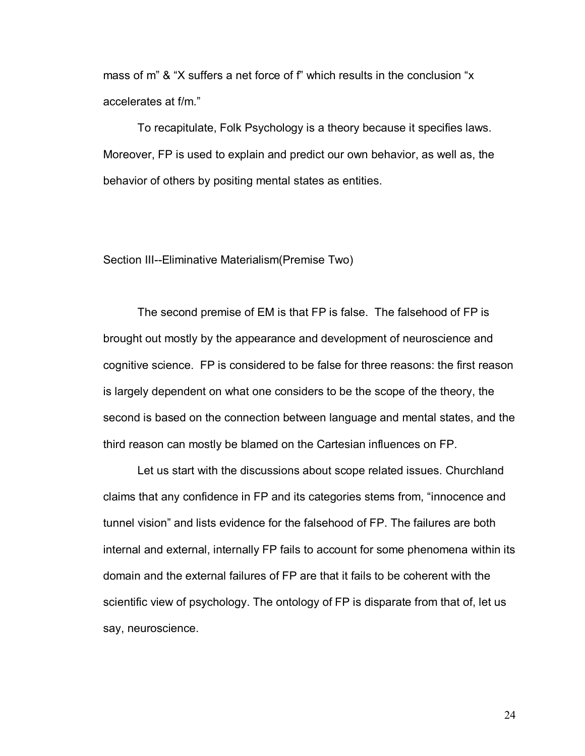mass of m<sup>"</sup> & "X suffers a net force of f" which results in the conclusion "x accelerates at f/m."

 To recapitulate, Folk Psychology is a theory because it specifies laws. Moreover, FP is used to explain and predict our own behavior, as well as, the behavior of others by positing mental states as entities.

Section III--Eliminative Materialism(Premise Two)

The second premise of EM is that FP is false. The falsehood of FP is brought out mostly by the appearance and development of neuroscience and cognitive science. FP is considered to be false for three reasons: the first reason is largely dependent on what one considers to be the scope of the theory, the second is based on the connection between language and mental states, and the third reason can mostly be blamed on the Cartesian influences on FP.

 Let us start with the discussions about scope related issues. Churchland claims that any confidence in FP and its categories stems from, "innocence and tunnel visionî and lists evidence for the falsehood of FP. The failures are both internal and external, internally FP fails to account for some phenomena within its domain and the external failures of FP are that it fails to be coherent with the scientific view of psychology. The ontology of FP is disparate from that of, let us say, neuroscience.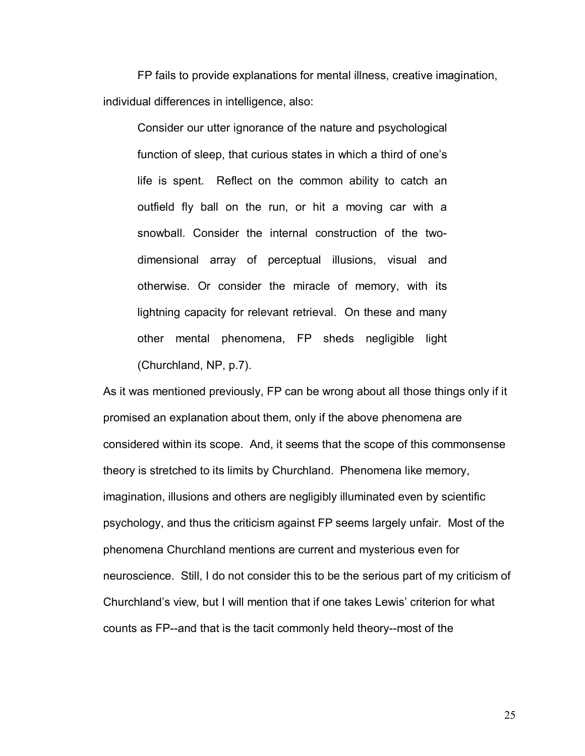FP fails to provide explanations for mental illness, creative imagination, individual differences in intelligence, also:

Consider our utter ignorance of the nature and psychological function of sleep, that curious states in which a third of one's life is spent. Reflect on the common ability to catch an outfield fly ball on the run, or hit a moving car with a snowball. Consider the internal construction of the twodimensional array of perceptual illusions, visual and otherwise. Or consider the miracle of memory, with its lightning capacity for relevant retrieval. On these and many other mental phenomena, FP sheds negligible light (Churchland, NP, p.7).

As it was mentioned previously, FP can be wrong about all those things only if it promised an explanation about them, only if the above phenomena are considered within its scope. And, it seems that the scope of this commonsense theory is stretched to its limits by Churchland. Phenomena like memory, imagination, illusions and others are negligibly illuminated even by scientific psychology, and thus the criticism against FP seems largely unfair. Most of the phenomena Churchland mentions are current and mysterious even for neuroscience. Still, I do not consider this to be the serious part of my criticism of Churchland's view, but I will mention that if one takes Lewis' criterion for what counts as FP--and that is the tacit commonly held theory--most of the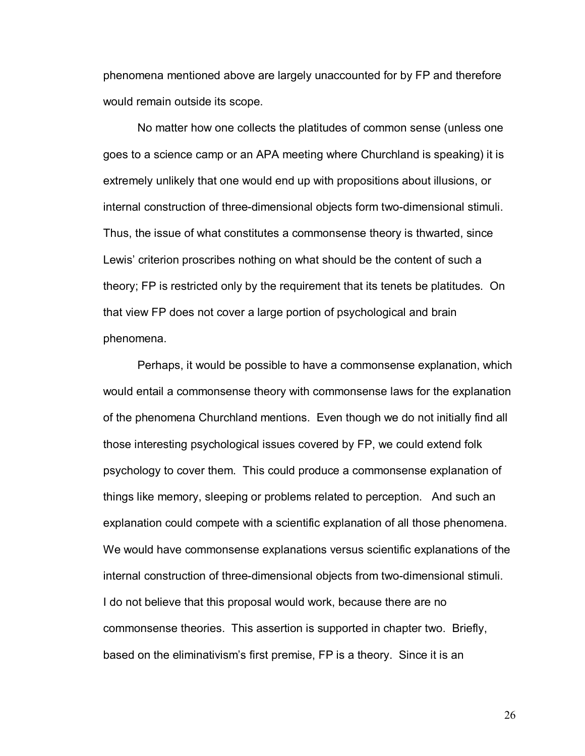phenomena mentioned above are largely unaccounted for by FP and therefore would remain outside its scope.

No matter how one collects the platitudes of common sense (unless one goes to a science camp or an APA meeting where Churchland is speaking) it is extremely unlikely that one would end up with propositions about illusions, or internal construction of three-dimensional objects form two-dimensional stimuli. Thus, the issue of what constitutes a commonsense theory is thwarted, since Lewis' criterion proscribes nothing on what should be the content of such a theory; FP is restricted only by the requirement that its tenets be platitudes. On that view FP does not cover a large portion of psychological and brain phenomena.

Perhaps, it would be possible to have a commonsense explanation, which would entail a commonsense theory with commonsense laws for the explanation of the phenomena Churchland mentions. Even though we do not initially find all those interesting psychological issues covered by FP, we could extend folk psychology to cover them. This could produce a commonsense explanation of things like memory, sleeping or problems related to perception. And such an explanation could compete with a scientific explanation of all those phenomena. We would have commonsense explanations versus scientific explanations of the internal construction of three-dimensional objects from two-dimensional stimuli. I do not believe that this proposal would work, because there are no commonsense theories. This assertion is supported in chapter two. Briefly, based on the eliminativism's first premise, FP is a theory. Since it is an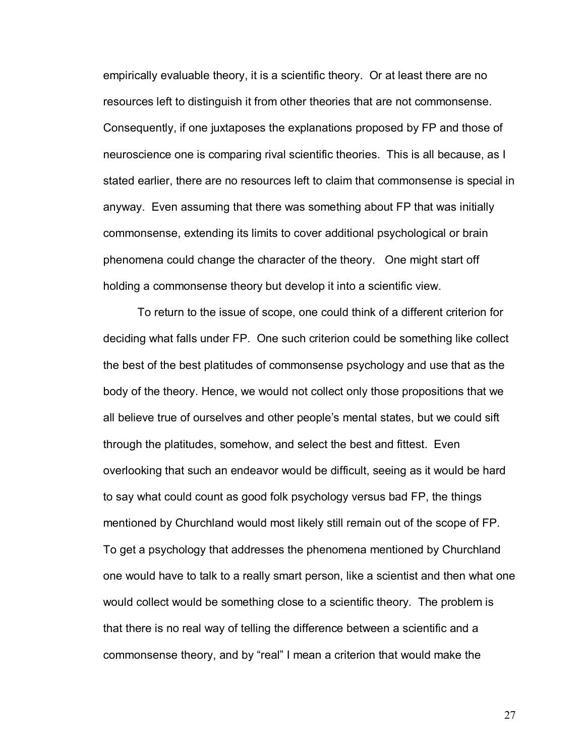empirically evaluable theory, it is a scientific theory. Or at least there are no resources left to distinguish it from other theories that are not commonsense. Consequently, if one juxtaposes the explanations proposed by FP and those of neuroscience one is comparing rival scientific theories. This is all because, as I stated earlier, there are no resources left to claim that commonsense is special in anyway. Even assuming that there was something about FP that was initially commonsense, extending its limits to cover additional psychological or brain phenomena could change the character of the theory. One might start off holding a commonsense theory but develop it into a scientific view.

To return to the issue of scope, one could think of a different criterion for deciding what falls under FP. One such criterion could be something like collect the best of the best platitudes of commonsense psychology and use that as the body of the theory. Hence, we would not collect only those propositions that we all believe true of ourselves and other people's mental states, but we could sift through the platitudes, somehow, and select the best and fittest. Even overlooking that such an endeavor would be difficult, seeing as it would be hard to say what could count as good folk psychology versus bad FP, the things mentioned by Churchland would most likely still remain out of the scope of FP. To get a psychology that addresses the phenomena mentioned by Churchland one would have to talk to a really smart person, like a scientist and then what one would collect would be something close to a scientific theory. The problem is that there is no real way of telling the difference between a scientific and a commonsense theory, and by "real" I mean a criterion that would make the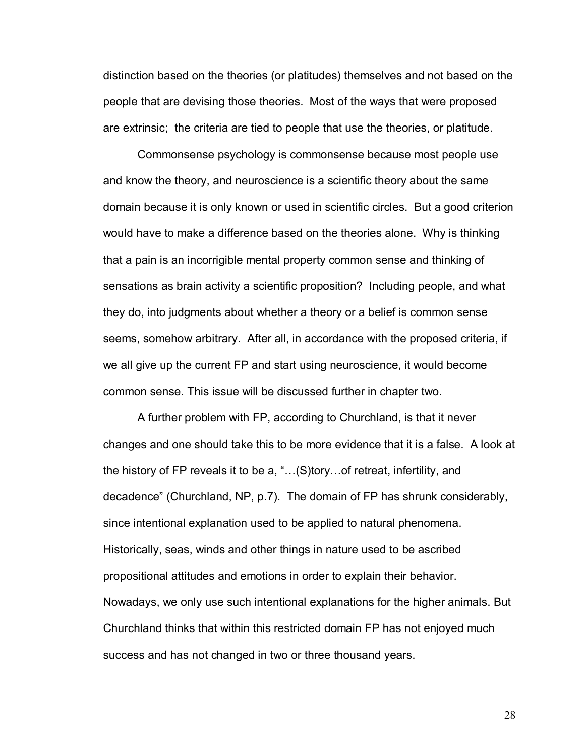distinction based on the theories (or platitudes) themselves and not based on the people that are devising those theories. Most of the ways that were proposed are extrinsic; the criteria are tied to people that use the theories, or platitude.

Commonsense psychology is commonsense because most people use and know the theory, and neuroscience is a scientific theory about the same domain because it is only known or used in scientific circles. But a good criterion would have to make a difference based on the theories alone. Why is thinking that a pain is an incorrigible mental property common sense and thinking of sensations as brain activity a scientific proposition? Including people, and what they do, into judgments about whether a theory or a belief is common sense seems, somehow arbitrary. After all, in accordance with the proposed criteria, if we all give up the current FP and start using neuroscience, it would become common sense. This issue will be discussed further in chapter two.

A further problem with FP, according to Churchland, is that it never changes and one should take this to be more evidence that it is a false. A look at the history of FP reveals it to be a, " $\dots$ (S)tory... of retreat, infertility, and decadenceî (Churchland, NP, p.7). The domain of FP has shrunk considerably, since intentional explanation used to be applied to natural phenomena. Historically, seas, winds and other things in nature used to be ascribed propositional attitudes and emotions in order to explain their behavior. Nowadays, we only use such intentional explanations for the higher animals. But Churchland thinks that within this restricted domain FP has not enjoyed much success and has not changed in two or three thousand years.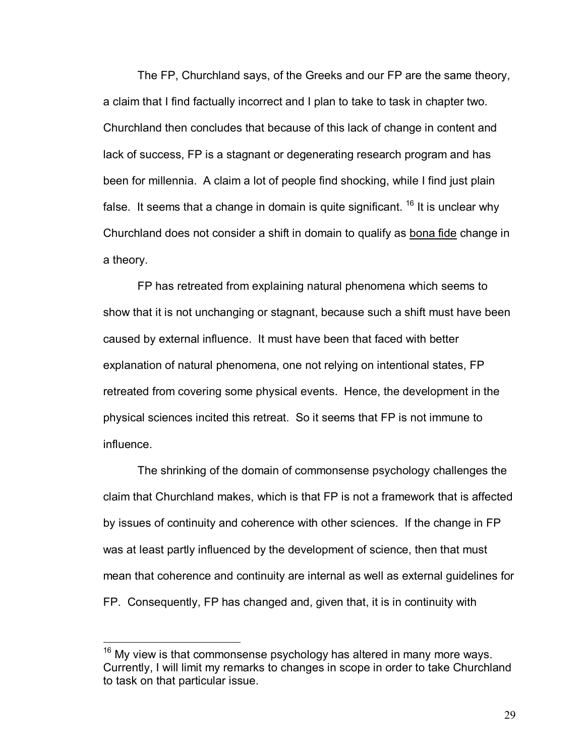The FP, Churchland says, of the Greeks and our FP are the same theory, a claim that I find factually incorrect and I plan to take to task in chapter two. Churchland then concludes that because of this lack of change in content and lack of success, FP is a stagnant or degenerating research program and has been for millennia. A claim a lot of people find shocking, while I find just plain false. It seems that a change in domain is quite significant.  $16$  It is unclear why Churchland does not consider a shift in domain to qualify as bona fide change in a theory.

FP has retreated from explaining natural phenomena which seems to show that it is not unchanging or stagnant, because such a shift must have been caused by external influence. It must have been that faced with better explanation of natural phenomena, one not relying on intentional states, FP retreated from covering some physical events. Hence, the development in the physical sciences incited this retreat. So it seems that FP is not immune to influence.

The shrinking of the domain of commonsense psychology challenges the claim that Churchland makes, which is that FP is not a framework that is affected by issues of continuity and coherence with other sciences. If the change in FP was at least partly influenced by the development of science, then that must mean that coherence and continuity are internal as well as external guidelines for FP. Consequently, FP has changed and, given that, it is in continuity with

 $16$  My view is that commonsense psychology has altered in many more ways. Currently, I will limit my remarks to changes in scope in order to take Churchland to task on that particular issue.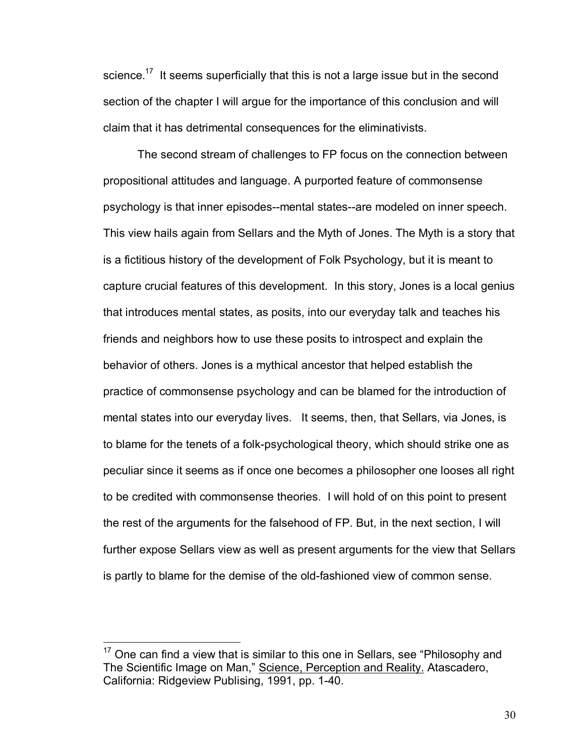science.<sup>17</sup> It seems superficially that this is not a large issue but in the second section of the chapter I will argue for the importance of this conclusion and will claim that it has detrimental consequences for the eliminativists.

The second stream of challenges to FP focus on the connection between propositional attitudes and language. A purported feature of commonsense psychology is that inner episodes--mental states--are modeled on inner speech. This view hails again from Sellars and the Myth of Jones. The Myth is a story that is a fictitious history of the development of Folk Psychology, but it is meant to capture crucial features of this development. In this story, Jones is a local genius that introduces mental states, as posits, into our everyday talk and teaches his friends and neighbors how to use these posits to introspect and explain the behavior of others. Jones is a mythical ancestor that helped establish the practice of commonsense psychology and can be blamed for the introduction of mental states into our everyday lives. It seems, then, that Sellars, via Jones, is to blame for the tenets of a folk-psychological theory, which should strike one as peculiar since it seems as if once one becomes a philosopher one looses all right to be credited with commonsense theories. I will hold of on this point to present the rest of the arguments for the falsehood of FP. But, in the next section, I will further expose Sellars view as well as present arguments for the view that Sellars is partly to blame for the demise of the old-fashioned view of common sense.

 $17$  One can find a view that is similar to this one in Sellars, see "Philosophy and The Scientific Image on Man," Science, Perception and Reality. Atascadero, California: Ridgeview Publising, 1991, pp. 1-40.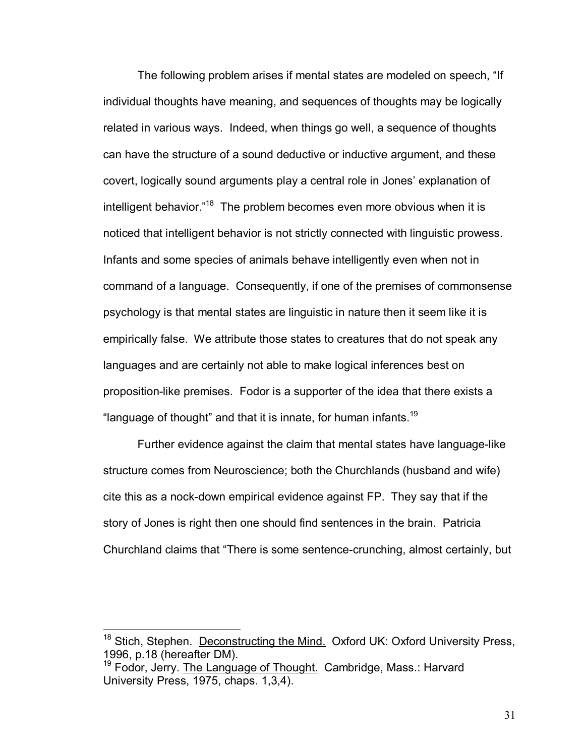The following problem arises if mental states are modeled on speech, "If individual thoughts have meaning, and sequences of thoughts may be logically related in various ways. Indeed, when things go well, a sequence of thoughts can have the structure of a sound deductive or inductive argument, and these covert, logically sound arguments play a central role in Jones' explanation of intelligent behavior. $18$  The problem becomes even more obvious when it is noticed that intelligent behavior is not strictly connected with linguistic prowess. Infants and some species of animals behave intelligently even when not in command of a language. Consequently, if one of the premises of commonsense psychology is that mental states are linguistic in nature then it seem like it is empirically false. We attribute those states to creatures that do not speak any languages and are certainly not able to make logical inferences best on proposition-like premises. Fodor is a supporter of the idea that there exists a "language of thought" and that it is innate, for human infants.<sup>19</sup>

Further evidence against the claim that mental states have language-like structure comes from Neuroscience; both the Churchlands (husband and wife) cite this as a nock-down empirical evidence against FP. They say that if the story of Jones is right then one should find sentences in the brain. Patricia Churchland claims that "There is some sentence-crunching, almost certainly, but

<sup>&</sup>lt;sup>18</sup> Stich, Stephen. Deconstructing the Mind. Oxford UK: Oxford University Press, 1996, p.18 (hereafter DM).

<sup>&</sup>lt;sup>19</sup> Fodor, Jerry. The Language of Thought. Cambridge, Mass.: Harvard University Press, 1975, chaps. 1,3,4).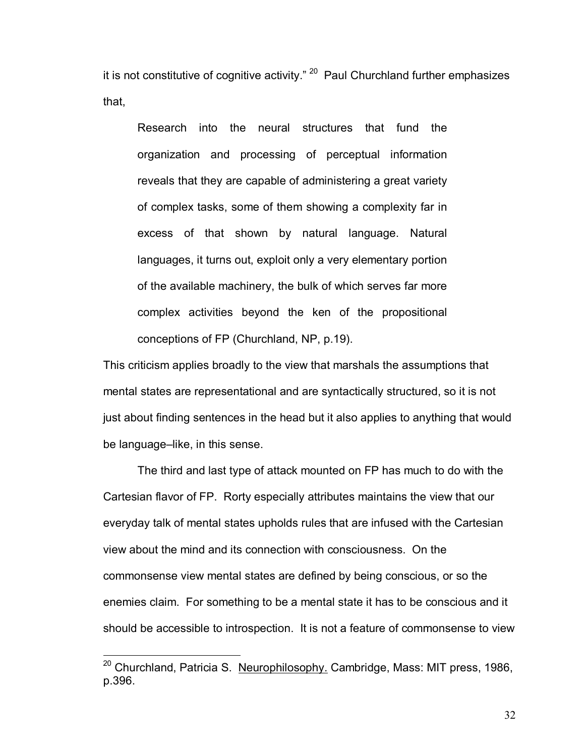it is not constitutive of cognitive activity."  $20$  Paul Churchland further emphasizes that,

Research into the neural structures that fund the organization and processing of perceptual information reveals that they are capable of administering a great variety of complex tasks, some of them showing a complexity far in excess of that shown by natural language. Natural languages, it turns out, exploit only a very elementary portion of the available machinery, the bulk of which serves far more complex activities beyond the ken of the propositional conceptions of FP (Churchland, NP, p.19).

This criticism applies broadly to the view that marshals the assumptions that mental states are representational and are syntactically structured, so it is not just about finding sentences in the head but it also applies to anything that would be language–like, in this sense.

 The third and last type of attack mounted on FP has much to do with the Cartesian flavor of FP. Rorty especially attributes maintains the view that our everyday talk of mental states upholds rules that are infused with the Cartesian view about the mind and its connection with consciousness. On the commonsense view mental states are defined by being conscious, or so the enemies claim. For something to be a mental state it has to be conscious and it should be accessible to introspection. It is not a feature of commonsense to view

<sup>&</sup>lt;sup>20</sup> Churchland, Patricia S. Neurophilosophy. Cambridge, Mass: MIT press, 1986, p.396.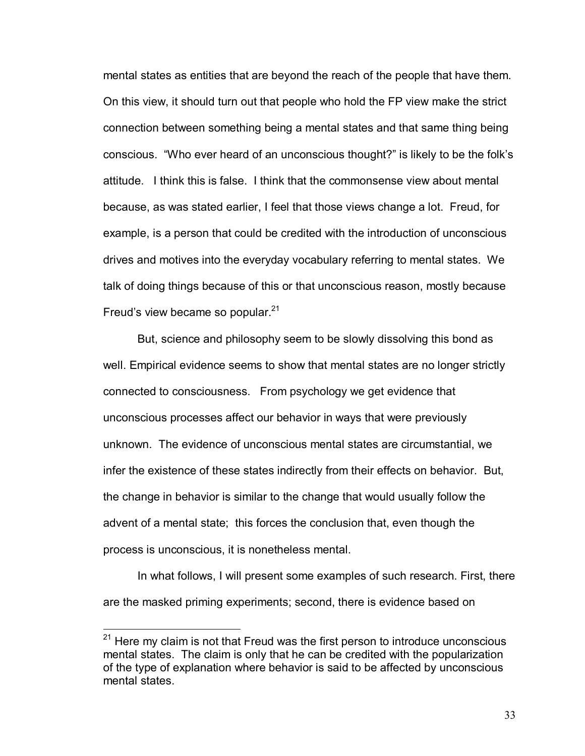mental states as entities that are beyond the reach of the people that have them. On this view, it should turn out that people who hold the FP view make the strict connection between something being a mental states and that same thing being conscious. "Who ever heard of an unconscious thought?" is likely to be the folk's attitude. I think this is false. I think that the commonsense view about mental because, as was stated earlier, I feel that those views change a lot. Freud, for example, is a person that could be credited with the introduction of unconscious drives and motives into the everyday vocabulary referring to mental states. We talk of doing things because of this or that unconscious reason, mostly because Freud's view became so popular. $21$ 

But, science and philosophy seem to be slowly dissolving this bond as well. Empirical evidence seems to show that mental states are no longer strictly connected to consciousness. From psychology we get evidence that unconscious processes affect our behavior in ways that were previously unknown. The evidence of unconscious mental states are circumstantial, we infer the existence of these states indirectly from their effects on behavior. But, the change in behavior is similar to the change that would usually follow the advent of a mental state; this forces the conclusion that, even though the process is unconscious, it is nonetheless mental.

In what follows, I will present some examples of such research. First, there are the masked priming experiments; second, there is evidence based on

 $21$  Here my claim is not that Freud was the first person to introduce unconscious mental states. The claim is only that he can be credited with the popularization of the type of explanation where behavior is said to be affected by unconscious mental states.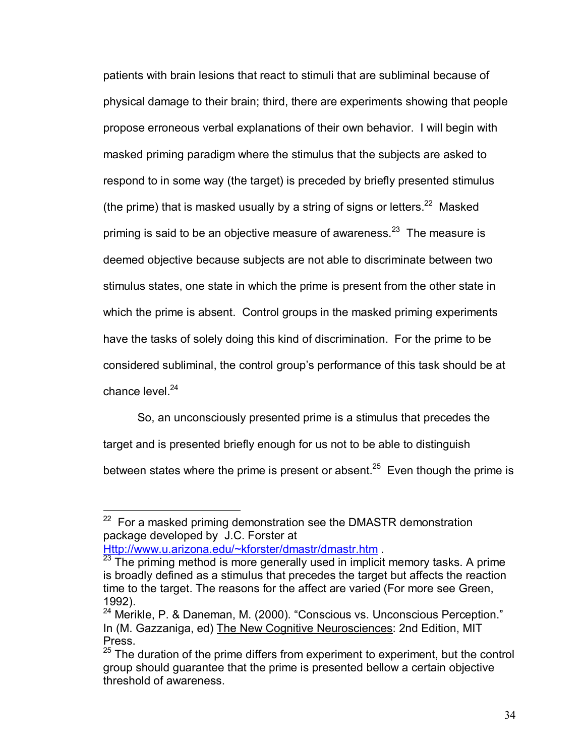patients with brain lesions that react to stimuli that are subliminal because of physical damage to their brain; third, there are experiments showing that people propose erroneous verbal explanations of their own behavior. I will begin with masked priming paradigm where the stimulus that the subjects are asked to respond to in some way (the target) is preceded by briefly presented stimulus (the prime) that is masked usually by a string of signs or letters. $22$  Masked priming is said to be an objective measure of awareness.  $23$  The measure is deemed objective because subjects are not able to discriminate between two stimulus states, one state in which the prime is present from the other state in which the prime is absent. Control groups in the masked priming experiments have the tasks of solely doing this kind of discrimination. For the prime to be considered subliminal, the control groupís performance of this task should be at chance level  $^{24}$ 

So, an unconsciously presented prime is a stimulus that precedes the target and is presented briefly enough for us not to be able to distinguish between states where the prime is present or absent.<sup>25</sup> Even though the prime is

 $22$  For a masked priming demonstration see the DMASTR demonstration package developed by J.C. Forster at

Http://www.u.arizona.edu/~kforster/dmastr/dmastr.htm .<br><sup>23</sup> The priming method is more generally used in implicit memory tasks. A prime is broadly defined as a stimulus that precedes the target but affects the reaction time to the target. The reasons for the affect are varied (For more see Green, 1992).

 $24$  Merikle, P. & Daneman, M. (2000). "Conscious vs. Unconscious Perception." In (M. Gazzaniga, ed) The New Cognitive Neurosciences: 2nd Edition, MIT Press.

 $25$  The duration of the prime differs from experiment to experiment, but the control group should guarantee that the prime is presented bellow a certain objective threshold of awareness.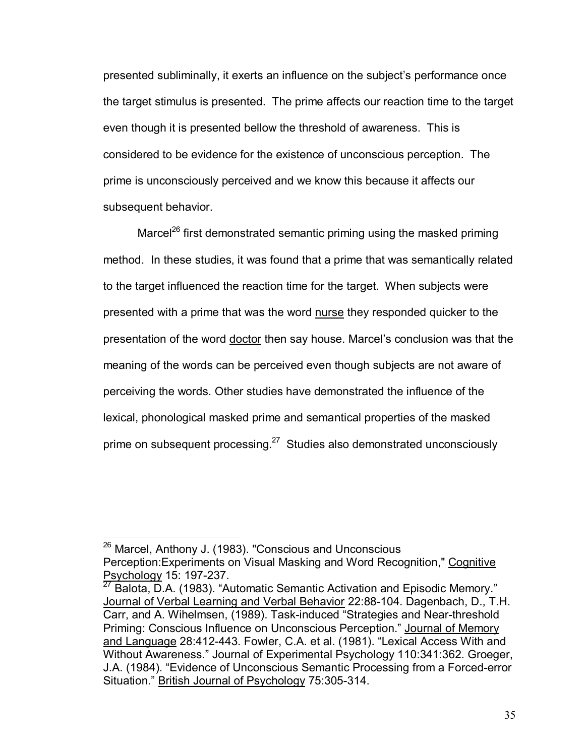presented subliminally, it exerts an influence on the subjectís performance once the target stimulus is presented. The prime affects our reaction time to the target even though it is presented bellow the threshold of awareness. This is considered to be evidence for the existence of unconscious perception. The prime is unconsciously perceived and we know this because it affects our subsequent behavior.

Marcel<sup>26</sup> first demonstrated semantic priming using the masked priming method. In these studies, it was found that a prime that was semantically related to the target influenced the reaction time for the target. When subjects were presented with a prime that was the word nurse they responded quicker to the presentation of the word doctor then say house. Marcel's conclusion was that the meaning of the words can be perceived even though subjects are not aware of perceiving the words. Other studies have demonstrated the influence of the lexical, phonological masked prime and semantical properties of the masked prime on subsequent processing. $27$  Studies also demonstrated unconsciously

<sup>&</sup>lt;sup>26</sup> Marcel, Anthony J. (1983). "Conscious and Unconscious Perception:Experiments on Visual Masking and Word Recognition," Cognitive Psychology 15: 197-237.

 $27$  Balota, D.A. (1983). "Automatic Semantic Activation and Episodic Memory." Journal of Verbal Learning and Verbal Behavior 22:88-104. Dagenbach, D., T.H. Carr, and A. Wihelmsen, (1989). Task-induced "Strategies and Near-threshold Priming: Conscious Influence on Unconscious Perception." Journal of Memory and Language 28:412-443. Fowler, C.A. et al. (1981). "Lexical Access With and Without Awareness." Journal of Experimental Psychology 110:341:362. Groeger, J.A. (1984). "Evidence of Unconscious Semantic Processing from a Forced-error Situation." British Journal of Psychology 75:305-314.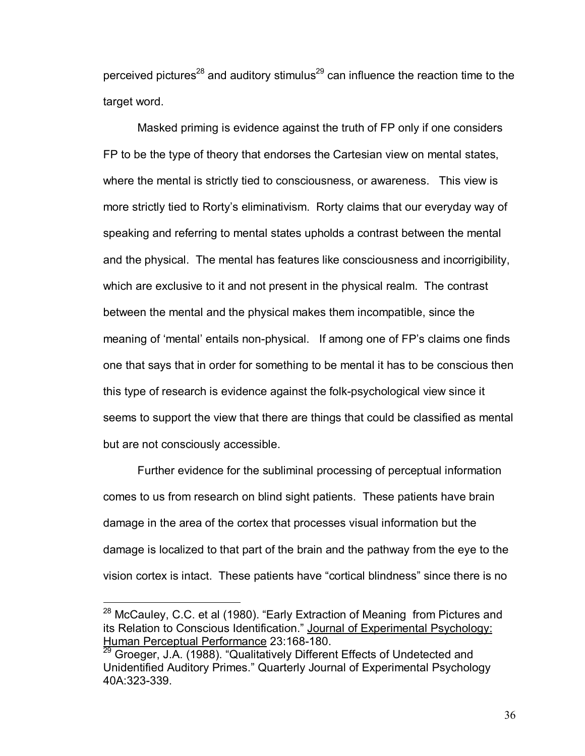perceived pictures<sup>28</sup> and auditory stimulus<sup>29</sup> can influence the reaction time to the target word.

 Masked priming is evidence against the truth of FP only if one considers FP to be the type of theory that endorses the Cartesian view on mental states, where the mental is strictly tied to consciousness, or awareness. This view is more strictly tied to Rorty's eliminativism. Rorty claims that our everyday way of speaking and referring to mental states upholds a contrast between the mental and the physical. The mental has features like consciousness and incorrigibility, which are exclusive to it and not present in the physical realm. The contrast between the mental and the physical makes them incompatible, since the meaning of 'mental' entails non-physical. If among one of FP's claims one finds one that says that in order for something to be mental it has to be conscious then this type of research is evidence against the folk-psychological view since it seems to support the view that there are things that could be classified as mental but are not consciously accessible.

 Further evidence for the subliminal processing of perceptual information comes to us from research on blind sight patients. These patients have brain damage in the area of the cortex that processes visual information but the damage is localized to that part of the brain and the pathway from the eye to the vision cortex is intact. These patients have "cortical blindness" since there is no

 $28$  McCauley, C.C. et al (1980). "Early Extraction of Meaning from Pictures and its Relation to Conscious Identification." Journal of Experimental Psychology: Human Perceptual Performance 23:168-180.

<sup>&</sup>lt;sup>29</sup> Groeger, J.A. (1988). "Qualitatively Different Effects of Undetected and Unidentified Auditory Primes." Quarterly Journal of Experimental Psychology 40A:323-339.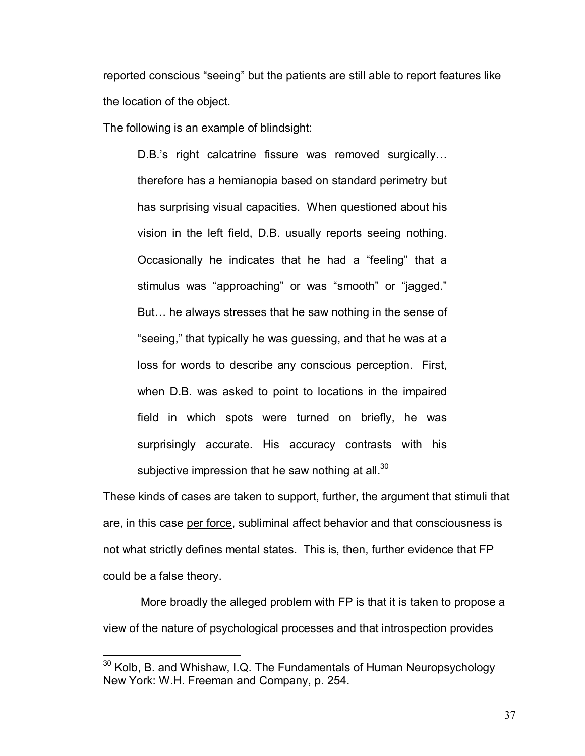reported conscious "seeing" but the patients are still able to report features like the location of the object.

The following is an example of blindsight:

D.B.'s right calcatrine fissure was removed surgically... therefore has a hemianopia based on standard perimetry but has surprising visual capacities. When questioned about his vision in the left field, D.B. usually reports seeing nothing. Occasionally he indicates that he had a "feeling" that a stimulus was "approaching" or was "smooth" or "jagged." But... he always stresses that he saw nothing in the sense of "seeing," that typically he was guessing, and that he was at a loss for words to describe any conscious perception. First, when D.B. was asked to point to locations in the impaired field in which spots were turned on briefly, he was surprisingly accurate. His accuracy contrasts with his subjective impression that he saw nothing at all. $30<sup>30</sup>$ 

These kinds of cases are taken to support, further, the argument that stimuli that are, in this case per force, subliminal affect behavior and that consciousness is not what strictly defines mental states. This is, then, further evidence that FP could be a false theory.

 More broadly the alleged problem with FP is that it is taken to propose a view of the nature of psychological processes and that introspection provides

<sup>&</sup>lt;sup>30</sup> Kolb, B. and Whishaw, I.Q. The Fundamentals of Human Neuropsychology New York: W.H. Freeman and Company, p. 254.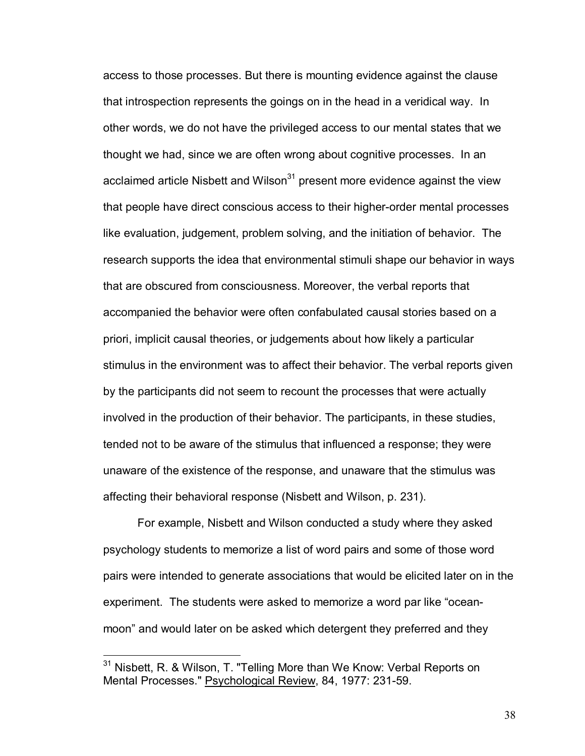access to those processes. But there is mounting evidence against the clause that introspection represents the goings on in the head in a veridical way. In other words, we do not have the privileged access to our mental states that we thought we had, since we are often wrong about cognitive processes. In an acclaimed article Nisbett and Wilson $31$  present more evidence against the view that people have direct conscious access to their higher-order mental processes like evaluation, judgement, problem solving, and the initiation of behavior. The research supports the idea that environmental stimuli shape our behavior in ways that are obscured from consciousness. Moreover, the verbal reports that accompanied the behavior were often confabulated causal stories based on a priori, implicit causal theories, or judgements about how likely a particular stimulus in the environment was to affect their behavior. The verbal reports given by the participants did not seem to recount the processes that were actually involved in the production of their behavior. The participants, in these studies, tended not to be aware of the stimulus that influenced a response; they were unaware of the existence of the response, and unaware that the stimulus was affecting their behavioral response (Nisbett and Wilson, p. 231).

For example, Nisbett and Wilson conducted a study where they asked psychology students to memorize a list of word pairs and some of those word pairs were intended to generate associations that would be elicited later on in the experiment. The students were asked to memorize a word par like "oceanmoonî and would later on be asked which detergent they preferred and they

1

<sup>&</sup>lt;sup>31</sup> Nisbett, R. & Wilson, T. "Telling More than We Know: Verbal Reports on Mental Processes." Psychological Review, 84, 1977: 231-59.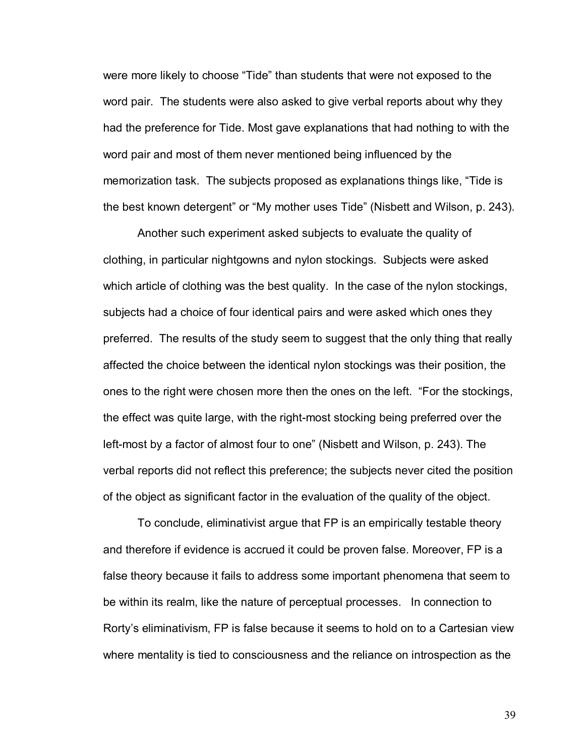were more likely to choose "Tide" than students that were not exposed to the word pair. The students were also asked to give verbal reports about why they had the preference for Tide. Most gave explanations that had nothing to with the word pair and most of them never mentioned being influenced by the memorization task. The subjects proposed as explanations things like, "Tide is the best known detergent" or "My mother uses Tide" (Nisbett and Wilson, p. 243).

Another such experiment asked subjects to evaluate the quality of clothing, in particular nightgowns and nylon stockings. Subjects were asked which article of clothing was the best quality. In the case of the nylon stockings, subjects had a choice of four identical pairs and were asked which ones they preferred. The results of the study seem to suggest that the only thing that really affected the choice between the identical nylon stockings was their position, the ones to the right were chosen more then the ones on the left. "For the stockings, the effect was quite large, with the right-most stocking being preferred over the left-most by a factor of almost four to one" (Nisbett and Wilson, p. 243). The verbal reports did not reflect this preference; the subjects never cited the position of the object as significant factor in the evaluation of the quality of the object.

To conclude, eliminativist argue that FP is an empirically testable theory and therefore if evidence is accrued it could be proven false. Moreover, FP is a false theory because it fails to address some important phenomena that seem to be within its realm, like the nature of perceptual processes. In connection to Rortyís eliminativism, FP is false because it seems to hold on to a Cartesian view where mentality is tied to consciousness and the reliance on introspection as the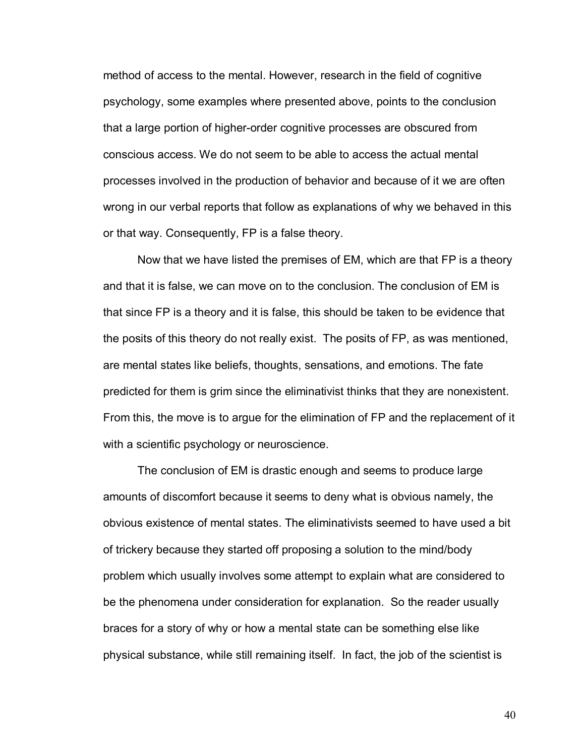method of access to the mental. However, research in the field of cognitive psychology, some examples where presented above, points to the conclusion that a large portion of higher-order cognitive processes are obscured from conscious access. We do not seem to be able to access the actual mental processes involved in the production of behavior and because of it we are often wrong in our verbal reports that follow as explanations of why we behaved in this or that way. Consequently, FP is a false theory.

Now that we have listed the premises of EM, which are that FP is a theory and that it is false, we can move on to the conclusion. The conclusion of EM is that since FP is a theory and it is false, this should be taken to be evidence that the posits of this theory do not really exist. The posits of FP, as was mentioned, are mental states like beliefs, thoughts, sensations, and emotions. The fate predicted for them is grim since the eliminativist thinks that they are nonexistent. From this, the move is to argue for the elimination of FP and the replacement of it with a scientific psychology or neuroscience.

The conclusion of EM is drastic enough and seems to produce large amounts of discomfort because it seems to deny what is obvious namely, the obvious existence of mental states. The eliminativists seemed to have used a bit of trickery because they started off proposing a solution to the mind/body problem which usually involves some attempt to explain what are considered to be the phenomena under consideration for explanation. So the reader usually braces for a story of why or how a mental state can be something else like physical substance, while still remaining itself. In fact, the job of the scientist is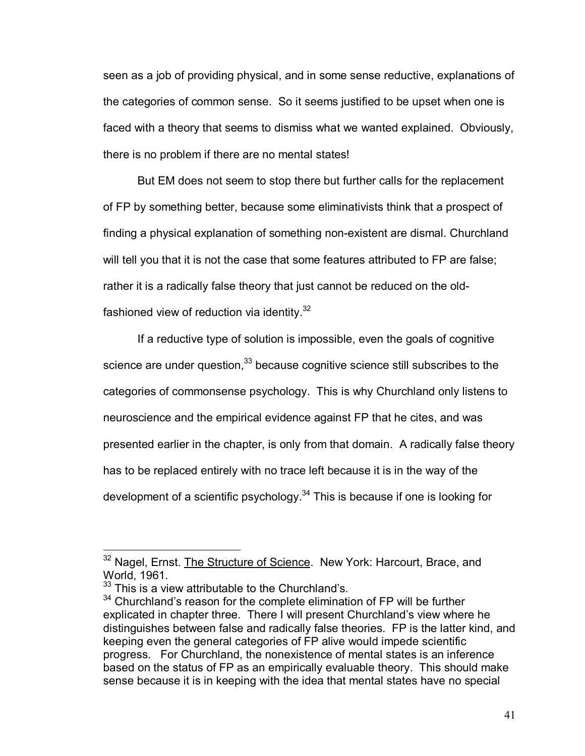seen as a job of providing physical, and in some sense reductive, explanations of the categories of common sense. So it seems justified to be upset when one is faced with a theory that seems to dismiss what we wanted explained. Obviously, there is no problem if there are no mental states!

But EM does not seem to stop there but further calls for the replacement of FP by something better, because some eliminativists think that a prospect of finding a physical explanation of something non-existent are dismal. Churchland will tell you that it is not the case that some features attributed to FP are false; rather it is a radically false theory that just cannot be reduced on the oldfashioned view of reduction via identity. $32$ 

If a reductive type of solution is impossible, even the goals of cognitive science are under question, $33$  because cognitive science still subscribes to the categories of commonsense psychology. This is why Churchland only listens to neuroscience and the empirical evidence against FP that he cites, and was presented earlier in the chapter, is only from that domain. A radically false theory has to be replaced entirely with no trace left because it is in the way of the development of a scientific psychology. $34$  This is because if one is looking for

<sup>&</sup>lt;sup>32</sup> Nagel, Ernst. The Structure of Science. New York: Harcourt, Brace, and World, 1961.

 $33$  This is a view attributable to the Churchland's.

 $34$  Churchland's reason for the complete elimination of FP will be further explicated in chapter three. There I will present Churchland's view where he distinguishes between false and radically false theories. FP is the latter kind, and keeping even the general categories of FP alive would impede scientific progress. For Churchland, the nonexistence of mental states is an inference based on the status of FP as an empirically evaluable theory. This should make sense because it is in keeping with the idea that mental states have no special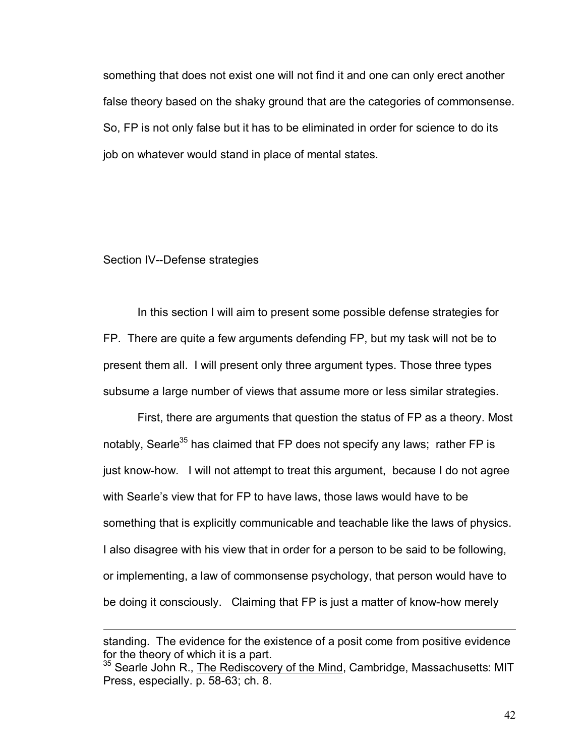something that does not exist one will not find it and one can only erect another false theory based on the shaky ground that are the categories of commonsense. So, FP is not only false but it has to be eliminated in order for science to do its job on whatever would stand in place of mental states.

#### Section IV--Defense strategies

 $\overline{a}$ 

In this section I will aim to present some possible defense strategies for FP. There are quite a few arguments defending FP, but my task will not be to present them all. I will present only three argument types. Those three types subsume a large number of views that assume more or less similar strategies.

First, there are arguments that question the status of FP as a theory. Most notably, Searle<sup>35</sup> has claimed that FP does not specify any laws; rather FP is just know-how. I will not attempt to treat this argument, because I do not agree with Searle's view that for FP to have laws, those laws would have to be something that is explicitly communicable and teachable like the laws of physics. I also disagree with his view that in order for a person to be said to be following, or implementing, a law of commonsense psychology, that person would have to be doing it consciously. Claiming that FP is just a matter of know-how merely

standing. The evidence for the existence of a posit come from positive evidence for the theory of which it is a part.

 $35$  Searle John R., The Rediscovery of the Mind, Cambridge, Massachusetts: MIT Press, especially. p. 58-63; ch. 8.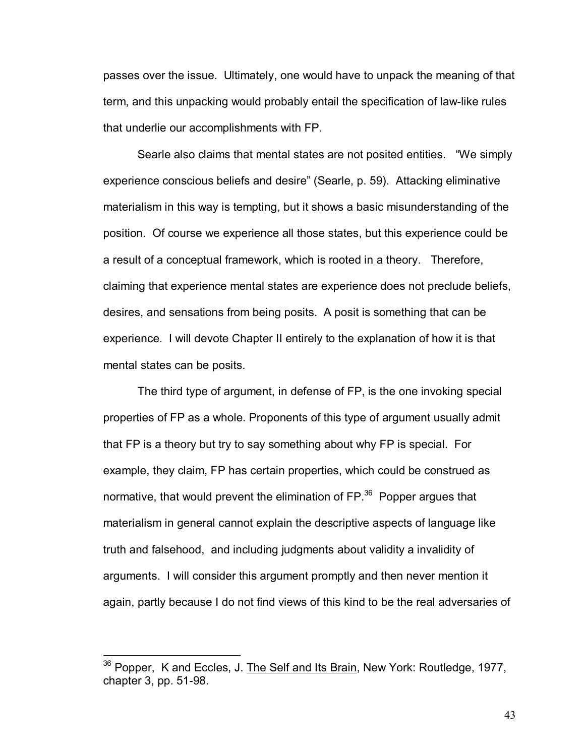passes over the issue. Ultimately, one would have to unpack the meaning of that term, and this unpacking would probably entail the specification of law-like rules that underlie our accomplishments with FP.

Searle also claims that mental states are not posited entities. "We simply experience conscious beliefs and desire" (Searle, p. 59). Attacking eliminative materialism in this way is tempting, but it shows a basic misunderstanding of the position. Of course we experience all those states, but this experience could be a result of a conceptual framework, which is rooted in a theory. Therefore, claiming that experience mental states are experience does not preclude beliefs, desires, and sensations from being posits. A posit is something that can be experience. I will devote Chapter II entirely to the explanation of how it is that mental states can be posits.

 The third type of argument, in defense of FP, is the one invoking special properties of FP as a whole. Proponents of this type of argument usually admit that FP is a theory but try to say something about why FP is special. For example, they claim, FP has certain properties, which could be construed as normative, that would prevent the elimination of FP.<sup>36</sup> Popper argues that materialism in general cannot explain the descriptive aspects of language like truth and falsehood, and including judgments about validity a invalidity of arguments. I will consider this argument promptly and then never mention it again, partly because I do not find views of this kind to be the real adversaries of

 $\overline{a}$ 

<sup>36</sup> Popper, K and Eccles, J. The Self and Its Brain, New York: Routledge, 1977, chapter 3, pp. 51-98.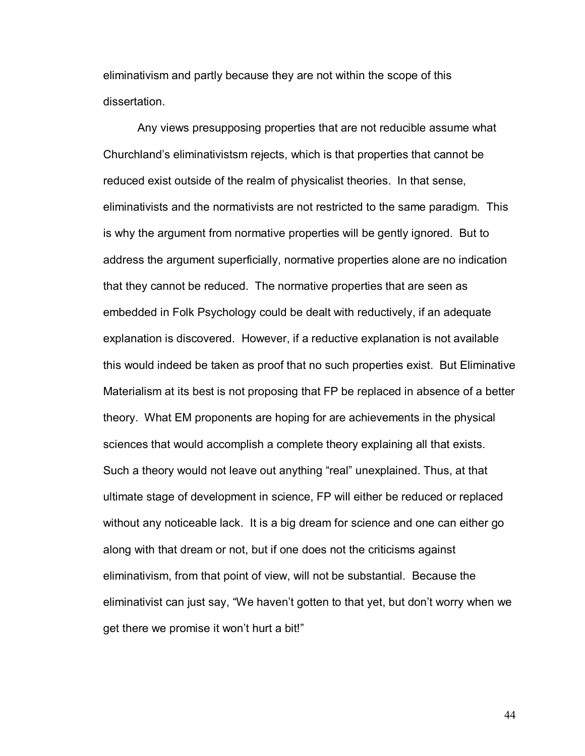eliminativism and partly because they are not within the scope of this dissertation.

Any views presupposing properties that are not reducible assume what Churchland's eliminativistsm rejects, which is that properties that cannot be reduced exist outside of the realm of physicalist theories. In that sense, eliminativists and the normativists are not restricted to the same paradigm. This is why the argument from normative properties will be gently ignored. But to address the argument superficially, normative properties alone are no indication that they cannot be reduced. The normative properties that are seen as embedded in Folk Psychology could be dealt with reductively, if an adequate explanation is discovered. However, if a reductive explanation is not available this would indeed be taken as proof that no such properties exist. But Eliminative Materialism at its best is not proposing that FP be replaced in absence of a better theory. What EM proponents are hoping for are achievements in the physical sciences that would accomplish a complete theory explaining all that exists. Such a theory would not leave out anything "real" unexplained. Thus, at that ultimate stage of development in science, FP will either be reduced or replaced without any noticeable lack. It is a big dream for science and one can either go along with that dream or not, but if one does not the criticisms against eliminativism, from that point of view, will not be substantial. Because the eliminativist can just say, "We haven't gotten to that yet, but don't worry when we get there we promise it won't hurt a bit!"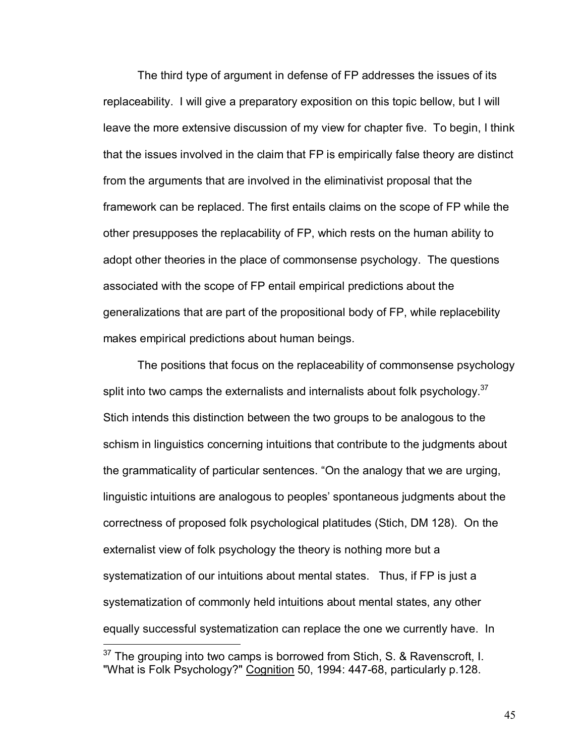The third type of argument in defense of FP addresses the issues of its replaceability. I will give a preparatory exposition on this topic bellow, but I will leave the more extensive discussion of my view for chapter five. To begin, I think that the issues involved in the claim that FP is empirically false theory are distinct from the arguments that are involved in the eliminativist proposal that the framework can be replaced. The first entails claims on the scope of FP while the other presupposes the replacability of FP, which rests on the human ability to adopt other theories in the place of commonsense psychology. The questions associated with the scope of FP entail empirical predictions about the generalizations that are part of the propositional body of FP, while replacebility makes empirical predictions about human beings.

 The positions that focus on the replaceability of commonsense psychology split into two camps the externalists and internalists about folk psychology. $37$ Stich intends this distinction between the two groups to be analogous to the schism in linguistics concerning intuitions that contribute to the judgments about the grammaticality of particular sentences. "On the analogy that we are urging, linguistic intuitions are analogous to peoples' spontaneous judgments about the correctness of proposed folk psychological platitudes (Stich, DM 128). On the externalist view of folk psychology the theory is nothing more but a systematization of our intuitions about mental states. Thus, if FP is just a systematization of commonly held intuitions about mental states, any other equally successful systematization can replace the one we currently have. In

<u>.</u>

 $37$  The grouping into two camps is borrowed from Stich, S. & Ravenscroft, I. "What is Folk Psychology?" Cognition 50, 1994: 447-68, particularly p.128.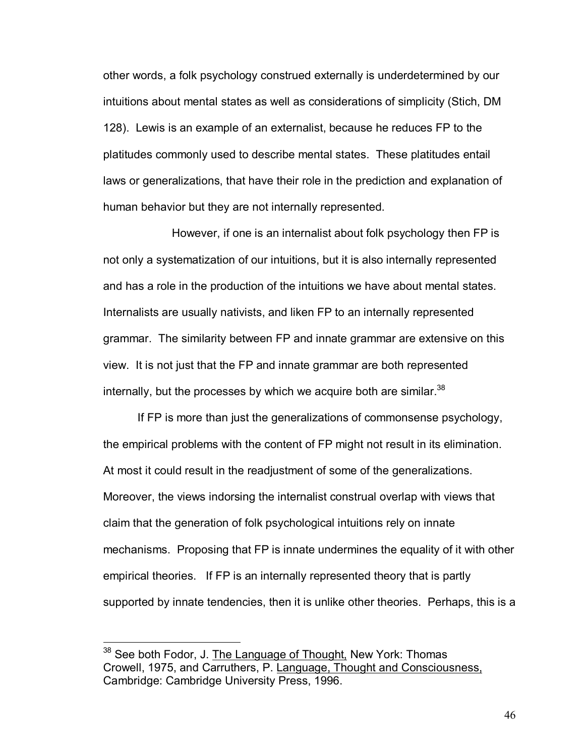other words, a folk psychology construed externally is underdetermined by our intuitions about mental states as well as considerations of simplicity (Stich, DM 128). Lewis is an example of an externalist, because he reduces FP to the platitudes commonly used to describe mental states. These platitudes entail laws or generalizations, that have their role in the prediction and explanation of human behavior but they are not internally represented.

 However, if one is an internalist about folk psychology then FP is not only a systematization of our intuitions, but it is also internally represented and has a role in the production of the intuitions we have about mental states. Internalists are usually nativists, and liken FP to an internally represented grammar. The similarity between FP and innate grammar are extensive on this view. It is not just that the FP and innate grammar are both represented internally, but the processes by which we acquire both are similar. $38$ 

If FP is more than just the generalizations of commonsense psychology, the empirical problems with the content of FP might not result in its elimination. At most it could result in the readjustment of some of the generalizations. Moreover, the views indorsing the internalist construal overlap with views that claim that the generation of folk psychological intuitions rely on innate mechanisms. Proposing that FP is innate undermines the equality of it with other empirical theories. If FP is an internally represented theory that is partly supported by innate tendencies, then it is unlike other theories. Perhaps, this is a

<sup>&</sup>lt;sup>38</sup> See both Fodor, J. The Language of Thought, New York: Thomas Crowell, 1975, and Carruthers, P. Language, Thought and Consciousness, Cambridge: Cambridge University Press, 1996.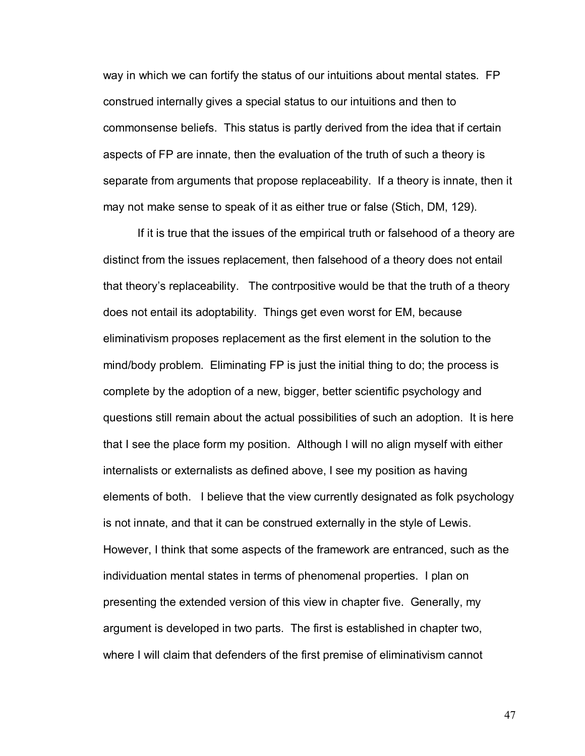way in which we can fortify the status of our intuitions about mental states. FP construed internally gives a special status to our intuitions and then to commonsense beliefs. This status is partly derived from the idea that if certain aspects of FP are innate, then the evaluation of the truth of such a theory is separate from arguments that propose replaceability. If a theory is innate, then it may not make sense to speak of it as either true or false (Stich, DM, 129).

If it is true that the issues of the empirical truth or falsehood of a theory are distinct from the issues replacement, then falsehood of a theory does not entail that theoryís replaceability. The contrpositive would be that the truth of a theory does not entail its adoptability. Things get even worst for EM, because eliminativism proposes replacement as the first element in the solution to the mind/body problem. Eliminating FP is just the initial thing to do; the process is complete by the adoption of a new, bigger, better scientific psychology and questions still remain about the actual possibilities of such an adoption. It is here that I see the place form my position. Although I will no align myself with either internalists or externalists as defined above, I see my position as having elements of both. I believe that the view currently designated as folk psychology is not innate, and that it can be construed externally in the style of Lewis. However, I think that some aspects of the framework are entranced, such as the individuation mental states in terms of phenomenal properties. I plan on presenting the extended version of this view in chapter five. Generally, my argument is developed in two parts. The first is established in chapter two, where I will claim that defenders of the first premise of eliminativism cannot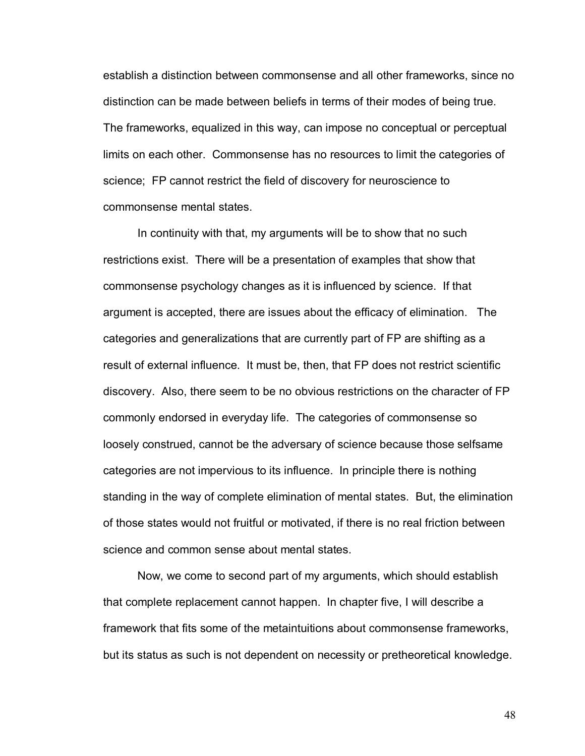establish a distinction between commonsense and all other frameworks, since no distinction can be made between beliefs in terms of their modes of being true. The frameworks, equalized in this way, can impose no conceptual or perceptual limits on each other. Commonsense has no resources to limit the categories of science; FP cannot restrict the field of discovery for neuroscience to commonsense mental states.

In continuity with that, my arguments will be to show that no such restrictions exist. There will be a presentation of examples that show that commonsense psychology changes as it is influenced by science. If that argument is accepted, there are issues about the efficacy of elimination. The categories and generalizations that are currently part of FP are shifting as a result of external influence. It must be, then, that FP does not restrict scientific discovery. Also, there seem to be no obvious restrictions on the character of FP commonly endorsed in everyday life. The categories of commonsense so loosely construed, cannot be the adversary of science because those selfsame categories are not impervious to its influence. In principle there is nothing standing in the way of complete elimination of mental states. But, the elimination of those states would not fruitful or motivated, if there is no real friction between science and common sense about mental states.

Now, we come to second part of my arguments, which should establish that complete replacement cannot happen. In chapter five, I will describe a framework that fits some of the metaintuitions about commonsense frameworks, but its status as such is not dependent on necessity or pretheoretical knowledge.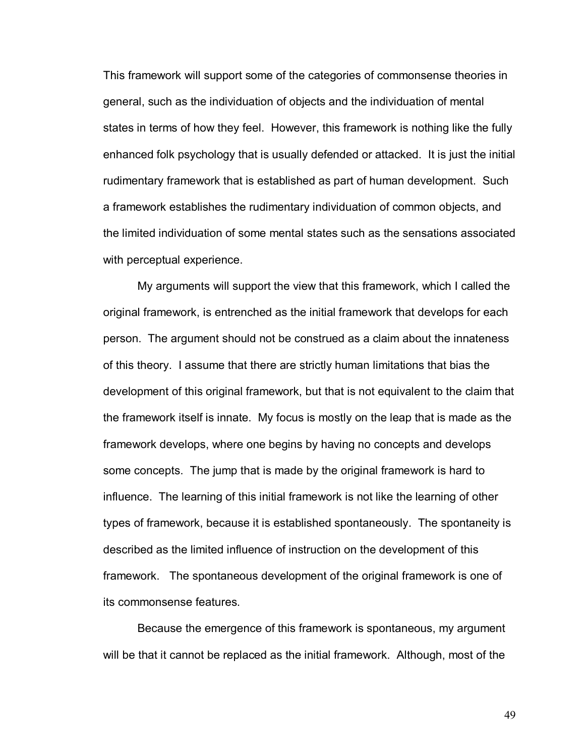This framework will support some of the categories of commonsense theories in general, such as the individuation of objects and the individuation of mental states in terms of how they feel. However, this framework is nothing like the fully enhanced folk psychology that is usually defended or attacked. It is just the initial rudimentary framework that is established as part of human development. Such a framework establishes the rudimentary individuation of common objects, and the limited individuation of some mental states such as the sensations associated with perceptual experience.

My arguments will support the view that this framework, which I called the original framework, is entrenched as the initial framework that develops for each person. The argument should not be construed as a claim about the innateness of this theory. I assume that there are strictly human limitations that bias the development of this original framework, but that is not equivalent to the claim that the framework itself is innate. My focus is mostly on the leap that is made as the framework develops, where one begins by having no concepts and develops some concepts. The jump that is made by the original framework is hard to influence. The learning of this initial framework is not like the learning of other types of framework, because it is established spontaneously. The spontaneity is described as the limited influence of instruction on the development of this framework. The spontaneous development of the original framework is one of its commonsense features.

Because the emergence of this framework is spontaneous, my argument will be that it cannot be replaced as the initial framework. Although, most of the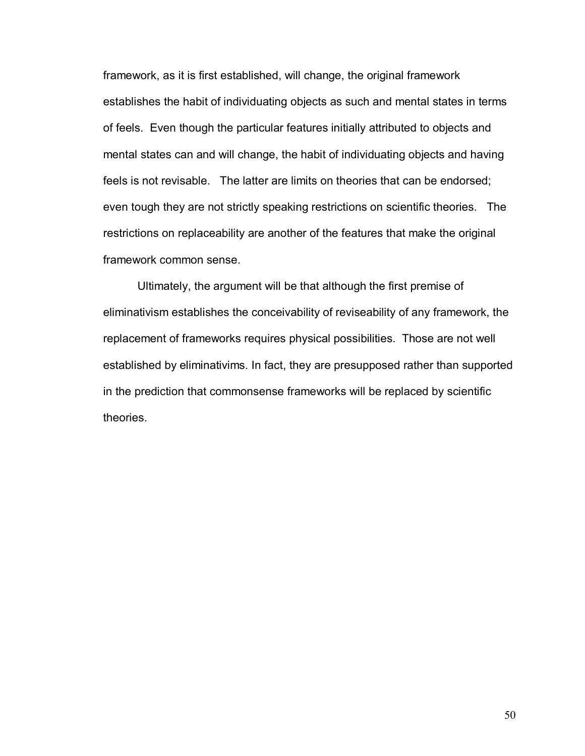framework, as it is first established, will change, the original framework establishes the habit of individuating objects as such and mental states in terms of feels. Even though the particular features initially attributed to objects and mental states can and will change, the habit of individuating objects and having feels is not revisable. The latter are limits on theories that can be endorsed; even tough they are not strictly speaking restrictions on scientific theories. The restrictions on replaceability are another of the features that make the original framework common sense.

Ultimately, the argument will be that although the first premise of eliminativism establishes the conceivability of reviseability of any framework, the replacement of frameworks requires physical possibilities. Those are not well established by eliminativims. In fact, they are presupposed rather than supported in the prediction that commonsense frameworks will be replaced by scientific theories.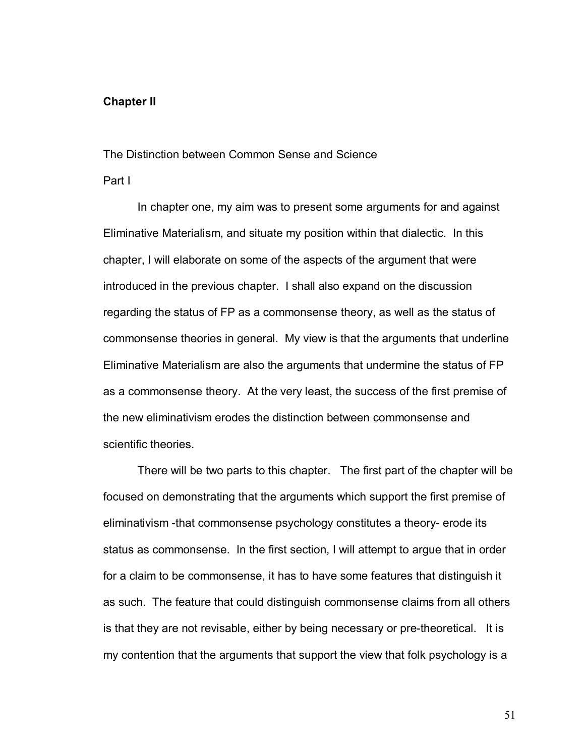# **Chapter II**

# The Distinction between Common Sense and Science

# Part I

In chapter one, my aim was to present some arguments for and against Eliminative Materialism, and situate my position within that dialectic. In this chapter, I will elaborate on some of the aspects of the argument that were introduced in the previous chapter. I shall also expand on the discussion regarding the status of FP as a commonsense theory, as well as the status of commonsense theories in general. My view is that the arguments that underline Eliminative Materialism are also the arguments that undermine the status of FP as a commonsense theory. At the very least, the success of the first premise of the new eliminativism erodes the distinction between commonsense and scientific theories.

 There will be two parts to this chapter. The first part of the chapter will be focused on demonstrating that the arguments which support the first premise of eliminativism -that commonsense psychology constitutes a theory- erode its status as commonsense. In the first section, I will attempt to argue that in order for a claim to be commonsense, it has to have some features that distinguish it as such. The feature that could distinguish commonsense claims from all others is that they are not revisable, either by being necessary or pre-theoretical. It is my contention that the arguments that support the view that folk psychology is a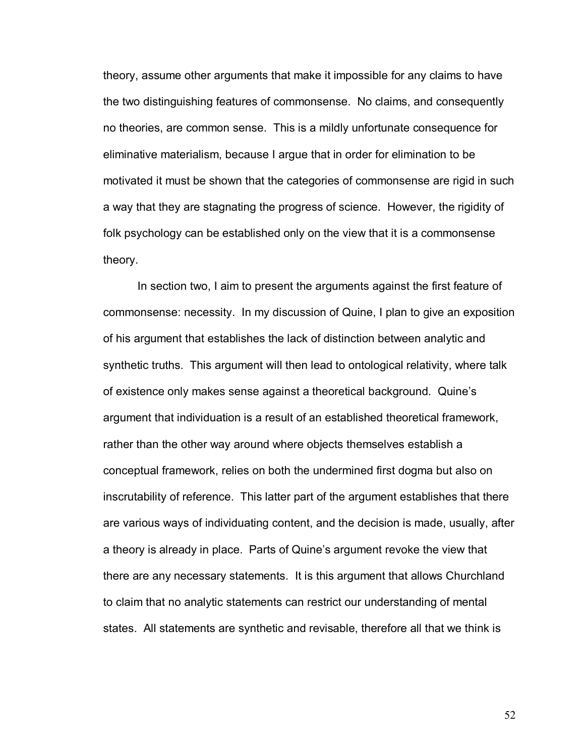theory, assume other arguments that make it impossible for any claims to have the two distinguishing features of commonsense. No claims, and consequently no theories, are common sense. This is a mildly unfortunate consequence for eliminative materialism, because I argue that in order for elimination to be motivated it must be shown that the categories of commonsense are rigid in such a way that they are stagnating the progress of science. However, the rigidity of folk psychology can be established only on the view that it is a commonsense theory.

 In section two, I aim to present the arguments against the first feature of commonsense: necessity. In my discussion of Quine, I plan to give an exposition of his argument that establishes the lack of distinction between analytic and synthetic truths. This argument will then lead to ontological relativity, where talk of existence only makes sense against a theoretical background. Quineís argument that individuation is a result of an established theoretical framework, rather than the other way around where objects themselves establish a conceptual framework, relies on both the undermined first dogma but also on inscrutability of reference. This latter part of the argument establishes that there are various ways of individuating content, and the decision is made, usually, after a theory is already in place. Parts of Quine's argument revoke the view that there are any necessary statements. It is this argument that allows Churchland to claim that no analytic statements can restrict our understanding of mental states. All statements are synthetic and revisable, therefore all that we think is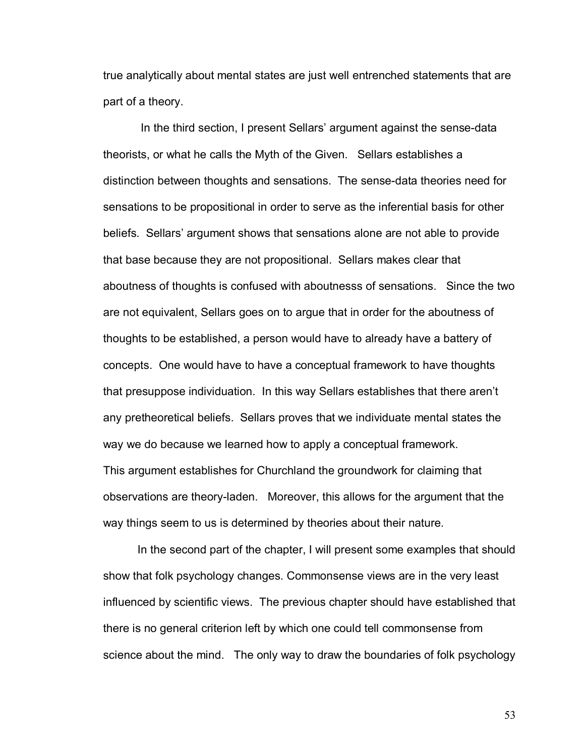true analytically about mental states are just well entrenched statements that are part of a theory.

In the third section, I present Sellars' argument against the sense-data theorists, or what he calls the Myth of the Given. Sellars establishes a distinction between thoughts and sensations. The sense-data theories need for sensations to be propositional in order to serve as the inferential basis for other beliefs. Sellarsí argument shows that sensations alone are not able to provide that base because they are not propositional. Sellars makes clear that aboutness of thoughts is confused with aboutnesss of sensations. Since the two are not equivalent, Sellars goes on to argue that in order for the aboutness of thoughts to be established, a person would have to already have a battery of concepts. One would have to have a conceptual framework to have thoughts that presuppose individuation. In this way Sellars establishes that there arenít any pretheoretical beliefs. Sellars proves that we individuate mental states the way we do because we learned how to apply a conceptual framework. This argument establishes for Churchland the groundwork for claiming that observations are theory-laden. Moreover, this allows for the argument that the way things seem to us is determined by theories about their nature.

In the second part of the chapter, I will present some examples that should show that folk psychology changes. Commonsense views are in the very least influenced by scientific views. The previous chapter should have established that there is no general criterion left by which one could tell commonsense from science about the mind. The only way to draw the boundaries of folk psychology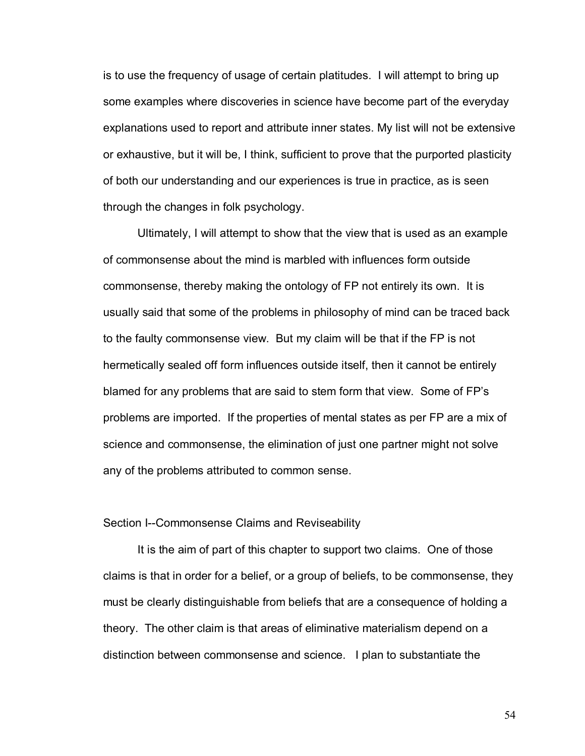is to use the frequency of usage of certain platitudes. I will attempt to bring up some examples where discoveries in science have become part of the everyday explanations used to report and attribute inner states. My list will not be extensive or exhaustive, but it will be, I think, sufficient to prove that the purported plasticity of both our understanding and our experiences is true in practice, as is seen through the changes in folk psychology.

Ultimately, I will attempt to show that the view that is used as an example of commonsense about the mind is marbled with influences form outside commonsense, thereby making the ontology of FP not entirely its own. It is usually said that some of the problems in philosophy of mind can be traced back to the faulty commonsense view. But my claim will be that if the FP is not hermetically sealed off form influences outside itself, then it cannot be entirely blamed for any problems that are said to stem form that view. Some of FP's problems are imported. If the properties of mental states as per FP are a mix of science and commonsense, the elimination of just one partner might not solve any of the problems attributed to common sense.

# Section I--Commonsense Claims and Reviseability

 It is the aim of part of this chapter to support two claims. One of those claims is that in order for a belief, or a group of beliefs, to be commonsense, they must be clearly distinguishable from beliefs that are a consequence of holding a theory. The other claim is that areas of eliminative materialism depend on a distinction between commonsense and science. I plan to substantiate the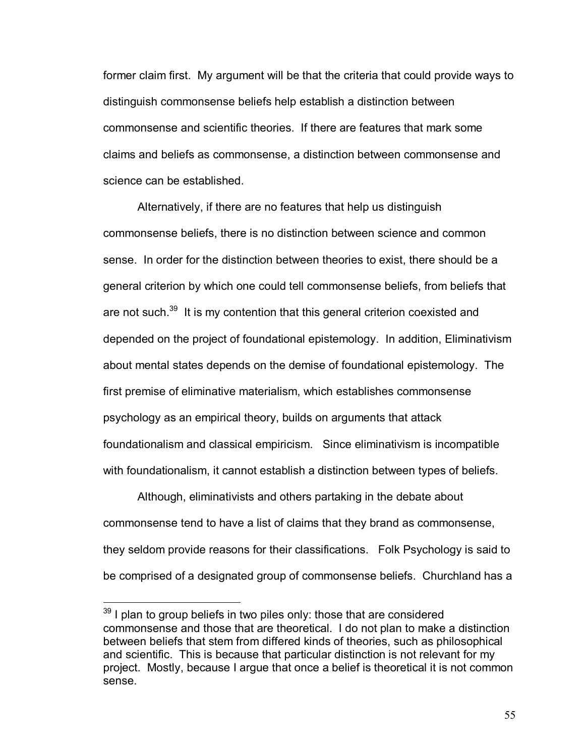former claim first. My argument will be that the criteria that could provide ways to distinguish commonsense beliefs help establish a distinction between commonsense and scientific theories. If there are features that mark some claims and beliefs as commonsense, a distinction between commonsense and science can be established.

Alternatively, if there are no features that help us distinguish commonsense beliefs, there is no distinction between science and common sense. In order for the distinction between theories to exist, there should be a general criterion by which one could tell commonsense beliefs, from beliefs that are not such.<sup>39</sup> It is my contention that this general criterion coexisted and depended on the project of foundational epistemology. In addition, Eliminativism about mental states depends on the demise of foundational epistemology. The first premise of eliminative materialism, which establishes commonsense psychology as an empirical theory, builds on arguments that attack foundationalism and classical empiricism. Since eliminativism is incompatible with foundationalism, it cannot establish a distinction between types of beliefs.

Although, eliminativists and others partaking in the debate about commonsense tend to have a list of claims that they brand as commonsense, they seldom provide reasons for their classifications. Folk Psychology is said to be comprised of a designated group of commonsense beliefs. Churchland has a

 $39$  I plan to group beliefs in two piles only: those that are considered commonsense and those that are theoretical. I do not plan to make a distinction between beliefs that stem from differed kinds of theories, such as philosophical and scientific. This is because that particular distinction is not relevant for my project. Mostly, because I argue that once a belief is theoretical it is not common sense.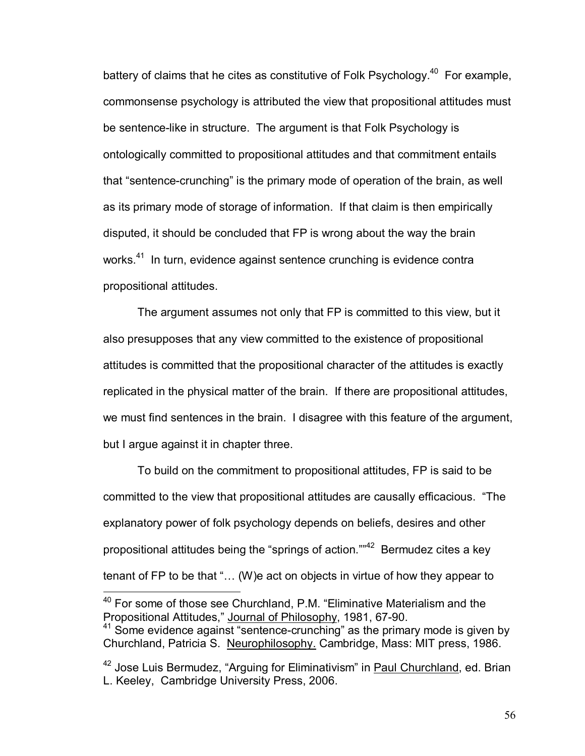battery of claims that he cites as constitutive of Folk Psychology.<sup>40</sup> For example, commonsense psychology is attributed the view that propositional attitudes must be sentence-like in structure. The argument is that Folk Psychology is ontologically committed to propositional attitudes and that commitment entails that "sentence-crunching" is the primary mode of operation of the brain, as well as its primary mode of storage of information. If that claim is then empirically disputed, it should be concluded that FP is wrong about the way the brain works.<sup>41</sup> In turn, evidence against sentence crunching is evidence contra propositional attitudes.

The argument assumes not only that FP is committed to this view, but it also presupposes that any view committed to the existence of propositional attitudes is committed that the propositional character of the attitudes is exactly replicated in the physical matter of the brain. If there are propositional attitudes, we must find sentences in the brain. I disagree with this feature of the argument, but I argue against it in chapter three.

To build on the commitment to propositional attitudes, FP is said to be committed to the view that propositional attitudes are causally efficacious. "The explanatory power of folk psychology depends on beliefs, desires and other propositional attitudes being the "springs of action. $10^{42}$  Bermudez cites a key tenant of FP to be that " $\dots$  (W)e act on objects in virtue of how they appear to

 $40$  For some of those see Churchland, P.M. "Eliminative Materialism and the Propositional Attitudes," Journal of Philosophy, 1981, 67-90.

<sup>&</sup>lt;sup>41</sup> Some evidence against "sentence-crunching" as the primary mode is given by Churchland, Patricia S. Neurophilosophy. Cambridge, Mass: MIT press, 1986.

 $42$  Jose Luis Bermudez, "Arguing for Eliminativism" in Paul Churchland, ed. Brian L. Keeley, Cambridge University Press, 2006.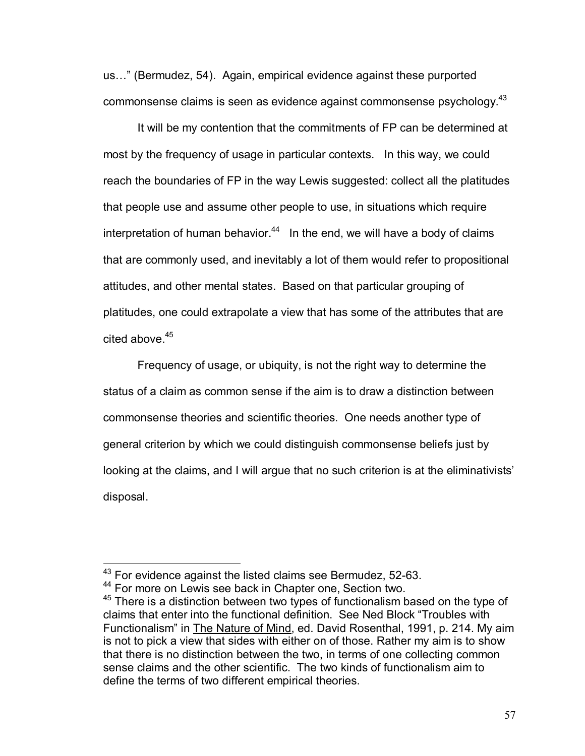us..." (Bermudez, 54). Again, empirical evidence against these purported commonsense claims is seen as evidence against commonsense psychology.43

 It will be my contention that the commitments of FP can be determined at most by the frequency of usage in particular contexts. In this way, we could reach the boundaries of FP in the way Lewis suggested: collect all the platitudes that people use and assume other people to use, in situations which require interpretation of human behavior. $44$  In the end, we will have a body of claims that are commonly used, and inevitably a lot of them would refer to propositional attitudes, and other mental states. Based on that particular grouping of platitudes, one could extrapolate a view that has some of the attributes that are cited above.<sup>45</sup>

Frequency of usage, or ubiquity, is not the right way to determine the status of a claim as common sense if the aim is to draw a distinction between commonsense theories and scientific theories. One needs another type of general criterion by which we could distinguish commonsense beliefs just by looking at the claims, and I will argue that no such criterion is at the eliminativists' disposal.

<u>.</u>

<sup>&</sup>lt;sup>43</sup> For evidence against the listed claims see Bermudez, 52-63.<br><sup>44</sup> For more on Lewis see back in Chapter one, Section two.

 $44$  For more on Lewis see back in Chapter one, Section two.<br> $45$  There is a distinction between two types of functionalism based on the type of claims that enter into the functional definition. See Ned Block "Troubles with Functionalismî in The Nature of Mind, ed. David Rosenthal, 1991, p. 214. My aim is not to pick a view that sides with either on of those. Rather my aim is to show that there is no distinction between the two, in terms of one collecting common sense claims and the other scientific. The two kinds of functionalism aim to define the terms of two different empirical theories.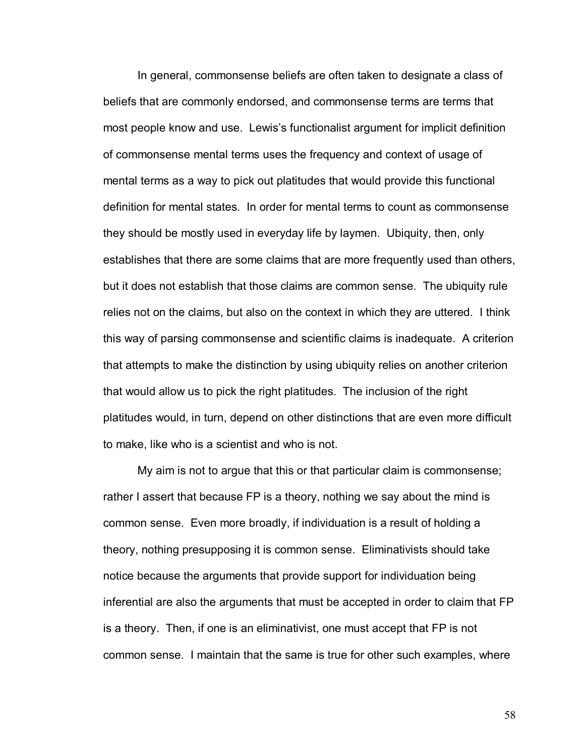In general, commonsense beliefs are often taken to designate a class of beliefs that are commonly endorsed, and commonsense terms are terms that most people know and use. Lewis's functionalist argument for implicit definition of commonsense mental terms uses the frequency and context of usage of mental terms as a way to pick out platitudes that would provide this functional definition for mental states. In order for mental terms to count as commonsense they should be mostly used in everyday life by laymen. Ubiquity, then, only establishes that there are some claims that are more frequently used than others, but it does not establish that those claims are common sense. The ubiquity rule relies not on the claims, but also on the context in which they are uttered. I think this way of parsing commonsense and scientific claims is inadequate. A criterion that attempts to make the distinction by using ubiquity relies on another criterion that would allow us to pick the right platitudes. The inclusion of the right platitudes would, in turn, depend on other distinctions that are even more difficult to make, like who is a scientist and who is not.

My aim is not to argue that this or that particular claim is commonsense; rather I assert that because FP is a theory, nothing we say about the mind is common sense. Even more broadly, if individuation is a result of holding a theory, nothing presupposing it is common sense. Eliminativists should take notice because the arguments that provide support for individuation being inferential are also the arguments that must be accepted in order to claim that FP is a theory. Then, if one is an eliminativist, one must accept that FP is not common sense. I maintain that the same is true for other such examples, where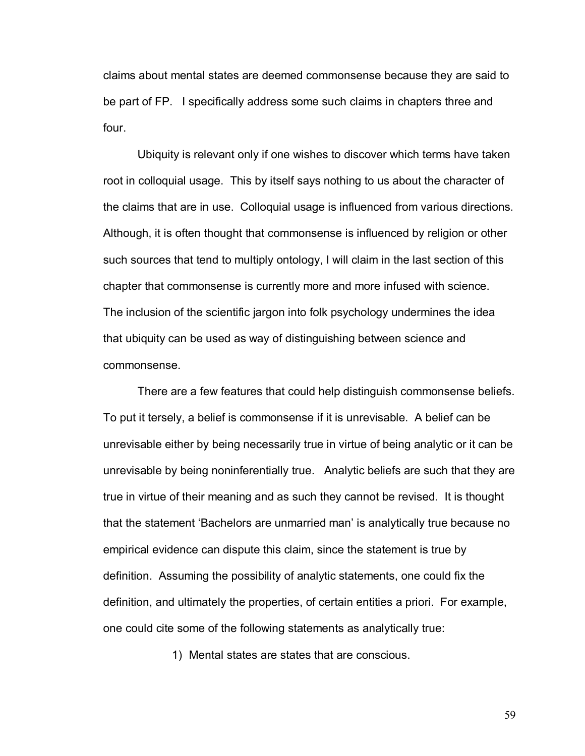claims about mental states are deemed commonsense because they are said to be part of FP. I specifically address some such claims in chapters three and four.

Ubiquity is relevant only if one wishes to discover which terms have taken root in colloquial usage. This by itself says nothing to us about the character of the claims that are in use. Colloquial usage is influenced from various directions. Although, it is often thought that commonsense is influenced by religion or other such sources that tend to multiply ontology, I will claim in the last section of this chapter that commonsense is currently more and more infused with science. The inclusion of the scientific jargon into folk psychology undermines the idea that ubiquity can be used as way of distinguishing between science and commonsense.

There are a few features that could help distinguish commonsense beliefs. To put it tersely, a belief is commonsense if it is unrevisable. A belief can be unrevisable either by being necessarily true in virtue of being analytic or it can be unrevisable by being noninferentially true. Analytic beliefs are such that they are true in virtue of their meaning and as such they cannot be revised. It is thought that the statement 'Bachelors are unmarried man' is analytically true because no empirical evidence can dispute this claim, since the statement is true by definition. Assuming the possibility of analytic statements, one could fix the definition, and ultimately the properties, of certain entities a priori. For example, one could cite some of the following statements as analytically true:

1) Mental states are states that are conscious.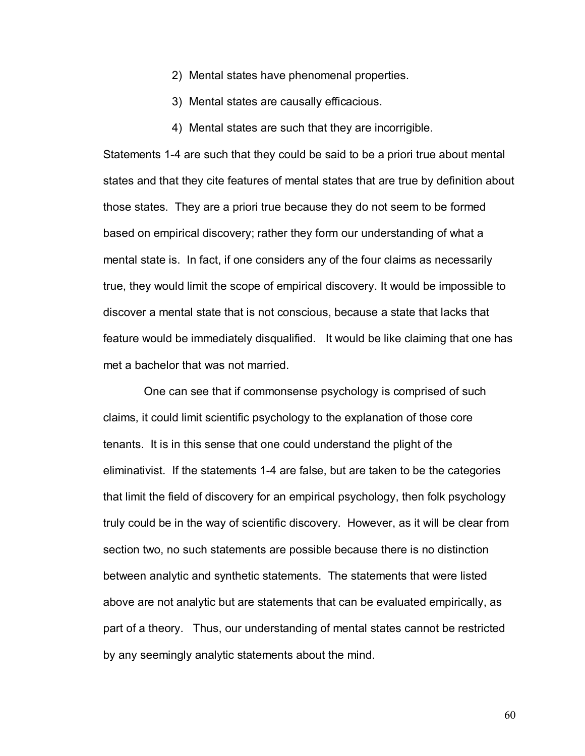- 2) Mental states have phenomenal properties.
- 3) Mental states are causally efficacious.
- 4) Mental states are such that they are incorrigible.

Statements 1-4 are such that they could be said to be a priori true about mental states and that they cite features of mental states that are true by definition about those states. They are a priori true because they do not seem to be formed based on empirical discovery; rather they form our understanding of what a mental state is. In fact, if one considers any of the four claims as necessarily true, they would limit the scope of empirical discovery. It would be impossible to discover a mental state that is not conscious, because a state that lacks that feature would be immediately disqualified. It would be like claiming that one has met a bachelor that was not married.

 One can see that if commonsense psychology is comprised of such claims, it could limit scientific psychology to the explanation of those core tenants. It is in this sense that one could understand the plight of the eliminativist. If the statements 1-4 are false, but are taken to be the categories that limit the field of discovery for an empirical psychology, then folk psychology truly could be in the way of scientific discovery. However, as it will be clear from section two, no such statements are possible because there is no distinction between analytic and synthetic statements. The statements that were listed above are not analytic but are statements that can be evaluated empirically, as part of a theory. Thus, our understanding of mental states cannot be restricted by any seemingly analytic statements about the mind.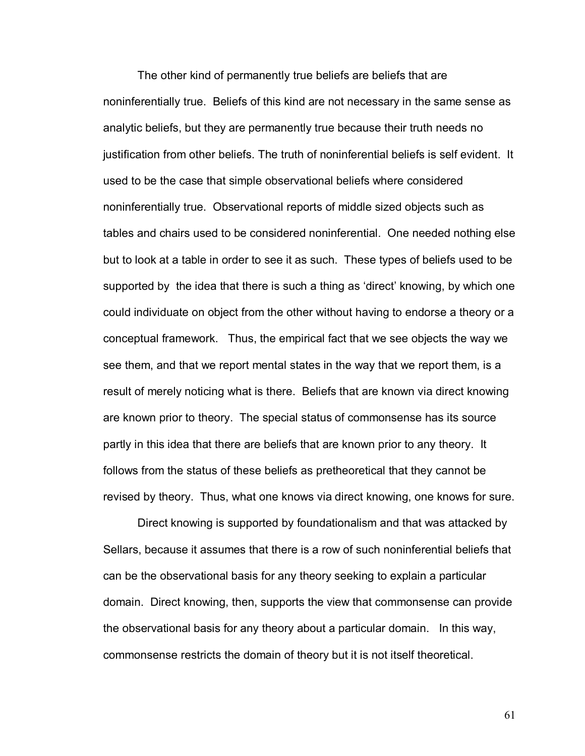The other kind of permanently true beliefs are beliefs that are noninferentially true. Beliefs of this kind are not necessary in the same sense as analytic beliefs, but they are permanently true because their truth needs no justification from other beliefs. The truth of noninferential beliefs is self evident. It used to be the case that simple observational beliefs where considered noninferentially true. Observational reports of middle sized objects such as tables and chairs used to be considered noninferential. One needed nothing else but to look at a table in order to see it as such. These types of beliefs used to be supported by the idea that there is such a thing as 'direct' knowing, by which one could individuate on object from the other without having to endorse a theory or a conceptual framework. Thus, the empirical fact that we see objects the way we see them, and that we report mental states in the way that we report them, is a result of merely noticing what is there. Beliefs that are known via direct knowing are known prior to theory. The special status of commonsense has its source partly in this idea that there are beliefs that are known prior to any theory. It follows from the status of these beliefs as pretheoretical that they cannot be revised by theory. Thus, what one knows via direct knowing, one knows for sure.

Direct knowing is supported by foundationalism and that was attacked by Sellars, because it assumes that there is a row of such noninferential beliefs that can be the observational basis for any theory seeking to explain a particular domain. Direct knowing, then, supports the view that commonsense can provide the observational basis for any theory about a particular domain. In this way, commonsense restricts the domain of theory but it is not itself theoretical.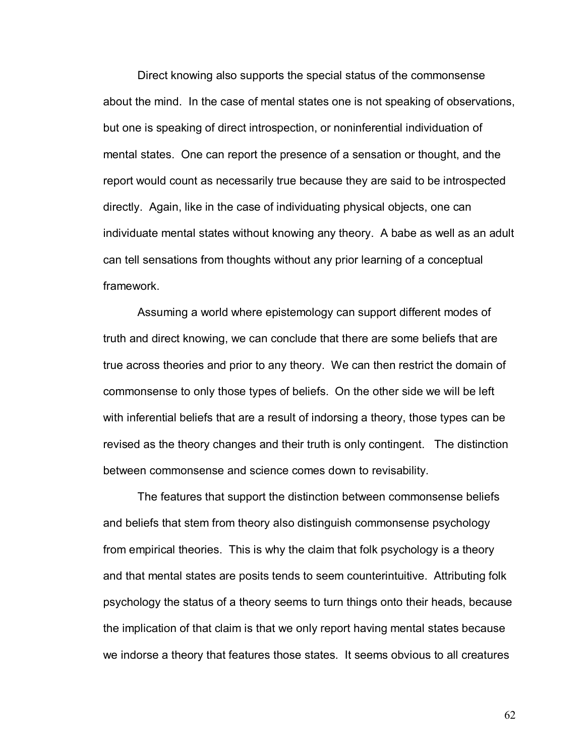Direct knowing also supports the special status of the commonsense about the mind. In the case of mental states one is not speaking of observations, but one is speaking of direct introspection, or noninferential individuation of mental states. One can report the presence of a sensation or thought, and the report would count as necessarily true because they are said to be introspected directly. Again, like in the case of individuating physical objects, one can individuate mental states without knowing any theory. A babe as well as an adult can tell sensations from thoughts without any prior learning of a conceptual framework.

Assuming a world where epistemology can support different modes of truth and direct knowing, we can conclude that there are some beliefs that are true across theories and prior to any theory. We can then restrict the domain of commonsense to only those types of beliefs. On the other side we will be left with inferential beliefs that are a result of indorsing a theory, those types can be revised as the theory changes and their truth is only contingent. The distinction between commonsense and science comes down to revisability.

The features that support the distinction between commonsense beliefs and beliefs that stem from theory also distinguish commonsense psychology from empirical theories. This is why the claim that folk psychology is a theory and that mental states are posits tends to seem counterintuitive. Attributing folk psychology the status of a theory seems to turn things onto their heads, because the implication of that claim is that we only report having mental states because we indorse a theory that features those states. It seems obvious to all creatures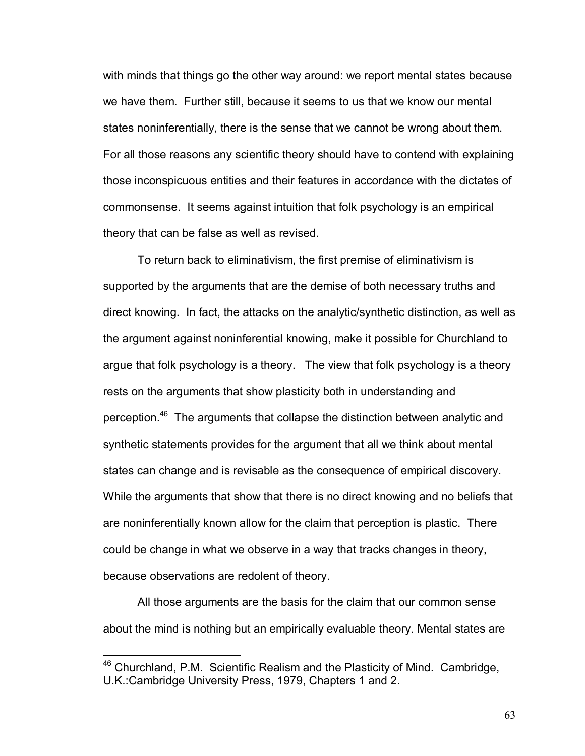with minds that things go the other way around: we report mental states because we have them. Further still, because it seems to us that we know our mental states noninferentially, there is the sense that we cannot be wrong about them. For all those reasons any scientific theory should have to contend with explaining those inconspicuous entities and their features in accordance with the dictates of commonsense. It seems against intuition that folk psychology is an empirical theory that can be false as well as revised.

To return back to eliminativism, the first premise of eliminativism is supported by the arguments that are the demise of both necessary truths and direct knowing. In fact, the attacks on the analytic/synthetic distinction, as well as the argument against noninferential knowing, make it possible for Churchland to argue that folk psychology is a theory. The view that folk psychology is a theory rests on the arguments that show plasticity both in understanding and perception.46 The arguments that collapse the distinction between analytic and synthetic statements provides for the argument that all we think about mental states can change and is revisable as the consequence of empirical discovery. While the arguments that show that there is no direct knowing and no beliefs that are noninferentially known allow for the claim that perception is plastic. There could be change in what we observe in a way that tracks changes in theory, because observations are redolent of theory.

All those arguments are the basis for the claim that our common sense about the mind is nothing but an empirically evaluable theory. Mental states are

<sup>46</sup> Churchland, P.M. Scientific Realism and the Plasticity of Mind.Cambridge, U.K.:Cambridge University Press, 1979, Chapters 1 and 2.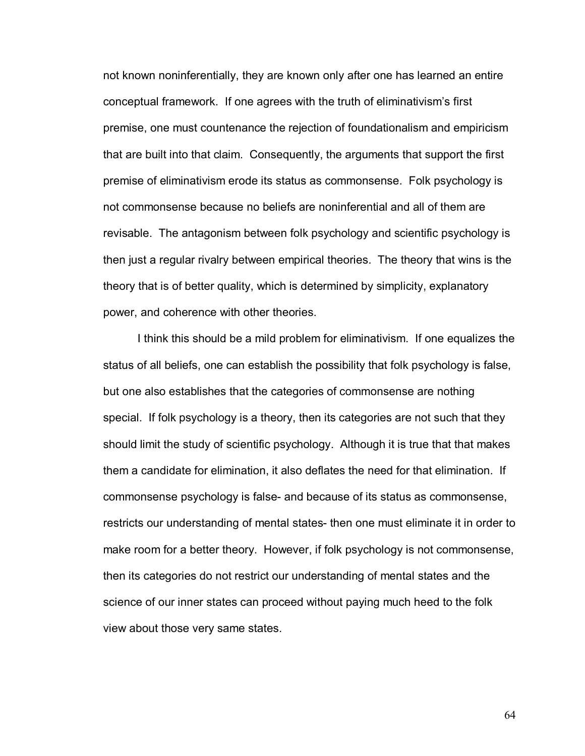not known noninferentially, they are known only after one has learned an entire conceptual framework. If one agrees with the truth of eliminativismís first premise, one must countenance the rejection of foundationalism and empiricism that are built into that claim. Consequently, the arguments that support the first premise of eliminativism erode its status as commonsense. Folk psychology is not commonsense because no beliefs are noninferential and all of them are revisable. The antagonism between folk psychology and scientific psychology is then just a regular rivalry between empirical theories. The theory that wins is the theory that is of better quality, which is determined by simplicity, explanatory power, and coherence with other theories.

I think this should be a mild problem for eliminativism. If one equalizes the status of all beliefs, one can establish the possibility that folk psychology is false, but one also establishes that the categories of commonsense are nothing special. If folk psychology is a theory, then its categories are not such that they should limit the study of scientific psychology. Although it is true that that makes them a candidate for elimination, it also deflates the need for that elimination. If commonsense psychology is false- and because of its status as commonsense, restricts our understanding of mental states- then one must eliminate it in order to make room for a better theory. However, if folk psychology is not commonsense, then its categories do not restrict our understanding of mental states and the science of our inner states can proceed without paying much heed to the folk view about those very same states.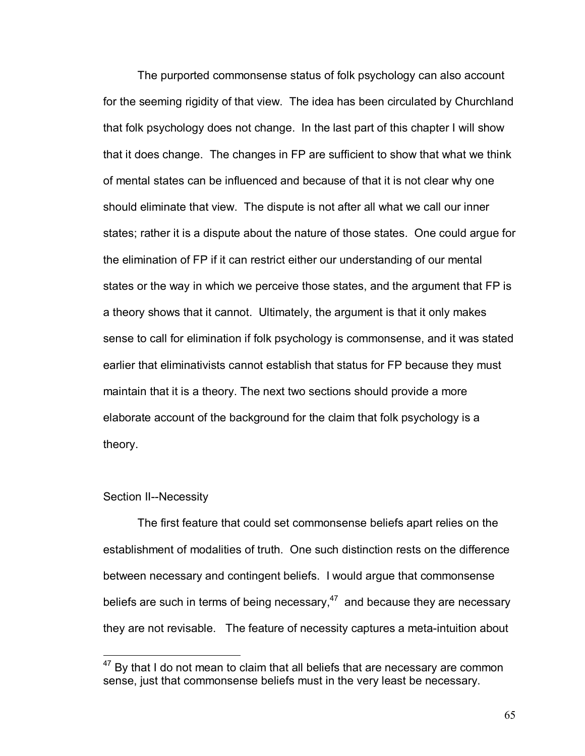The purported commonsense status of folk psychology can also account for the seeming rigidity of that view. The idea has been circulated by Churchland that folk psychology does not change. In the last part of this chapter I will show that it does change. The changes in FP are sufficient to show that what we think of mental states can be influenced and because of that it is not clear why one should eliminate that view. The dispute is not after all what we call our inner states; rather it is a dispute about the nature of those states. One could argue for the elimination of FP if it can restrict either our understanding of our mental states or the way in which we perceive those states, and the argument that FP is a theory shows that it cannot. Ultimately, the argument is that it only makes sense to call for elimination if folk psychology is commonsense, and it was stated earlier that eliminativists cannot establish that status for FP because they must maintain that it is a theory. The next two sections should provide a more elaborate account of the background for the claim that folk psychology is a theory.

## Section II--Necessity

 $\overline{a}$ 

The first feature that could set commonsense beliefs apart relies on the establishment of modalities of truth. One such distinction rests on the difference between necessary and contingent beliefs. I would argue that commonsense beliefs are such in terms of being necessary, $47$  and because they are necessary they are not revisable. The feature of necessity captures a meta-intuition about

 $47$  By that I do not mean to claim that all beliefs that are necessary are common sense, just that commonsense beliefs must in the very least be necessary.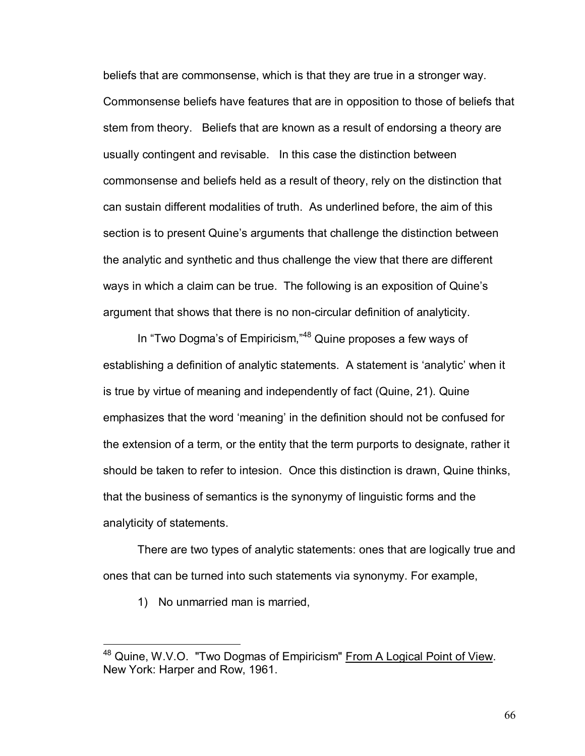beliefs that are commonsense, which is that they are true in a stronger way. Commonsense beliefs have features that are in opposition to those of beliefs that stem from theory. Beliefs that are known as a result of endorsing a theory are usually contingent and revisable. In this case the distinction between commonsense and beliefs held as a result of theory, rely on the distinction that can sustain different modalities of truth. As underlined before, the aim of this section is to present Quine's arguments that challenge the distinction between the analytic and synthetic and thus challenge the view that there are different ways in which a claim can be true. The following is an exposition of Quine's argument that shows that there is no non-circular definition of analyticity.

In "Two Dogma's of Empiricism,"<sup>48</sup> Quine proposes a few ways of establishing a definition of analytic statements. A statement is 'analytic' when it is true by virtue of meaning and independently of fact (Quine, 21). Quine emphasizes that the word 'meaning' in the definition should not be confused for the extension of a term, or the entity that the term purports to designate, rather it should be taken to refer to intesion. Once this distinction is drawn, Quine thinks, that the business of semantics is the synonymy of linguistic forms and the analyticity of statements.

 There are two types of analytic statements: ones that are logically true and ones that can be turned into such statements via synonymy. For example,

1) No unmarried man is married,

<u>.</u>

<sup>&</sup>lt;sup>48</sup> Quine, W.V.O. "Two Dogmas of Empiricism" From A Logical Point of View. New York: Harper and Row, 1961.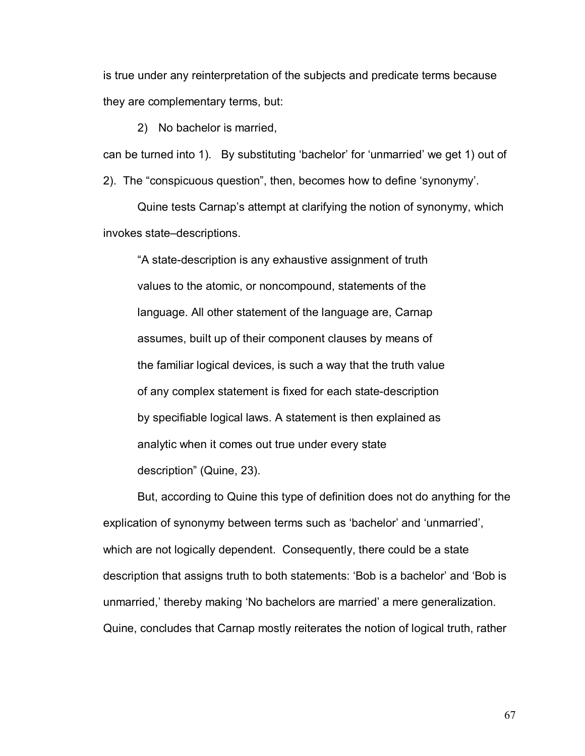is true under any reinterpretation of the subjects and predicate terms because they are complementary terms, but:

2) No bachelor is married,

can be turned into 1). By substituting 'bachelor' for 'unmarried' we get 1) out of

2). The "conspicuous question", then, becomes how to define 'synonymy'.

Quine tests Carnap's attempt at clarifying the notion of synonymy, which invokes state-descriptions.

ìA state-description is any exhaustive assignment of truth values to the atomic, or noncompound, statements of the language. All other statement of the language are, Carnap assumes, built up of their component clauses by means of the familiar logical devices, is such a way that the truth value of any complex statement is fixed for each state-description by specifiable logical laws. A statement is then explained as analytic when it comes out true under every state description" (Quine, 23).

 But, according to Quine this type of definition does not do anything for the explication of synonymy between terms such as 'bachelor' and 'unmarried', which are not logically dependent. Consequently, there could be a state description that assigns truth to both statements: 'Bob is a bachelor' and 'Bob is unmarried, thereby making 'No bachelors are married' a mere generalization. Quine, concludes that Carnap mostly reiterates the notion of logical truth, rather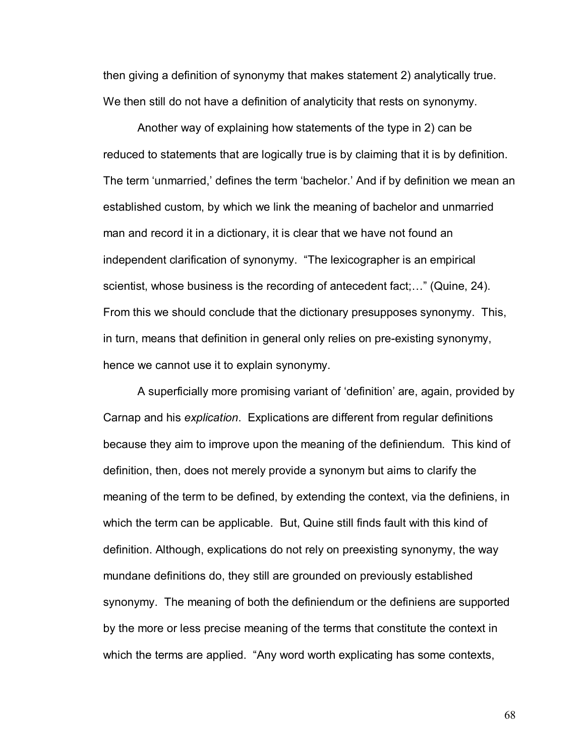then giving a definition of synonymy that makes statement 2) analytically true. We then still do not have a definition of analyticity that rests on synonymy.

 Another way of explaining how statements of the type in 2) can be reduced to statements that are logically true is by claiming that it is by definition. The term 'unmarried,' defines the term 'bachelor.' And if by definition we mean an established custom, by which we link the meaning of bachelor and unmarried man and record it in a dictionary, it is clear that we have not found an independent clarification of synonymy. "The lexicographer is an empirical scientist, whose business is the recording of antecedent fact; $\ldots$ " (Quine, 24). From this we should conclude that the dictionary presupposes synonymy. This, in turn, means that definition in general only relies on pre-existing synonymy, hence we cannot use it to explain synonymy.

A superficially more promising variant of 'definition' are, again, provided by Carnap and his *explication*. Explications are different from regular definitions because they aim to improve upon the meaning of the definiendum. This kind of definition, then, does not merely provide a synonym but aims to clarify the meaning of the term to be defined, by extending the context, via the definiens, in which the term can be applicable. But, Quine still finds fault with this kind of definition. Although, explications do not rely on preexisting synonymy, the way mundane definitions do, they still are grounded on previously established synonymy. The meaning of both the definiendum or the definiens are supported by the more or less precise meaning of the terms that constitute the context in which the terms are applied. "Any word worth explicating has some contexts,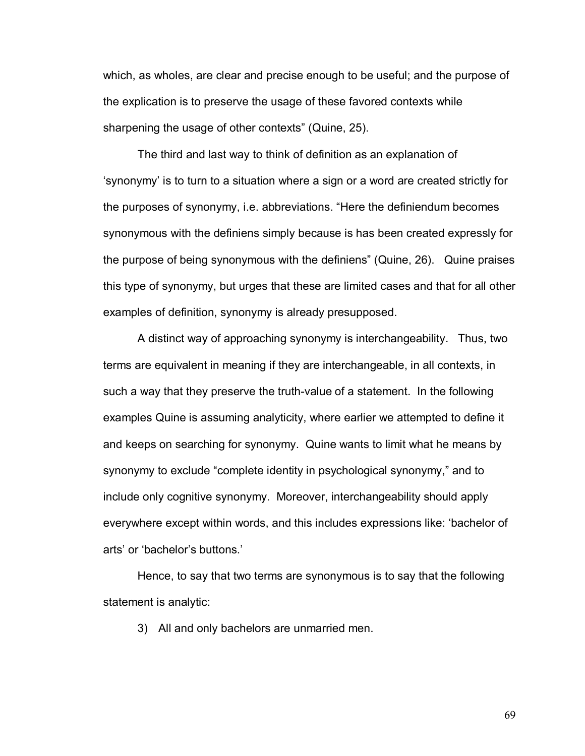which, as wholes, are clear and precise enough to be useful; and the purpose of the explication is to preserve the usage of these favored contexts while sharpening the usage of other contexts" (Quine, 25).

The third and last way to think of definition as an explanation of ësynonymyí is to turn to a situation where a sign or a word are created strictly for the purposes of synonymy, i.e. abbreviations. "Here the definiendum becomes synonymous with the definiens simply because is has been created expressly for the purpose of being synonymous with the definiens" (Quine, 26). Quine praises this type of synonymy, but urges that these are limited cases and that for all other examples of definition, synonymy is already presupposed.

A distinct way of approaching synonymy is interchangeability. Thus, two terms are equivalent in meaning if they are interchangeable, in all contexts, in such a way that they preserve the truth-value of a statement. In the following examples Quine is assuming analyticity, where earlier we attempted to define it and keeps on searching for synonymy. Quine wants to limit what he means by synonymy to exclude "complete identity in psychological synonymy," and to include only cognitive synonymy. Moreover, interchangeability should apply everywhere except within words, and this includes expressions like: 'bachelor of arts' or 'bachelor's buttons.'

Hence, to say that two terms are synonymous is to say that the following statement is analytic:

3) All and only bachelors are unmarried men.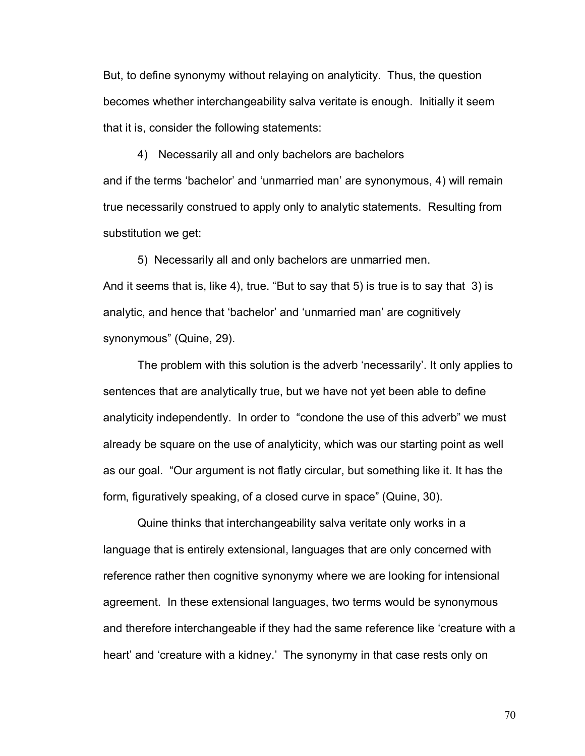But, to define synonymy without relaying on analyticity. Thus, the question becomes whether interchangeability salva veritate is enough. Initially it seem that it is, consider the following statements:

4) Necessarily all and only bachelors are bachelors and if the terms 'bachelor' and 'unmarried man' are synonymous, 4) will remain true necessarily construed to apply only to analytic statements. Resulting from substitution we get:

 5) Necessarily all and only bachelors are unmarried men. And it seems that is, like 4), true. "But to say that 5) is true is to say that 3) is analytic, and hence that 'bachelor' and 'unmarried man' are cognitively synonymous" (Quine, 29).

The problem with this solution is the adverb 'necessarily'. It only applies to sentences that are analytically true, but we have not yet been able to define analyticity independently. In order to "condone the use of this adverb" we must already be square on the use of analyticity, which was our starting point as well as our goal. "Our argument is not flatly circular, but something like it. It has the form, figuratively speaking, of a closed curve in space" (Quine, 30).

 Quine thinks that interchangeability salva veritate only works in a language that is entirely extensional, languages that are only concerned with reference rather then cognitive synonymy where we are looking for intensional agreement. In these extensional languages, two terms would be synonymous and therefore interchangeable if they had the same reference like 'creature with a heart' and 'creature with a kidney.' The synonymy in that case rests only on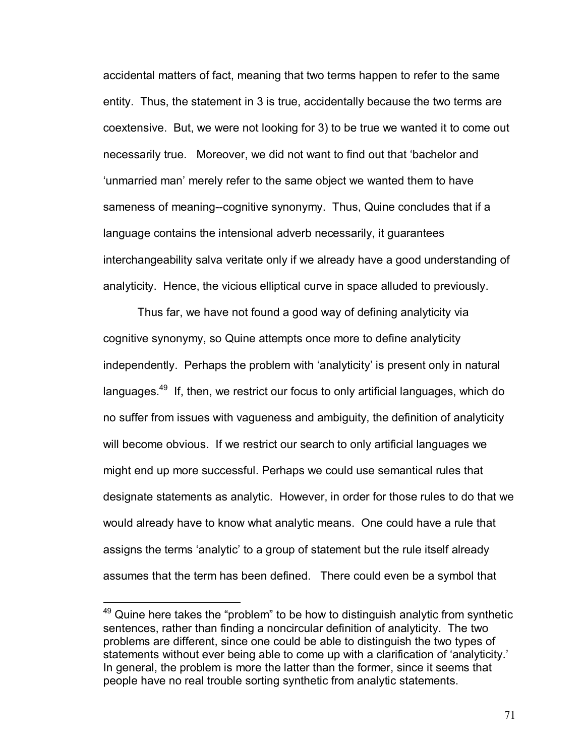accidental matters of fact, meaning that two terms happen to refer to the same entity. Thus, the statement in 3 is true, accidentally because the two terms are coextensive. But, we were not looking for 3) to be true we wanted it to come out necessarily true. Moreover, we did not want to find out that ëbachelor and ëunmarried maní merely refer to the same object we wanted them to have sameness of meaning--cognitive synonymy. Thus, Quine concludes that if a language contains the intensional adverb necessarily, it guarantees interchangeability salva veritate only if we already have a good understanding of analyticity. Hence, the vicious elliptical curve in space alluded to previously.

 Thus far, we have not found a good way of defining analyticity via cognitive synonymy, so Quine attempts once more to define analyticity independently. Perhaps the problem with 'analyticity' is present only in natural languages.<sup>49</sup> If, then, we restrict our focus to only artificial languages, which do no suffer from issues with vagueness and ambiguity, the definition of analyticity will become obvious. If we restrict our search to only artificial languages we might end up more successful. Perhaps we could use semantical rules that designate statements as analytic. However, in order for those rules to do that we would already have to know what analytic means. One could have a rule that assigns the terms 'analytic' to a group of statement but the rule itself already assumes that the term has been defined. There could even be a symbol that

 $49$  Quine here takes the "problem" to be how to distinguish analytic from synthetic sentences, rather than finding a noncircular definition of analyticity. The two problems are different, since one could be able to distinguish the two types of statements without ever being able to come up with a clarification of 'analyticity.' In general, the problem is more the latter than the former, since it seems that people have no real trouble sorting synthetic from analytic statements.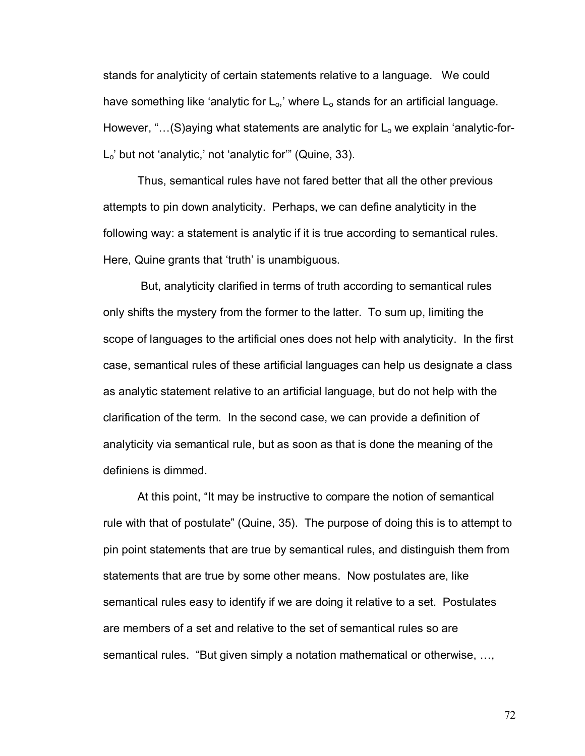stands for analyticity of certain statements relative to a language. We could have something like 'analytic for  $L_0$ ,' where  $L_0$  stands for an artificial language. However, " $\dots$  (S)aying what statements are analytic for  $L_0$  we explain 'analytic-for- $L_0'$  but not 'analytic,' not 'analytic for'" (Quine, 33).

 Thus, semantical rules have not fared better that all the other previous attempts to pin down analyticity. Perhaps, we can define analyticity in the following way: a statement is analytic if it is true according to semantical rules. Here, Quine grants that 'truth' is unambiguous.

 But, analyticity clarified in terms of truth according to semantical rules only shifts the mystery from the former to the latter. To sum up, limiting the scope of languages to the artificial ones does not help with analyticity. In the first case, semantical rules of these artificial languages can help us designate a class as analytic statement relative to an artificial language, but do not help with the clarification of the term. In the second case, we can provide a definition of analyticity via semantical rule, but as soon as that is done the meaning of the definiens is dimmed.

At this point, "It may be instructive to compare the notion of semantical rule with that of postulate" (Quine, 35). The purpose of doing this is to attempt to pin point statements that are true by semantical rules, and distinguish them from statements that are true by some other means. Now postulates are, like semantical rules easy to identify if we are doing it relative to a set. Postulates are members of a set and relative to the set of semantical rules so are semantical rules. "But given simply a notation mathematical or otherwise, ...,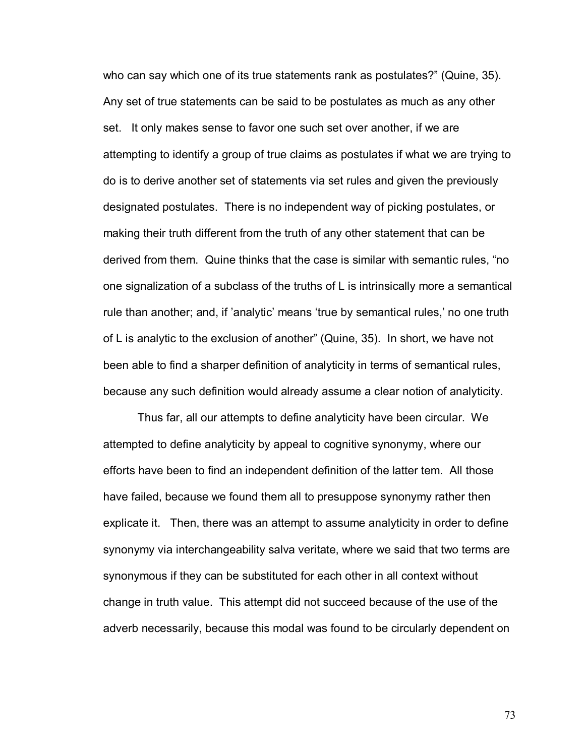who can say which one of its true statements rank as postulates?" (Quine, 35). Any set of true statements can be said to be postulates as much as any other set. It only makes sense to favor one such set over another, if we are attempting to identify a group of true claims as postulates if what we are trying to do is to derive another set of statements via set rules and given the previously designated postulates. There is no independent way of picking postulates, or making their truth different from the truth of any other statement that can be derived from them. Quine thinks that the case is similar with semantic rules, "no one signalization of a subclass of the truths of L is intrinsically more a semantical rule than another; and, if 'analytic' means 'true by semantical rules,' no one truth of L is analytic to the exclusion of anotherî (Quine, 35). In short, we have not been able to find a sharper definition of analyticity in terms of semantical rules, because any such definition would already assume a clear notion of analyticity.

Thus far, all our attempts to define analyticity have been circular. We attempted to define analyticity by appeal to cognitive synonymy, where our efforts have been to find an independent definition of the latter tem. All those have failed, because we found them all to presuppose synonymy rather then explicate it. Then, there was an attempt to assume analyticity in order to define synonymy via interchangeability salva veritate, where we said that two terms are synonymous if they can be substituted for each other in all context without change in truth value. This attempt did not succeed because of the use of the adverb necessarily, because this modal was found to be circularly dependent on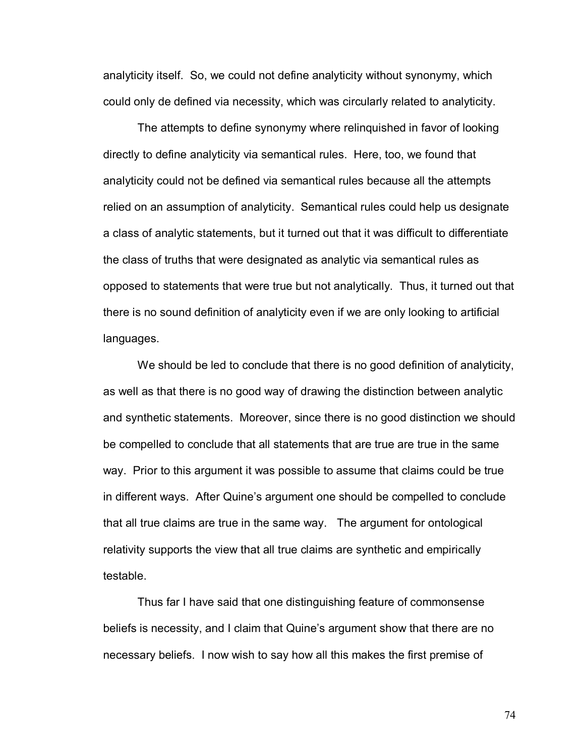analyticity itself. So, we could not define analyticity without synonymy, which could only de defined via necessity, which was circularly related to analyticity.

The attempts to define synonymy where relinquished in favor of looking directly to define analyticity via semantical rules. Here, too, we found that analyticity could not be defined via semantical rules because all the attempts relied on an assumption of analyticity. Semantical rules could help us designate a class of analytic statements, but it turned out that it was difficult to differentiate the class of truths that were designated as analytic via semantical rules as opposed to statements that were true but not analytically. Thus, it turned out that there is no sound definition of analyticity even if we are only looking to artificial languages.

We should be led to conclude that there is no good definition of analyticity, as well as that there is no good way of drawing the distinction between analytic and synthetic statements. Moreover, since there is no good distinction we should be compelled to conclude that all statements that are true are true in the same way. Prior to this argument it was possible to assume that claims could be true in different ways. After Quine's argument one should be compelled to conclude that all true claims are true in the same way. The argument for ontological relativity supports the view that all true claims are synthetic and empirically testable.

Thus far I have said that one distinguishing feature of commonsense beliefs is necessity, and I claim that Quineís argument show that there are no necessary beliefs. I now wish to say how all this makes the first premise of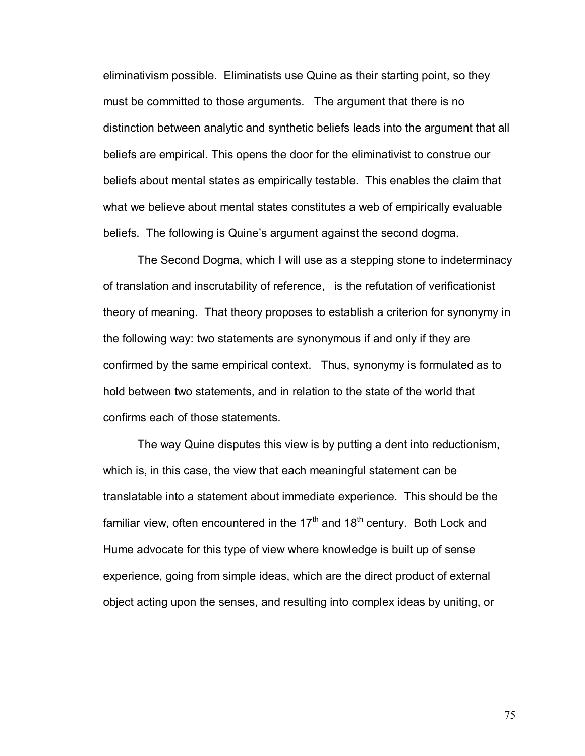eliminativism possible. Eliminatists use Quine as their starting point, so they must be committed to those arguments. The argument that there is no distinction between analytic and synthetic beliefs leads into the argument that all beliefs are empirical. This opens the door for the eliminativist to construe our beliefs about mental states as empirically testable. This enables the claim that what we believe about mental states constitutes a web of empirically evaluable beliefs. The following is Quine's argument against the second dogma.

The Second Dogma, which I will use as a stepping stone to indeterminacy of translation and inscrutability of reference, is the refutation of verificationist theory of meaning. That theory proposes to establish a criterion for synonymy in the following way: two statements are synonymous if and only if they are confirmed by the same empirical context. Thus, synonymy is formulated as to hold between two statements, and in relation to the state of the world that confirms each of those statements.

The way Quine disputes this view is by putting a dent into reductionism, which is, in this case, the view that each meaningful statement can be translatable into a statement about immediate experience. This should be the familiar view, often encountered in the  $17<sup>th</sup>$  and  $18<sup>th</sup>$  century. Both Lock and Hume advocate for this type of view where knowledge is built up of sense experience, going from simple ideas, which are the direct product of external object acting upon the senses, and resulting into complex ideas by uniting, or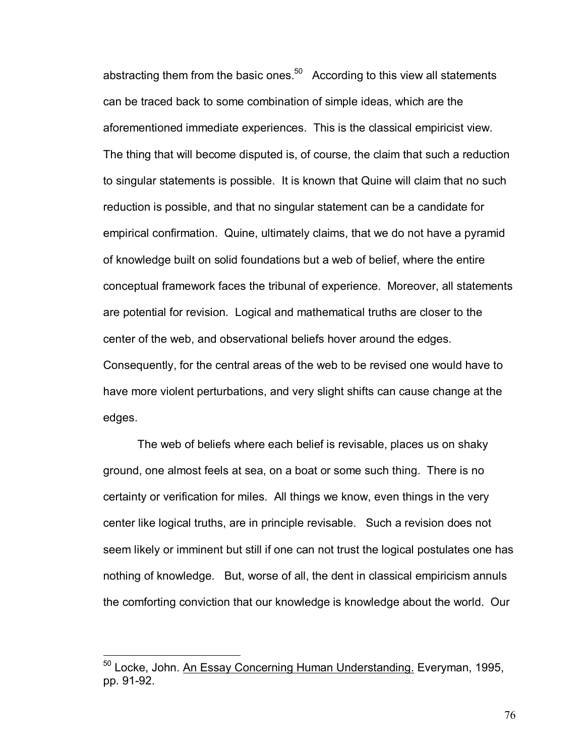abstracting them from the basic ones. $50$  According to this view all statements can be traced back to some combination of simple ideas, which are the aforementioned immediate experiences. This is the classical empiricist view. The thing that will become disputed is, of course, the claim that such a reduction to singular statements is possible. It is known that Quine will claim that no such reduction is possible, and that no singular statement can be a candidate for empirical confirmation. Quine, ultimately claims, that we do not have a pyramid of knowledge built on solid foundations but a web of belief, where the entire conceptual framework faces the tribunal of experience. Moreover, all statements are potential for revision. Logical and mathematical truths are closer to the center of the web, and observational beliefs hover around the edges. Consequently, for the central areas of the web to be revised one would have to have more violent perturbations, and very slight shifts can cause change at the edges.

The web of beliefs where each belief is revisable, places us on shaky ground, one almost feels at sea, on a boat or some such thing. There is no certainty or verification for miles. All things we know, even things in the very center like logical truths, are in principle revisable. Such a revision does not seem likely or imminent but still if one can not trust the logical postulates one has nothing of knowledge. But, worse of all, the dent in classical empiricism annuls the comforting conviction that our knowledge is knowledge about the world. Our

 $\overline{a}$ 

<sup>&</sup>lt;sup>50</sup> Locke, John. An Essay Concerning Human Understanding. Everyman, 1995, pp. 91-92.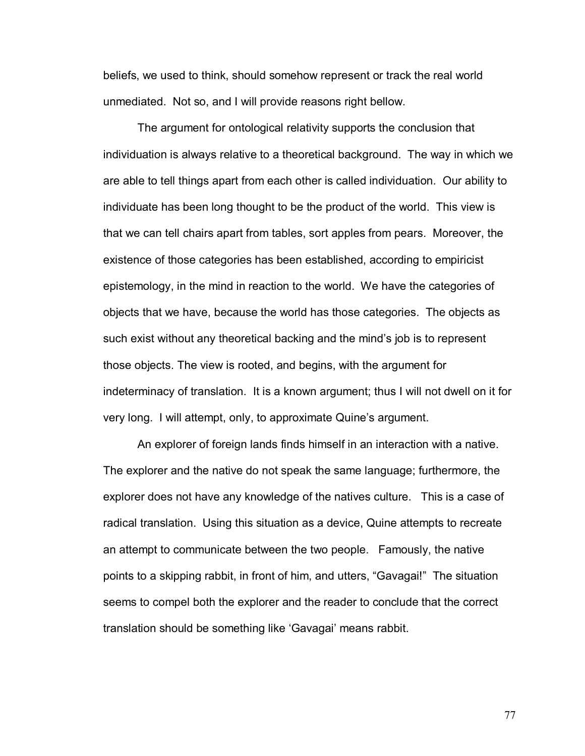beliefs, we used to think, should somehow represent or track the real world unmediated. Not so, and I will provide reasons right bellow.

 The argument for ontological relativity supports the conclusion that individuation is always relative to a theoretical background. The way in which we are able to tell things apart from each other is called individuation. Our ability to individuate has been long thought to be the product of the world. This view is that we can tell chairs apart from tables, sort apples from pears. Moreover, the existence of those categories has been established, according to empiricist epistemology, in the mind in reaction to the world. We have the categories of objects that we have, because the world has those categories. The objects as such exist without any theoretical backing and the mindís job is to represent those objects. The view is rooted, and begins, with the argument for indeterminacy of translation. It is a known argument; thus I will not dwell on it for very long. I will attempt, only, to approximate Quine's argument.

 An explorer of foreign lands finds himself in an interaction with a native. The explorer and the native do not speak the same language; furthermore, the explorer does not have any knowledge of the natives culture. This is a case of radical translation. Using this situation as a device, Quine attempts to recreate an attempt to communicate between the two people. Famously, the native points to a skipping rabbit, in front of him, and utters, "Gavagai!" The situation seems to compel both the explorer and the reader to conclude that the correct translation should be something like 'Gavagai' means rabbit.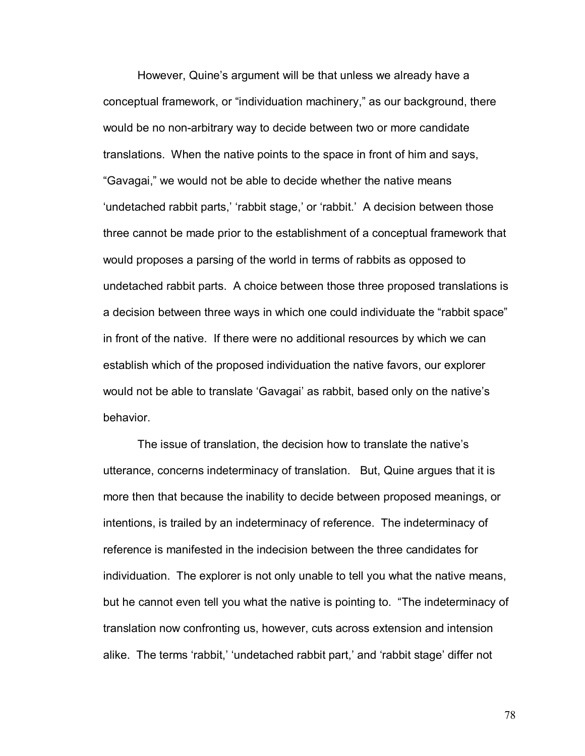However, Quine's argument will be that unless we already have a conceptual framework, or "individuation machinery," as our background, there would be no non-arbitrary way to decide between two or more candidate translations. When the native points to the space in front of him and says, "Gavagai," we would not be able to decide whether the native means 'undetached rabbit parts,' 'rabbit stage,' or 'rabbit.' A decision between those three cannot be made prior to the establishment of a conceptual framework that would proposes a parsing of the world in terms of rabbits as opposed to undetached rabbit parts. A choice between those three proposed translations is a decision between three ways in which one could individuate the "rabbit space" in front of the native. If there were no additional resources by which we can establish which of the proposed individuation the native favors, our explorer would not be able to translate 'Gavagai' as rabbit, based only on the native's behavior.

The issue of translation, the decision how to translate the native's utterance, concerns indeterminacy of translation. But, Quine argues that it is more then that because the inability to decide between proposed meanings, or intentions, is trailed by an indeterminacy of reference. The indeterminacy of reference is manifested in the indecision between the three candidates for individuation. The explorer is not only unable to tell you what the native means, but he cannot even tell you what the native is pointing to. "The indeterminacy of translation now confronting us, however, cuts across extension and intension alike. The terms 'rabbit,' 'undetached rabbit part,' and 'rabbit stage' differ not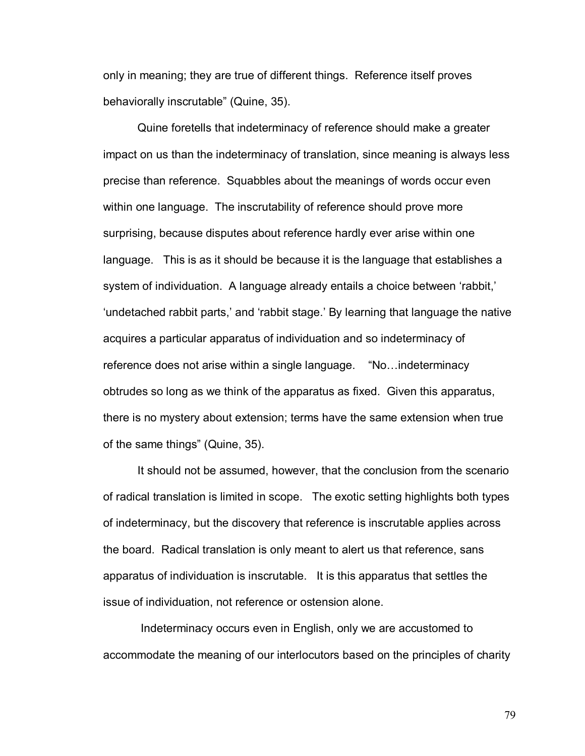only in meaning; they are true of different things. Reference itself proves behaviorally inscrutable" (Quine, 35).

 Quine foretells that indeterminacy of reference should make a greater impact on us than the indeterminacy of translation, since meaning is always less precise than reference. Squabbles about the meanings of words occur even within one language. The inscrutability of reference should prove more surprising, because disputes about reference hardly ever arise within one language. This is as it should be because it is the language that establishes a system of individuation. A language already entails a choice between 'rabbit,' 'undetached rabbit parts,' and 'rabbit stage.' By learning that language the native acquires a particular apparatus of individuation and so indeterminacy of reference does not arise within a single language. "No...indeterminacy obtrudes so long as we think of the apparatus as fixed. Given this apparatus, there is no mystery about extension; terms have the same extension when true of the same things" (Quine, 35).

 It should not be assumed, however, that the conclusion from the scenario of radical translation is limited in scope. The exotic setting highlights both types of indeterminacy, but the discovery that reference is inscrutable applies across the board. Radical translation is only meant to alert us that reference, sans apparatus of individuation is inscrutable. It is this apparatus that settles the issue of individuation, not reference or ostension alone.

 Indeterminacy occurs even in English, only we are accustomed to accommodate the meaning of our interlocutors based on the principles of charity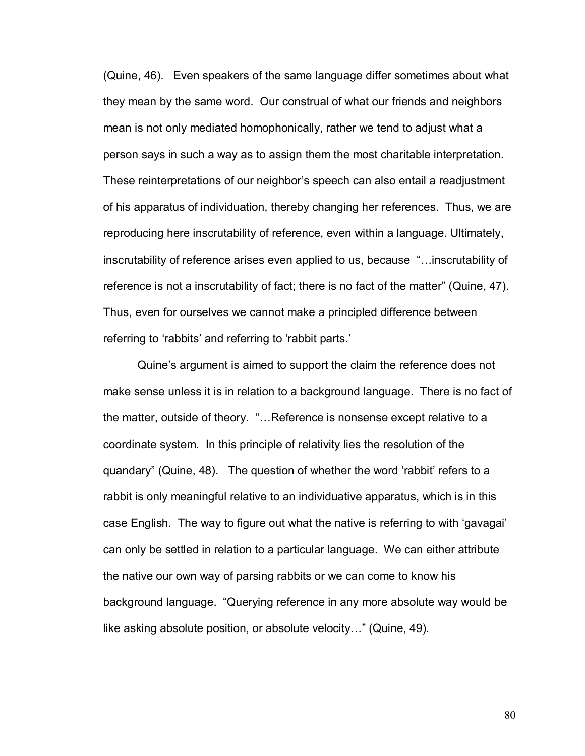(Quine, 46). Even speakers of the same language differ sometimes about what they mean by the same word. Our construal of what our friends and neighbors mean is not only mediated homophonically, rather we tend to adjust what a person says in such a way as to assign them the most charitable interpretation. These reinterpretations of our neighborís speech can also entail a readjustment of his apparatus of individuation, thereby changing her references. Thus, we are reproducing here inscrutability of reference, even within a language. Ultimately, inscrutability of reference arises even applied to us, because "... inscrutability of reference is not a inscrutability of fact; there is no fact of the matter" (Quine, 47). Thus, even for ourselves we cannot make a principled difference between referring to 'rabbits' and referring to 'rabbit parts.'

 Quineís argument is aimed to support the claim the reference does not make sense unless it is in relation to a background language. There is no fact of the matter, outside of theory. "...Reference is nonsense except relative to a coordinate system. In this principle of relativity lies the resolution of the quandary" (Quine, 48). The question of whether the word 'rabbit' refers to a rabbit is only meaningful relative to an individuative apparatus, which is in this case English. The way to figure out what the native is referring to with 'gavagai' can only be settled in relation to a particular language. We can either attribute the native our own way of parsing rabbits or we can come to know his background language. "Querying reference in any more absolute way would be like asking absolute position, or absolute velocity..." (Quine, 49).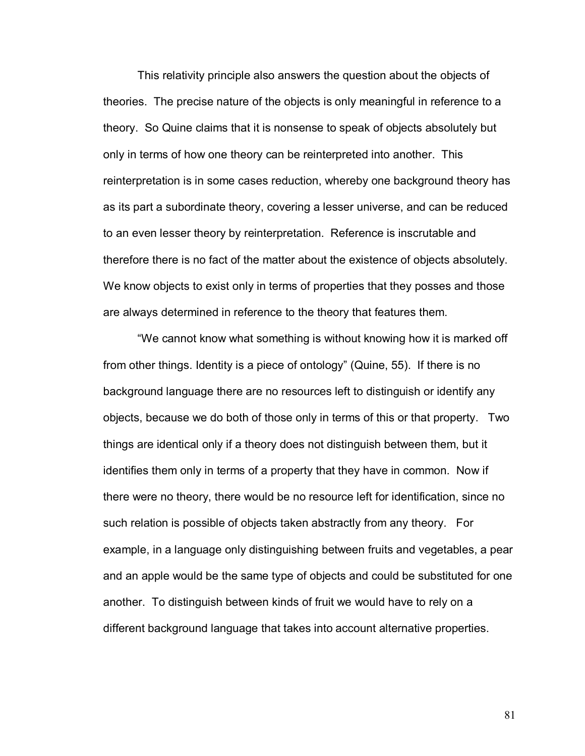This relativity principle also answers the question about the objects of theories. The precise nature of the objects is only meaningful in reference to a theory. So Quine claims that it is nonsense to speak of objects absolutely but only in terms of how one theory can be reinterpreted into another. This reinterpretation is in some cases reduction, whereby one background theory has as its part a subordinate theory, covering a lesser universe, and can be reduced to an even lesser theory by reinterpretation. Reference is inscrutable and therefore there is no fact of the matter about the existence of objects absolutely. We know objects to exist only in terms of properties that they posses and those are always determined in reference to the theory that features them.

ìWe cannot know what something is without knowing how it is marked off from other things. Identity is a piece of ontology" (Quine, 55). If there is no background language there are no resources left to distinguish or identify any objects, because we do both of those only in terms of this or that property. Two things are identical only if a theory does not distinguish between them, but it identifies them only in terms of a property that they have in common. Now if there were no theory, there would be no resource left for identification, since no such relation is possible of objects taken abstractly from any theory. For example, in a language only distinguishing between fruits and vegetables, a pear and an apple would be the same type of objects and could be substituted for one another. To distinguish between kinds of fruit we would have to rely on a different background language that takes into account alternative properties.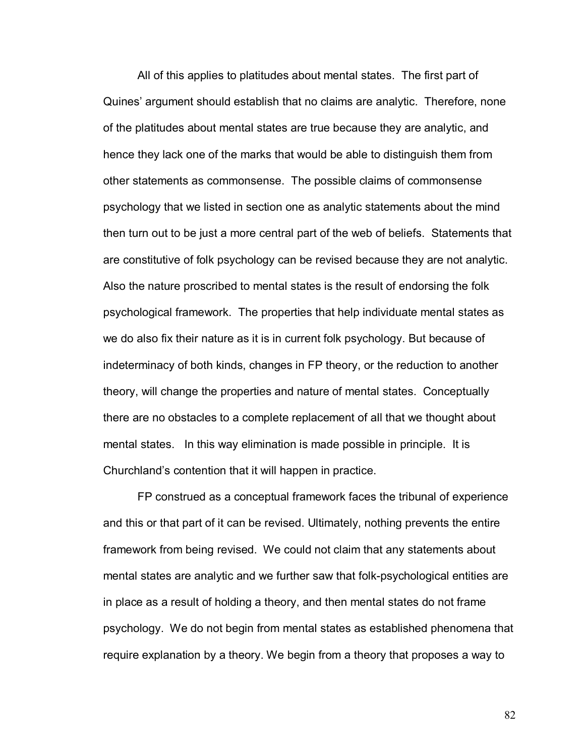All of this applies to platitudes about mental states. The first part of Quinesí argument should establish that no claims are analytic. Therefore, none of the platitudes about mental states are true because they are analytic, and hence they lack one of the marks that would be able to distinguish them from other statements as commonsense. The possible claims of commonsense psychology that we listed in section one as analytic statements about the mind then turn out to be just a more central part of the web of beliefs. Statements that are constitutive of folk psychology can be revised because they are not analytic. Also the nature proscribed to mental states is the result of endorsing the folk psychological framework. The properties that help individuate mental states as we do also fix their nature as it is in current folk psychology. But because of indeterminacy of both kinds, changes in FP theory, or the reduction to another theory, will change the properties and nature of mental states. Conceptually there are no obstacles to a complete replacement of all that we thought about mental states. In this way elimination is made possible in principle. It is Churchland's contention that it will happen in practice.

FP construed as a conceptual framework faces the tribunal of experience and this or that part of it can be revised. Ultimately, nothing prevents the entire framework from being revised. We could not claim that any statements about mental states are analytic and we further saw that folk-psychological entities are in place as a result of holding a theory, and then mental states do not frame psychology. We do not begin from mental states as established phenomena that require explanation by a theory. We begin from a theory that proposes a way to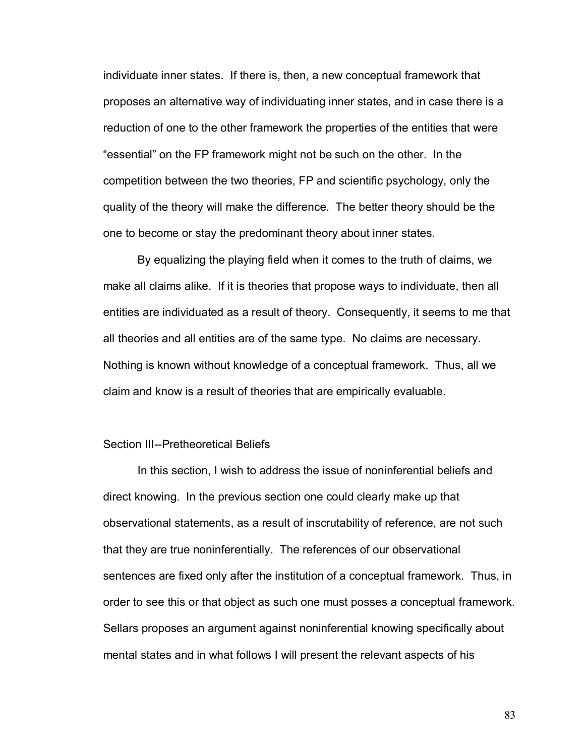individuate inner states. If there is, then, a new conceptual framework that proposes an alternative way of individuating inner states, and in case there is a reduction of one to the other framework the properties of the entities that were "essential" on the FP framework might not be such on the other. In the competition between the two theories, FP and scientific psychology, only the quality of the theory will make the difference. The better theory should be the one to become or stay the predominant theory about inner states.

By equalizing the playing field when it comes to the truth of claims, we make all claims alike. If it is theories that propose ways to individuate, then all entities are individuated as a result of theory. Consequently, it seems to me that all theories and all entities are of the same type. No claims are necessary. Nothing is known without knowledge of a conceptual framework. Thus, all we claim and know is a result of theories that are empirically evaluable.

## Section III--Pretheoretical Beliefs

 In this section, I wish to address the issue of noninferential beliefs and direct knowing. In the previous section one could clearly make up that observational statements, as a result of inscrutability of reference, are not such that they are true noninferentially. The references of our observational sentences are fixed only after the institution of a conceptual framework. Thus, in order to see this or that object as such one must posses a conceptual framework. Sellars proposes an argument against noninferential knowing specifically about mental states and in what follows I will present the relevant aspects of his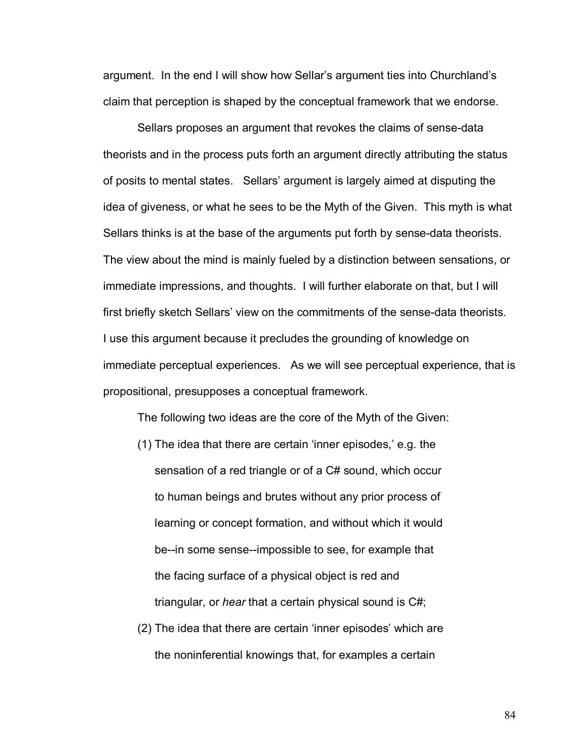argument. In the end I will show how Sellarís argument ties into Churchlandís claim that perception is shaped by the conceptual framework that we endorse.

Sellars proposes an argument that revokes the claims of sense-data theorists and in the process puts forth an argument directly attributing the status of posits to mental states. Sellarsí argument is largely aimed at disputing the idea of giveness, or what he sees to be the Myth of the Given. This myth is what Sellars thinks is at the base of the arguments put forth by sense-data theorists. The view about the mind is mainly fueled by a distinction between sensations, or immediate impressions, and thoughts. I will further elaborate on that, but I will first briefly sketch Sellars' view on the commitments of the sense-data theorists. I use this argument because it precludes the grounding of knowledge on immediate perceptual experiences. As we will see perceptual experience, that is propositional, presupposes a conceptual framework.

The following two ideas are the core of the Myth of the Given:

- $(1)$  The idea that there are certain 'inner episodes,' e.g. the sensation of a red triangle or of a C# sound, which occur to human beings and brutes without any prior process of learning or concept formation, and without which it would be--in some sense--impossible to see, for example that the facing surface of a physical object is red and triangular, or *hear* that a certain physical sound is C#;
- (2) The idea that there are certain 'inner episodes' which are the noninferential knowings that, for examples a certain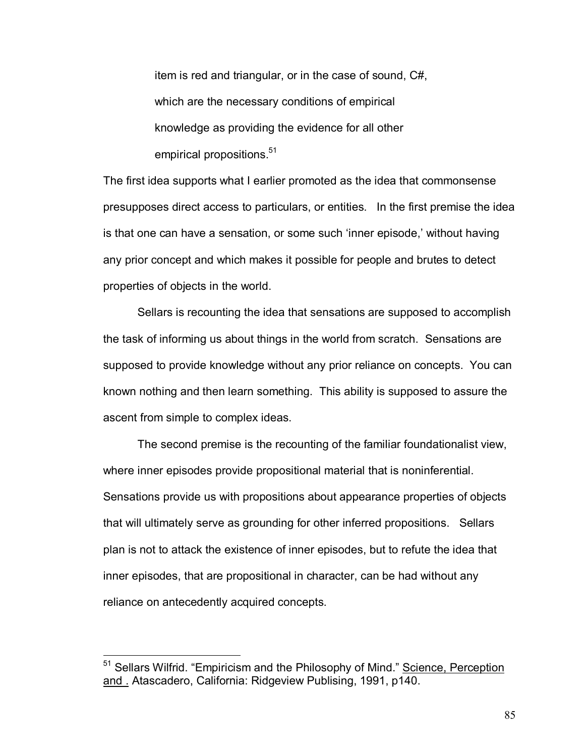item is red and triangular, or in the case of sound, C#, which are the necessary conditions of empirical knowledge as providing the evidence for all other empirical propositions.<sup>51</sup>

The first idea supports what I earlier promoted as the idea that commonsense presupposes direct access to particulars, or entities. In the first premise the idea is that one can have a sensation, or some such 'inner episode,' without having any prior concept and which makes it possible for people and brutes to detect properties of objects in the world.

Sellars is recounting the idea that sensations are supposed to accomplish the task of informing us about things in the world from scratch. Sensations are supposed to provide knowledge without any prior reliance on concepts. You can known nothing and then learn something. This ability is supposed to assure the ascent from simple to complex ideas.

 The second premise is the recounting of the familiar foundationalist view, where inner episodes provide propositional material that is noninferential. Sensations provide us with propositions about appearance properties of objects that will ultimately serve as grounding for other inferred propositions. Sellars plan is not to attack the existence of inner episodes, but to refute the idea that inner episodes, that are propositional in character, can be had without any reliance on antecedently acquired concepts.

<sup>&</sup>lt;sup>51</sup> Sellars Wilfrid. "Empiricism and the Philosophy of Mind." Science, Perception and . Atascadero, California: Ridgeview Publising, 1991, p140.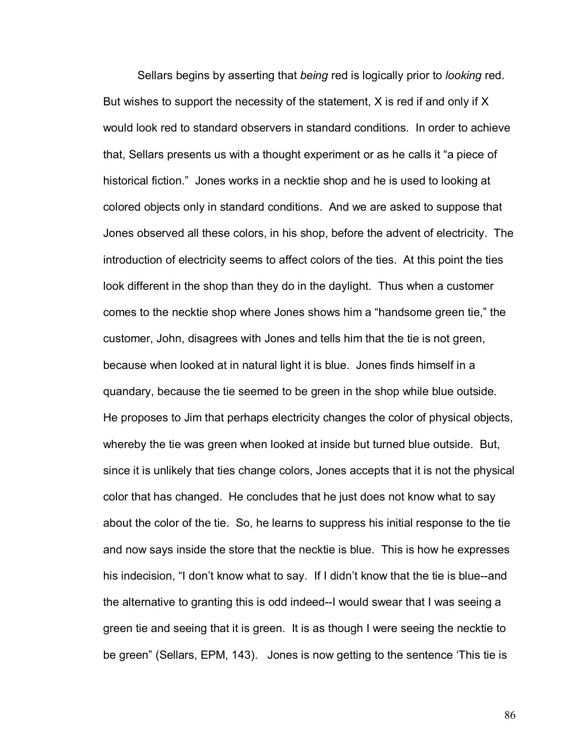Sellars begins by asserting that *being* red is logically prior to *looking* red. But wishes to support the necessity of the statement, X is red if and only if X would look red to standard observers in standard conditions. In order to achieve that, Sellars presents us with a thought experiment or as he calls it "a piece of historical fiction." Jones works in a necktie shop and he is used to looking at colored objects only in standard conditions. And we are asked to suppose that Jones observed all these colors, in his shop, before the advent of electricity. The introduction of electricity seems to affect colors of the ties. At this point the ties look different in the shop than they do in the daylight. Thus when a customer comes to the necktie shop where Jones shows him a "handsome green tie," the customer, John, disagrees with Jones and tells him that the tie is not green, because when looked at in natural light it is blue. Jones finds himself in a quandary, because the tie seemed to be green in the shop while blue outside. He proposes to Jim that perhaps electricity changes the color of physical objects, whereby the tie was green when looked at inside but turned blue outside. But, since it is unlikely that ties change colors, Jones accepts that it is not the physical color that has changed. He concludes that he just does not know what to say about the color of the tie. So, he learns to suppress his initial response to the tie and now says inside the store that the necktie is blue. This is how he expresses his indecision, "I don't know what to say. If I didn't know that the tie is blue--and the alternative to granting this is odd indeed--I would swear that I was seeing a green tie and seeing that it is green. It is as though I were seeing the necktie to be green" (Sellars, EPM, 143). Jones is now getting to the sentence 'This tie is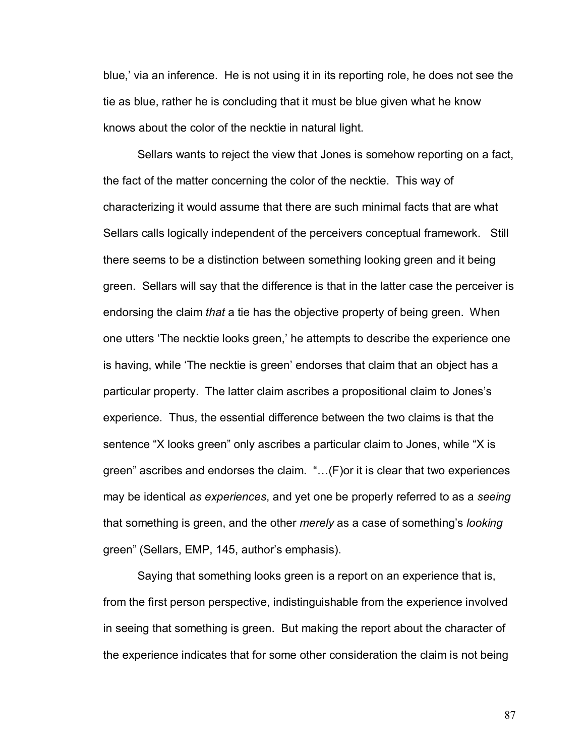blue,' via an inference. He is not using it in its reporting role, he does not see the tie as blue, rather he is concluding that it must be blue given what he know knows about the color of the necktie in natural light.

 Sellars wants to reject the view that Jones is somehow reporting on a fact, the fact of the matter concerning the color of the necktie. This way of characterizing it would assume that there are such minimal facts that are what Sellars calls logically independent of the perceivers conceptual framework. Still there seems to be a distinction between something looking green and it being green. Sellars will say that the difference is that in the latter case the perceiver is endorsing the claim *that* a tie has the objective property of being green. When one utters 'The necktie looks green,' he attempts to describe the experience one is having, while 'The necktie is green' endorses that claim that an object has a particular property. The latter claim ascribes a propositional claim to Jonesís experience. Thus, the essential difference between the two claims is that the sentence "X looks green" only ascribes a particular claim to Jones, while "X is green" ascribes and endorses the claim.  $\dots(F)$  or it is clear that two experiences may be identical *as experiences*, and yet one be properly referred to as a *seeing*  that something is green, and the other *merely* as a case of somethingís *looking* green" (Sellars, EMP, 145, author's emphasis).

 Saying that something looks green is a report on an experience that is, from the first person perspective, indistinguishable from the experience involved in seeing that something is green. But making the report about the character of the experience indicates that for some other consideration the claim is not being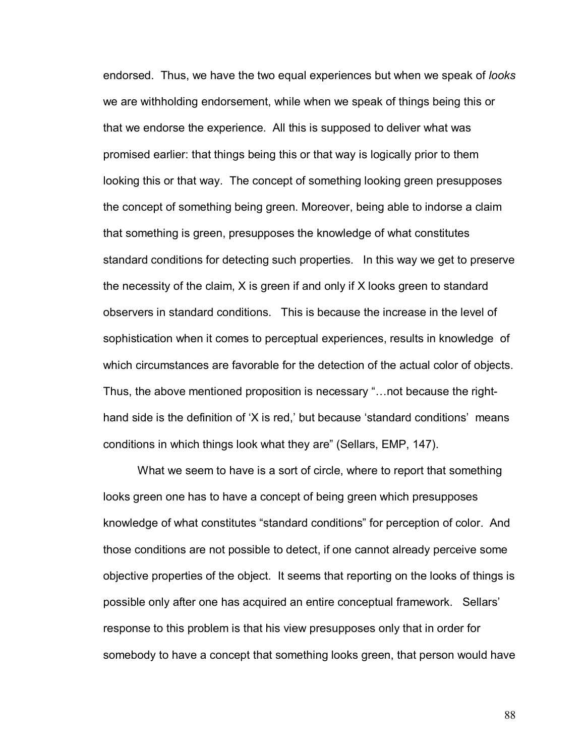endorsed. Thus, we have the two equal experiences but when we speak of *looks* we are withholding endorsement, while when we speak of things being this or that we endorse the experience. All this is supposed to deliver what was promised earlier: that things being this or that way is logically prior to them looking this or that way. The concept of something looking green presupposes the concept of something being green. Moreover, being able to indorse a claim that something is green, presupposes the knowledge of what constitutes standard conditions for detecting such properties. In this way we get to preserve the necessity of the claim, X is green if and only if X looks green to standard observers in standard conditions. This is because the increase in the level of sophistication when it comes to perceptual experiences, results in knowledge of which circumstances are favorable for the detection of the actual color of objects. Thus, the above mentioned proposition is necessary "... not because the righthand side is the definition of  $X$  is red, but because 'standard conditions' means conditions in which things look what they are" (Sellars, EMP, 147).

 What we seem to have is a sort of circle, where to report that something looks green one has to have a concept of being green which presupposes knowledge of what constitutes "standard conditions" for perception of color. And those conditions are not possible to detect, if one cannot already perceive some objective properties of the object. It seems that reporting on the looks of things is possible only after one has acquired an entire conceptual framework. Sellars' response to this problem is that his view presupposes only that in order for somebody to have a concept that something looks green, that person would have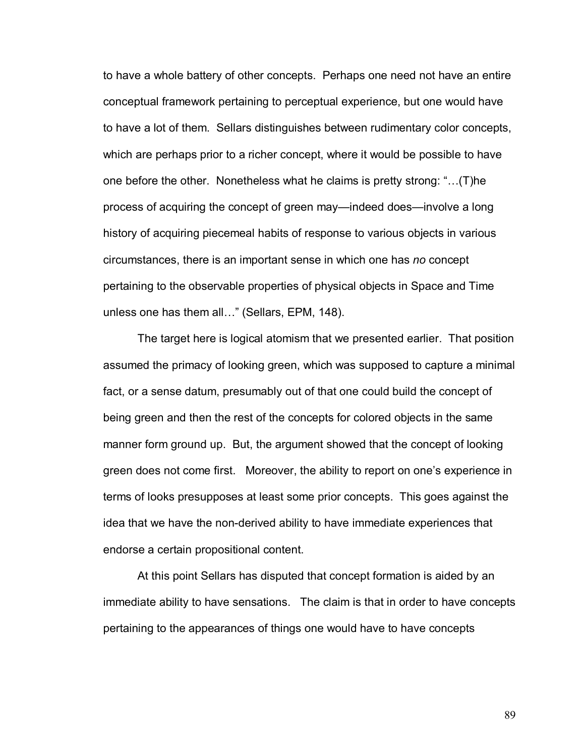to have a whole battery of other concepts. Perhaps one need not have an entire conceptual framework pertaining to perceptual experience, but one would have to have a lot of them. Sellars distinguishes between rudimentary color concepts, which are perhaps prior to a richer concept, where it would be possible to have one before the other. Nonetheless what he claims is pretty strong:  $\ldots$  (T)he process of acquiring the concept of green may—indeed does—involve a long history of acquiring piecemeal habits of response to various objects in various circumstances, there is an important sense in which one has *no* concept pertaining to the observable properties of physical objects in Space and Time unless one has them all..." (Sellars, EPM, 148).

 The target here is logical atomism that we presented earlier. That position assumed the primacy of looking green, which was supposed to capture a minimal fact, or a sense datum, presumably out of that one could build the concept of being green and then the rest of the concepts for colored objects in the same manner form ground up. But, the argument showed that the concept of looking green does not come first. Moreover, the ability to report on one's experience in terms of looks presupposes at least some prior concepts. This goes against the idea that we have the non-derived ability to have immediate experiences that endorse a certain propositional content.

 At this point Sellars has disputed that concept formation is aided by an immediate ability to have sensations. The claim is that in order to have concepts pertaining to the appearances of things one would have to have concepts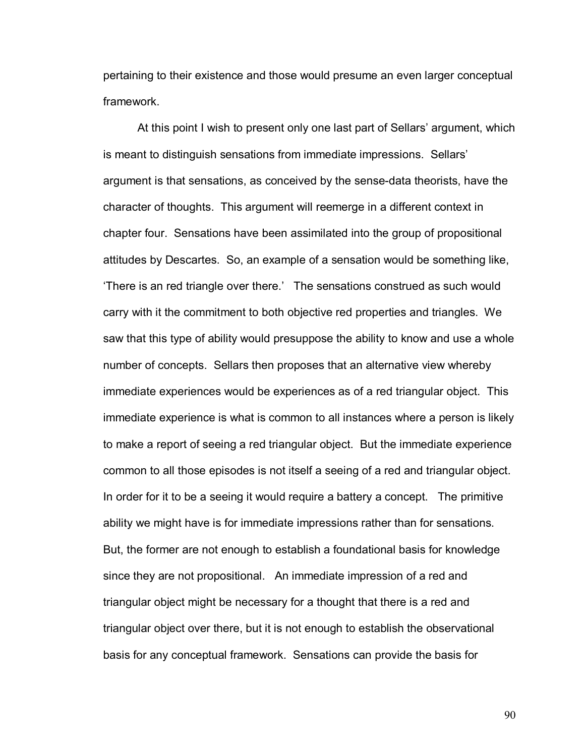pertaining to their existence and those would presume an even larger conceptual framework.

 At this point I wish to present only one last part of Sellarsí argument, which is meant to distinguish sensations from immediate impressions. Sellars' argument is that sensations, as conceived by the sense-data theorists, have the character of thoughts. This argument will reemerge in a different context in chapter four. Sensations have been assimilated into the group of propositional attitudes by Descartes. So, an example of a sensation would be something like, There is an red triangle over there.' The sensations construed as such would carry with it the commitment to both objective red properties and triangles. We saw that this type of ability would presuppose the ability to know and use a whole number of concepts. Sellars then proposes that an alternative view whereby immediate experiences would be experiences as of a red triangular object. This immediate experience is what is common to all instances where a person is likely to make a report of seeing a red triangular object. But the immediate experience common to all those episodes is not itself a seeing of a red and triangular object. In order for it to be a seeing it would require a battery a concept. The primitive ability we might have is for immediate impressions rather than for sensations. But, the former are not enough to establish a foundational basis for knowledge since they are not propositional. An immediate impression of a red and triangular object might be necessary for a thought that there is a red and triangular object over there, but it is not enough to establish the observational basis for any conceptual framework. Sensations can provide the basis for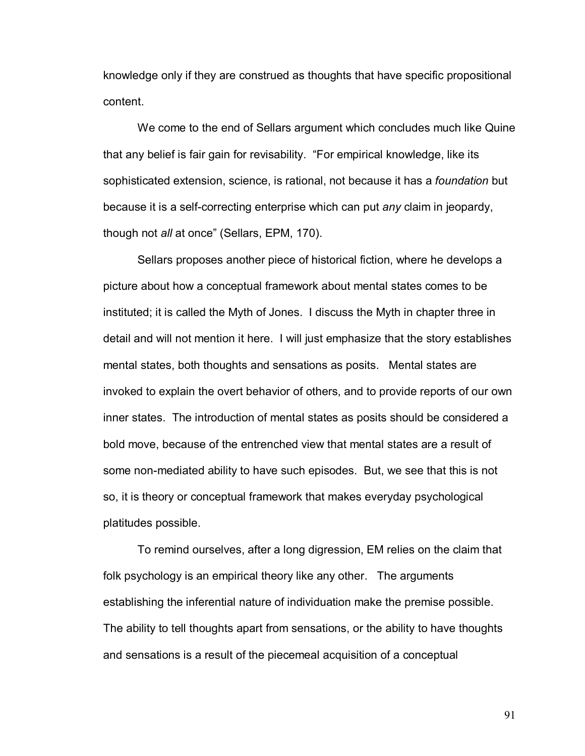knowledge only if they are construed as thoughts that have specific propositional content.

 We come to the end of Sellars argument which concludes much like Quine that any belief is fair gain for revisability. "For empirical knowledge, like its sophisticated extension, science, is rational, not because it has a *foundation* but because it is a self-correcting enterprise which can put *any* claim in jeopardy, though not *all* at onceî (Sellars, EPM, 170).

 Sellars proposes another piece of historical fiction, where he develops a picture about how a conceptual framework about mental states comes to be instituted; it is called the Myth of Jones. I discuss the Myth in chapter three in detail and will not mention it here. I will just emphasize that the story establishes mental states, both thoughts and sensations as posits. Mental states are invoked to explain the overt behavior of others, and to provide reports of our own inner states. The introduction of mental states as posits should be considered a bold move, because of the entrenched view that mental states are a result of some non-mediated ability to have such episodes. But, we see that this is not so, it is theory or conceptual framework that makes everyday psychological platitudes possible.

 To remind ourselves, after a long digression, EM relies on the claim that folk psychology is an empirical theory like any other. The arguments establishing the inferential nature of individuation make the premise possible. The ability to tell thoughts apart from sensations, or the ability to have thoughts and sensations is a result of the piecemeal acquisition of a conceptual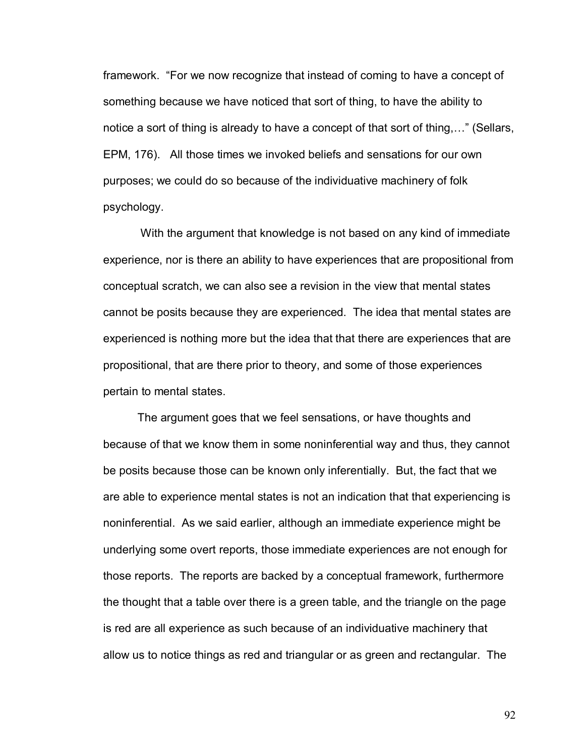framework. "For we now recognize that instead of coming to have a concept of something because we have noticed that sort of thing, to have the ability to notice a sort of thing is already to have a concept of that sort of thing, $\ldots$ " (Sellars, EPM, 176). All those times we invoked beliefs and sensations for our own purposes; we could do so because of the individuative machinery of folk psychology.

 With the argument that knowledge is not based on any kind of immediate experience, nor is there an ability to have experiences that are propositional from conceptual scratch, we can also see a revision in the view that mental states cannot be posits because they are experienced. The idea that mental states are experienced is nothing more but the idea that that there are experiences that are propositional, that are there prior to theory, and some of those experiences pertain to mental states.

The argument goes that we feel sensations, or have thoughts and because of that we know them in some noninferential way and thus, they cannot be posits because those can be known only inferentially. But, the fact that we are able to experience mental states is not an indication that that experiencing is noninferential. As we said earlier, although an immediate experience might be underlying some overt reports, those immediate experiences are not enough for those reports. The reports are backed by a conceptual framework, furthermore the thought that a table over there is a green table, and the triangle on the page is red are all experience as such because of an individuative machinery that allow us to notice things as red and triangular or as green and rectangular. The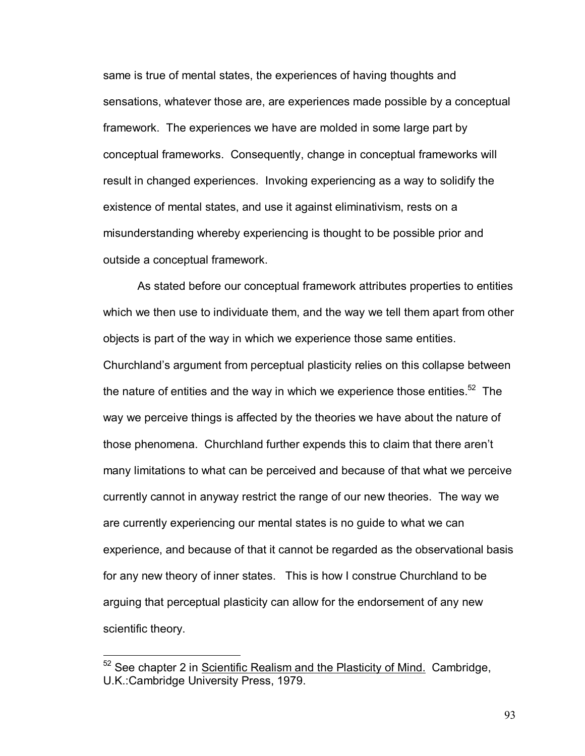same is true of mental states, the experiences of having thoughts and sensations, whatever those are, are experiences made possible by a conceptual framework. The experiences we have are molded in some large part by conceptual frameworks. Consequently, change in conceptual frameworks will result in changed experiences. Invoking experiencing as a way to solidify the existence of mental states, and use it against eliminativism, rests on a misunderstanding whereby experiencing is thought to be possible prior and outside a conceptual framework.

As stated before our conceptual framework attributes properties to entities which we then use to individuate them, and the way we tell them apart from other objects is part of the way in which we experience those same entities. Churchlandís argument from perceptual plasticity relies on this collapse between the nature of entities and the way in which we experience those entities. $52$  The way we perceive things is affected by the theories we have about the nature of those phenomena. Churchland further expends this to claim that there arenít many limitations to what can be perceived and because of that what we perceive currently cannot in anyway restrict the range of our new theories. The way we are currently experiencing our mental states is no guide to what we can experience, and because of that it cannot be regarded as the observational basis for any new theory of inner states. This is how I construe Churchland to be arguing that perceptual plasticity can allow for the endorsement of any new scientific theory.

1

<sup>52</sup> See chapter 2 in Scientific Realism and the Plasticity of Mind.Cambridge, U.K.:Cambridge University Press, 1979.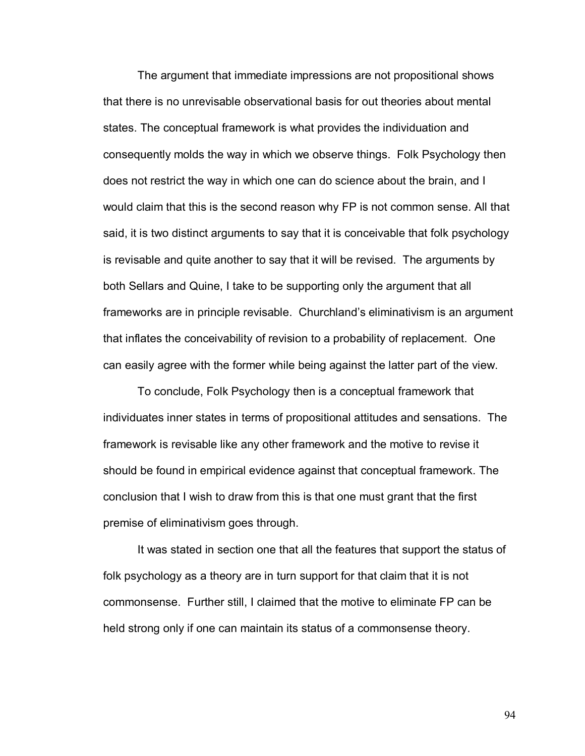The argument that immediate impressions are not propositional shows that there is no unrevisable observational basis for out theories about mental states. The conceptual framework is what provides the individuation and consequently molds the way in which we observe things. Folk Psychology then does not restrict the way in which one can do science about the brain, and I would claim that this is the second reason why FP is not common sense. All that said, it is two distinct arguments to say that it is conceivable that folk psychology is revisable and quite another to say that it will be revised. The arguments by both Sellars and Quine, I take to be supporting only the argument that all frameworks are in principle revisable. Churchland's eliminativism is an argument that inflates the conceivability of revision to a probability of replacement. One can easily agree with the former while being against the latter part of the view.

To conclude, Folk Psychology then is a conceptual framework that individuates inner states in terms of propositional attitudes and sensations. The framework is revisable like any other framework and the motive to revise it should be found in empirical evidence against that conceptual framework. The conclusion that I wish to draw from this is that one must grant that the first premise of eliminativism goes through.

It was stated in section one that all the features that support the status of folk psychology as a theory are in turn support for that claim that it is not commonsense. Further still, I claimed that the motive to eliminate FP can be held strong only if one can maintain its status of a commonsense theory.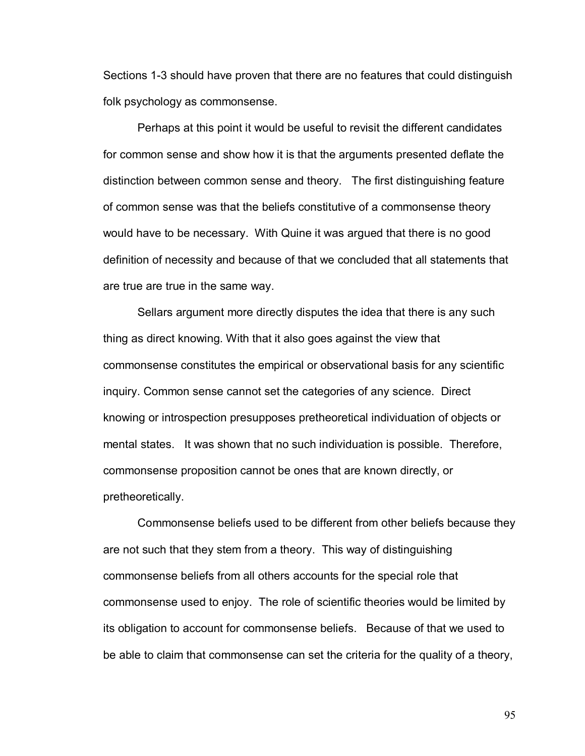Sections 1-3 should have proven that there are no features that could distinguish folk psychology as commonsense.

Perhaps at this point it would be useful to revisit the different candidates for common sense and show how it is that the arguments presented deflate the distinction between common sense and theory. The first distinguishing feature of common sense was that the beliefs constitutive of a commonsense theory would have to be necessary. With Quine it was argued that there is no good definition of necessity and because of that we concluded that all statements that are true are true in the same way.

Sellars argument more directly disputes the idea that there is any such thing as direct knowing. With that it also goes against the view that commonsense constitutes the empirical or observational basis for any scientific inquiry. Common sense cannot set the categories of any science. Direct knowing or introspection presupposes pretheoretical individuation of objects or mental states. It was shown that no such individuation is possible. Therefore, commonsense proposition cannot be ones that are known directly, or pretheoretically.

Commonsense beliefs used to be different from other beliefs because they are not such that they stem from a theory. This way of distinguishing commonsense beliefs from all others accounts for the special role that commonsense used to enjoy. The role of scientific theories would be limited by its obligation to account for commonsense beliefs. Because of that we used to be able to claim that commonsense can set the criteria for the quality of a theory,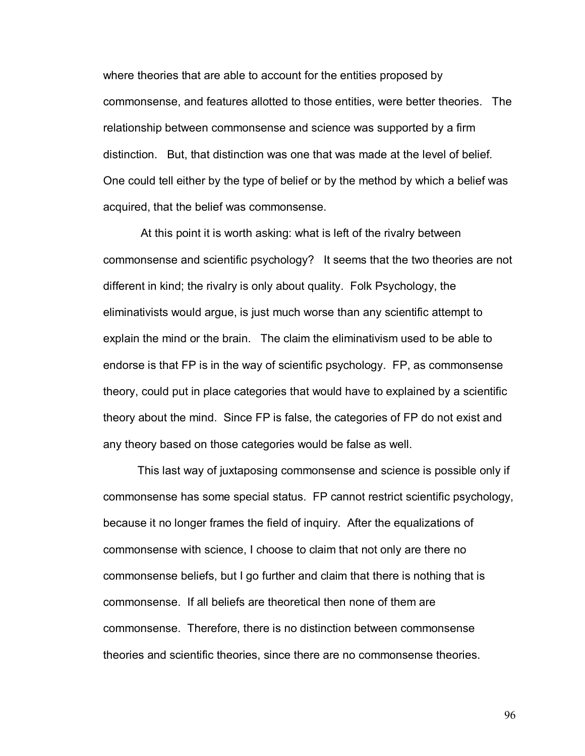where theories that are able to account for the entities proposed by commonsense, and features allotted to those entities, were better theories. The relationship between commonsense and science was supported by a firm distinction. But, that distinction was one that was made at the level of belief. One could tell either by the type of belief or by the method by which a belief was acquired, that the belief was commonsense.

 At this point it is worth asking: what is left of the rivalry between commonsense and scientific psychology? It seems that the two theories are not different in kind; the rivalry is only about quality. Folk Psychology, the eliminativists would argue, is just much worse than any scientific attempt to explain the mind or the brain. The claim the eliminativism used to be able to endorse is that FP is in the way of scientific psychology. FP, as commonsense theory, could put in place categories that would have to explained by a scientific theory about the mind. Since FP is false, the categories of FP do not exist and any theory based on those categories would be false as well.

This last way of juxtaposing commonsense and science is possible only if commonsense has some special status. FP cannot restrict scientific psychology, because it no longer frames the field of inquiry. After the equalizations of commonsense with science, I choose to claim that not only are there no commonsense beliefs, but I go further and claim that there is nothing that is commonsense. If all beliefs are theoretical then none of them are commonsense. Therefore, there is no distinction between commonsense theories and scientific theories, since there are no commonsense theories.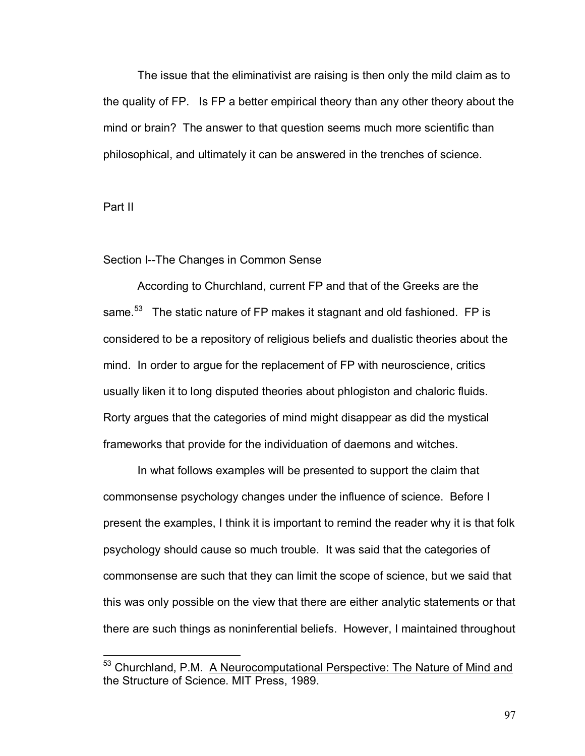The issue that the eliminativist are raising is then only the mild claim as to the quality of FP. Is FP a better empirical theory than any other theory about the mind or brain? The answer to that question seems much more scientific than philosophical, and ultimately it can be answered in the trenches of science.

Part II

 $\overline{a}$ 

## Section I--The Changes in Common Sense

According to Churchland, current FP and that of the Greeks are the same.<sup>53</sup> The static nature of FP makes it stagnant and old fashioned. FP is considered to be a repository of religious beliefs and dualistic theories about the mind. In order to argue for the replacement of FP with neuroscience, critics usually liken it to long disputed theories about phlogiston and chaloric fluids. Rorty argues that the categories of mind might disappear as did the mystical frameworks that provide for the individuation of daemons and witches.

In what follows examples will be presented to support the claim that commonsense psychology changes under the influence of science. Before I present the examples, I think it is important to remind the reader why it is that folk psychology should cause so much trouble. It was said that the categories of commonsense are such that they can limit the scope of science, but we said that this was only possible on the view that there are either analytic statements or that there are such things as noninferential beliefs. However, I maintained throughout

<sup>&</sup>lt;sup>53</sup> Churchland, P.M. A Neurocomputational Perspective: The Nature of Mind and the Structure of Science. MIT Press, 1989.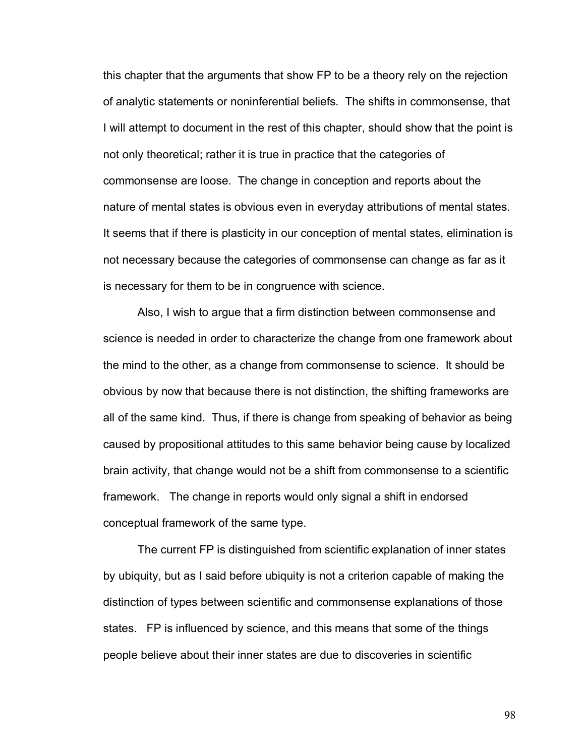this chapter that the arguments that show FP to be a theory rely on the rejection of analytic statements or noninferential beliefs. The shifts in commonsense, that I will attempt to document in the rest of this chapter, should show that the point is not only theoretical; rather it is true in practice that the categories of commonsense are loose. The change in conception and reports about the nature of mental states is obvious even in everyday attributions of mental states. It seems that if there is plasticity in our conception of mental states, elimination is not necessary because the categories of commonsense can change as far as it is necessary for them to be in congruence with science.

Also, I wish to argue that a firm distinction between commonsense and science is needed in order to characterize the change from one framework about the mind to the other, as a change from commonsense to science. It should be obvious by now that because there is not distinction, the shifting frameworks are all of the same kind. Thus, if there is change from speaking of behavior as being caused by propositional attitudes to this same behavior being cause by localized brain activity, that change would not be a shift from commonsense to a scientific framework. The change in reports would only signal a shift in endorsed conceptual framework of the same type.

The current FP is distinguished from scientific explanation of inner states by ubiquity, but as I said before ubiquity is not a criterion capable of making the distinction of types between scientific and commonsense explanations of those states. FP is influenced by science, and this means that some of the things people believe about their inner states are due to discoveries in scientific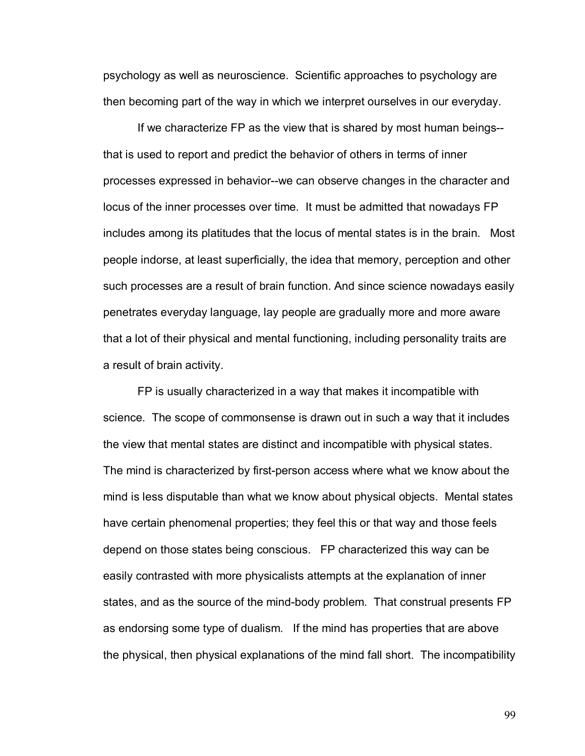psychology as well as neuroscience. Scientific approaches to psychology are then becoming part of the way in which we interpret ourselves in our everyday.

If we characterize FP as the view that is shared by most human beings- that is used to report and predict the behavior of others in terms of inner processes expressed in behavior--we can observe changes in the character and locus of the inner processes over time. It must be admitted that nowadays FP includes among its platitudes that the locus of mental states is in the brain. Most people indorse, at least superficially, the idea that memory, perception and other such processes are a result of brain function. And since science nowadays easily penetrates everyday language, lay people are gradually more and more aware that a lot of their physical and mental functioning, including personality traits are a result of brain activity.

FP is usually characterized in a way that makes it incompatible with science. The scope of commonsense is drawn out in such a way that it includes the view that mental states are distinct and incompatible with physical states. The mind is characterized by first-person access where what we know about the mind is less disputable than what we know about physical objects. Mental states have certain phenomenal properties; they feel this or that way and those feels depend on those states being conscious. FP characterized this way can be easily contrasted with more physicalists attempts at the explanation of inner states, and as the source of the mind-body problem. That construal presents FP as endorsing some type of dualism. If the mind has properties that are above the physical, then physical explanations of the mind fall short. The incompatibility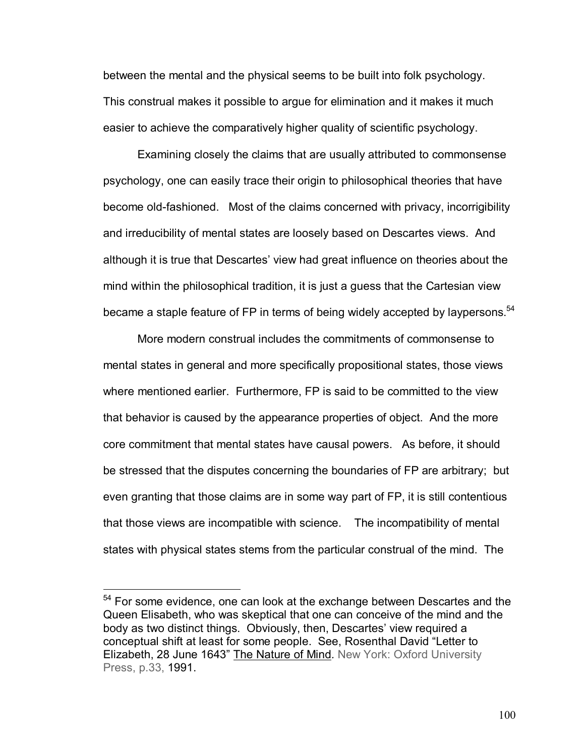between the mental and the physical seems to be built into folk psychology. This construal makes it possible to argue for elimination and it makes it much easier to achieve the comparatively higher quality of scientific psychology.

 Examining closely the claims that are usually attributed to commonsense psychology, one can easily trace their origin to philosophical theories that have become old-fashioned. Most of the claims concerned with privacy, incorrigibility and irreducibility of mental states are loosely based on Descartes views. And although it is true that Descartes' view had great influence on theories about the mind within the philosophical tradition, it is just a guess that the Cartesian view became a staple feature of FP in terms of being widely accepted by laypersons.  $54$ 

 More modern construal includes the commitments of commonsense to mental states in general and more specifically propositional states, those views where mentioned earlier. Furthermore, FP is said to be committed to the view that behavior is caused by the appearance properties of object. And the more core commitment that mental states have causal powers. As before, it should be stressed that the disputes concerning the boundaries of FP are arbitrary; but even granting that those claims are in some way part of FP, it is still contentious that those views are incompatible with science. The incompatibility of mental states with physical states stems from the particular construal of the mind. The

<sup>&</sup>lt;sup>54</sup> For some evidence, one can look at the exchange between Descartes and the Queen Elisabeth, who was skeptical that one can conceive of the mind and the body as two distinct things. Obviously, then, Descartes' view required a conceptual shift at least for some people. See, Rosenthal David "Letter to Elizabeth, 28 June 1643î The Nature of Mind*.* New York: Oxford University Press, p.33, 1991.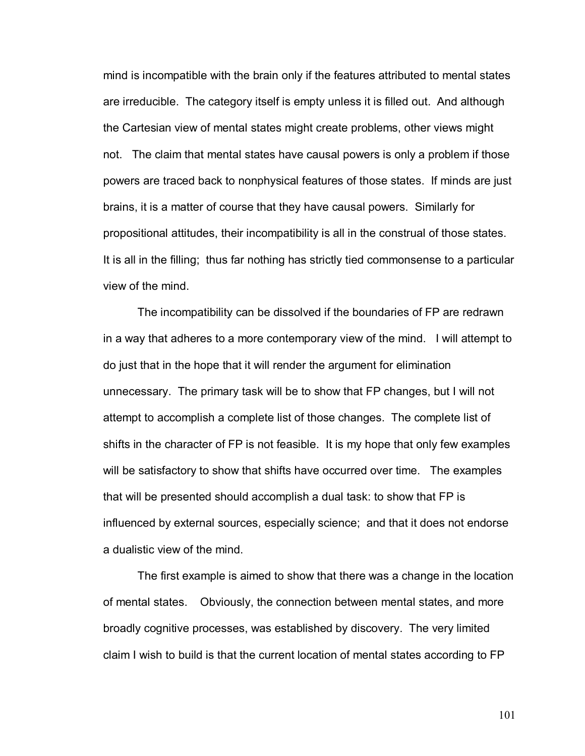mind is incompatible with the brain only if the features attributed to mental states are irreducible. The category itself is empty unless it is filled out. And although the Cartesian view of mental states might create problems, other views might not. The claim that mental states have causal powers is only a problem if those powers are traced back to nonphysical features of those states. If minds are just brains, it is a matter of course that they have causal powers. Similarly for propositional attitudes, their incompatibility is all in the construal of those states. It is all in the filling; thus far nothing has strictly tied commonsense to a particular view of the mind.

The incompatibility can be dissolved if the boundaries of FP are redrawn in a way that adheres to a more contemporary view of the mind. I will attempt to do just that in the hope that it will render the argument for elimination unnecessary. The primary task will be to show that FP changes, but I will not attempt to accomplish a complete list of those changes. The complete list of shifts in the character of FP is not feasible. It is my hope that only few examples will be satisfactory to show that shifts have occurred over time. The examples that will be presented should accomplish a dual task: to show that FP is influenced by external sources, especially science; and that it does not endorse a dualistic view of the mind.

The first example is aimed to show that there was a change in the location of mental states. Obviously, the connection between mental states, and more broadly cognitive processes, was established by discovery. The very limited claim I wish to build is that the current location of mental states according to FP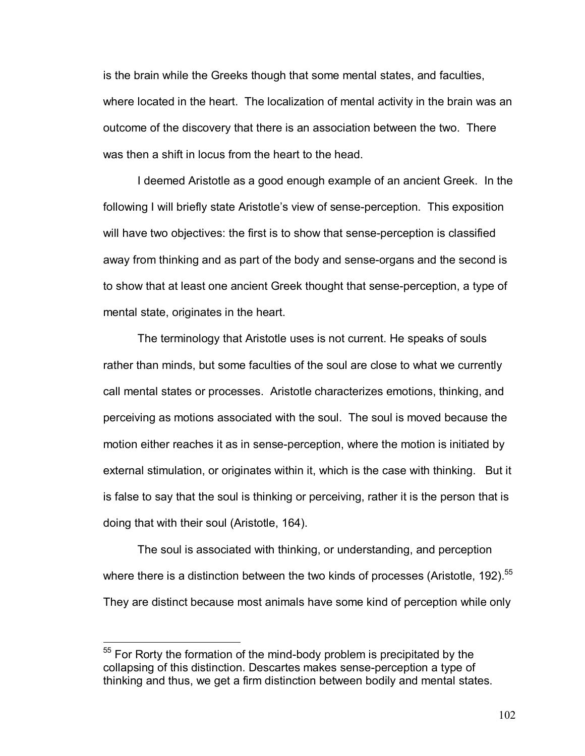is the brain while the Greeks though that some mental states, and faculties, where located in the heart. The localization of mental activity in the brain was an outcome of the discovery that there is an association between the two. There was then a shift in locus from the heart to the head.

I deemed Aristotle as a good enough example of an ancient Greek. In the following I will briefly state Aristotle's view of sense-perception. This exposition will have two objectives: the first is to show that sense-perception is classified away from thinking and as part of the body and sense-organs and the second is to show that at least one ancient Greek thought that sense-perception, a type of mental state, originates in the heart.

The terminology that Aristotle uses is not current. He speaks of souls rather than minds, but some faculties of the soul are close to what we currently call mental states or processes. Aristotle characterizes emotions, thinking, and perceiving as motions associated with the soul. The soul is moved because the motion either reaches it as in sense-perception, where the motion is initiated by external stimulation, or originates within it, which is the case with thinking. But it is false to say that the soul is thinking or perceiving, rather it is the person that is doing that with their soul (Aristotle, 164).

The soul is associated with thinking, or understanding, and perception where there is a distinction between the two kinds of processes (Aristotle, 192). $55$ They are distinct because most animals have some kind of perception while only

 $55$  For Rorty the formation of the mind-body problem is precipitated by the collapsing of this distinction. Descartes makes sense-perception a type of thinking and thus, we get a firm distinction between bodily and mental states.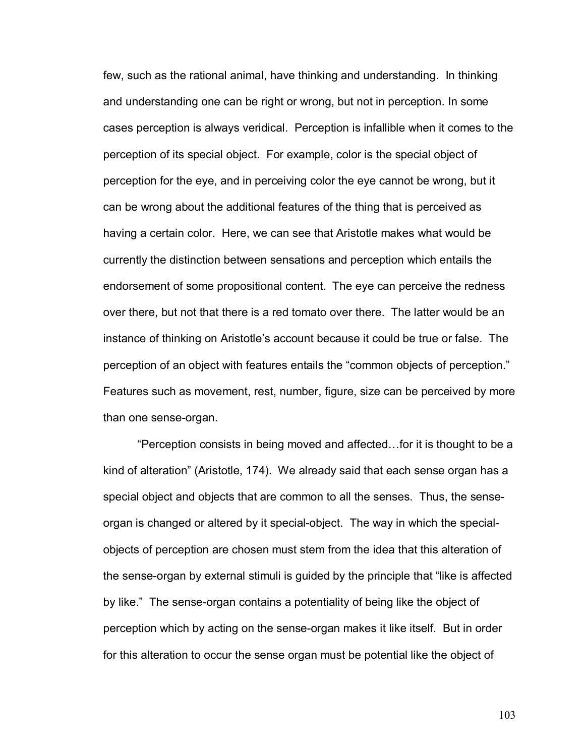few, such as the rational animal, have thinking and understanding. In thinking and understanding one can be right or wrong, but not in perception. In some cases perception is always veridical. Perception is infallible when it comes to the perception of its special object. For example, color is the special object of perception for the eye, and in perceiving color the eye cannot be wrong, but it can be wrong about the additional features of the thing that is perceived as having a certain color. Here, we can see that Aristotle makes what would be currently the distinction between sensations and perception which entails the endorsement of some propositional content. The eye can perceive the redness over there, but not that there is a red tomato over there. The latter would be an instance of thinking on Aristotle's account because it could be true or false. The perception of an object with features entails the "common objects of perception." Features such as movement, rest, number, figure, size can be perceived by more than one sense-organ.

**Perception consists in being moved and affected... for it is thought to be a** kind of alterationî (Aristotle, 174). We already said that each sense organ has a special object and objects that are common to all the senses. Thus, the senseorgan is changed or altered by it special-object. The way in which the specialobjects of perception are chosen must stem from the idea that this alteration of the sense-organ by external stimuli is guided by the principle that "like is affected by like." The sense-organ contains a potentiality of being like the object of perception which by acting on the sense-organ makes it like itself. But in order for this alteration to occur the sense organ must be potential like the object of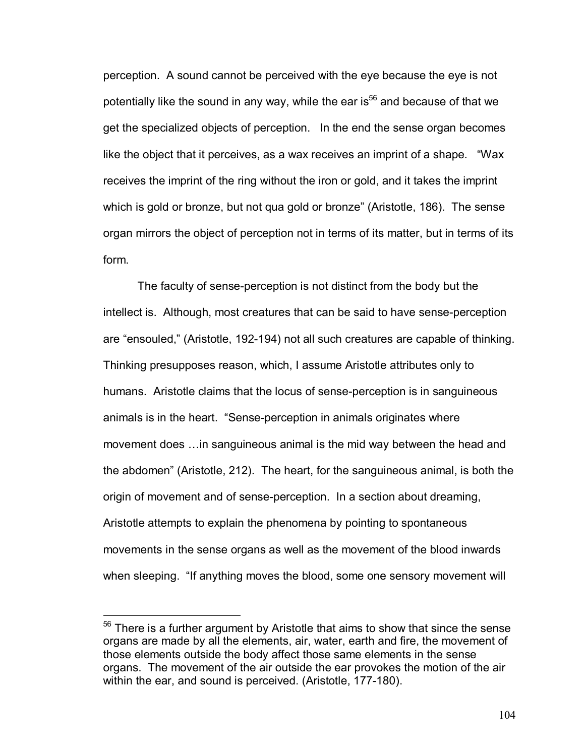perception. A sound cannot be perceived with the eye because the eye is not potentially like the sound in any way, while the ear is<sup>56</sup> and because of that we get the specialized objects of perception. In the end the sense organ becomes like the object that it perceives, as a wax receives an imprint of a shape.  $\degree$ Wax receives the imprint of the ring without the iron or gold, and it takes the imprint which is gold or bronze, but not qua gold or bronze" (Aristotle, 186). The sense organ mirrors the object of perception not in terms of its matter, but in terms of its form.

The faculty of sense-perception is not distinct from the body but the intellect is. Although, most creatures that can be said to have sense-perception are "ensouled," (Aristotle, 192-194) not all such creatures are capable of thinking. Thinking presupposes reason, which, I assume Aristotle attributes only to humans. Aristotle claims that the locus of sense-perception is in sanguineous animals is in the heart. "Sense-perception in animals originates where movement does ... in sanguineous animal is the mid way between the head and the abdomenî (Aristotle, 212). The heart, for the sanguineous animal, is both the origin of movement and of sense-perception. In a section about dreaming, Aristotle attempts to explain the phenomena by pointing to spontaneous movements in the sense organs as well as the movement of the blood inwards when sleeping. "If anything moves the blood, some one sensory movement will

<sup>&</sup>lt;sup>56</sup> There is a further argument by Aristotle that aims to show that since the sense organs are made by all the elements, air, water, earth and fire, the movement of those elements outside the body affect those same elements in the sense organs. The movement of the air outside the ear provokes the motion of the air within the ear, and sound is perceived. (Aristotle, 177-180).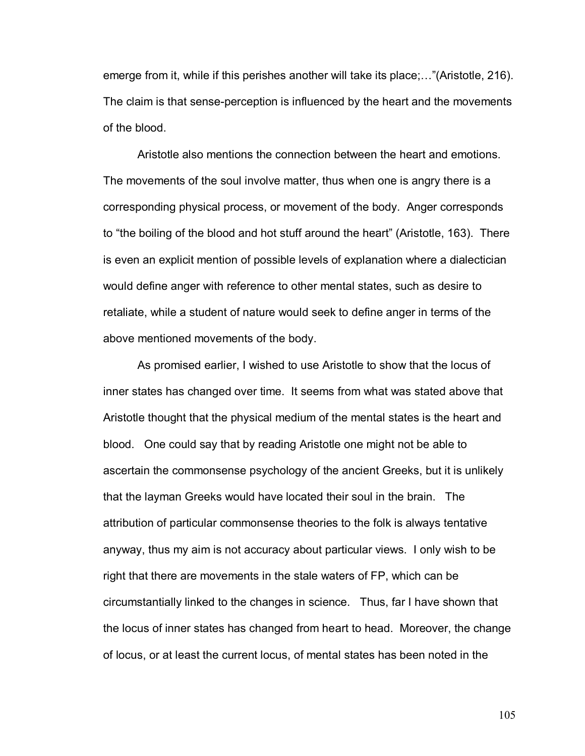emerge from it, while if this perishes another will take its place; $\ldots$ "(Aristotle, 216). The claim is that sense-perception is influenced by the heart and the movements of the blood.

Aristotle also mentions the connection between the heart and emotions. The movements of the soul involve matter, thus when one is angry there is a corresponding physical process, or movement of the body. Anger corresponds to "the boiling of the blood and hot stuff around the heart" (Aristotle, 163). There is even an explicit mention of possible levels of explanation where a dialectician would define anger with reference to other mental states, such as desire to retaliate, while a student of nature would seek to define anger in terms of the above mentioned movements of the body.

As promised earlier, I wished to use Aristotle to show that the locus of inner states has changed over time. It seems from what was stated above that Aristotle thought that the physical medium of the mental states is the heart and blood. One could say that by reading Aristotle one might not be able to ascertain the commonsense psychology of the ancient Greeks, but it is unlikely that the layman Greeks would have located their soul in the brain. The attribution of particular commonsense theories to the folk is always tentative anyway, thus my aim is not accuracy about particular views. I only wish to be right that there are movements in the stale waters of FP, which can be circumstantially linked to the changes in science. Thus, far I have shown that the locus of inner states has changed from heart to head. Moreover, the change of locus, or at least the current locus, of mental states has been noted in the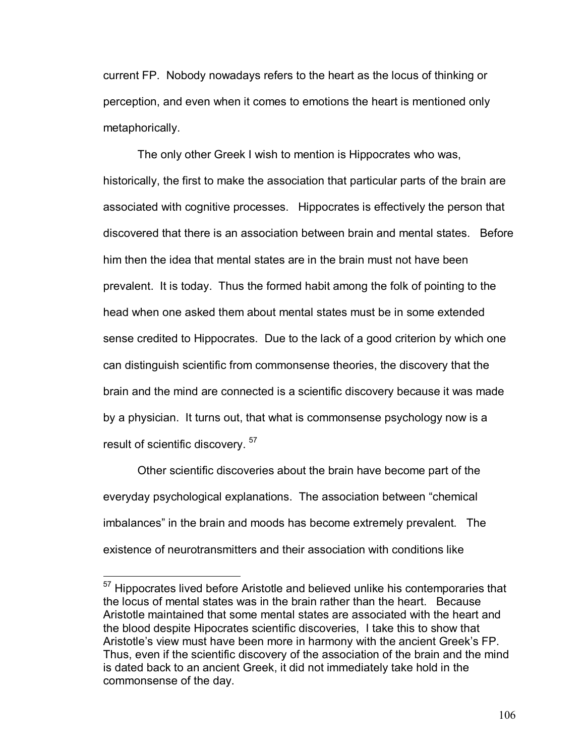current FP. Nobody nowadays refers to the heart as the locus of thinking or perception, and even when it comes to emotions the heart is mentioned only metaphorically.

The only other Greek I wish to mention is Hippocrates who was, historically, the first to make the association that particular parts of the brain are associated with cognitive processes. Hippocrates is effectively the person that discovered that there is an association between brain and mental states. Before him then the idea that mental states are in the brain must not have been prevalent. It is today. Thus the formed habit among the folk of pointing to the head when one asked them about mental states must be in some extended sense credited to Hippocrates. Due to the lack of a good criterion by which one can distinguish scientific from commonsense theories, the discovery that the brain and the mind are connected is a scientific discovery because it was made by a physician. It turns out, that what is commonsense psychology now is a result of scientific discovery.<sup>57</sup>

Other scientific discoveries about the brain have become part of the everyday psychological explanations. The association between "chemical imbalances" in the brain and moods has become extremely prevalent. The existence of neurotransmitters and their association with conditions like

 $57$  Hippocrates lived before Aristotle and believed unlike his contemporaries that the locus of mental states was in the brain rather than the heart. Because Aristotle maintained that some mental states are associated with the heart and the blood despite Hipocrates scientific discoveries, I take this to show that Aristotle's view must have been more in harmony with the ancient Greek's FP. Thus, even if the scientific discovery of the association of the brain and the mind is dated back to an ancient Greek, it did not immediately take hold in the commonsense of the day.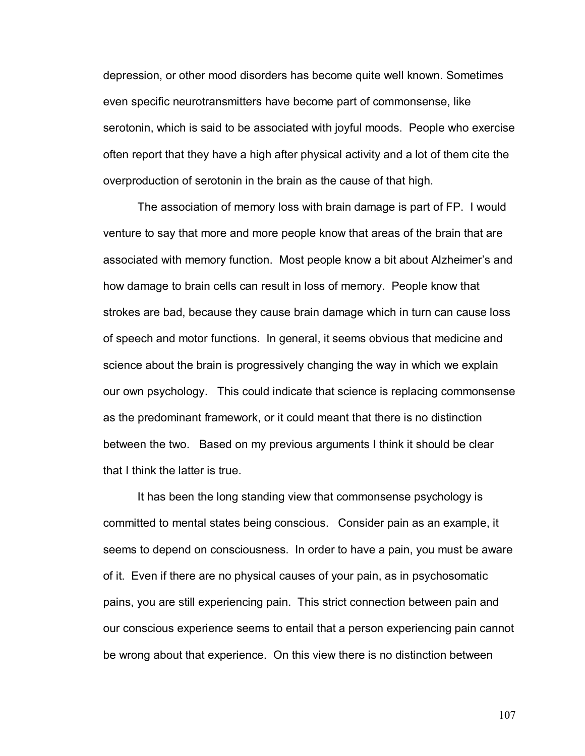depression, or other mood disorders has become quite well known. Sometimes even specific neurotransmitters have become part of commonsense, like serotonin, which is said to be associated with joyful moods. People who exercise often report that they have a high after physical activity and a lot of them cite the overproduction of serotonin in the brain as the cause of that high.

The association of memory loss with brain damage is part of FP. I would venture to say that more and more people know that areas of the brain that are associated with memory function. Most people know a bit about Alzheimer's and how damage to brain cells can result in loss of memory. People know that strokes are bad, because they cause brain damage which in turn can cause loss of speech and motor functions. In general, it seems obvious that medicine and science about the brain is progressively changing the way in which we explain our own psychology. This could indicate that science is replacing commonsense as the predominant framework, or it could meant that there is no distinction between the two. Based on my previous arguments I think it should be clear that I think the latter is true.

It has been the long standing view that commonsense psychology is committed to mental states being conscious. Consider pain as an example, it seems to depend on consciousness. In order to have a pain, you must be aware of it. Even if there are no physical causes of your pain, as in psychosomatic pains, you are still experiencing pain. This strict connection between pain and our conscious experience seems to entail that a person experiencing pain cannot be wrong about that experience. On this view there is no distinction between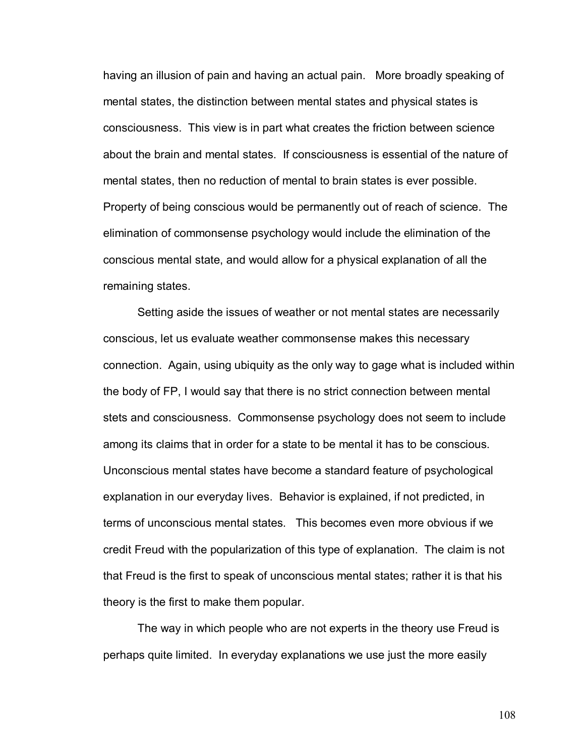having an illusion of pain and having an actual pain. More broadly speaking of mental states, the distinction between mental states and physical states is consciousness. This view is in part what creates the friction between science about the brain and mental states. If consciousness is essential of the nature of mental states, then no reduction of mental to brain states is ever possible. Property of being conscious would be permanently out of reach of science. The elimination of commonsense psychology would include the elimination of the conscious mental state, and would allow for a physical explanation of all the remaining states.

 Setting aside the issues of weather or not mental states are necessarily conscious, let us evaluate weather commonsense makes this necessary connection. Again, using ubiquity as the only way to gage what is included within the body of FP, I would say that there is no strict connection between mental stets and consciousness. Commonsense psychology does not seem to include among its claims that in order for a state to be mental it has to be conscious. Unconscious mental states have become a standard feature of psychological explanation in our everyday lives. Behavior is explained, if not predicted, in terms of unconscious mental states. This becomes even more obvious if we credit Freud with the popularization of this type of explanation. The claim is not that Freud is the first to speak of unconscious mental states; rather it is that his theory is the first to make them popular.

 The way in which people who are not experts in the theory use Freud is perhaps quite limited. In everyday explanations we use just the more easily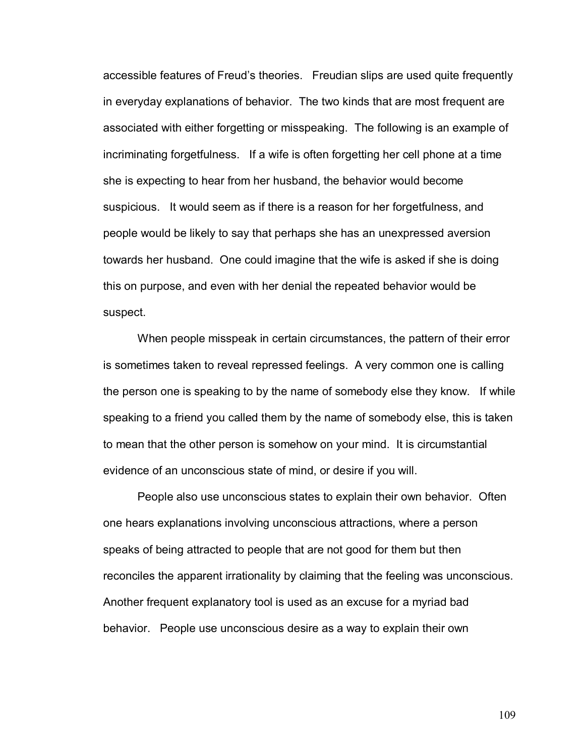accessible features of Freudís theories. Freudian slips are used quite frequently in everyday explanations of behavior. The two kinds that are most frequent are associated with either forgetting or misspeaking. The following is an example of incriminating forgetfulness. If a wife is often forgetting her cell phone at a time she is expecting to hear from her husband, the behavior would become suspicious. It would seem as if there is a reason for her forgetfulness, and people would be likely to say that perhaps she has an unexpressed aversion towards her husband. One could imagine that the wife is asked if she is doing this on purpose, and even with her denial the repeated behavior would be suspect.

 When people misspeak in certain circumstances, the pattern of their error is sometimes taken to reveal repressed feelings. A very common one is calling the person one is speaking to by the name of somebody else they know. If while speaking to a friend you called them by the name of somebody else, this is taken to mean that the other person is somehow on your mind. It is circumstantial evidence of an unconscious state of mind, or desire if you will.

 People also use unconscious states to explain their own behavior. Often one hears explanations involving unconscious attractions, where a person speaks of being attracted to people that are not good for them but then reconciles the apparent irrationality by claiming that the feeling was unconscious. Another frequent explanatory tool is used as an excuse for a myriad bad behavior. People use unconscious desire as a way to explain their own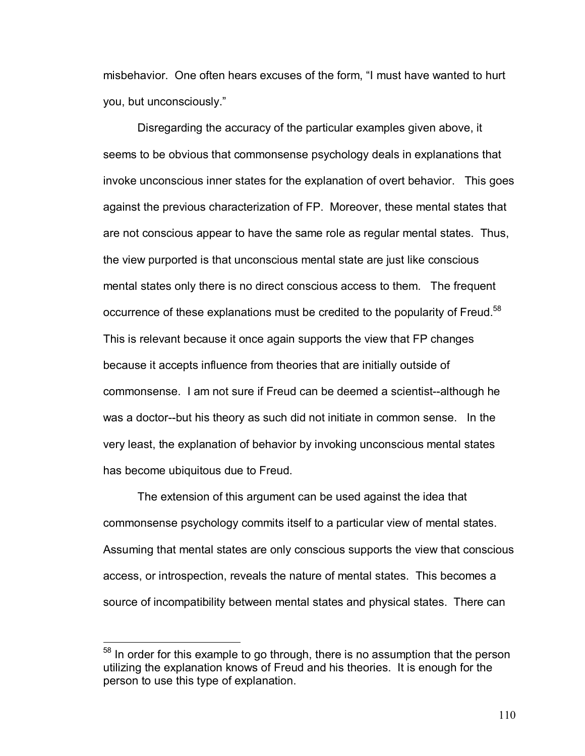misbehavior. One often hears excuses of the form, "I must have wanted to hurt you, but unconsciously."

 Disregarding the accuracy of the particular examples given above, it seems to be obvious that commonsense psychology deals in explanations that invoke unconscious inner states for the explanation of overt behavior. This goes against the previous characterization of FP. Moreover, these mental states that are not conscious appear to have the same role as regular mental states. Thus, the view purported is that unconscious mental state are just like conscious mental states only there is no direct conscious access to them. The frequent occurrence of these explanations must be credited to the popularity of Freud.<sup>58</sup> This is relevant because it once again supports the view that FP changes because it accepts influence from theories that are initially outside of commonsense. I am not sure if Freud can be deemed a scientist--although he was a doctor--but his theory as such did not initiate in common sense. In the very least, the explanation of behavior by invoking unconscious mental states has become ubiquitous due to Freud.

 The extension of this argument can be used against the idea that commonsense psychology commits itself to a particular view of mental states. Assuming that mental states are only conscious supports the view that conscious access, or introspection, reveals the nature of mental states. This becomes a source of incompatibility between mental states and physical states. There can

<sup>&</sup>lt;sup>58</sup> In order for this example to go through, there is no assumption that the person utilizing the explanation knows of Freud and his theories. It is enough for the person to use this type of explanation.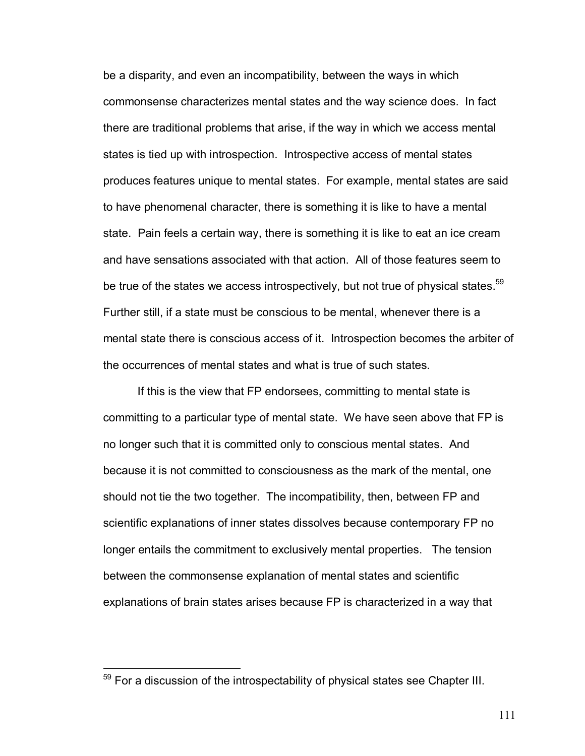be a disparity, and even an incompatibility, between the ways in which commonsense characterizes mental states and the way science does. In fact there are traditional problems that arise, if the way in which we access mental states is tied up with introspection. Introspective access of mental states produces features unique to mental states. For example, mental states are said to have phenomenal character, there is something it is like to have a mental state. Pain feels a certain way, there is something it is like to eat an ice cream and have sensations associated with that action. All of those features seem to be true of the states we access introspectively, but not true of physical states.<sup>59</sup> Further still, if a state must be conscious to be mental, whenever there is a mental state there is conscious access of it. Introspection becomes the arbiter of the occurrences of mental states and what is true of such states.

 If this is the view that FP endorsees, committing to mental state is committing to a particular type of mental state. We have seen above that FP is no longer such that it is committed only to conscious mental states. And because it is not committed to consciousness as the mark of the mental, one should not tie the two together. The incompatibility, then, between FP and scientific explanations of inner states dissolves because contemporary FP no longer entails the commitment to exclusively mental properties. The tension between the commonsense explanation of mental states and scientific explanations of brain states arises because FP is characterized in a way that

 $59$  For a discussion of the introspectability of physical states see Chapter III.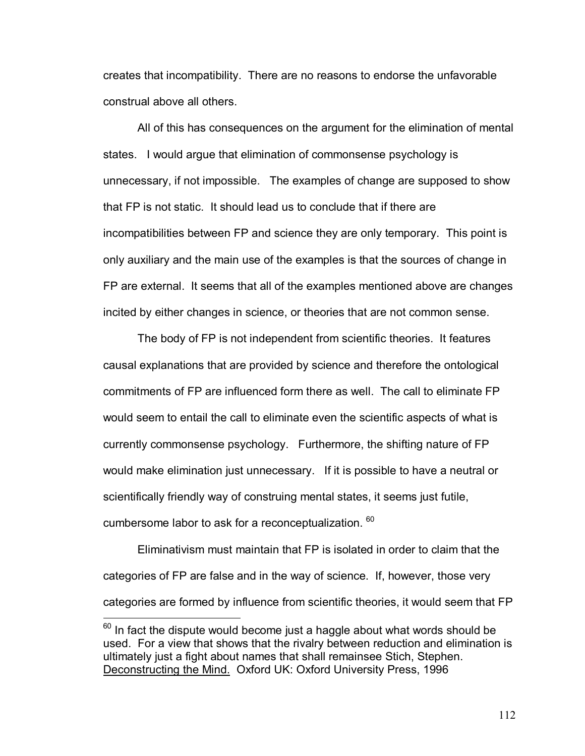creates that incompatibility. There are no reasons to endorse the unfavorable construal above all others.

 All of this has consequences on the argument for the elimination of mental states. I would argue that elimination of commonsense psychology is unnecessary, if not impossible. The examples of change are supposed to show that FP is not static. It should lead us to conclude that if there are incompatibilities between FP and science they are only temporary. This point is only auxiliary and the main use of the examples is that the sources of change in FP are external. It seems that all of the examples mentioned above are changes incited by either changes in science, or theories that are not common sense.

 The body of FP is not independent from scientific theories. It features causal explanations that are provided by science and therefore the ontological commitments of FP are influenced form there as well. The call to eliminate FP would seem to entail the call to eliminate even the scientific aspects of what is currently commonsense psychology. Furthermore, the shifting nature of FP would make elimination just unnecessary. If it is possible to have a neutral or scientifically friendly way of construing mental states, it seems just futile, cumbersome labor to ask for a reconceptualization. <sup>60</sup>

 Eliminativism must maintain that FP is isolated in order to claim that the categories of FP are false and in the way of science. If, however, those very categories are formed by influence from scientific theories, it would seem that FP

 $60$  In fact the dispute would become just a haggle about what words should be used. For a view that shows that the rivalry between reduction and elimination is ultimately just a fight about names that shall remainsee Stich, Stephen. Deconstructing the Mind. Oxford UK: Oxford University Press, 1996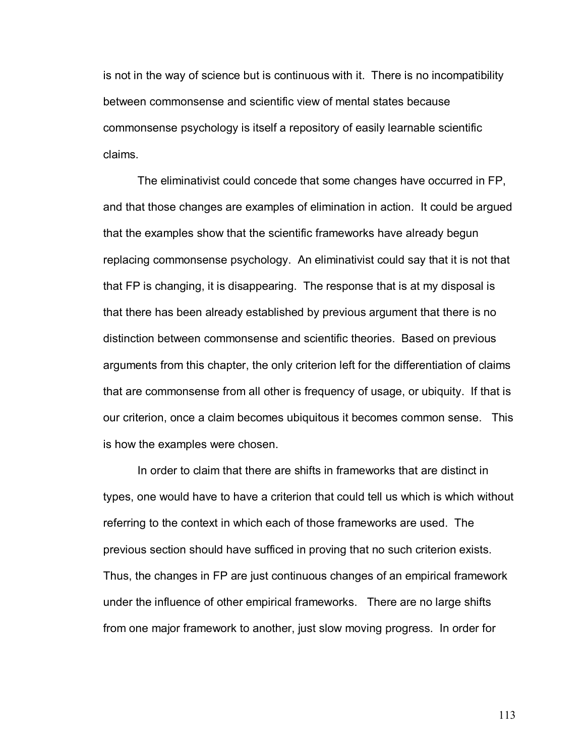is not in the way of science but is continuous with it. There is no incompatibility between commonsense and scientific view of mental states because commonsense psychology is itself a repository of easily learnable scientific claims.

 The eliminativist could concede that some changes have occurred in FP, and that those changes are examples of elimination in action. It could be argued that the examples show that the scientific frameworks have already begun replacing commonsense psychology. An eliminativist could say that it is not that that FP is changing, it is disappearing. The response that is at my disposal is that there has been already established by previous argument that there is no distinction between commonsense and scientific theories. Based on previous arguments from this chapter, the only criterion left for the differentiation of claims that are commonsense from all other is frequency of usage, or ubiquity. If that is our criterion, once a claim becomes ubiquitous it becomes common sense. This is how the examples were chosen.

 In order to claim that there are shifts in frameworks that are distinct in types, one would have to have a criterion that could tell us which is which without referring to the context in which each of those frameworks are used. The previous section should have sufficed in proving that no such criterion exists. Thus, the changes in FP are just continuous changes of an empirical framework under the influence of other empirical frameworks. There are no large shifts from one major framework to another, just slow moving progress. In order for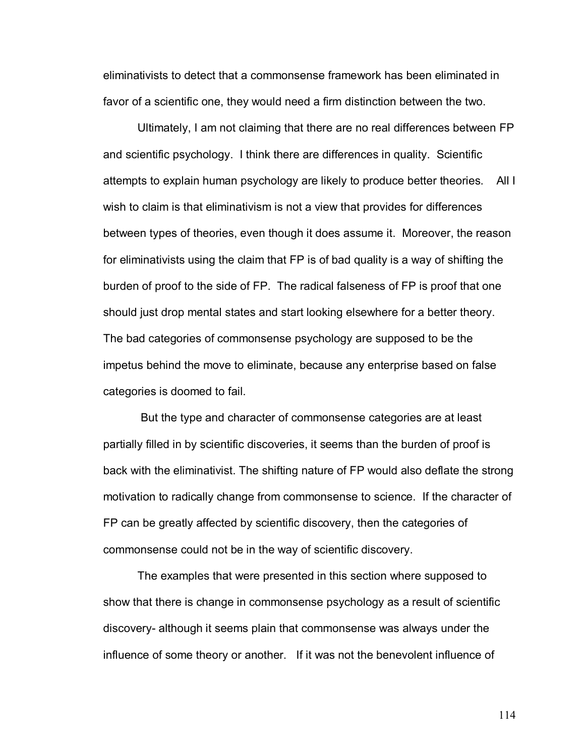eliminativists to detect that a commonsense framework has been eliminated in favor of a scientific one, they would need a firm distinction between the two.

 Ultimately, I am not claiming that there are no real differences between FP and scientific psychology. I think there are differences in quality. Scientific attempts to explain human psychology are likely to produce better theories. All I wish to claim is that eliminativism is not a view that provides for differences between types of theories, even though it does assume it. Moreover, the reason for eliminativists using the claim that FP is of bad quality is a way of shifting the burden of proof to the side of FP. The radical falseness of FP is proof that one should just drop mental states and start looking elsewhere for a better theory. The bad categories of commonsense psychology are supposed to be the impetus behind the move to eliminate, because any enterprise based on false categories is doomed to fail.

 But the type and character of commonsense categories are at least partially filled in by scientific discoveries, it seems than the burden of proof is back with the eliminativist. The shifting nature of FP would also deflate the strong motivation to radically change from commonsense to science. If the character of FP can be greatly affected by scientific discovery, then the categories of commonsense could not be in the way of scientific discovery.

The examples that were presented in this section where supposed to show that there is change in commonsense psychology as a result of scientific discovery- although it seems plain that commonsense was always under the influence of some theory or another. If it was not the benevolent influence of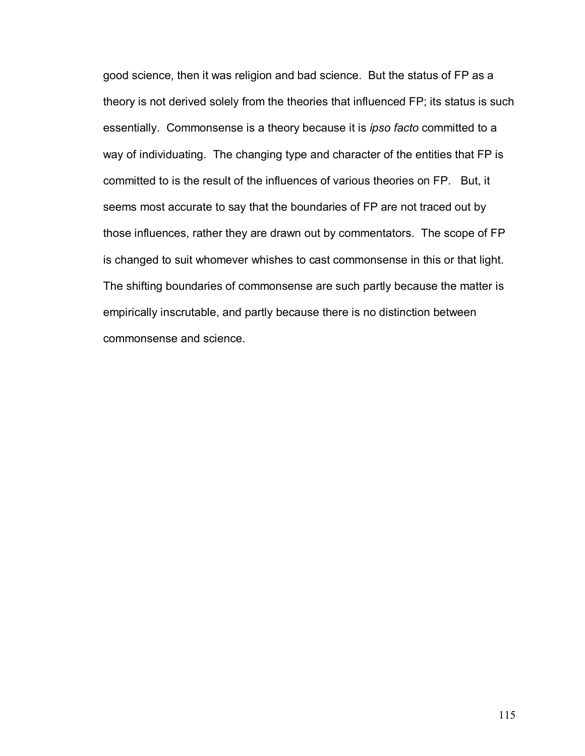good science, then it was religion and bad science. But the status of FP as a theory is not derived solely from the theories that influenced FP; its status is such essentially. Commonsense is a theory because it is *ipso facto* committed to a way of individuating. The changing type and character of the entities that FP is committed to is the result of the influences of various theories on FP. But, it seems most accurate to say that the boundaries of FP are not traced out by those influences, rather they are drawn out by commentators. The scope of FP is changed to suit whomever whishes to cast commonsense in this or that light. The shifting boundaries of commonsense are such partly because the matter is empirically inscrutable, and partly because there is no distinction between commonsense and science.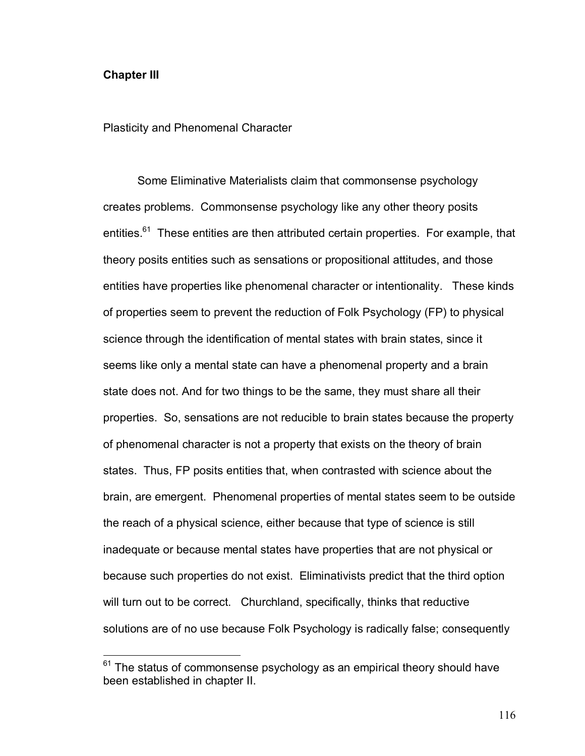## **Chapter III**

 $\overline{a}$ 

Plasticity and Phenomenal Character

Some Eliminative Materialists claim that commonsense psychology creates problems. Commonsense psychology like any other theory posits entities.<sup>61</sup> These entities are then attributed certain properties. For example, that theory posits entities such as sensations or propositional attitudes, and those entities have properties like phenomenal character or intentionality. These kinds of properties seem to prevent the reduction of Folk Psychology (FP) to physical science through the identification of mental states with brain states, since it seems like only a mental state can have a phenomenal property and a brain state does not. And for two things to be the same, they must share all their properties. So, sensations are not reducible to brain states because the property of phenomenal character is not a property that exists on the theory of brain states. Thus, FP posits entities that, when contrasted with science about the brain, are emergent. Phenomenal properties of mental states seem to be outside the reach of a physical science, either because that type of science is still inadequate or because mental states have properties that are not physical or because such properties do not exist. Eliminativists predict that the third option will turn out to be correct. Churchland, specifically, thinks that reductive solutions are of no use because Folk Psychology is radically false; consequently

 $61$  The status of commonsense psychology as an empirical theory should have been established in chapter II.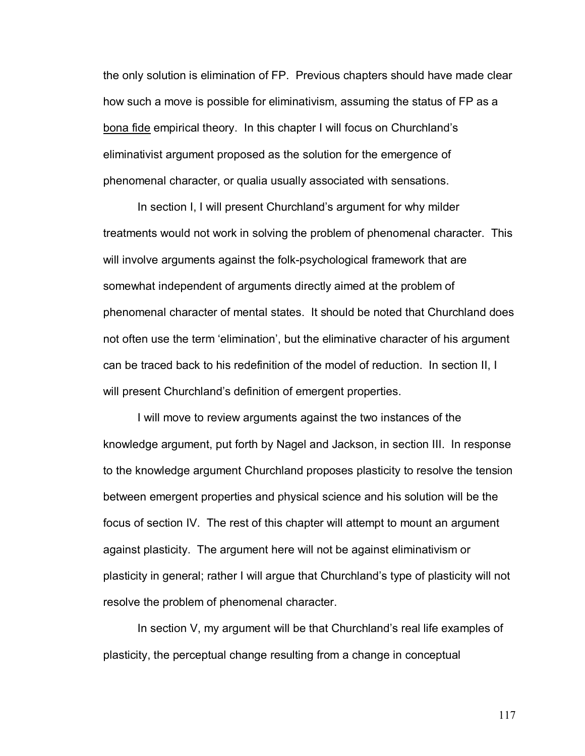the only solution is elimination of FP. Previous chapters should have made clear how such a move is possible for eliminativism, assuming the status of FP as a bona fide empirical theory. In this chapter I will focus on Churchland's eliminativist argument proposed as the solution for the emergence of phenomenal character, or qualia usually associated with sensations.

In section I, I will present Churchland's argument for why milder treatments would not work in solving the problem of phenomenal character. This will involve arguments against the folk-psychological framework that are somewhat independent of arguments directly aimed at the problem of phenomenal character of mental states. It should be noted that Churchland does not often use the term 'elimination', but the eliminative character of his argument can be traced back to his redefinition of the model of reduction. In section II, I will present Churchland's definition of emergent properties.

I will move to review arguments against the two instances of the knowledge argument, put forth by Nagel and Jackson, in section III. In response to the knowledge argument Churchland proposes plasticity to resolve the tension between emergent properties and physical science and his solution will be the focus of section IV. The rest of this chapter will attempt to mount an argument against plasticity. The argument here will not be against eliminativism or plasticity in general; rather I will argue that Churchland's type of plasticity will not resolve the problem of phenomenal character.

In section  $V$ , my argument will be that Churchland's real life examples of plasticity, the perceptual change resulting from a change in conceptual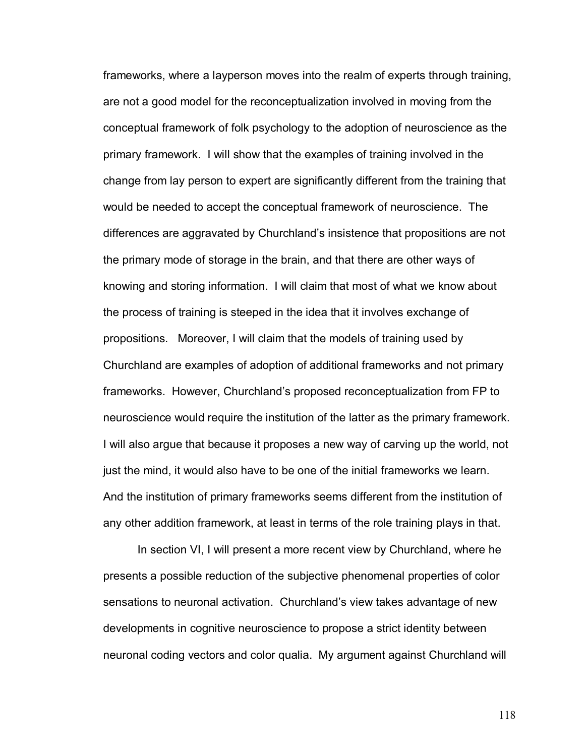frameworks, where a layperson moves into the realm of experts through training, are not a good model for the reconceptualization involved in moving from the conceptual framework of folk psychology to the adoption of neuroscience as the primary framework. I will show that the examples of training involved in the change from lay person to expert are significantly different from the training that would be needed to accept the conceptual framework of neuroscience. The differences are aggravated by Churchland's insistence that propositions are not the primary mode of storage in the brain, and that there are other ways of knowing and storing information. I will claim that most of what we know about the process of training is steeped in the idea that it involves exchange of propositions. Moreover, I will claim that the models of training used by Churchland are examples of adoption of additional frameworks and not primary frameworks. However, Churchland's proposed reconceptualization from FP to neuroscience would require the institution of the latter as the primary framework. I will also argue that because it proposes a new way of carving up the world, not just the mind, it would also have to be one of the initial frameworks we learn. And the institution of primary frameworks seems different from the institution of any other addition framework, at least in terms of the role training plays in that.

In section VI, I will present a more recent view by Churchland, where he presents a possible reduction of the subjective phenomenal properties of color sensations to neuronal activation. Churchland's view takes advantage of new developments in cognitive neuroscience to propose a strict identity between neuronal coding vectors and color qualia. My argument against Churchland will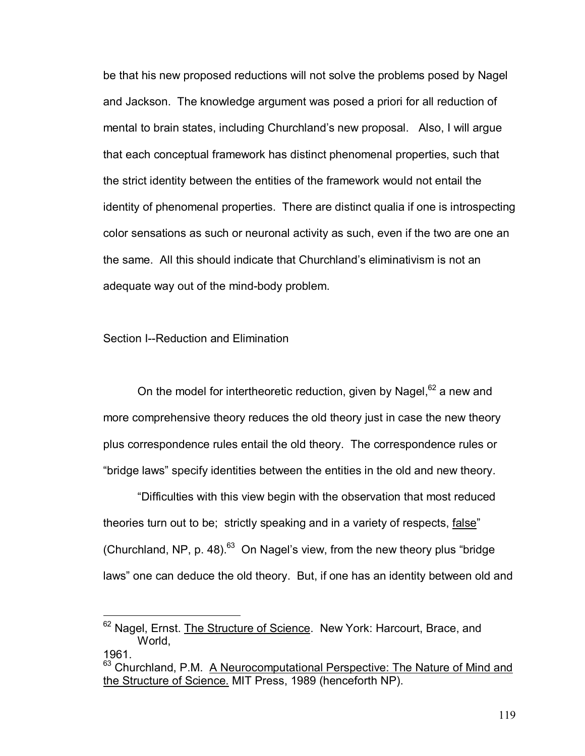be that his new proposed reductions will not solve the problems posed by Nagel and Jackson. The knowledge argument was posed a priori for all reduction of mental to brain states, including Churchlandís new proposal. Also, I will argue that each conceptual framework has distinct phenomenal properties, such that the strict identity between the entities of the framework would not entail the identity of phenomenal properties. There are distinct qualia if one is introspecting color sensations as such or neuronal activity as such, even if the two are one an the same. All this should indicate that Churchland's eliminativism is not an adequate way out of the mind-body problem.

## Section I--Reduction and Elimination

 $\overline{a}$ 

On the model for intertheoretic reduction, given by Nagel,<sup>62</sup> a new and more comprehensive theory reduces the old theory just in case the new theory plus correspondence rules entail the old theory. The correspondence rules or "bridge laws" specify identities between the entities in the old and new theory.

ìDifficulties with this view begin with the observation that most reduced theories turn out to be; strictly speaking and in a variety of respects, false" (Churchland, NP, p. 48). $^{63}$  On Nagel's view, from the new theory plus "bridge laws" one can deduce the old theory. But, if one has an identity between old and

<sup>&</sup>lt;sup>62</sup> Nagel, Ernst. The Structure of Science. New York: Harcourt, Brace, and World, 1961.

<sup>&</sup>lt;sup>63</sup> Churchland, P.M. A Neurocomputational Perspective: The Nature of Mind and the Structure of Science. MIT Press, 1989 (henceforth NP).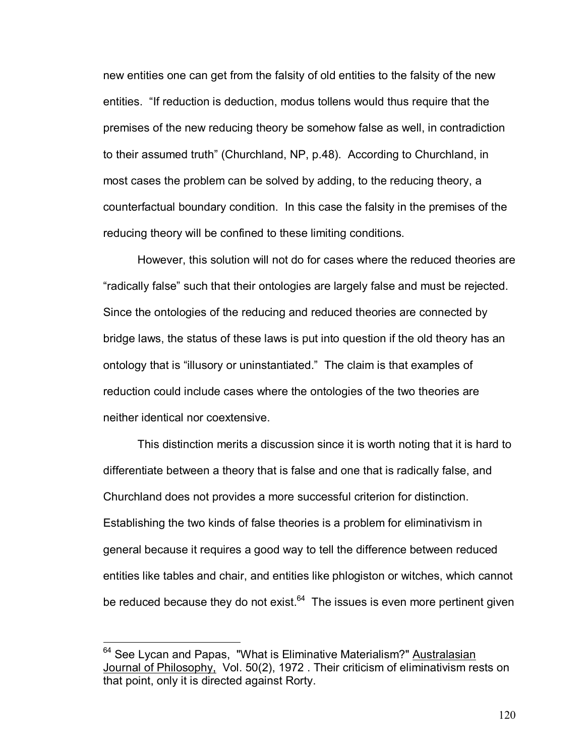new entities one can get from the falsity of old entities to the falsity of the new entities. "If reduction is deduction, modus tollens would thus require that the premises of the new reducing theory be somehow false as well, in contradiction to their assumed truth" (Churchland, NP, p.48). According to Churchland, in most cases the problem can be solved by adding, to the reducing theory, a counterfactual boundary condition. In this case the falsity in the premises of the reducing theory will be confined to these limiting conditions.

However, this solution will not do for cases where the reduced theories are ìradically falseî such that their ontologies are largely false and must be rejected. Since the ontologies of the reducing and reduced theories are connected by bridge laws, the status of these laws is put into question if the old theory has an ontology that is "illusory or uninstantiated." The claim is that examples of reduction could include cases where the ontologies of the two theories are neither identical nor coextensive.

This distinction merits a discussion since it is worth noting that it is hard to differentiate between a theory that is false and one that is radically false, and Churchland does not provides a more successful criterion for distinction. Establishing the two kinds of false theories is a problem for eliminativism in general because it requires a good way to tell the difference between reduced entities like tables and chair, and entities like phlogiston or witches, which cannot be reduced because they do not exist. $64$  The issues is even more pertinent given

 $\overline{a}$ 

<sup>&</sup>lt;sup>64</sup> See Lycan and Papas, "What is Eliminative Materialism?" Australasian Journal of Philosophy, Vol. 50(2), 1972 . Their criticism of eliminativism rests on that point, only it is directed against Rorty.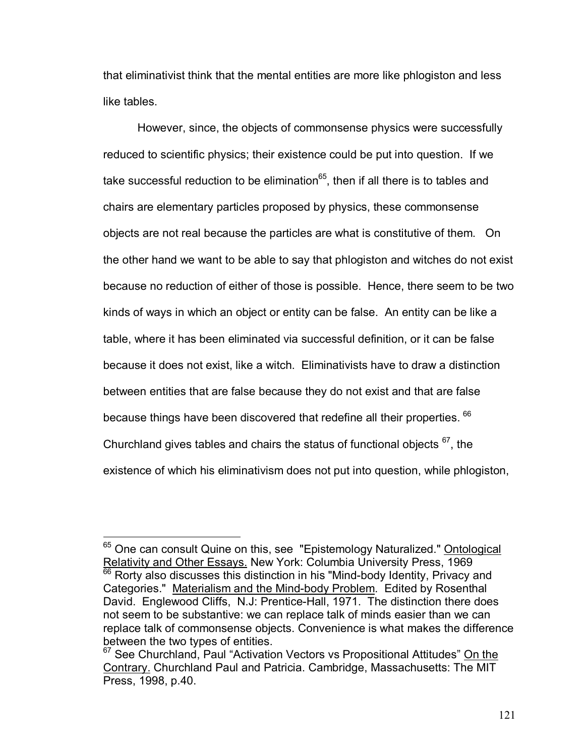that eliminativist think that the mental entities are more like phlogiston and less like tables.

However, since, the objects of commonsense physics were successfully reduced to scientific physics; their existence could be put into question. If we take successful reduction to be elimination $^{65}$ , then if all there is to tables and chairs are elementary particles proposed by physics, these commonsense objects are not real because the particles are what is constitutive of them. On the other hand we want to be able to say that phlogiston and witches do not exist because no reduction of either of those is possible. Hence, there seem to be two kinds of ways in which an object or entity can be false. An entity can be like a table, where it has been eliminated via successful definition, or it can be false because it does not exist, like a witch. Eliminativists have to draw a distinction between entities that are false because they do not exist and that are false because things have been discovered that redefine all their properties. <sup>66</sup> Churchland gives tables and chairs the status of functional objects  $67$ , the existence of which his eliminativism does not put into question, while phlogiston,

<sup>&</sup>lt;sup>65</sup> One can consult Quine on this, see "Epistemology Naturalized." **Ontological** Relativity and Other Essays. New York: Columbia University Press, 1969

 $\frac{66}{66}$  Rorty also discusses this distinction in his "Mind-body Identity, Privacy and Categories." Materialism and the Mind-body Problem. Edited by Rosenthal David. Englewood Cliffs, N.J: Prentice-Hall, 1971. The distinction there does not seem to be substantive: we can replace talk of minds easier than we can replace talk of commonsense objects. Convenience is what makes the difference between the two types of entities.

 $67$  See Churchland, Paul "Activation Vectors vs Propositional Attitudes" On the Contrary. Churchland Paul and Patricia. Cambridge, Massachusetts: The MIT Press, 1998, p.40.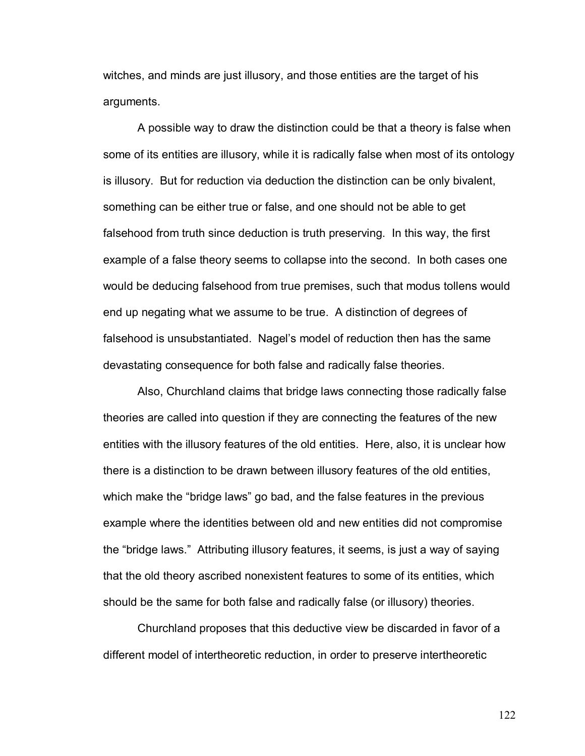witches, and minds are just illusory, and those entities are the target of his arguments.

A possible way to draw the distinction could be that a theory is false when some of its entities are illusory, while it is radically false when most of its ontology is illusory. But for reduction via deduction the distinction can be only bivalent, something can be either true or false, and one should not be able to get falsehood from truth since deduction is truth preserving. In this way, the first example of a false theory seems to collapse into the second. In both cases one would be deducing falsehood from true premises, such that modus tollens would end up negating what we assume to be true. A distinction of degrees of falsehood is unsubstantiated. Nagel's model of reduction then has the same devastating consequence for both false and radically false theories.

Also, Churchland claims that bridge laws connecting those radically false theories are called into question if they are connecting the features of the new entities with the illusory features of the old entities. Here, also, it is unclear how there is a distinction to be drawn between illusory features of the old entities, which make the "bridge laws" go bad, and the false features in the previous example where the identities between old and new entities did not compromise the "bridge laws." Attributing illusory features, it seems, is just a way of saying that the old theory ascribed nonexistent features to some of its entities, which should be the same for both false and radically false (or illusory) theories.

Churchland proposes that this deductive view be discarded in favor of a different model of intertheoretic reduction, in order to preserve intertheoretic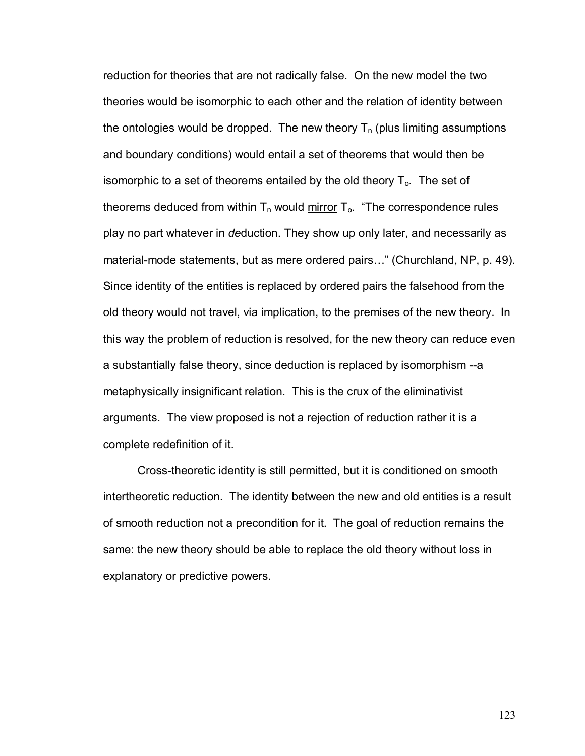reduction for theories that are not radically false. On the new model the two theories would be isomorphic to each other and the relation of identity between the ontologies would be dropped. The new theory  $T_n$  (plus limiting assumptions and boundary conditions) would entail a set of theorems that would then be isomorphic to a set of theorems entailed by the old theory  $T_0$ . The set of theorems deduced from within  $T_n$  would mirror  $T_0$ . "The correspondence rules play no part whatever in *de*duction. They show up only later, and necessarily as material-mode statements, but as mere ordered pairs..." (Churchland, NP, p. 49). Since identity of the entities is replaced by ordered pairs the falsehood from the old theory would not travel, via implication, to the premises of the new theory. In this way the problem of reduction is resolved, for the new theory can reduce even a substantially false theory, since deduction is replaced by isomorphism --a metaphysically insignificant relation. This is the crux of the eliminativist arguments. The view proposed is not a rejection of reduction rather it is a complete redefinition of it.

Cross-theoretic identity is still permitted, but it is conditioned on smooth intertheoretic reduction. The identity between the new and old entities is a result of smooth reduction not a precondition for it. The goal of reduction remains the same: the new theory should be able to replace the old theory without loss in explanatory or predictive powers.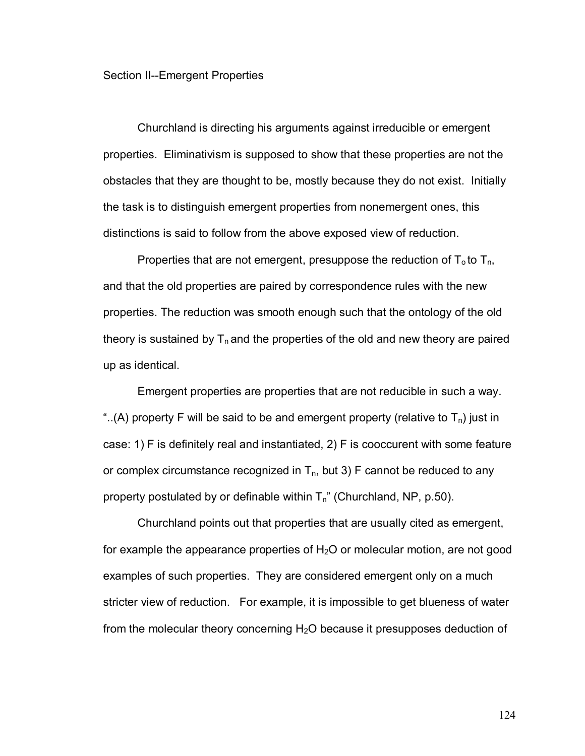## Section II--Emergent Properties

Churchland is directing his arguments against irreducible or emergent properties. Eliminativism is supposed to show that these properties are not the obstacles that they are thought to be, mostly because they do not exist. Initially the task is to distinguish emergent properties from nonemergent ones, this distinctions is said to follow from the above exposed view of reduction.

Properties that are not emergent, presuppose the reduction of  $T_0$  to  $T_n$ , and that the old properties are paired by correspondence rules with the new properties. The reduction was smooth enough such that the ontology of the old theory is sustained by  $T_n$  and the properties of the old and new theory are paired up as identical.

Emergent properties are properties that are not reducible in such a way. "..(A) property F will be said to be and emergent property (relative to  $T_n$ ) just in case: 1) F is definitely real and instantiated, 2) F is cooccurent with some feature or complex circumstance recognized in  $T_n$ , but 3) F cannot be reduced to any property postulated by or definable within  $T_n$ " (Churchland, NP, p.50).

Churchland points out that properties that are usually cited as emergent, for example the appearance properties of  $H_2O$  or molecular motion, are not good examples of such properties. They are considered emergent only on a much stricter view of reduction. For example, it is impossible to get blueness of water from the molecular theory concerning  $H<sub>2</sub>O$  because it presupposes deduction of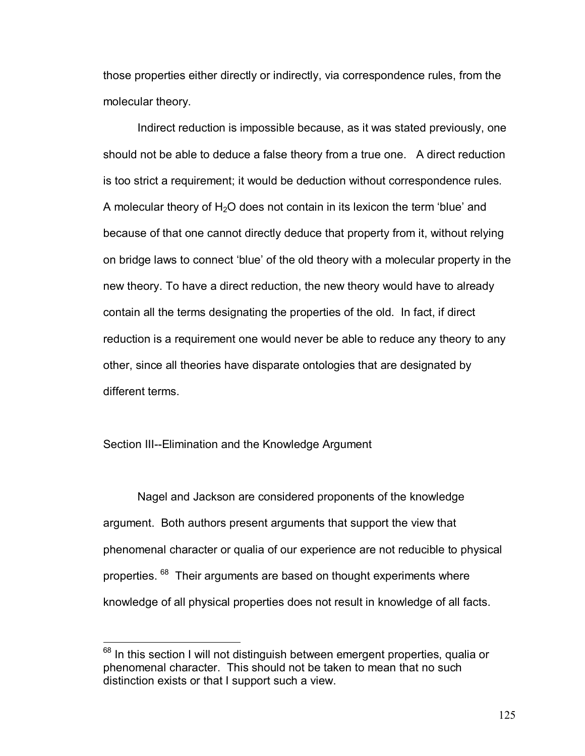those properties either directly or indirectly, via correspondence rules, from the molecular theory.

Indirect reduction is impossible because, as it was stated previously, one should not be able to deduce a false theory from a true one. A direct reduction is too strict a requirement; it would be deduction without correspondence rules. A molecular theory of  $H_2O$  does not contain in its lexicon the term 'blue' and because of that one cannot directly deduce that property from it, without relying on bridge laws to connect 'blue' of the old theory with a molecular property in the new theory. To have a direct reduction, the new theory would have to already contain all the terms designating the properties of the old. In fact, if direct reduction is a requirement one would never be able to reduce any theory to any other, since all theories have disparate ontologies that are designated by different terms.

## Section III--Elimination and the Knowledge Argument

 $\overline{a}$ 

Nagel and Jackson are considered proponents of the knowledge argument. Both authors present arguments that support the view that phenomenal character or qualia of our experience are not reducible to physical properties. <sup>68</sup> Their arguments are based on thought experiments where knowledge of all physical properties does not result in knowledge of all facts.

 $68$  In this section I will not distinguish between emergent properties, qualia or phenomenal character. This should not be taken to mean that no such distinction exists or that I support such a view.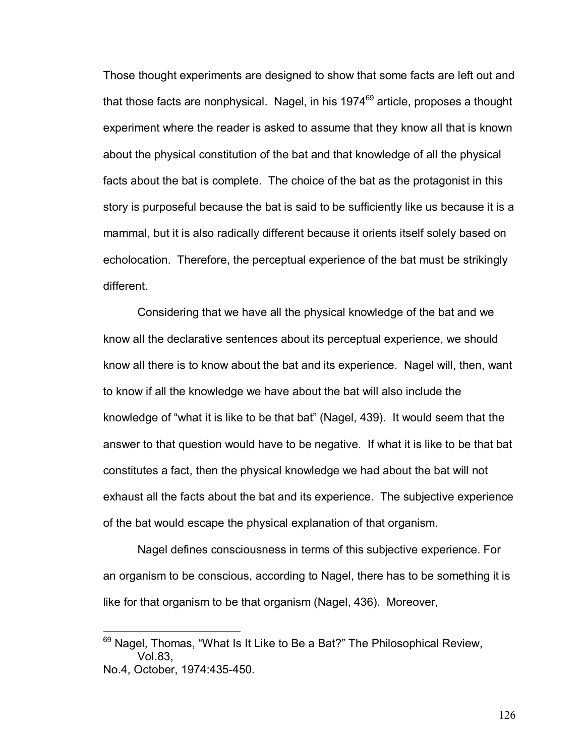Those thought experiments are designed to show that some facts are left out and that those facts are nonphysical. Nagel, in his  $1974<sup>69</sup>$  article, proposes a thought experiment where the reader is asked to assume that they know all that is known about the physical constitution of the bat and that knowledge of all the physical facts about the bat is complete. The choice of the bat as the protagonist in this story is purposeful because the bat is said to be sufficiently like us because it is a mammal, but it is also radically different because it orients itself solely based on echolocation. Therefore, the perceptual experience of the bat must be strikingly different.

Considering that we have all the physical knowledge of the bat and we know all the declarative sentences about its perceptual experience, we should know all there is to know about the bat and its experience. Nagel will, then, want to know if all the knowledge we have about the bat will also include the knowledge of "what it is like to be that bat" (Nagel, 439). It would seem that the answer to that question would have to be negative. If what it is like to be that bat constitutes a fact, then the physical knowledge we had about the bat will not exhaust all the facts about the bat and its experience. The subjective experience of the bat would escape the physical explanation of that organism.

Nagel defines consciousness in terms of this subjective experience. For an organism to be conscious, according to Nagel, there has to be something it is like for that organism to be that organism (Nagel, 436). Moreover,

 $\overline{a}$ 

 $69$  Nagel, Thomas, "What Is It Like to Be a Bat?" The Philosophical Review, Vol.83, No.4, October, 1974:435-450.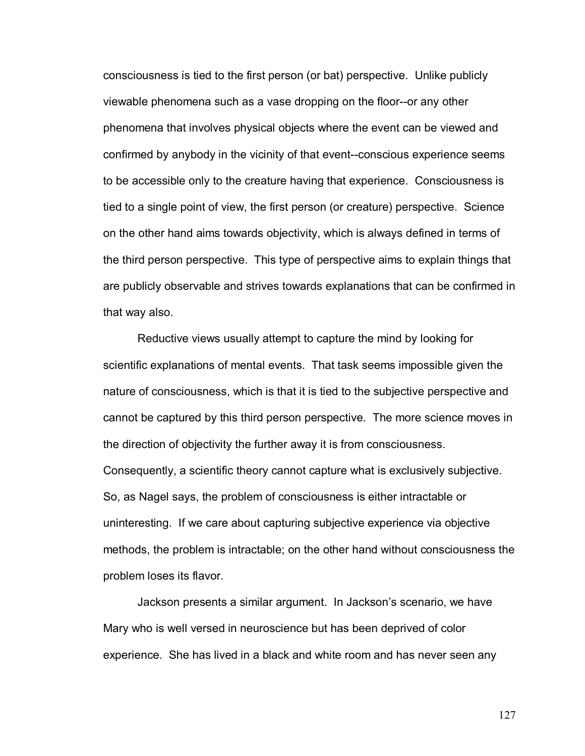consciousness is tied to the first person (or bat) perspective. Unlike publicly viewable phenomena such as a vase dropping on the floor--or any other phenomena that involves physical objects where the event can be viewed and confirmed by anybody in the vicinity of that event--conscious experience seems to be accessible only to the creature having that experience. Consciousness is tied to a single point of view, the first person (or creature) perspective. Science on the other hand aims towards objectivity, which is always defined in terms of the third person perspective. This type of perspective aims to explain things that are publicly observable and strives towards explanations that can be confirmed in that way also.

Reductive views usually attempt to capture the mind by looking for scientific explanations of mental events. That task seems impossible given the nature of consciousness, which is that it is tied to the subjective perspective and cannot be captured by this third person perspective. The more science moves in the direction of objectivity the further away it is from consciousness. Consequently, a scientific theory cannot capture what is exclusively subjective. So, as Nagel says, the problem of consciousness is either intractable or uninteresting. If we care about capturing subjective experience via objective methods, the problem is intractable; on the other hand without consciousness the problem loses its flavor.

Jackson presents a similar argument. In Jacksonís scenario, we have Mary who is well versed in neuroscience but has been deprived of color experience. She has lived in a black and white room and has never seen any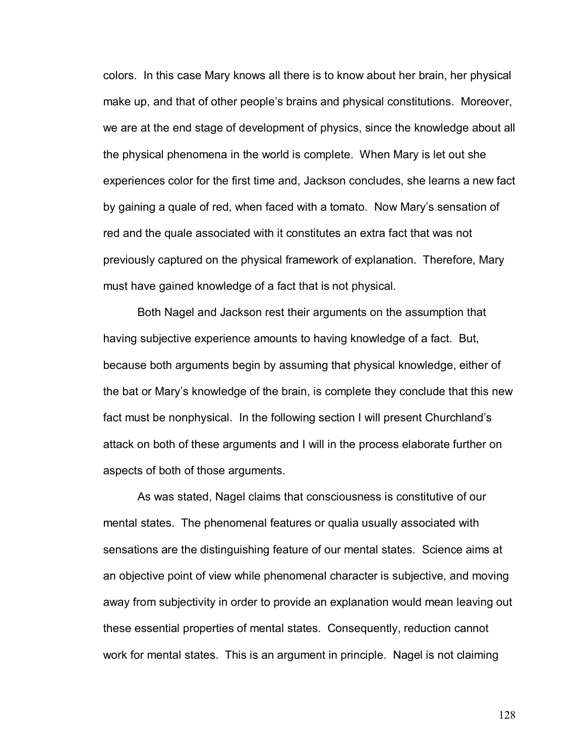colors. In this case Mary knows all there is to know about her brain, her physical make up, and that of other peopleís brains and physical constitutions. Moreover, we are at the end stage of development of physics, since the knowledge about all the physical phenomena in the world is complete. When Mary is let out she experiences color for the first time and, Jackson concludes, she learns a new fact by gaining a quale of red, when faced with a tomato. Now Mary's sensation of red and the quale associated with it constitutes an extra fact that was not previously captured on the physical framework of explanation. Therefore, Mary must have gained knowledge of a fact that is not physical.

Both Nagel and Jackson rest their arguments on the assumption that having subjective experience amounts to having knowledge of a fact. But, because both arguments begin by assuming that physical knowledge, either of the bat or Maryís knowledge of the brain, is complete they conclude that this new fact must be nonphysical. In the following section I will present Churchlandís attack on both of these arguments and I will in the process elaborate further on aspects of both of those arguments.

As was stated, Nagel claims that consciousness is constitutive of our mental states. The phenomenal features or qualia usually associated with sensations are the distinguishing feature of our mental states. Science aims at an objective point of view while phenomenal character is subjective, and moving away from subjectivity in order to provide an explanation would mean leaving out these essential properties of mental states. Consequently, reduction cannot work for mental states. This is an argument in principle. Nagel is not claiming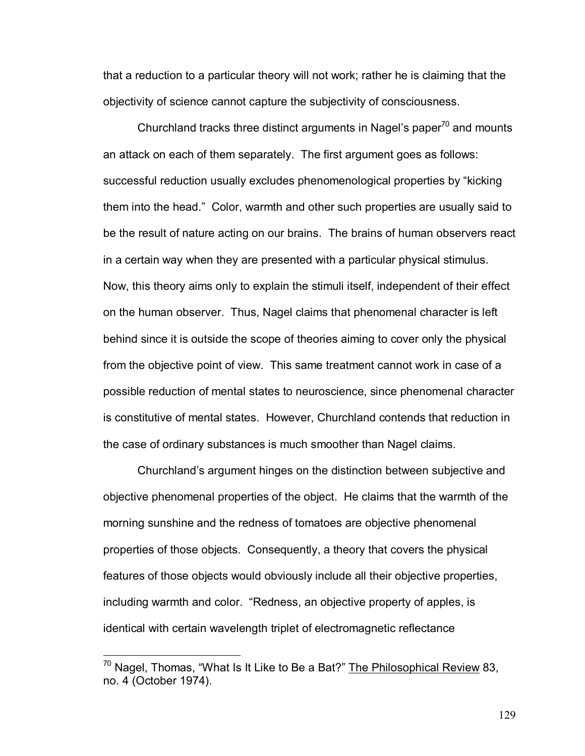that a reduction to a particular theory will not work; rather he is claiming that the objectivity of science cannot capture the subjectivity of consciousness.

Churchland tracks three distinct arguments in Nagel's paper $70$  and mounts an attack on each of them separately. The first argument goes as follows: successful reduction usually excludes phenomenological properties by "kicking" them into the head.î Color, warmth and other such properties are usually said to be the result of nature acting on our brains. The brains of human observers react in a certain way when they are presented with a particular physical stimulus. Now, this theory aims only to explain the stimuli itself, independent of their effect on the human observer. Thus, Nagel claims that phenomenal character is left behind since it is outside the scope of theories aiming to cover only the physical from the objective point of view. This same treatment cannot work in case of a possible reduction of mental states to neuroscience, since phenomenal character is constitutive of mental states. However, Churchland contends that reduction in the case of ordinary substances is much smoother than Nagel claims.

Churchlandís argument hinges on the distinction between subjective and objective phenomenal properties of the object. He claims that the warmth of the morning sunshine and the redness of tomatoes are objective phenomenal properties of those objects. Consequently, a theory that covers the physical features of those objects would obviously include all their objective properties, including warmth and color. "Redness, an objective property of apples, is identical with certain wavelength triplet of electromagnetic reflectance

 $^{70}$  Nagel, Thomas, "What Is It Like to Be a Bat?" The Philosophical Review 83, no. 4 (October 1974).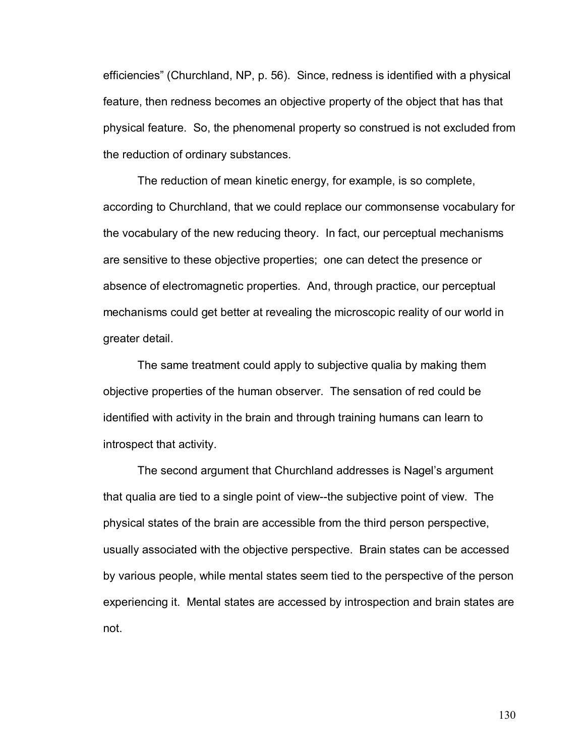efficienciesî (Churchland, NP, p. 56). Since, redness is identified with a physical feature, then redness becomes an objective property of the object that has that physical feature. So, the phenomenal property so construed is not excluded from the reduction of ordinary substances.

The reduction of mean kinetic energy, for example, is so complete, according to Churchland, that we could replace our commonsense vocabulary for the vocabulary of the new reducing theory. In fact, our perceptual mechanisms are sensitive to these objective properties; one can detect the presence or absence of electromagnetic properties. And, through practice, our perceptual mechanisms could get better at revealing the microscopic reality of our world in greater detail.

The same treatment could apply to subjective qualia by making them objective properties of the human observer. The sensation of red could be identified with activity in the brain and through training humans can learn to introspect that activity.

The second argument that Churchland addresses is Nagel's argument that qualia are tied to a single point of view--the subjective point of view. The physical states of the brain are accessible from the third person perspective, usually associated with the objective perspective. Brain states can be accessed by various people, while mental states seem tied to the perspective of the person experiencing it. Mental states are accessed by introspection and brain states are not.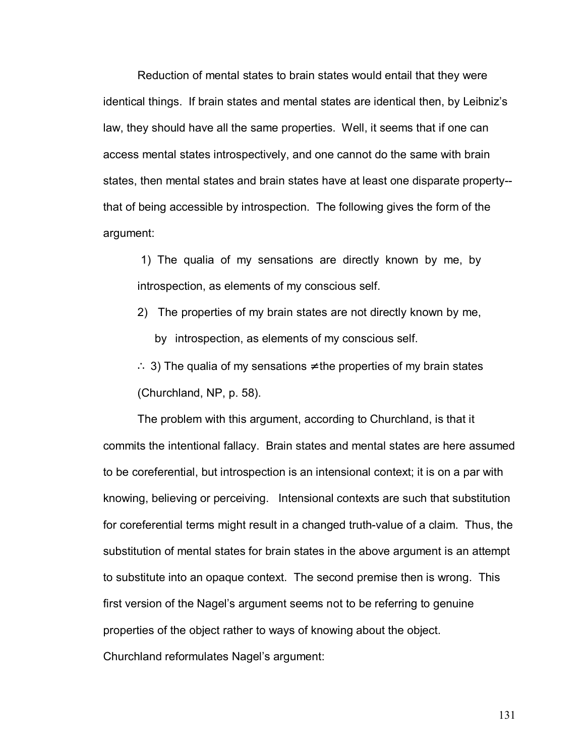Reduction of mental states to brain states would entail that they were identical things. If brain states and mental states are identical then, by Leibnizís law, they should have all the same properties. Well, it seems that if one can access mental states introspectively, and one cannot do the same with brain states, then mental states and brain states have at least one disparate property- that of being accessible by introspection. The following gives the form of the argument:

 1) The qualia of my sensations are directly known by me, by introspection, as elements of my conscious self.

2) The properties of my brain states are not directly known by me, by introspection, as elements of my conscious self.

∴ 3) The qualia of my sensations  $\neq$  the properties of my brain states (Churchland, NP, p. 58).

The problem with this argument, according to Churchland, is that it commits the intentional fallacy. Brain states and mental states are here assumed to be coreferential, but introspection is an intensional context; it is on a par with knowing, believing or perceiving. Intensional contexts are such that substitution for coreferential terms might result in a changed truth-value of a claim. Thus, the substitution of mental states for brain states in the above argument is an attempt to substitute into an opaque context. The second premise then is wrong. This first version of the Nagel's argument seems not to be referring to genuine properties of the object rather to ways of knowing about the object. Churchland reformulates Nagel's argument: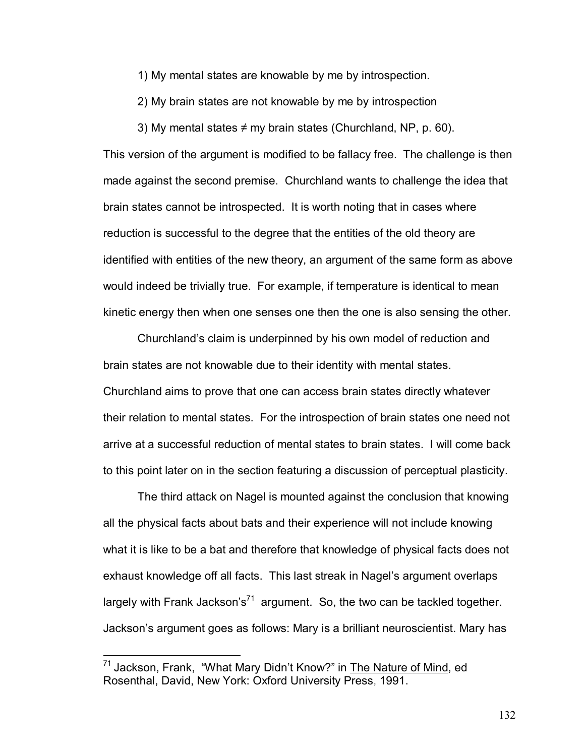1) My mental states are knowable by me by introspection.

2) My brain states are not knowable by me by introspection

3) My mental states  $\neq$  my brain states (Churchland, NP, p. 60).

This version of the argument is modified to be fallacy free. The challenge is then made against the second premise. Churchland wants to challenge the idea that brain states cannot be introspected. It is worth noting that in cases where reduction is successful to the degree that the entities of the old theory are identified with entities of the new theory, an argument of the same form as above would indeed be trivially true. For example, if temperature is identical to mean kinetic energy then when one senses one then the one is also sensing the other.

Churchland's claim is underpinned by his own model of reduction and brain states are not knowable due to their identity with mental states. Churchland aims to prove that one can access brain states directly whatever their relation to mental states. For the introspection of brain states one need not arrive at a successful reduction of mental states to brain states. I will come back to this point later on in the section featuring a discussion of perceptual plasticity.

The third attack on Nagel is mounted against the conclusion that knowing all the physical facts about bats and their experience will not include knowing what it is like to be a bat and therefore that knowledge of physical facts does not exhaust knowledge off all facts. This last streak in Nagel's argument overlaps largely with Frank Jackson's<sup>71</sup> argument. So, the two can be tackled together. Jacksonís argument goes as follows: Mary is a brilliant neuroscientist. Mary has

 $71$  Jackson, Frank, "What Mary Didn't Know?" in The Nature of Mind, ed Rosenthal, David, New York: Oxford University Press, 1991.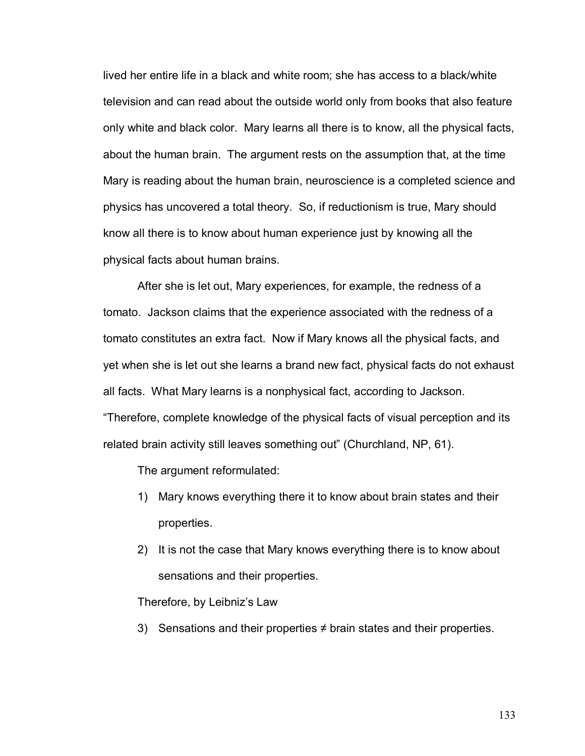lived her entire life in a black and white room; she has access to a black/white television and can read about the outside world only from books that also feature only white and black color. Mary learns all there is to know, all the physical facts, about the human brain. The argument rests on the assumption that, at the time Mary is reading about the human brain, neuroscience is a completed science and physics has uncovered a total theory. So, if reductionism is true, Mary should know all there is to know about human experience just by knowing all the physical facts about human brains.

After she is let out, Mary experiences, for example, the redness of a tomato. Jackson claims that the experience associated with the redness of a tomato constitutes an extra fact. Now if Mary knows all the physical facts, and yet when she is let out she learns a brand new fact, physical facts do not exhaust all facts. What Mary learns is a nonphysical fact, according to Jackson. ìTherefore, complete knowledge of the physical facts of visual perception and its related brain activity still leaves something out" (Churchland, NP, 61).

The argument reformulated:

- 1) Mary knows everything there it to know about brain states and their properties.
- 2) It is not the case that Mary knows everything there is to know about sensations and their properties.

Therefore, by Leibniz's Law

3) Sensations and their properties  $\neq$  brain states and their properties.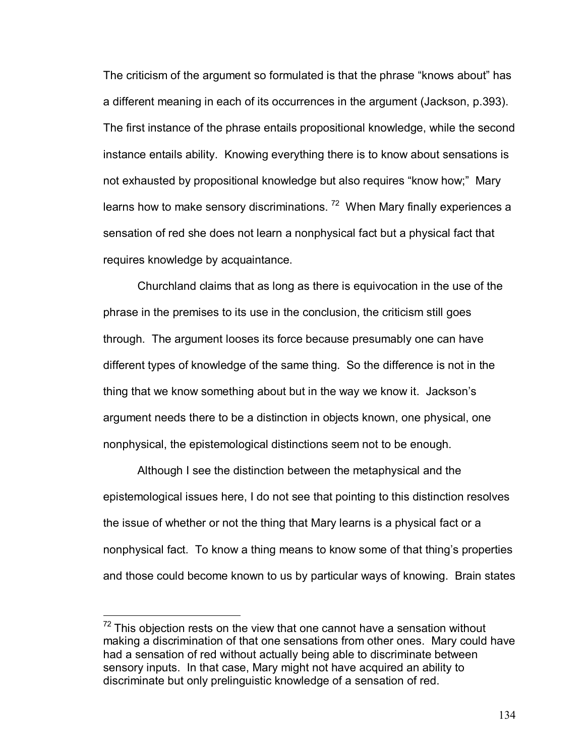The criticism of the argument so formulated is that the phrase "knows about" has a different meaning in each of its occurrences in the argument (Jackson, p.393). The first instance of the phrase entails propositional knowledge, while the second instance entails ability. Knowing everything there is to know about sensations is not exhausted by propositional knowledge but also requires "know how;" Mary learns how to make sensory discriminations.  $72$  When Mary finally experiences a sensation of red she does not learn a nonphysical fact but a physical fact that requires knowledge by acquaintance.

 Churchland claims that as long as there is equivocation in the use of the phrase in the premises to its use in the conclusion, the criticism still goes through. The argument looses its force because presumably one can have different types of knowledge of the same thing. So the difference is not in the thing that we know something about but in the way we know it. Jacksonís argument needs there to be a distinction in objects known, one physical, one nonphysical, the epistemological distinctions seem not to be enough.

 Although I see the distinction between the metaphysical and the epistemological issues here, I do not see that pointing to this distinction resolves the issue of whether or not the thing that Mary learns is a physical fact or a nonphysical fact. To know a thing means to know some of that thing's properties and those could become known to us by particular ways of knowing. Brain states

 $72$  This objection rests on the view that one cannot have a sensation without making a discrimination of that one sensations from other ones. Mary could have had a sensation of red without actually being able to discriminate between sensory inputs. In that case, Mary might not have acquired an ability to discriminate but only prelinguistic knowledge of a sensation of red.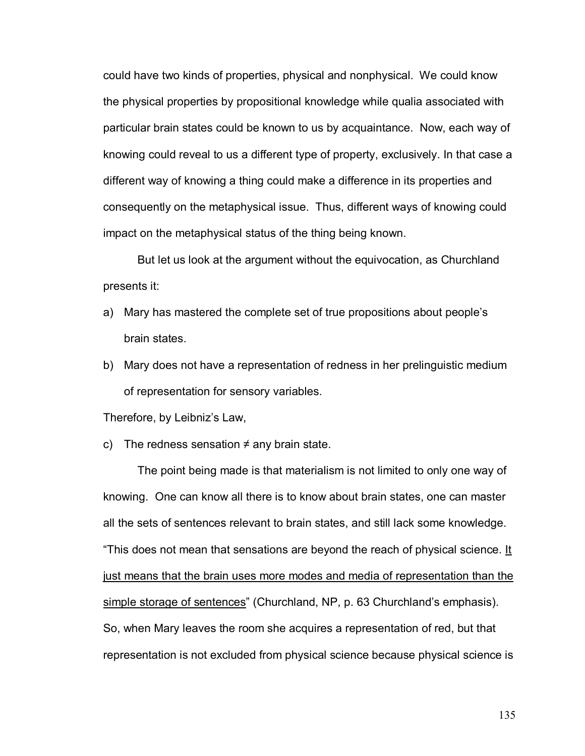could have two kinds of properties, physical and nonphysical. We could know the physical properties by propositional knowledge while qualia associated with particular brain states could be known to us by acquaintance. Now, each way of knowing could reveal to us a different type of property, exclusively. In that case a different way of knowing a thing could make a difference in its properties and consequently on the metaphysical issue. Thus, different ways of knowing could impact on the metaphysical status of the thing being known.

 But let us look at the argument without the equivocation, as Churchland presents it:

- a) Mary has mastered the complete set of true propositions about people's brain states.
- b) Mary does not have a representation of redness in her prelinguistic medium of representation for sensory variables.

Therefore, by Leibniz's Law,

c) The redness sensation  $\neq$  any brain state.

The point being made is that materialism is not limited to only one way of knowing. One can know all there is to know about brain states, one can master all the sets of sentences relevant to brain states, and still lack some knowledge. "This does not mean that sensations are beyond the reach of physical science. It just means that the brain uses more modes and media of representation than the simple storage of sentences<sup>"</sup> (Churchland, NP, p. 63 Churchland's emphasis). So, when Mary leaves the room she acquires a representation of red, but that representation is not excluded from physical science because physical science is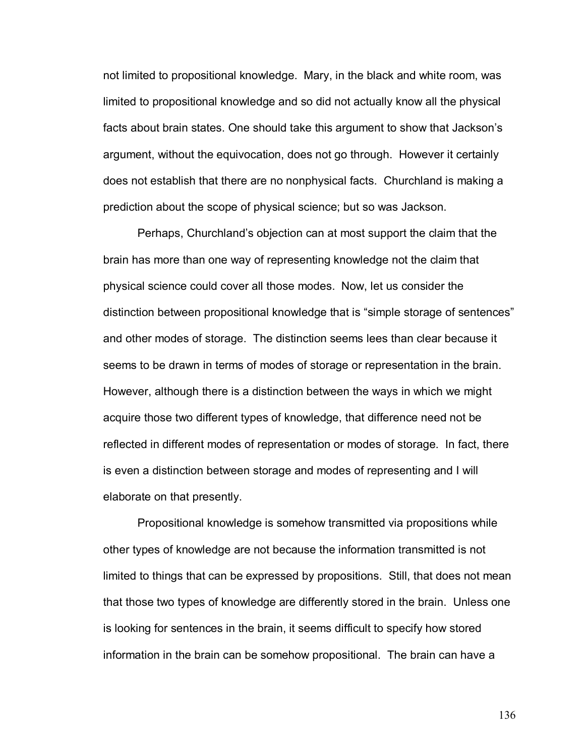not limited to propositional knowledge. Mary, in the black and white room, was limited to propositional knowledge and so did not actually know all the physical facts about brain states. One should take this argument to show that Jackson's argument, without the equivocation, does not go through. However it certainly does not establish that there are no nonphysical facts. Churchland is making a prediction about the scope of physical science; but so was Jackson.

Perhaps, Churchlandís objection can at most support the claim that the brain has more than one way of representing knowledge not the claim that physical science could cover all those modes. Now, let us consider the distinction between propositional knowledge that is "simple storage of sentences" and other modes of storage. The distinction seems lees than clear because it seems to be drawn in terms of modes of storage or representation in the brain. However, although there is a distinction between the ways in which we might acquire those two different types of knowledge, that difference need not be reflected in different modes of representation or modes of storage. In fact, there is even a distinction between storage and modes of representing and I will elaborate on that presently.

Propositional knowledge is somehow transmitted via propositions while other types of knowledge are not because the information transmitted is not limited to things that can be expressed by propositions. Still, that does not mean that those two types of knowledge are differently stored in the brain. Unless one is looking for sentences in the brain, it seems difficult to specify how stored information in the brain can be somehow propositional. The brain can have a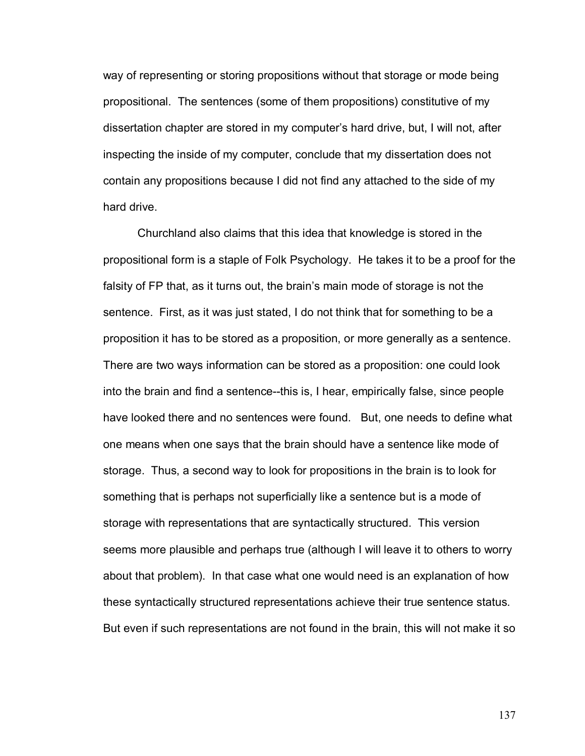way of representing or storing propositions without that storage or mode being propositional. The sentences (some of them propositions) constitutive of my dissertation chapter are stored in my computer's hard drive, but, I will not, after inspecting the inside of my computer, conclude that my dissertation does not contain any propositions because I did not find any attached to the side of my hard drive.

Churchland also claims that this idea that knowledge is stored in the propositional form is a staple of Folk Psychology. He takes it to be a proof for the falsity of FP that, as it turns out, the brain's main mode of storage is not the sentence. First, as it was just stated, I do not think that for something to be a proposition it has to be stored as a proposition, or more generally as a sentence. There are two ways information can be stored as a proposition: one could look into the brain and find a sentence--this is, I hear, empirically false, since people have looked there and no sentences were found. But, one needs to define what one means when one says that the brain should have a sentence like mode of storage. Thus, a second way to look for propositions in the brain is to look for something that is perhaps not superficially like a sentence but is a mode of storage with representations that are syntactically structured. This version seems more plausible and perhaps true (although I will leave it to others to worry about that problem). In that case what one would need is an explanation of how these syntactically structured representations achieve their true sentence status. But even if such representations are not found in the brain, this will not make it so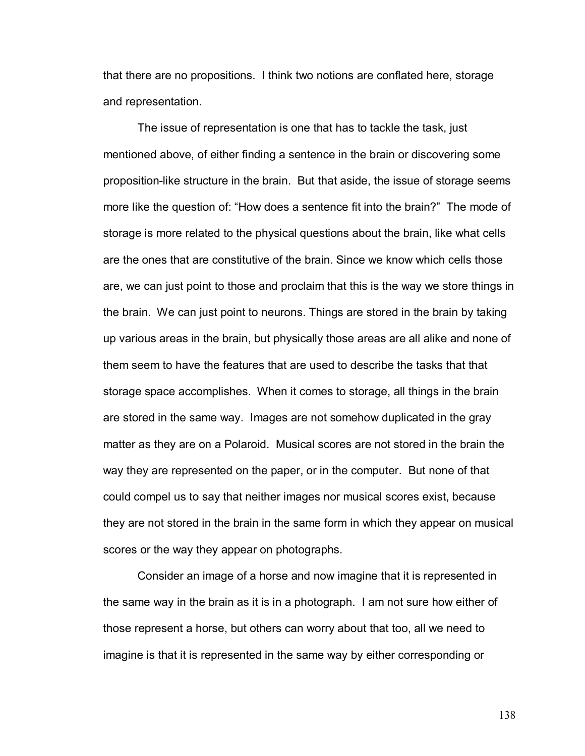that there are no propositions. I think two notions are conflated here, storage and representation.

The issue of representation is one that has to tackle the task, just mentioned above, of either finding a sentence in the brain or discovering some proposition-like structure in the brain. But that aside, the issue of storage seems more like the question of: "How does a sentence fit into the brain?" The mode of storage is more related to the physical questions about the brain, like what cells are the ones that are constitutive of the brain. Since we know which cells those are, we can just point to those and proclaim that this is the way we store things in the brain. We can just point to neurons. Things are stored in the brain by taking up various areas in the brain, but physically those areas are all alike and none of them seem to have the features that are used to describe the tasks that that storage space accomplishes. When it comes to storage, all things in the brain are stored in the same way. Images are not somehow duplicated in the gray matter as they are on a Polaroid. Musical scores are not stored in the brain the way they are represented on the paper, or in the computer. But none of that could compel us to say that neither images nor musical scores exist, because they are not stored in the brain in the same form in which they appear on musical scores or the way they appear on photographs.

Consider an image of a horse and now imagine that it is represented in the same way in the brain as it is in a photograph. I am not sure how either of those represent a horse, but others can worry about that too, all we need to imagine is that it is represented in the same way by either corresponding or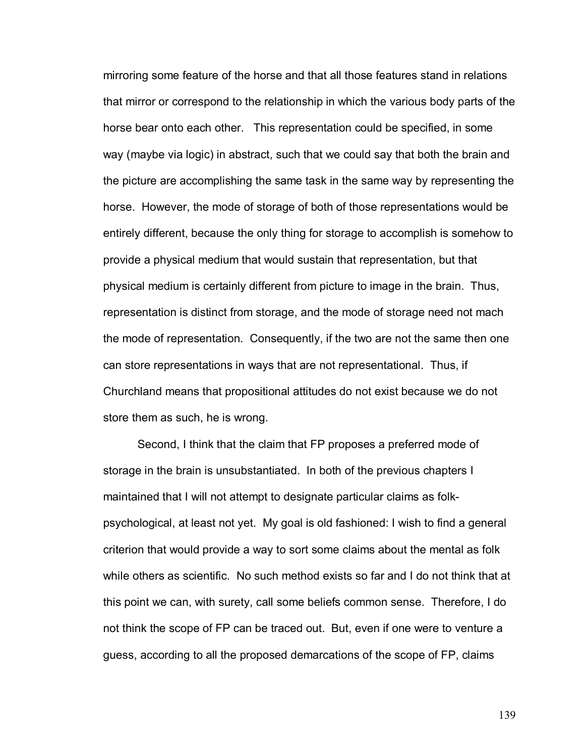mirroring some feature of the horse and that all those features stand in relations that mirror or correspond to the relationship in which the various body parts of the horse bear onto each other. This representation could be specified, in some way (maybe via logic) in abstract, such that we could say that both the brain and the picture are accomplishing the same task in the same way by representing the horse. However, the mode of storage of both of those representations would be entirely different, because the only thing for storage to accomplish is somehow to provide a physical medium that would sustain that representation, but that physical medium is certainly different from picture to image in the brain. Thus, representation is distinct from storage, and the mode of storage need not mach the mode of representation. Consequently, if the two are not the same then one can store representations in ways that are not representational. Thus, if Churchland means that propositional attitudes do not exist because we do not store them as such, he is wrong.

Second, I think that the claim that FP proposes a preferred mode of storage in the brain is unsubstantiated. In both of the previous chapters I maintained that I will not attempt to designate particular claims as folkpsychological, at least not yet. My goal is old fashioned: I wish to find a general criterion that would provide a way to sort some claims about the mental as folk while others as scientific. No such method exists so far and I do not think that at this point we can, with surety, call some beliefs common sense. Therefore, I do not think the scope of FP can be traced out. But, even if one were to venture a guess, according to all the proposed demarcations of the scope of FP, claims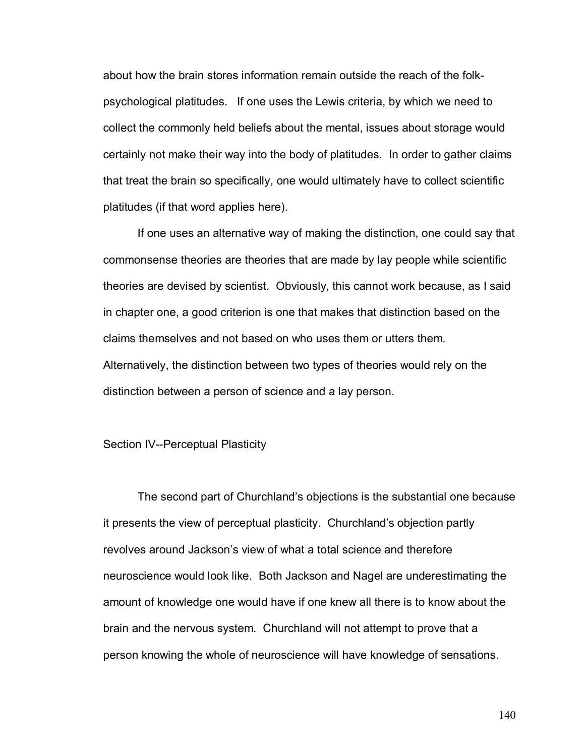about how the brain stores information remain outside the reach of the folkpsychological platitudes. If one uses the Lewis criteria, by which we need to collect the commonly held beliefs about the mental, issues about storage would certainly not make their way into the body of platitudes. In order to gather claims that treat the brain so specifically, one would ultimately have to collect scientific platitudes (if that word applies here).

If one uses an alternative way of making the distinction, one could say that commonsense theories are theories that are made by lay people while scientific theories are devised by scientist. Obviously, this cannot work because, as I said in chapter one, a good criterion is one that makes that distinction based on the claims themselves and not based on who uses them or utters them. Alternatively, the distinction between two types of theories would rely on the distinction between a person of science and a lay person.

## Section IV--Perceptual Plasticity

The second part of Churchland's objections is the substantial one because it presents the view of perceptual plasticity. Churchland's objection partly revolves around Jacksonís view of what a total science and therefore neuroscience would look like. Both Jackson and Nagel are underestimating the amount of knowledge one would have if one knew all there is to know about the brain and the nervous system. Churchland will not attempt to prove that a person knowing the whole of neuroscience will have knowledge of sensations.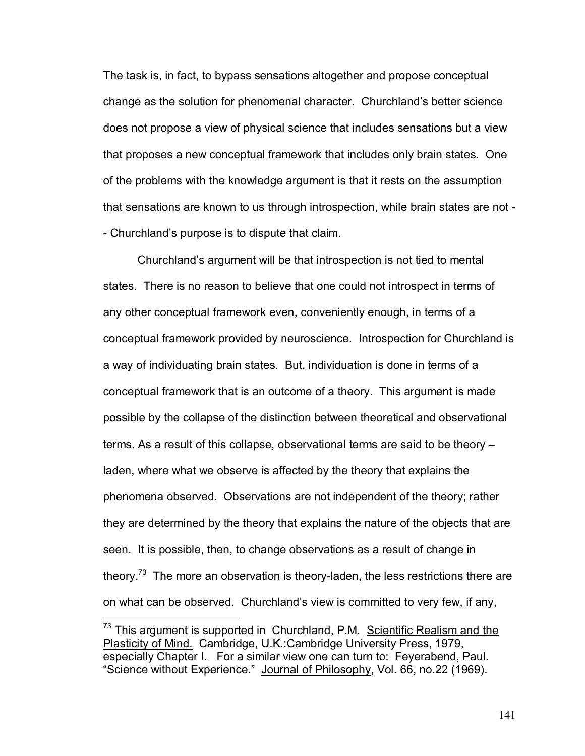The task is, in fact, to bypass sensations altogether and propose conceptual change as the solution for phenomenal character. Churchland's better science does not propose a view of physical science that includes sensations but a view that proposes a new conceptual framework that includes only brain states. One of the problems with the knowledge argument is that it rests on the assumption that sensations are known to us through introspection, while brain states are not - - Churchland's purpose is to dispute that claim.

Churchland's argument will be that introspection is not tied to mental states. There is no reason to believe that one could not introspect in terms of any other conceptual framework even, conveniently enough, in terms of a conceptual framework provided by neuroscience. Introspection for Churchland is a way of individuating brain states. But, individuation is done in terms of a conceptual framework that is an outcome of a theory. This argument is made possible by the collapse of the distinction between theoretical and observational terms. As a result of this collapse, observational terms are said to be theory  $$ laden, where what we observe is affected by the theory that explains the phenomena observed. Observations are not independent of the theory; rather they are determined by the theory that explains the nature of the objects that are seen. It is possible, then, to change observations as a result of change in theory.<sup>73</sup> The more an observation is theory-laden, the less restrictions there are on what can be observed. Churchlandís view is committed to very few, if any,

 $\overline{a}$ 

 $73$  This argument is supported in Churchland, P.M. Scientific Realism and the Plasticity of Mind.Cambridge, U.K.:Cambridge University Press, 1979, especially Chapter I. For a similar view one can turn to: Feyerabend, Paul. "Science without Experience." Journal of Philosophy, Vol. 66, no.22 (1969).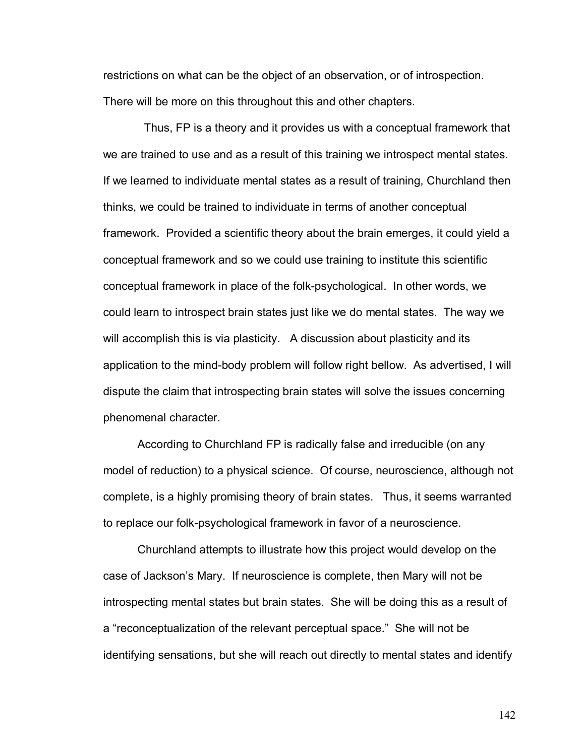restrictions on what can be the object of an observation, or of introspection. There will be more on this throughout this and other chapters.

 Thus, FP is a theory and it provides us with a conceptual framework that we are trained to use and as a result of this training we introspect mental states. If we learned to individuate mental states as a result of training, Churchland then thinks, we could be trained to individuate in terms of another conceptual framework. Provided a scientific theory about the brain emerges, it could yield a conceptual framework and so we could use training to institute this scientific conceptual framework in place of the folk-psychological. In other words, we could learn to introspect brain states just like we do mental states. The way we will accomplish this is via plasticity. A discussion about plasticity and its application to the mind-body problem will follow right bellow. As advertised, I will dispute the claim that introspecting brain states will solve the issues concerning phenomenal character.

According to Churchland FP is radically false and irreducible (on any model of reduction) to a physical science. Of course, neuroscience, although not complete, is a highly promising theory of brain states. Thus, it seems warranted to replace our folk-psychological framework in favor of a neuroscience.

Churchland attempts to illustrate how this project would develop on the case of Jackson's Mary. If neuroscience is complete, then Mary will not be introspecting mental states but brain states. She will be doing this as a result of a "reconceptualization of the relevant perceptual space." She will not be identifying sensations, but she will reach out directly to mental states and identify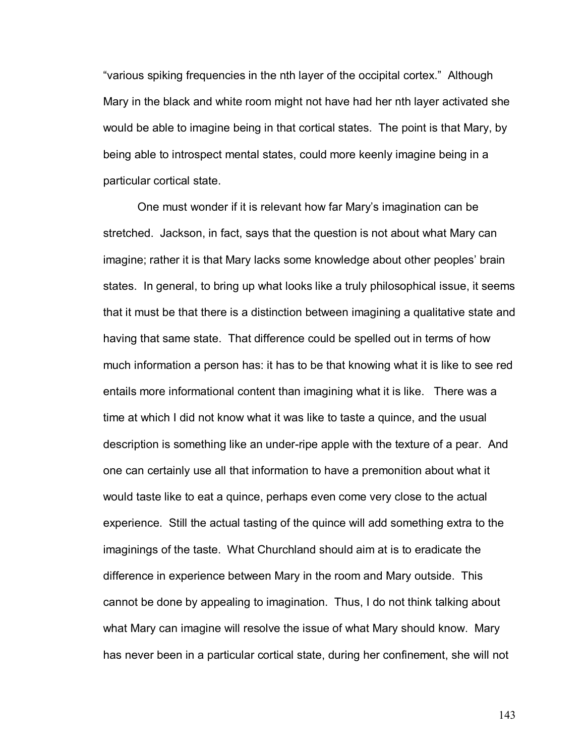"various spiking frequencies in the nth layer of the occipital cortex." Although Mary in the black and white room might not have had her nth layer activated she would be able to imagine being in that cortical states. The point is that Mary, by being able to introspect mental states, could more keenly imagine being in a particular cortical state.

One must wonder if it is relevant how far Maryís imagination can be stretched. Jackson, in fact, says that the question is not about what Mary can imagine; rather it is that Mary lacks some knowledge about other peoples' brain states. In general, to bring up what looks like a truly philosophical issue, it seems that it must be that there is a distinction between imagining a qualitative state and having that same state. That difference could be spelled out in terms of how much information a person has: it has to be that knowing what it is like to see red entails more informational content than imagining what it is like. There was a time at which I did not know what it was like to taste a quince, and the usual description is something like an under-ripe apple with the texture of a pear. And one can certainly use all that information to have a premonition about what it would taste like to eat a quince, perhaps even come very close to the actual experience. Still the actual tasting of the quince will add something extra to the imaginings of the taste. What Churchland should aim at is to eradicate the difference in experience between Mary in the room and Mary outside. This cannot be done by appealing to imagination. Thus, I do not think talking about what Mary can imagine will resolve the issue of what Mary should know. Mary has never been in a particular cortical state, during her confinement, she will not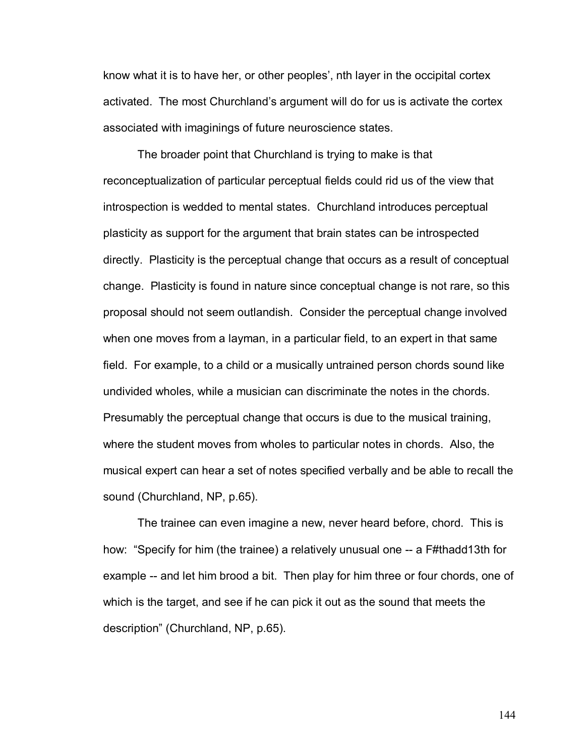know what it is to have her, or other peoples', nth layer in the occipital cortex activated. The most Churchland's argument will do for us is activate the cortex associated with imaginings of future neuroscience states.

The broader point that Churchland is trying to make is that reconceptualization of particular perceptual fields could rid us of the view that introspection is wedded to mental states. Churchland introduces perceptual plasticity as support for the argument that brain states can be introspected directly. Plasticity is the perceptual change that occurs as a result of conceptual change. Plasticity is found in nature since conceptual change is not rare, so this proposal should not seem outlandish. Consider the perceptual change involved when one moves from a layman, in a particular field, to an expert in that same field. For example, to a child or a musically untrained person chords sound like undivided wholes, while a musician can discriminate the notes in the chords. Presumably the perceptual change that occurs is due to the musical training, where the student moves from wholes to particular notes in chords. Also, the musical expert can hear a set of notes specified verbally and be able to recall the sound (Churchland, NP, p.65).

The trainee can even imagine a new, never heard before, chord. This is how: "Specify for him (the trainee) a relatively unusual one -- a F#thadd13th for example -- and let him brood a bit. Then play for him three or four chords, one of which is the target, and see if he can pick it out as the sound that meets the description<sup>"</sup> (Churchland, NP, p.65).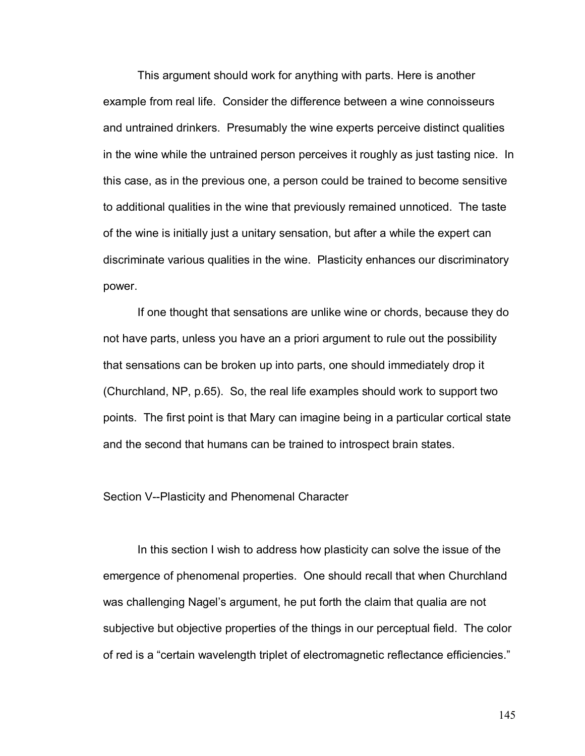This argument should work for anything with parts. Here is another example from real life. Consider the difference between a wine connoisseurs and untrained drinkers. Presumably the wine experts perceive distinct qualities in the wine while the untrained person perceives it roughly as just tasting nice. In this case, as in the previous one, a person could be trained to become sensitive to additional qualities in the wine that previously remained unnoticed. The taste of the wine is initially just a unitary sensation, but after a while the expert can discriminate various qualities in the wine. Plasticity enhances our discriminatory power.

If one thought that sensations are unlike wine or chords, because they do not have parts, unless you have an a priori argument to rule out the possibility that sensations can be broken up into parts, one should immediately drop it (Churchland, NP, p.65). So, the real life examples should work to support two points. The first point is that Mary can imagine being in a particular cortical state and the second that humans can be trained to introspect brain states.

## Section V--Plasticity and Phenomenal Character

In this section I wish to address how plasticity can solve the issue of the emergence of phenomenal properties. One should recall that when Churchland was challenging Nagel's argument, he put forth the claim that qualia are not subjective but objective properties of the things in our perceptual field. The color of red is a "certain wavelength triplet of electromagnetic reflectance efficiencies."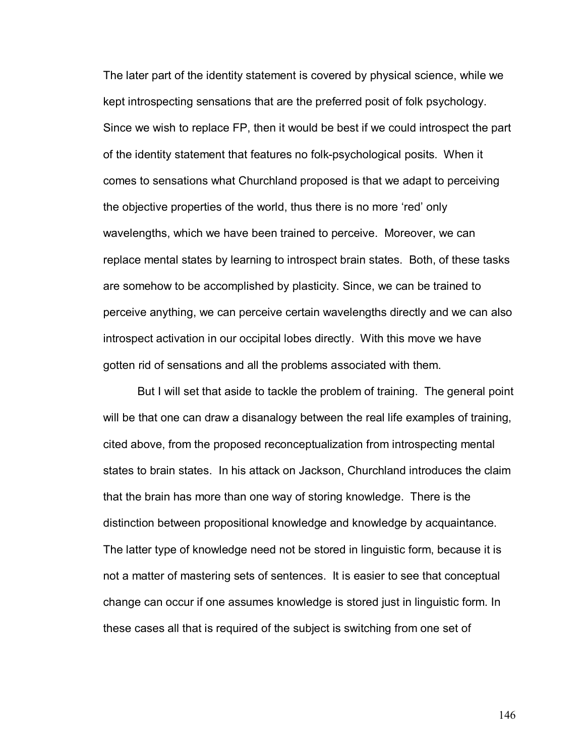The later part of the identity statement is covered by physical science, while we kept introspecting sensations that are the preferred posit of folk psychology. Since we wish to replace FP, then it would be best if we could introspect the part of the identity statement that features no folk-psychological posits. When it comes to sensations what Churchland proposed is that we adapt to perceiving the objective properties of the world, thus there is no more 'red' only wavelengths, which we have been trained to perceive. Moreover, we can replace mental states by learning to introspect brain states. Both, of these tasks are somehow to be accomplished by plasticity. Since, we can be trained to perceive anything, we can perceive certain wavelengths directly and we can also introspect activation in our occipital lobes directly. With this move we have gotten rid of sensations and all the problems associated with them.

But I will set that aside to tackle the problem of training. The general point will be that one can draw a disanalogy between the real life examples of training, cited above, from the proposed reconceptualization from introspecting mental states to brain states. In his attack on Jackson, Churchland introduces the claim that the brain has more than one way of storing knowledge. There is the distinction between propositional knowledge and knowledge by acquaintance. The latter type of knowledge need not be stored in linguistic form, because it is not a matter of mastering sets of sentences. It is easier to see that conceptual change can occur if one assumes knowledge is stored just in linguistic form. In these cases all that is required of the subject is switching from one set of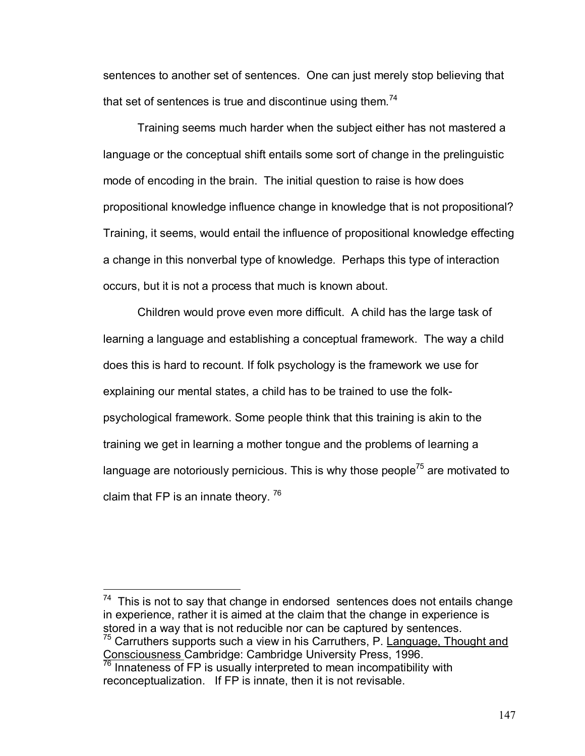sentences to another set of sentences. One can just merely stop believing that that set of sentences is true and discontinue using them.<sup>74</sup>

Training seems much harder when the subject either has not mastered a language or the conceptual shift entails some sort of change in the prelinguistic mode of encoding in the brain. The initial question to raise is how does propositional knowledge influence change in knowledge that is not propositional? Training, it seems, would entail the influence of propositional knowledge effecting a change in this nonverbal type of knowledge. Perhaps this type of interaction occurs, but it is not a process that much is known about.

Children would prove even more difficult. A child has the large task of learning a language and establishing a conceptual framework. The way a child does this is hard to recount. If folk psychology is the framework we use for explaining our mental states, a child has to be trained to use the folkpsychological framework. Some people think that this training is akin to the training we get in learning a mother tongue and the problems of learning a language are notoriously pernicious. This is why those people<sup>75</sup> are motivated to claim that FP is an innate theory.  $76$ 

 $74$  This is not to say that change in endorsed sentences does not entails change in experience, rather it is aimed at the claim that the change in experience is stored in a way that is not reducible nor can be captured by sentences.  $75$  Carruthers supports such a view in his Carruthers, P. Language, Thought and

 $\overline{a}$ 

Consciousness Cambridge: Cambridge University Press, 1996.<br><sup>76</sup> Innateness of FP is usually interpreted to mean incompatibility with reconceptualization. If FP is innate, then it is not revisable.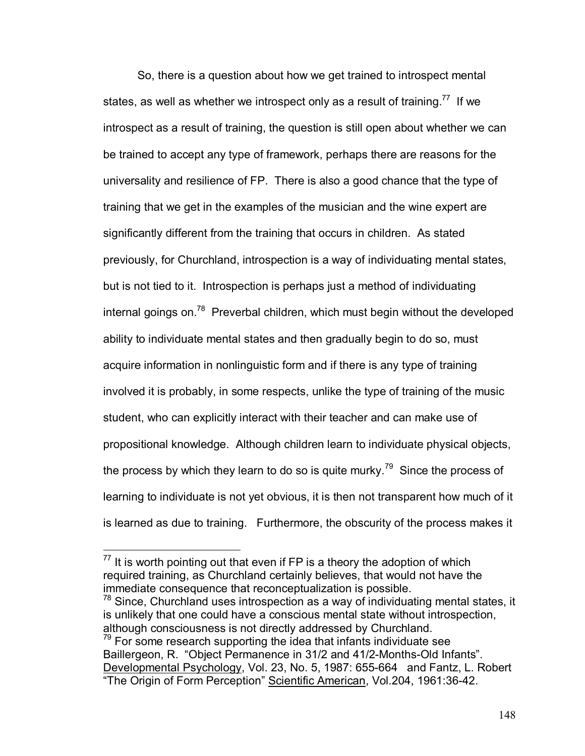So, there is a question about how we get trained to introspect mental states, as well as whether we introspect only as a result of training.<sup>77</sup> If we introspect as a result of training, the question is still open about whether we can be trained to accept any type of framework, perhaps there are reasons for the universality and resilience of FP. There is also a good chance that the type of training that we get in the examples of the musician and the wine expert are significantly different from the training that occurs in children. As stated previously, for Churchland, introspection is a way of individuating mental states, but is not tied to it. Introspection is perhaps just a method of individuating internal goings on.<sup>78</sup> Preverbal children, which must begin without the developed ability to individuate mental states and then gradually begin to do so, must acquire information in nonlinguistic form and if there is any type of training involved it is probably, in some respects, unlike the type of training of the music student, who can explicitly interact with their teacher and can make use of propositional knowledge. Although children learn to individuate physical objects, the process by which they learn to do so is quite murky.<sup>79</sup> Since the process of learning to individuate is not yet obvious, it is then not transparent how much of it is learned as due to training. Furthermore, the obscurity of the process makes it

 $\overline{a}$ 

 $79$  For some research supporting the idea that infants individuate see Baillergeon, R. "Object Permanence in 31/2 and 41/2-Months-Old Infants". Developmental Psychology, Vol. 23, No. 5, 1987: 655-664 and Fantz, L. Robert "The Origin of Form Perception" Scientific American, Vol.204, 1961:36-42.

 $77$  It is worth pointing out that even if FP is a theory the adoption of which required training, as Churchland certainly believes, that would not have the immediate consequence that reconceptualization is possible.

 $78$  Since, Churchland uses introspection as a way of individuating mental states, it is unlikely that one could have a conscious mental state without introspection, although consciousness is not directly addressed by Churchland.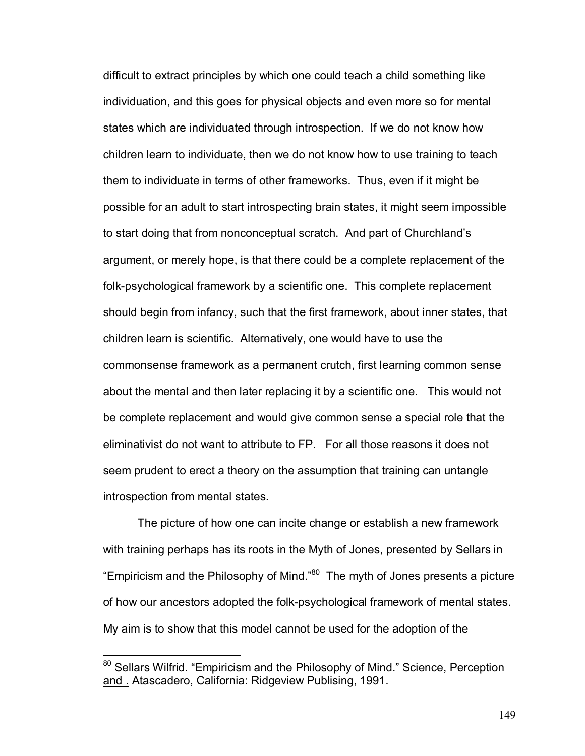difficult to extract principles by which one could teach a child something like individuation, and this goes for physical objects and even more so for mental states which are individuated through introspection. If we do not know how children learn to individuate, then we do not know how to use training to teach them to individuate in terms of other frameworks. Thus, even if it might be possible for an adult to start introspecting brain states, it might seem impossible to start doing that from nonconceptual scratch. And part of Churchland's argument, or merely hope, is that there could be a complete replacement of the folk-psychological framework by a scientific one. This complete replacement should begin from infancy, such that the first framework, about inner states, that children learn is scientific. Alternatively, one would have to use the commonsense framework as a permanent crutch, first learning common sense about the mental and then later replacing it by a scientific one. This would not be complete replacement and would give common sense a special role that the eliminativist do not want to attribute to FP. For all those reasons it does not seem prudent to erect a theory on the assumption that training can untangle introspection from mental states.

The picture of how one can incite change or establish a new framework with training perhaps has its roots in the Myth of Jones, presented by Sellars in "Empiricism and the Philosophy of Mind."<sup>80</sup> The myth of Jones presents a picture of how our ancestors adopted the folk-psychological framework of mental states. My aim is to show that this model cannot be used for the adoption of the

 $\overline{a}$ 

<sup>&</sup>lt;sup>80</sup> Sellars Wilfrid. "Empiricism and the Philosophy of Mind." Science, Perception and . Atascadero, California: Ridgeview Publising, 1991.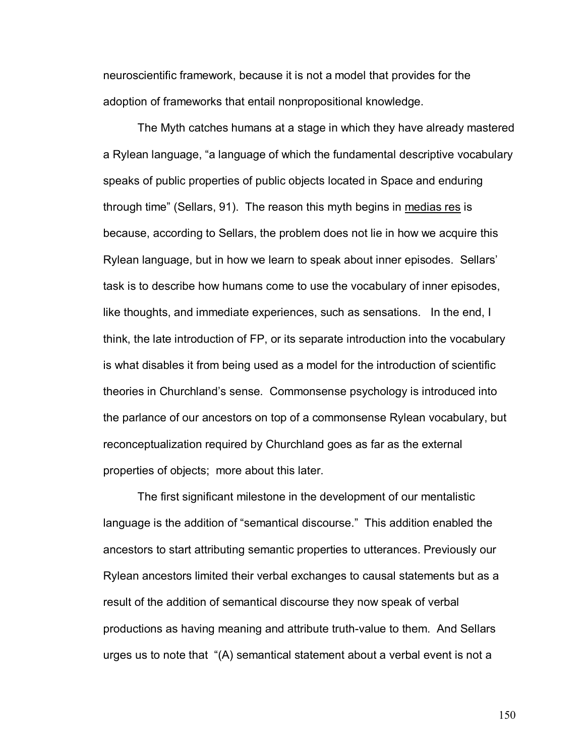neuroscientific framework, because it is not a model that provides for the adoption of frameworks that entail nonpropositional knowledge.

The Myth catches humans at a stage in which they have already mastered a Rylean language, "a language of which the fundamental descriptive vocabulary speaks of public properties of public objects located in Space and enduring through time" (Sellars, 91). The reason this myth begins in medias res is because, according to Sellars, the problem does not lie in how we acquire this Rylean language, but in how we learn to speak about inner episodes. Sellars' task is to describe how humans come to use the vocabulary of inner episodes, like thoughts, and immediate experiences, such as sensations. In the end, I think, the late introduction of FP, or its separate introduction into the vocabulary is what disables it from being used as a model for the introduction of scientific theories in Churchland's sense. Commonsense psychology is introduced into the parlance of our ancestors on top of a commonsense Rylean vocabulary, but reconceptualization required by Churchland goes as far as the external properties of objects; more about this later.

The first significant milestone in the development of our mentalistic language is the addition of "semantical discourse." This addition enabled the ancestors to start attributing semantic properties to utterances. Previously our Rylean ancestors limited their verbal exchanges to causal statements but as a result of the addition of semantical discourse they now speak of verbal productions as having meaning and attribute truth-value to them. And Sellars urges us to note that  $\degree$ (A) semantical statement about a verbal event is not a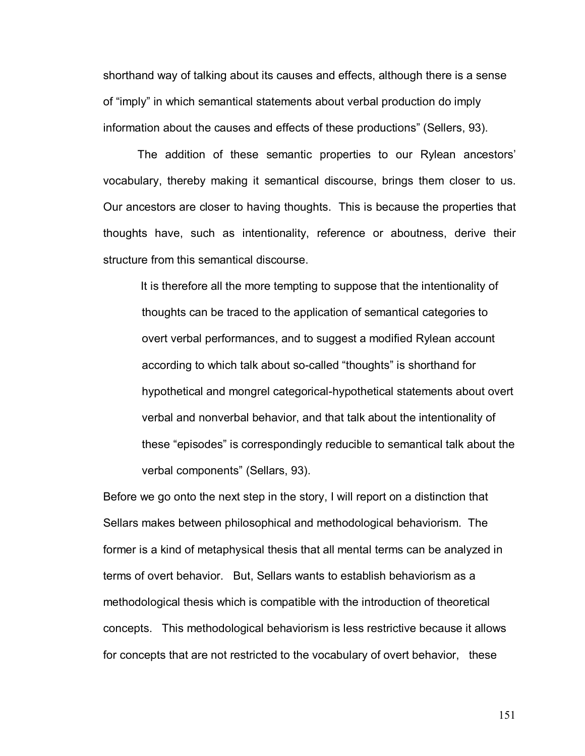shorthand way of talking about its causes and effects, although there is a sense of "imply" in which semantical statements about verbal production do imply information about the causes and effects of these productionsî (Sellers, 93).

The addition of these semantic properties to our Rylean ancestors' vocabulary, thereby making it semantical discourse, brings them closer to us. Our ancestors are closer to having thoughts. This is because the properties that thoughts have, such as intentionality, reference or aboutness, derive their structure from this semantical discourse.

 It is therefore all the more tempting to suppose that the intentionality of thoughts can be traced to the application of semantical categories to overt verbal performances, and to suggest a modified Rylean account according to which talk about so-called "thoughts" is shorthand for hypothetical and mongrel categorical-hypothetical statements about overt verbal and nonverbal behavior, and that talk about the intentionality of these "episodes" is correspondingly reducible to semantical talk about the verbal components" (Sellars, 93).

Before we go onto the next step in the story, I will report on a distinction that Sellars makes between philosophical and methodological behaviorism. The former is a kind of metaphysical thesis that all mental terms can be analyzed in terms of overt behavior. But, Sellars wants to establish behaviorism as a methodological thesis which is compatible with the introduction of theoretical concepts. This methodological behaviorism is less restrictive because it allows for concepts that are not restricted to the vocabulary of overt behavior, these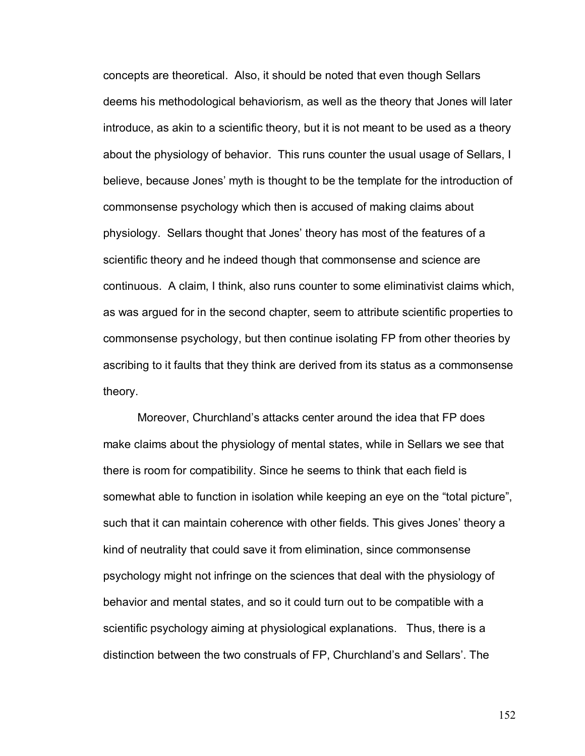concepts are theoretical. Also, it should be noted that even though Sellars deems his methodological behaviorism, as well as the theory that Jones will later introduce, as akin to a scientific theory, but it is not meant to be used as a theory about the physiology of behavior. This runs counter the usual usage of Sellars, I believe, because Jonesí myth is thought to be the template for the introduction of commonsense psychology which then is accused of making claims about physiology. Sellars thought that Jonesí theory has most of the features of a scientific theory and he indeed though that commonsense and science are continuous. A claim, I think, also runs counter to some eliminativist claims which, as was argued for in the second chapter, seem to attribute scientific properties to commonsense psychology, but then continue isolating FP from other theories by ascribing to it faults that they think are derived from its status as a commonsense theory.

Moreover, Churchland's attacks center around the idea that FP does make claims about the physiology of mental states, while in Sellars we see that there is room for compatibility. Since he seems to think that each field is somewhat able to function in isolation while keeping an eye on the "total picture", such that it can maintain coherence with other fields. This gives Jones' theory a kind of neutrality that could save it from elimination, since commonsense psychology might not infringe on the sciences that deal with the physiology of behavior and mental states, and so it could turn out to be compatible with a scientific psychology aiming at physiological explanations. Thus, there is a distinction between the two construals of FP, Churchland's and Sellars'. The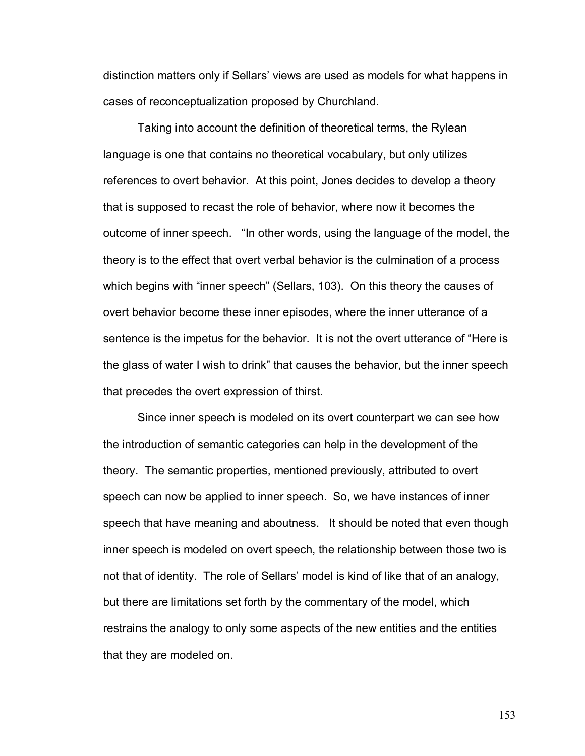distinction matters only if Sellarsí views are used as models for what happens in cases of reconceptualization proposed by Churchland.

 Taking into account the definition of theoretical terms, the Rylean language is one that contains no theoretical vocabulary, but only utilizes references to overt behavior. At this point, Jones decides to develop a theory that is supposed to recast the role of behavior, where now it becomes the outcome of inner speech. "In other words, using the language of the model, the theory is to the effect that overt verbal behavior is the culmination of a process which begins with "inner speech" (Sellars, 103). On this theory the causes of overt behavior become these inner episodes, where the inner utterance of a sentence is the impetus for the behavior. It is not the overt utterance of "Here is the glass of water I wish to drinkî that causes the behavior, but the inner speech that precedes the overt expression of thirst.

 Since inner speech is modeled on its overt counterpart we can see how the introduction of semantic categories can help in the development of the theory. The semantic properties, mentioned previously, attributed to overt speech can now be applied to inner speech. So, we have instances of inner speech that have meaning and aboutness. It should be noted that even though inner speech is modeled on overt speech, the relationship between those two is not that of identity. The role of Sellars' model is kind of like that of an analogy, but there are limitations set forth by the commentary of the model, which restrains the analogy to only some aspects of the new entities and the entities that they are modeled on.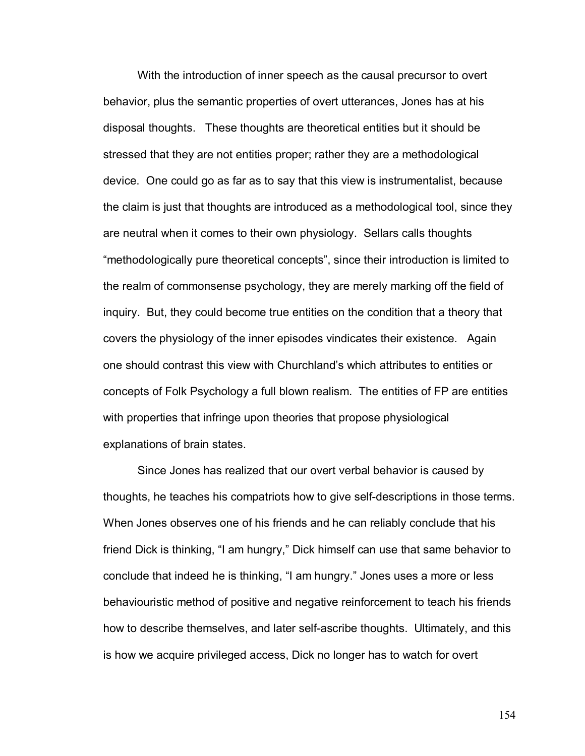With the introduction of inner speech as the causal precursor to overt behavior, plus the semantic properties of overt utterances, Jones has at his disposal thoughts. These thoughts are theoretical entities but it should be stressed that they are not entities proper; rather they are a methodological device. One could go as far as to say that this view is instrumentalist, because the claim is just that thoughts are introduced as a methodological tool, since they are neutral when it comes to their own physiology. Sellars calls thoughts "methodologically pure theoretical concepts", since their introduction is limited to the realm of commonsense psychology, they are merely marking off the field of inquiry. But, they could become true entities on the condition that a theory that covers the physiology of the inner episodes vindicates their existence. Again one should contrast this view with Churchlandís which attributes to entities or concepts of Folk Psychology a full blown realism. The entities of FP are entities with properties that infringe upon theories that propose physiological explanations of brain states.

 Since Jones has realized that our overt verbal behavior is caused by thoughts, he teaches his compatriots how to give self-descriptions in those terms. When Jones observes one of his friends and he can reliably conclude that his friend Dick is thinking, "I am hungry," Dick himself can use that same behavior to conclude that indeed he is thinking, "I am hungry." Jones uses a more or less behaviouristic method of positive and negative reinforcement to teach his friends how to describe themselves, and later self-ascribe thoughts. Ultimately, and this is how we acquire privileged access, Dick no longer has to watch for overt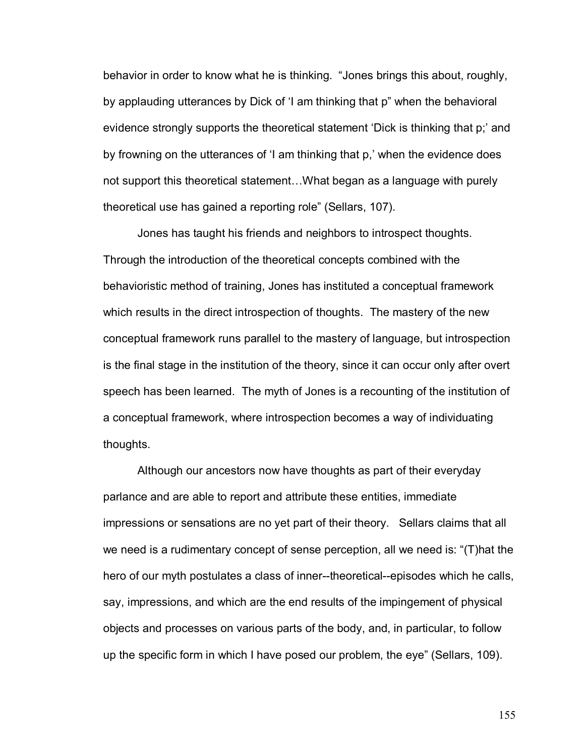behavior in order to know what he is thinking. "Jones brings this about, roughly, by applauding utterances by Dick of 'I am thinking that p" when the behavioral evidence strongly supports the theoretical statement 'Dick is thinking that p;' and by frowning on the utterances of 'I am thinking that p,' when the evidence does not support this theoretical statement...What began as a language with purely theoretical use has gained a reporting role" (Sellars, 107).

 Jones has taught his friends and neighbors to introspect thoughts. Through the introduction of the theoretical concepts combined with the behavioristic method of training, Jones has instituted a conceptual framework which results in the direct introspection of thoughts. The mastery of the new conceptual framework runs parallel to the mastery of language, but introspection is the final stage in the institution of the theory, since it can occur only after overt speech has been learned. The myth of Jones is a recounting of the institution of a conceptual framework, where introspection becomes a way of individuating thoughts.

 Although our ancestors now have thoughts as part of their everyday parlance and are able to report and attribute these entities, immediate impressions or sensations are no yet part of their theory. Sellars claims that all we need is a rudimentary concept of sense perception, all we need is:  $\Gamma$ ) hat the hero of our myth postulates a class of inner--theoretical--episodes which he calls, say, impressions, and which are the end results of the impingement of physical objects and processes on various parts of the body, and, in particular, to follow up the specific form in which I have posed our problem, the eye" (Sellars, 109).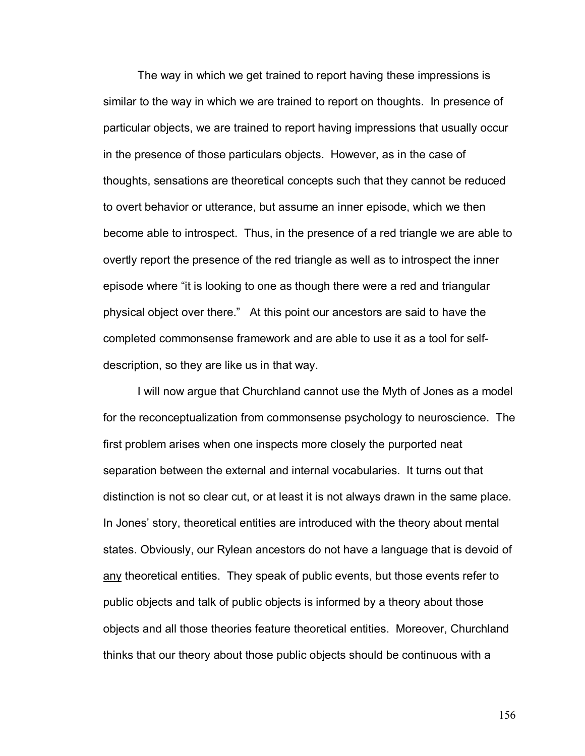The way in which we get trained to report having these impressions is similar to the way in which we are trained to report on thoughts. In presence of particular objects, we are trained to report having impressions that usually occur in the presence of those particulars objects. However, as in the case of thoughts, sensations are theoretical concepts such that they cannot be reduced to overt behavior or utterance, but assume an inner episode, which we then become able to introspect. Thus, in the presence of a red triangle we are able to overtly report the presence of the red triangle as well as to introspect the inner episode where "it is looking to one as though there were a red and triangular physical object over there.î At this point our ancestors are said to have the completed commonsense framework and are able to use it as a tool for selfdescription, so they are like us in that way.

I will now argue that Churchland cannot use the Myth of Jones as a model for the reconceptualization from commonsense psychology to neuroscience. The first problem arises when one inspects more closely the purported neat separation between the external and internal vocabularies. It turns out that distinction is not so clear cut, or at least it is not always drawn in the same place. In Jones' story, theoretical entities are introduced with the theory about mental states. Obviously, our Rylean ancestors do not have a language that is devoid of any theoretical entities. They speak of public events, but those events refer to public objects and talk of public objects is informed by a theory about those objects and all those theories feature theoretical entities. Moreover, Churchland thinks that our theory about those public objects should be continuous with a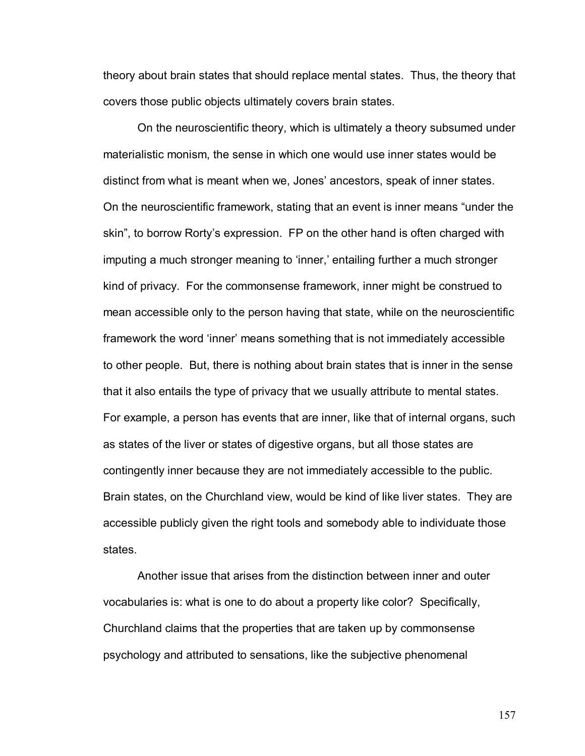theory about brain states that should replace mental states. Thus, the theory that covers those public objects ultimately covers brain states.

On the neuroscientific theory, which is ultimately a theory subsumed under materialistic monism, the sense in which one would use inner states would be distinct from what is meant when we, Jonesí ancestors, speak of inner states. On the neuroscientific framework, stating that an event is inner means "under the skin", to borrow Rorty's expression. FP on the other hand is often charged with imputing a much stronger meaning to 'inner,' entailing further a much stronger kind of privacy. For the commonsense framework, inner might be construed to mean accessible only to the person having that state, while on the neuroscientific framework the word ëinnerí means something that is not immediately accessible to other people. But, there is nothing about brain states that is inner in the sense that it also entails the type of privacy that we usually attribute to mental states. For example, a person has events that are inner, like that of internal organs, such as states of the liver or states of digestive organs, but all those states are contingently inner because they are not immediately accessible to the public. Brain states, on the Churchland view, would be kind of like liver states. They are accessible publicly given the right tools and somebody able to individuate those states.

Another issue that arises from the distinction between inner and outer vocabularies is: what is one to do about a property like color? Specifically, Churchland claims that the properties that are taken up by commonsense psychology and attributed to sensations, like the subjective phenomenal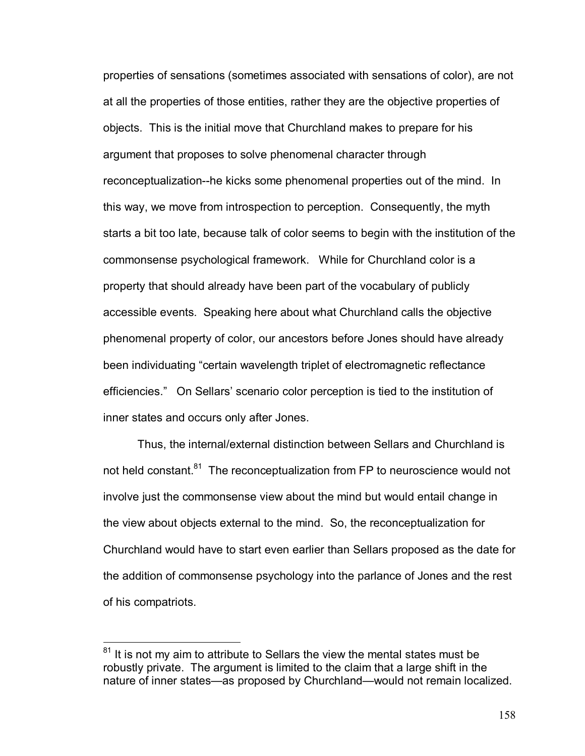properties of sensations (sometimes associated with sensations of color), are not at all the properties of those entities, rather they are the objective properties of objects. This is the initial move that Churchland makes to prepare for his argument that proposes to solve phenomenal character through reconceptualization--he kicks some phenomenal properties out of the mind. In this way, we move from introspection to perception. Consequently, the myth starts a bit too late, because talk of color seems to begin with the institution of the commonsense psychological framework. While for Churchland color is a property that should already have been part of the vocabulary of publicly accessible events. Speaking here about what Churchland calls the objective phenomenal property of color, our ancestors before Jones should have already been individuating "certain wavelength triplet of electromagnetic reflectance efficiencies." On Sellars' scenario color perception is tied to the institution of inner states and occurs only after Jones.

Thus, the internal/external distinction between Sellars and Churchland is not held constant.<sup>81</sup> The reconceptualization from FP to neuroscience would not involve just the commonsense view about the mind but would entail change in the view about objects external to the mind. So, the reconceptualization for Churchland would have to start even earlier than Sellars proposed as the date for the addition of commonsense psychology into the parlance of Jones and the rest of his compatriots.

 $81$  It is not my aim to attribute to Sellars the view the mental states must be robustly private. The argument is limited to the claim that a large shift in the nature of inner states—as proposed by Churchland—would not remain localized.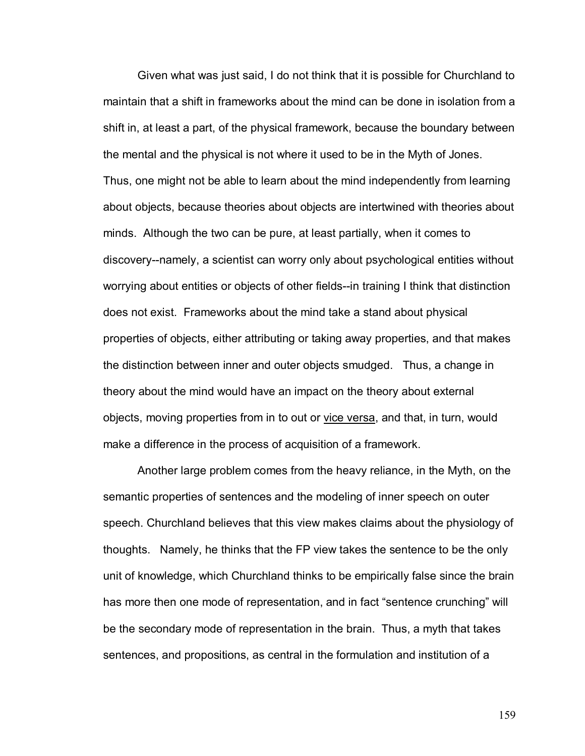Given what was just said, I do not think that it is possible for Churchland to maintain that a shift in frameworks about the mind can be done in isolation from a shift in, at least a part, of the physical framework, because the boundary between the mental and the physical is not where it used to be in the Myth of Jones. Thus, one might not be able to learn about the mind independently from learning about objects, because theories about objects are intertwined with theories about minds. Although the two can be pure, at least partially, when it comes to discovery--namely, a scientist can worry only about psychological entities without worrying about entities or objects of other fields--in training I think that distinction does not exist. Frameworks about the mind take a stand about physical properties of objects, either attributing or taking away properties, and that makes the distinction between inner and outer objects smudged. Thus, a change in theory about the mind would have an impact on the theory about external objects, moving properties from in to out or vice versa, and that, in turn, would make a difference in the process of acquisition of a framework.

Another large problem comes from the heavy reliance, in the Myth, on the semantic properties of sentences and the modeling of inner speech on outer speech. Churchland believes that this view makes claims about the physiology of thoughts. Namely, he thinks that the FP view takes the sentence to be the only unit of knowledge, which Churchland thinks to be empirically false since the brain has more then one mode of representation, and in fact "sentence crunching" will be the secondary mode of representation in the brain. Thus, a myth that takes sentences, and propositions, as central in the formulation and institution of a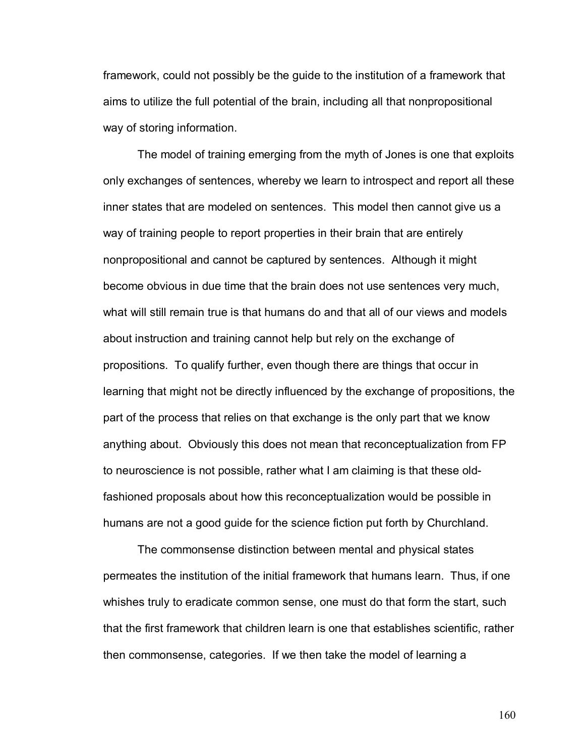framework, could not possibly be the guide to the institution of a framework that aims to utilize the full potential of the brain, including all that nonpropositional way of storing information.

The model of training emerging from the myth of Jones is one that exploits only exchanges of sentences, whereby we learn to introspect and report all these inner states that are modeled on sentences. This model then cannot give us a way of training people to report properties in their brain that are entirely nonpropositional and cannot be captured by sentences. Although it might become obvious in due time that the brain does not use sentences very much, what will still remain true is that humans do and that all of our views and models about instruction and training cannot help but rely on the exchange of propositions. To qualify further, even though there are things that occur in learning that might not be directly influenced by the exchange of propositions, the part of the process that relies on that exchange is the only part that we know anything about. Obviously this does not mean that reconceptualization from FP to neuroscience is not possible, rather what I am claiming is that these oldfashioned proposals about how this reconceptualization would be possible in humans are not a good guide for the science fiction put forth by Churchland.

The commonsense distinction between mental and physical states permeates the institution of the initial framework that humans learn. Thus, if one whishes truly to eradicate common sense, one must do that form the start, such that the first framework that children learn is one that establishes scientific, rather then commonsense, categories. If we then take the model of learning a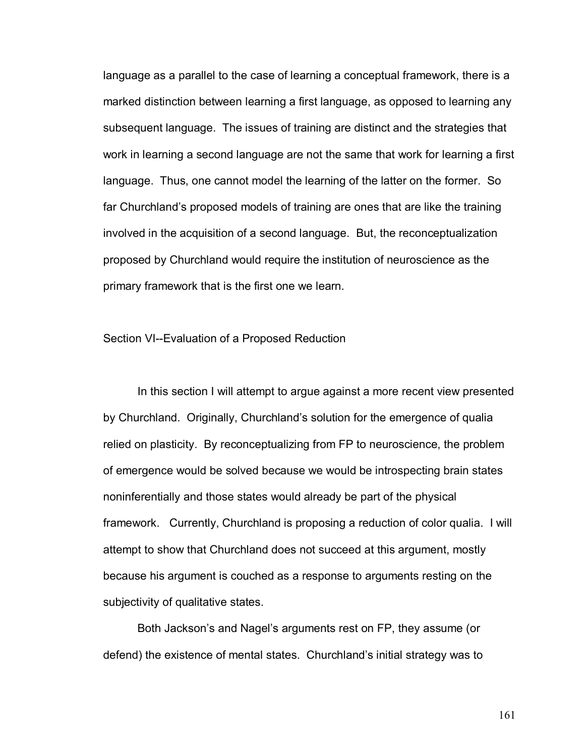language as a parallel to the case of learning a conceptual framework, there is a marked distinction between learning a first language, as opposed to learning any subsequent language. The issues of training are distinct and the strategies that work in learning a second language are not the same that work for learning a first language. Thus, one cannot model the learning of the latter on the former. So far Churchland's proposed models of training are ones that are like the training involved in the acquisition of a second language. But, the reconceptualization proposed by Churchland would require the institution of neuroscience as the primary framework that is the first one we learn.

Section VI--Evaluation of a Proposed Reduction

In this section I will attempt to argue against a more recent view presented by Churchland. Originally, Churchland's solution for the emergence of qualia relied on plasticity. By reconceptualizing from FP to neuroscience, the problem of emergence would be solved because we would be introspecting brain states noninferentially and those states would already be part of the physical framework. Currently, Churchland is proposing a reduction of color qualia. I will attempt to show that Churchland does not succeed at this argument, mostly because his argument is couched as a response to arguments resting on the subjectivity of qualitative states.

Both Jackson's and Nagel's arguments rest on FP, they assume (or defend) the existence of mental states. Churchland's initial strategy was to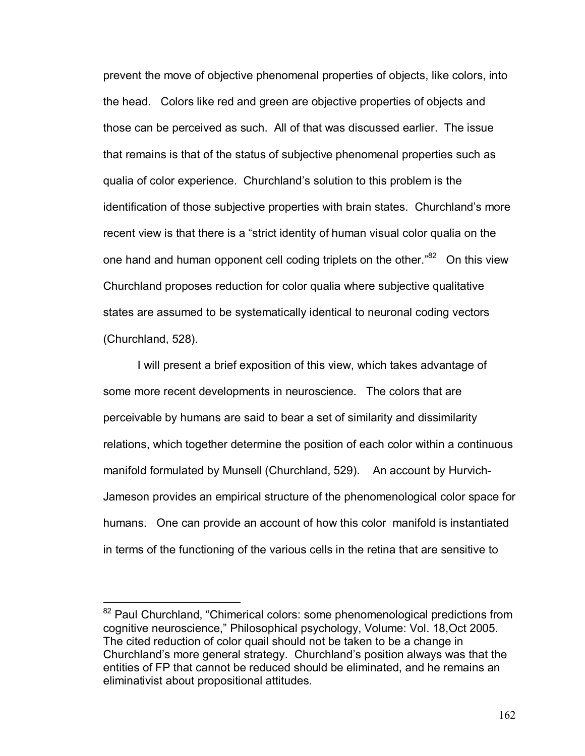prevent the move of objective phenomenal properties of objects, like colors, into the head. Colors like red and green are objective properties of objects and those can be perceived as such. All of that was discussed earlier. The issue that remains is that of the status of subjective phenomenal properties such as qualia of color experience. Churchlandís solution to this problem is the identification of those subjective properties with brain states. Churchland's more recent view is that there is a "strict identity of human visual color qualia on the one hand and human opponent cell coding triplets on the other.<sup>82</sup> On this view Churchland proposes reduction for color qualia where subjective qualitative states are assumed to be systematically identical to neuronal coding vectors (Churchland, 528).

I will present a brief exposition of this view, which takes advantage of some more recent developments in neuroscience. The colors that are perceivable by humans are said to bear a set of similarity and dissimilarity relations, which together determine the position of each color within a continuous manifold formulated by Munsell (Churchland, 529). An account by Hurvich-Jameson provides an empirical structure of the phenomenological color space for humans. One can provide an account of how this color manifold is instantiated in terms of the functioning of the various cells in the retina that are sensitive to

 $\overline{a}$ 

 $82$  Paul Churchland, "Chimerical colors: some phenomenological predictions from cognitive neuroscience," Philosophical psychology, Volume: Vol. 18, Oct 2005. The cited reduction of color quail should not be taken to be a change in Churchland's more general strategy. Churchland's position always was that the entities of FP that cannot be reduced should be eliminated, and he remains an eliminativist about propositional attitudes.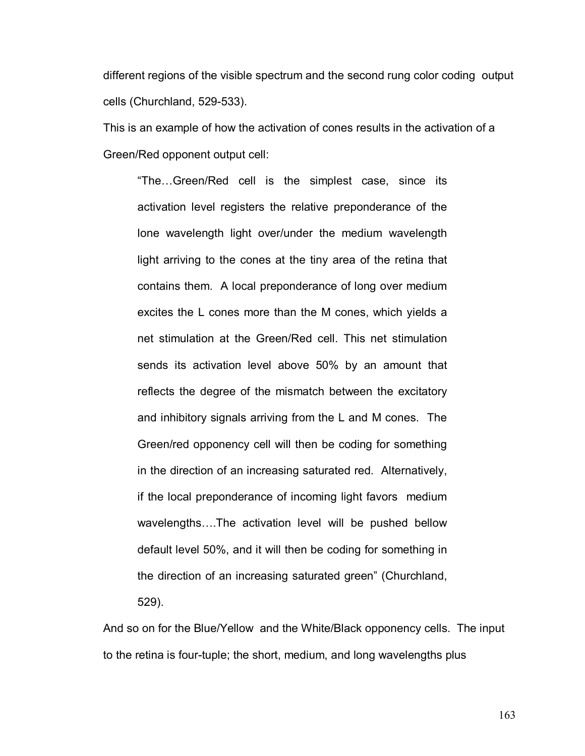different regions of the visible spectrum and the second rung color coding output cells (Churchland, 529-533).

This is an example of how the activation of cones results in the activation of a Green/Red opponent output cell:

"The...Green/Red cell is the simplest case, since its activation level registers the relative preponderance of the lone wavelength light over/under the medium wavelength light arriving to the cones at the tiny area of the retina that contains them. A local preponderance of long over medium excites the L cones more than the M cones, which yields a net stimulation at the Green/Red cell. This net stimulation sends its activation level above 50% by an amount that reflects the degree of the mismatch between the excitatory and inhibitory signals arriving from the L and M cones. The Green/red opponency cell will then be coding for something in the direction of an increasing saturated red. Alternatively, if the local preponderance of incoming light favors medium wavelengths....The activation level will be pushed bellow default level 50%, and it will then be coding for something in the direction of an increasing saturated green" (Churchland, 529).

And so on for the Blue/Yellow and the White/Black opponency cells. The input to the retina is four-tuple; the short, medium, and long wavelengths plus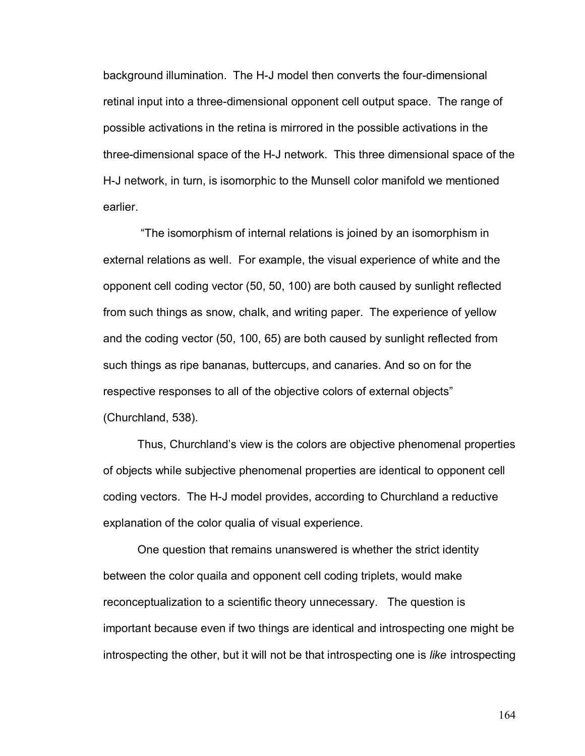background illumination. The H-J model then converts the four-dimensional retinal input into a three-dimensional opponent cell output space. The range of possible activations in the retina is mirrored in the possible activations in the three-dimensional space of the H-J network. This three dimensional space of the H-J network, in turn, is isomorphic to the Munsell color manifold we mentioned earlier.

 ìThe isomorphism of internal relations is joined by an isomorphism in external relations as well. For example, the visual experience of white and the opponent cell coding vector (50, 50, 100) are both caused by sunlight reflected from such things as snow, chalk, and writing paper. The experience of yellow and the coding vector (50, 100, 65) are both caused by sunlight reflected from such things as ripe bananas, buttercups, and canaries. And so on for the respective responses to all of the objective colors of external objects" (Churchland, 538).

Thus, Churchland's view is the colors are objective phenomenal properties of objects while subjective phenomenal properties are identical to opponent cell coding vectors. The H-J model provides, according to Churchland a reductive explanation of the color qualia of visual experience.

 One question that remains unanswered is whether the strict identity between the color quaila and opponent cell coding triplets, would make reconceptualization to a scientific theory unnecessary. The question is important because even if two things are identical and introspecting one might be introspecting the other, but it will not be that introspecting one is *like* introspecting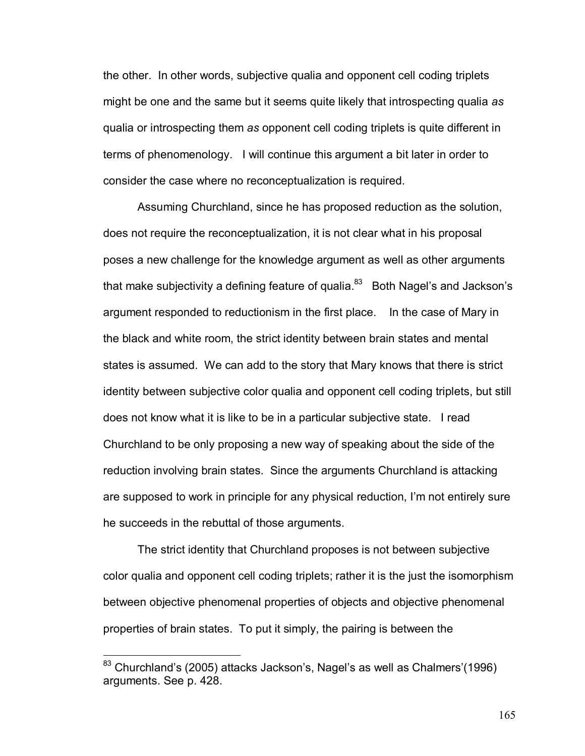the other. In other words, subjective qualia and opponent cell coding triplets might be one and the same but it seems quite likely that introspecting qualia *as* qualia or introspecting them *as* opponent cell coding triplets is quite different in terms of phenomenology. I will continue this argument a bit later in order to consider the case where no reconceptualization is required.

 Assuming Churchland, since he has proposed reduction as the solution, does not require the reconceptualization, it is not clear what in his proposal poses a new challenge for the knowledge argument as well as other arguments that make subjectivity a defining feature of qualia. $83$  Both Nagel's and Jackson's argument responded to reductionism in the first place. In the case of Mary in the black and white room, the strict identity between brain states and mental states is assumed. We can add to the story that Mary knows that there is strict identity between subjective color qualia and opponent cell coding triplets, but still does not know what it is like to be in a particular subjective state. I read Churchland to be only proposing a new way of speaking about the side of the reduction involving brain states. Since the arguments Churchland is attacking are supposed to work in principle for any physical reduction, Iím not entirely sure he succeeds in the rebuttal of those arguments.

 The strict identity that Churchland proposes is not between subjective color qualia and opponent cell coding triplets; rather it is the just the isomorphism between objective phenomenal properties of objects and objective phenomenal properties of brain states. To put it simply, the pairing is between the

 $\overline{a}$ 

 $83$  Churchland's (2005) attacks Jackson's, Nagel's as well as Chalmers'(1996) arguments. See p. 428.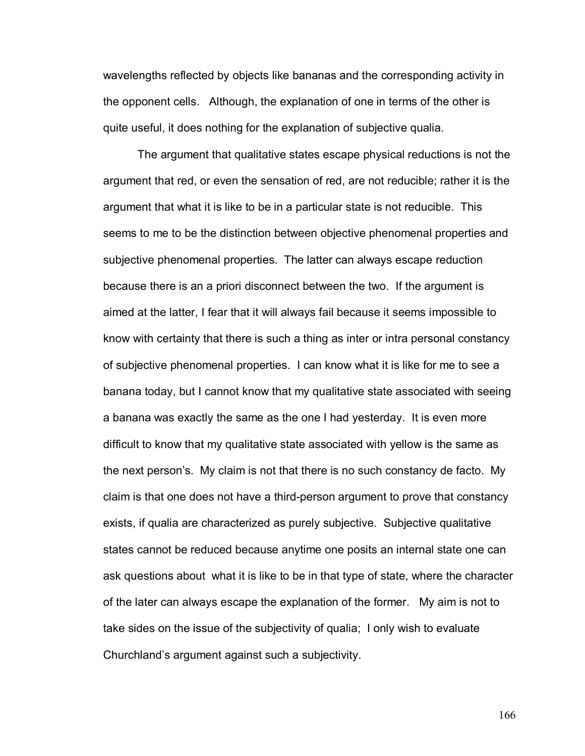wavelengths reflected by objects like bananas and the corresponding activity in the opponent cells. Although, the explanation of one in terms of the other is quite useful, it does nothing for the explanation of subjective qualia.

 The argument that qualitative states escape physical reductions is not the argument that red, or even the sensation of red, are not reducible; rather it is the argument that what it is like to be in a particular state is not reducible. This seems to me to be the distinction between objective phenomenal properties and subjective phenomenal properties. The latter can always escape reduction because there is an a priori disconnect between the two. If the argument is aimed at the latter, I fear that it will always fail because it seems impossible to know with certainty that there is such a thing as inter or intra personal constancy of subjective phenomenal properties. I can know what it is like for me to see a banana today, but I cannot know that my qualitative state associated with seeing a banana was exactly the same as the one I had yesterday. It is even more difficult to know that my qualitative state associated with yellow is the same as the next personís. My claim is not that there is no such constancy de facto. My claim is that one does not have a third-person argument to prove that constancy exists, if qualia are characterized as purely subjective. Subjective qualitative states cannot be reduced because anytime one posits an internal state one can ask questions about what it is like to be in that type of state, where the character of the later can always escape the explanation of the former. My aim is not to take sides on the issue of the subjectivity of qualia; I only wish to evaluate Churchland's argument against such a subjectivity.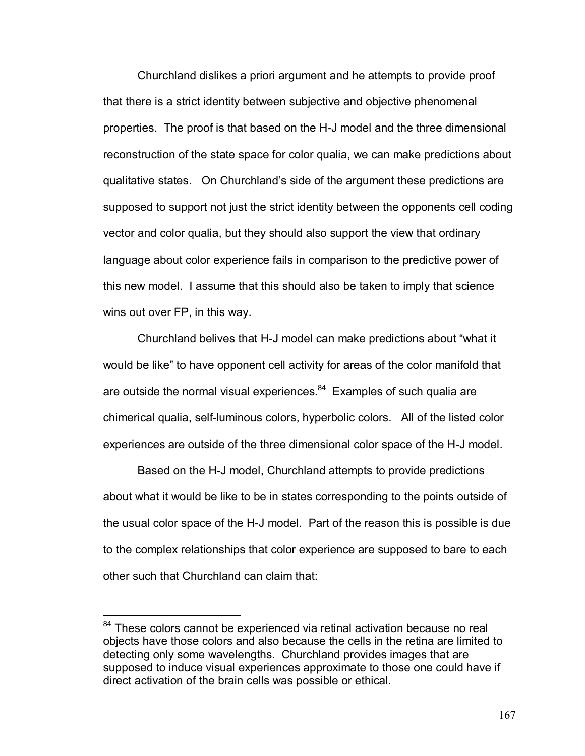Churchland dislikes a priori argument and he attempts to provide proof that there is a strict identity between subjective and objective phenomenal properties. The proof is that based on the H-J model and the three dimensional reconstruction of the state space for color qualia, we can make predictions about qualitative states. On Churchlandís side of the argument these predictions are supposed to support not just the strict identity between the opponents cell coding vector and color qualia, but they should also support the view that ordinary language about color experience fails in comparison to the predictive power of this new model. I assume that this should also be taken to imply that science wins out over FP, in this way.

Churchland belives that H-J model can make predictions about "what it would be like" to have opponent cell activity for areas of the color manifold that are outside the normal visual experiences. $84$  Examples of such qualia are chimerical qualia, self-luminous colors, hyperbolic colors. All of the listed color experiences are outside of the three dimensional color space of the H-J model.

Based on the H-J model, Churchland attempts to provide predictions about what it would be like to be in states corresponding to the points outside of the usual color space of the H-J model. Part of the reason this is possible is due to the complex relationships that color experience are supposed to bare to each other such that Churchland can claim that:

 $\overline{a}$ 

<sup>&</sup>lt;sup>84</sup> These colors cannot be experienced via retinal activation because no real objects have those colors and also because the cells in the retina are limited to detecting only some wavelengths. Churchland provides images that are supposed to induce visual experiences approximate to those one could have if direct activation of the brain cells was possible or ethical.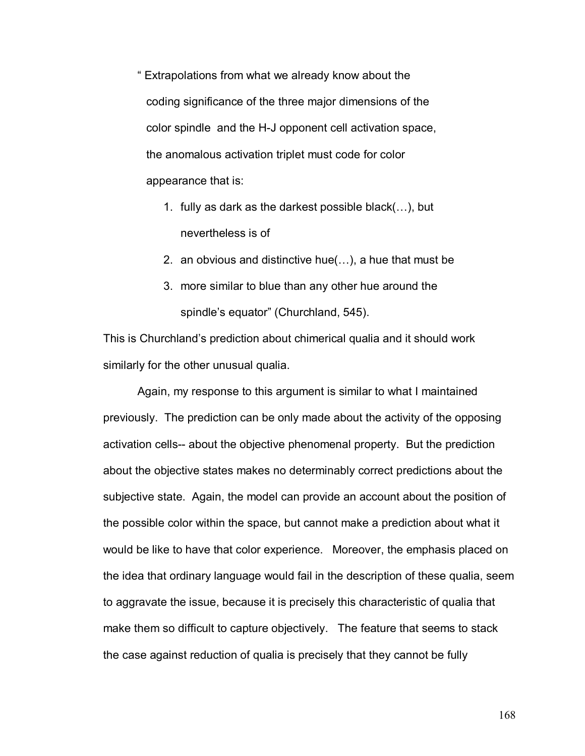ì Extrapolations from what we already know about the coding significance of the three major dimensions of the color spindle and the H-J opponent cell activation space, the anomalous activation triplet must code for color appearance that is:

- 1. fully as dark as the darkest possible black $(...)$ , but nevertheless is of
- 2. an obvious and distinctive hue $(...)$ , a hue that must be
- 3. more similar to blue than any other hue around the spindle's equator" (Churchland, 545).

This is Churchlandís prediction about chimerical qualia and it should work similarly for the other unusual qualia.

 Again, my response to this argument is similar to what I maintained previously. The prediction can be only made about the activity of the opposing activation cells-- about the objective phenomenal property. But the prediction about the objective states makes no determinably correct predictions about the subjective state. Again, the model can provide an account about the position of the possible color within the space, but cannot make a prediction about what it would be like to have that color experience. Moreover, the emphasis placed on the idea that ordinary language would fail in the description of these qualia, seem to aggravate the issue, because it is precisely this characteristic of qualia that make them so difficult to capture objectively. The feature that seems to stack the case against reduction of qualia is precisely that they cannot be fully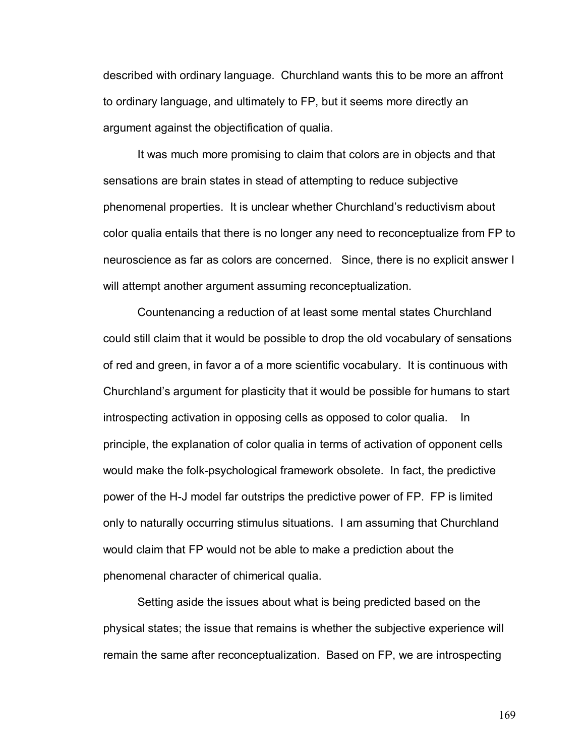described with ordinary language. Churchland wants this to be more an affront to ordinary language, and ultimately to FP, but it seems more directly an argument against the objectification of qualia.

It was much more promising to claim that colors are in objects and that sensations are brain states in stead of attempting to reduce subjective phenomenal properties. It is unclear whether Churchland's reductivism about color qualia entails that there is no longer any need to reconceptualize from FP to neuroscience as far as colors are concerned. Since, there is no explicit answer I will attempt another argument assuming reconceptualization.

 Countenancing a reduction of at least some mental states Churchland could still claim that it would be possible to drop the old vocabulary of sensations of red and green, in favor a of a more scientific vocabulary. It is continuous with Churchland's argument for plasticity that it would be possible for humans to start introspecting activation in opposing cells as opposed to color qualia. In principle, the explanation of color qualia in terms of activation of opponent cells would make the folk-psychological framework obsolete. In fact, the predictive power of the H-J model far outstrips the predictive power of FP. FP is limited only to naturally occurring stimulus situations. I am assuming that Churchland would claim that FP would not be able to make a prediction about the phenomenal character of chimerical qualia.

Setting aside the issues about what is being predicted based on the physical states; the issue that remains is whether the subjective experience will remain the same after reconceptualization. Based on FP, we are introspecting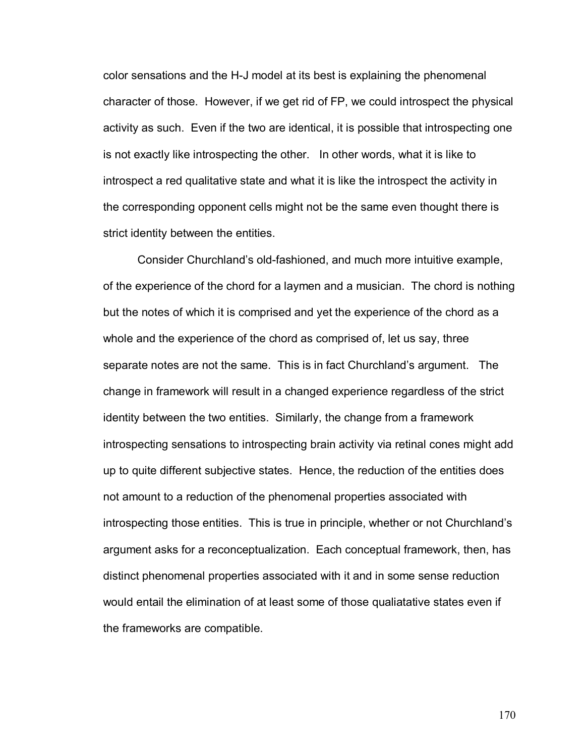color sensations and the H-J model at its best is explaining the phenomenal character of those. However, if we get rid of FP, we could introspect the physical activity as such. Even if the two are identical, it is possible that introspecting one is not exactly like introspecting the other. In other words, what it is like to introspect a red qualitative state and what it is like the introspect the activity in the corresponding opponent cells might not be the same even thought there is strict identity between the entities.

 Consider Churchlandís old-fashioned, and much more intuitive example, of the experience of the chord for a laymen and a musician. The chord is nothing but the notes of which it is comprised and yet the experience of the chord as a whole and the experience of the chord as comprised of, let us say, three separate notes are not the same. This is in fact Churchland's argument. The change in framework will result in a changed experience regardless of the strict identity between the two entities. Similarly, the change from a framework introspecting sensations to introspecting brain activity via retinal cones might add up to quite different subjective states. Hence, the reduction of the entities does not amount to a reduction of the phenomenal properties associated with introspecting those entities. This is true in principle, whether or not Churchland's argument asks for a reconceptualization. Each conceptual framework, then, has distinct phenomenal properties associated with it and in some sense reduction would entail the elimination of at least some of those qualiatative states even if the frameworks are compatible.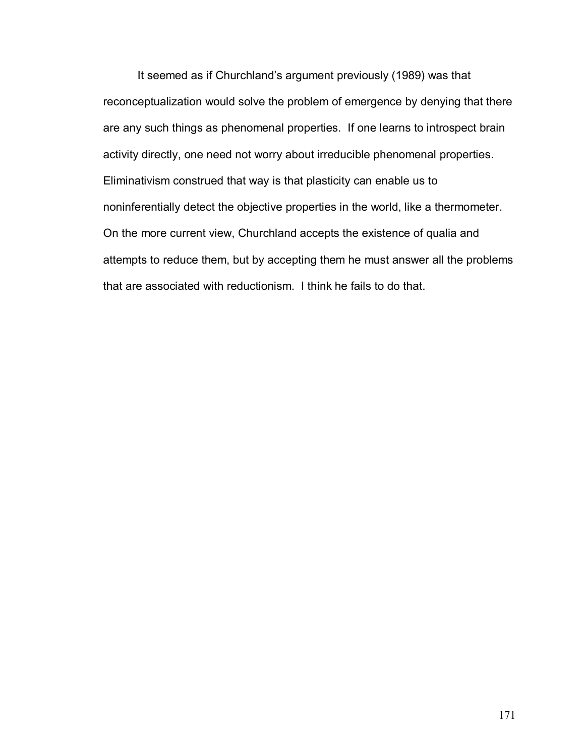It seemed as if Churchland's argument previously (1989) was that reconceptualization would solve the problem of emergence by denying that there are any such things as phenomenal properties. If one learns to introspect brain activity directly, one need not worry about irreducible phenomenal properties. Eliminativism construed that way is that plasticity can enable us to noninferentially detect the objective properties in the world, like a thermometer. On the more current view, Churchland accepts the existence of qualia and attempts to reduce them, but by accepting them he must answer all the problems that are associated with reductionism. I think he fails to do that.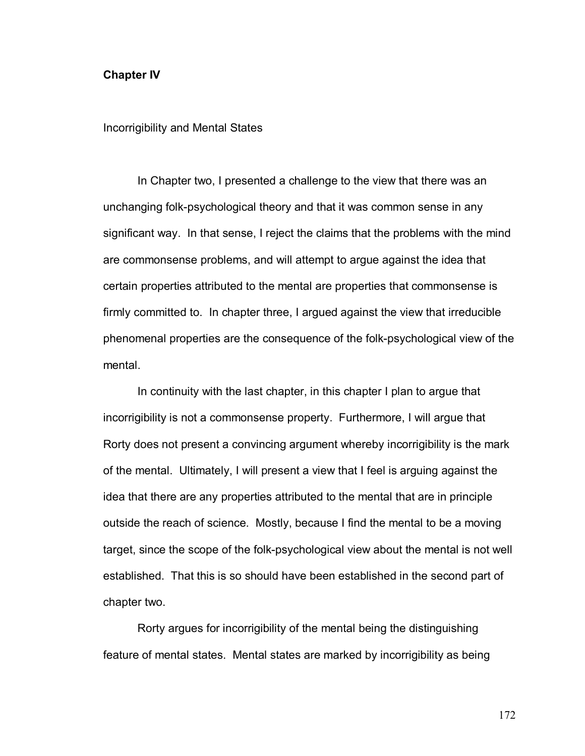## **Chapter IV**

Incorrigibility and Mental States

In Chapter two, I presented a challenge to the view that there was an unchanging folk-psychological theory and that it was common sense in any significant way. In that sense, I reject the claims that the problems with the mind are commonsense problems, and will attempt to argue against the idea that certain properties attributed to the mental are properties that commonsense is firmly committed to. In chapter three, I argued against the view that irreducible phenomenal properties are the consequence of the folk-psychological view of the mental.

In continuity with the last chapter, in this chapter I plan to argue that incorrigibility is not a commonsense property. Furthermore, I will argue that Rorty does not present a convincing argument whereby incorrigibility is the mark of the mental. Ultimately, I will present a view that I feel is arguing against the idea that there are any properties attributed to the mental that are in principle outside the reach of science. Mostly, because I find the mental to be a moving target, since the scope of the folk-psychological view about the mental is not well established. That this is so should have been established in the second part of chapter two.

Rorty argues for incorrigibility of the mental being the distinguishing feature of mental states. Mental states are marked by incorrigibility as being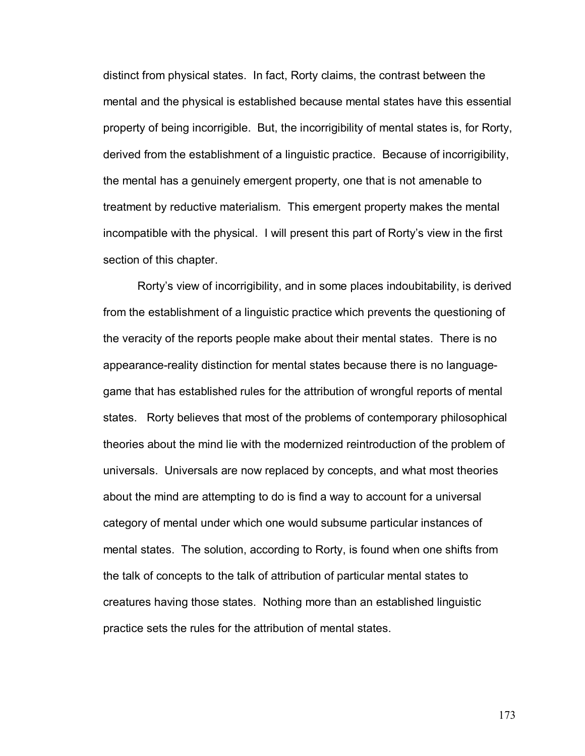distinct from physical states. In fact, Rorty claims, the contrast between the mental and the physical is established because mental states have this essential property of being incorrigible. But, the incorrigibility of mental states is, for Rorty, derived from the establishment of a linguistic practice. Because of incorrigibility, the mental has a genuinely emergent property, one that is not amenable to treatment by reductive materialism. This emergent property makes the mental incompatible with the physical. I will present this part of Rortyís view in the first section of this chapter.

Rorty's view of incorrigibility, and in some places indoubitability, is derived from the establishment of a linguistic practice which prevents the questioning of the veracity of the reports people make about their mental states. There is no appearance-reality distinction for mental states because there is no languagegame that has established rules for the attribution of wrongful reports of mental states. Rorty believes that most of the problems of contemporary philosophical theories about the mind lie with the modernized reintroduction of the problem of universals. Universals are now replaced by concepts, and what most theories about the mind are attempting to do is find a way to account for a universal category of mental under which one would subsume particular instances of mental states. The solution, according to Rorty, is found when one shifts from the talk of concepts to the talk of attribution of particular mental states to creatures having those states. Nothing more than an established linguistic practice sets the rules for the attribution of mental states.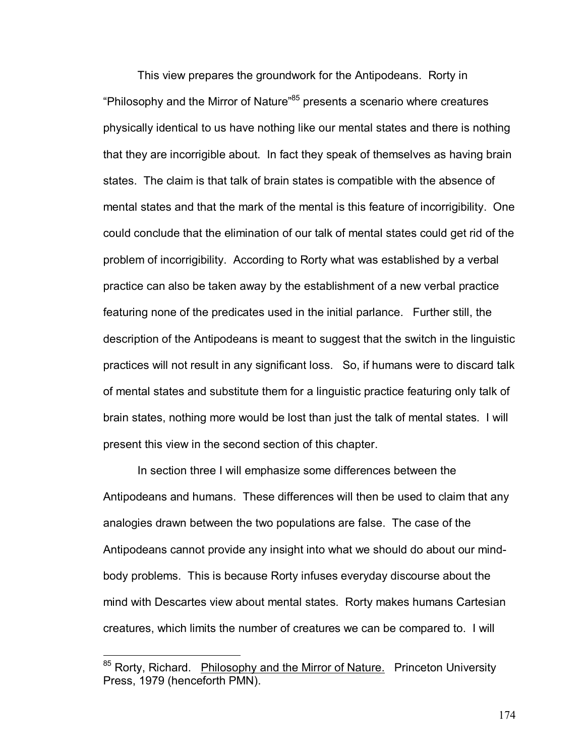This view prepares the groundwork for the Antipodeans. Rorty in "Philosophy and the Mirror of Nature<sup>85</sup> presents a scenario where creatures physically identical to us have nothing like our mental states and there is nothing that they are incorrigible about. In fact they speak of themselves as having brain states. The claim is that talk of brain states is compatible with the absence of mental states and that the mark of the mental is this feature of incorrigibility. One could conclude that the elimination of our talk of mental states could get rid of the problem of incorrigibility. According to Rorty what was established by a verbal practice can also be taken away by the establishment of a new verbal practice featuring none of the predicates used in the initial parlance. Further still, the description of the Antipodeans is meant to suggest that the switch in the linguistic practices will not result in any significant loss. So, if humans were to discard talk of mental states and substitute them for a linguistic practice featuring only talk of brain states, nothing more would be lost than just the talk of mental states. I will present this view in the second section of this chapter.

In section three I will emphasize some differences between the Antipodeans and humans. These differences will then be used to claim that any analogies drawn between the two populations are false. The case of the Antipodeans cannot provide any insight into what we should do about our mindbody problems. This is because Rorty infuses everyday discourse about the mind with Descartes view about mental states. Rorty makes humans Cartesian creatures, which limits the number of creatures we can be compared to. I will

<sup>85</sup> Rorty, Richard. Philosophy and the Mirror of Nature.Princeton University Press, 1979 (henceforth PMN).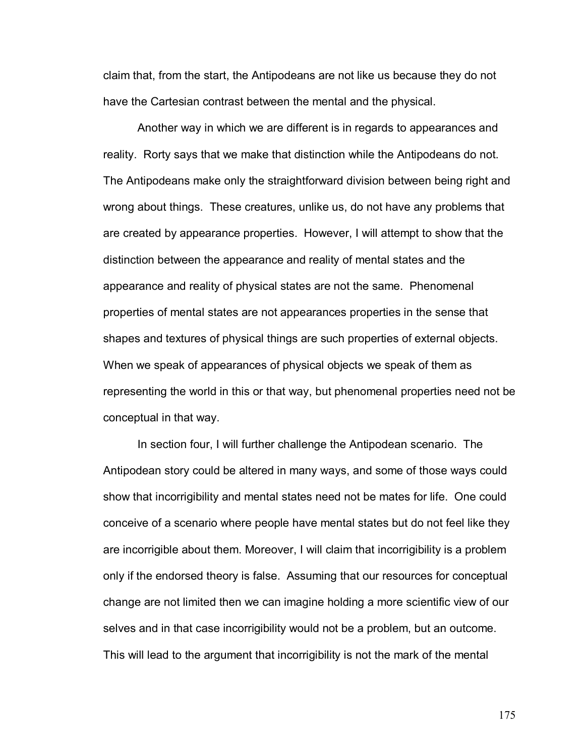claim that, from the start, the Antipodeans are not like us because they do not have the Cartesian contrast between the mental and the physical.

Another way in which we are different is in regards to appearances and reality. Rorty says that we make that distinction while the Antipodeans do not. The Antipodeans make only the straightforward division between being right and wrong about things. These creatures, unlike us, do not have any problems that are created by appearance properties. However, I will attempt to show that the distinction between the appearance and reality of mental states and the appearance and reality of physical states are not the same. Phenomenal properties of mental states are not appearances properties in the sense that shapes and textures of physical things are such properties of external objects. When we speak of appearances of physical objects we speak of them as representing the world in this or that way, but phenomenal properties need not be conceptual in that way.

In section four, I will further challenge the Antipodean scenario. The Antipodean story could be altered in many ways, and some of those ways could show that incorrigibility and mental states need not be mates for life. One could conceive of a scenario where people have mental states but do not feel like they are incorrigible about them. Moreover, I will claim that incorrigibility is a problem only if the endorsed theory is false. Assuming that our resources for conceptual change are not limited then we can imagine holding a more scientific view of our selves and in that case incorrigibility would not be a problem, but an outcome. This will lead to the argument that incorrigibility is not the mark of the mental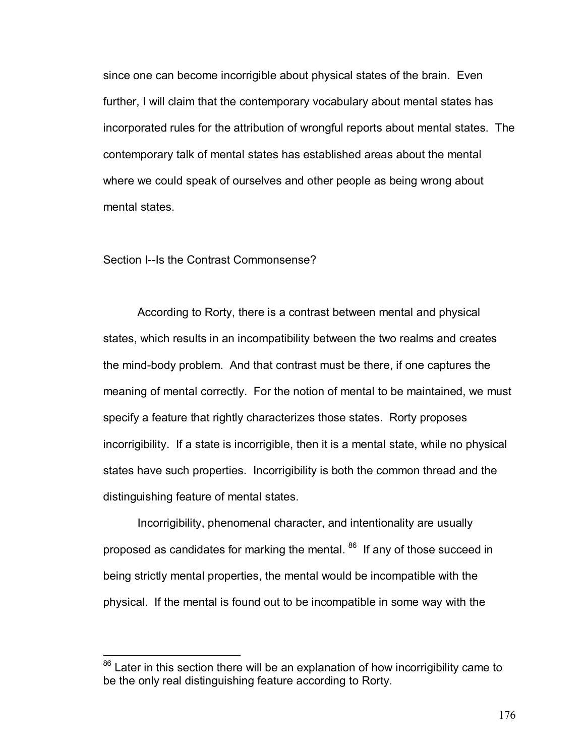since one can become incorrigible about physical states of the brain. Even further, I will claim that the contemporary vocabulary about mental states has incorporated rules for the attribution of wrongful reports about mental states. The contemporary talk of mental states has established areas about the mental where we could speak of ourselves and other people as being wrong about mental states.

## Section I--Is the Contrast Commonsense?

 $\overline{a}$ 

According to Rorty, there is a contrast between mental and physical states, which results in an incompatibility between the two realms and creates the mind-body problem. And that contrast must be there, if one captures the meaning of mental correctly. For the notion of mental to be maintained, we must specify a feature that rightly characterizes those states. Rorty proposes incorrigibility. If a state is incorrigible, then it is a mental state, while no physical states have such properties. Incorrigibility is both the common thread and the distinguishing feature of mental states.

Incorrigibility, phenomenal character, and intentionality are usually proposed as candidates for marking the mental. <sup>86</sup> If any of those succeed in being strictly mental properties, the mental would be incompatible with the physical. If the mental is found out to be incompatible in some way with the

 $86$  Later in this section there will be an explanation of how incorrigibility came to be the only real distinguishing feature according to Rorty.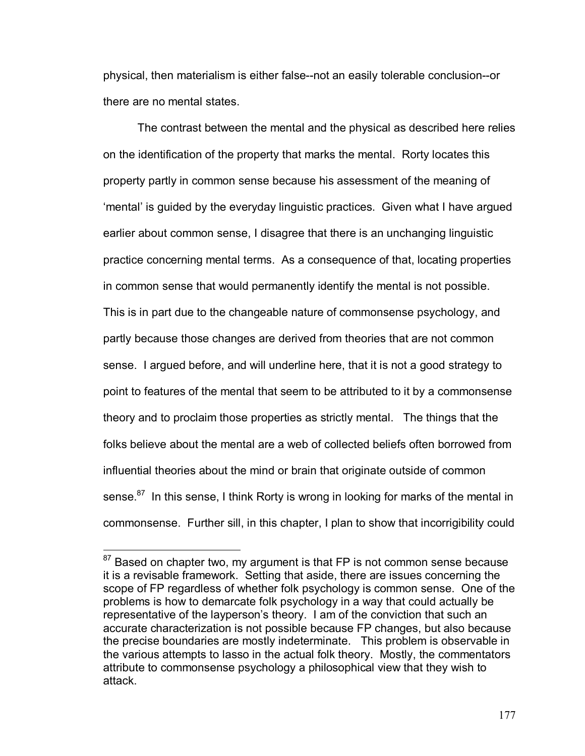physical, then materialism is either false--not an easily tolerable conclusion--or there are no mental states.

The contrast between the mental and the physical as described here relies on the identification of the property that marks the mental. Rorty locates this property partly in common sense because his assessment of the meaning of 'mental' is guided by the everyday linguistic practices. Given what I have argued earlier about common sense, I disagree that there is an unchanging linguistic practice concerning mental terms. As a consequence of that, locating properties in common sense that would permanently identify the mental is not possible. This is in part due to the changeable nature of commonsense psychology, and partly because those changes are derived from theories that are not common sense. I argued before, and will underline here, that it is not a good strategy to point to features of the mental that seem to be attributed to it by a commonsense theory and to proclaim those properties as strictly mental. The things that the folks believe about the mental are a web of collected beliefs often borrowed from influential theories about the mind or brain that originate outside of common sense.<sup>87</sup> In this sense, I think Rorty is wrong in looking for marks of the mental in commonsense. Further sill, in this chapter, I plan to show that incorrigibility could

 $\overline{a}$ 

 $87$  Based on chapter two, my argument is that FP is not common sense because it is a revisable framework. Setting that aside, there are issues concerning the scope of FP regardless of whether folk psychology is common sense. One of the problems is how to demarcate folk psychology in a way that could actually be representative of the layperson's theory. I am of the conviction that such an accurate characterization is not possible because FP changes, but also because the precise boundaries are mostly indeterminate. This problem is observable in the various attempts to lasso in the actual folk theory. Mostly, the commentators attribute to commonsense psychology a philosophical view that they wish to attack.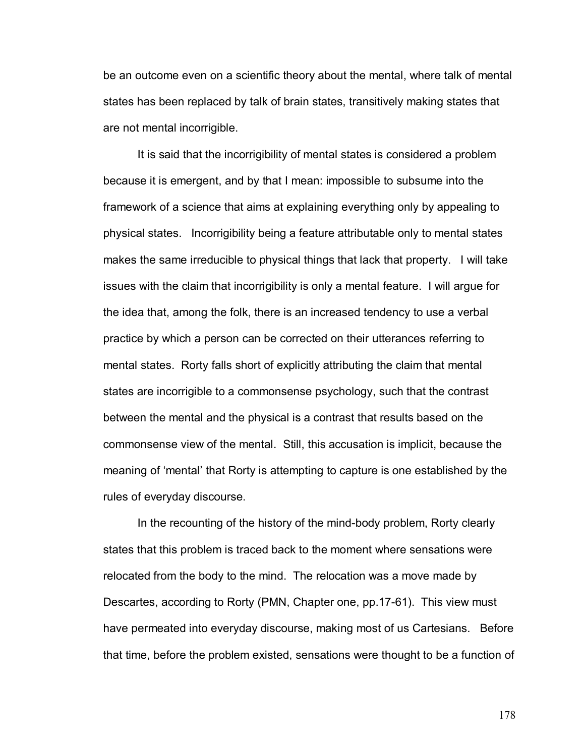be an outcome even on a scientific theory about the mental, where talk of mental states has been replaced by talk of brain states, transitively making states that are not mental incorrigible.

 It is said that the incorrigibility of mental states is considered a problem because it is emergent, and by that I mean: impossible to subsume into the framework of a science that aims at explaining everything only by appealing to physical states. Incorrigibility being a feature attributable only to mental states makes the same irreducible to physical things that lack that property. I will take issues with the claim that incorrigibility is only a mental feature. I will argue for the idea that, among the folk, there is an increased tendency to use a verbal practice by which a person can be corrected on their utterances referring to mental states. Rorty falls short of explicitly attributing the claim that mental states are incorrigible to a commonsense psychology, such that the contrast between the mental and the physical is a contrast that results based on the commonsense view of the mental. Still, this accusation is implicit, because the meaning of 'mental' that Rorty is attempting to capture is one established by the rules of everyday discourse.

In the recounting of the history of the mind-body problem, Rorty clearly states that this problem is traced back to the moment where sensations were relocated from the body to the mind. The relocation was a move made by Descartes, according to Rorty (PMN, Chapter one, pp.17-61). This view must have permeated into everyday discourse, making most of us Cartesians. Before that time, before the problem existed, sensations were thought to be a function of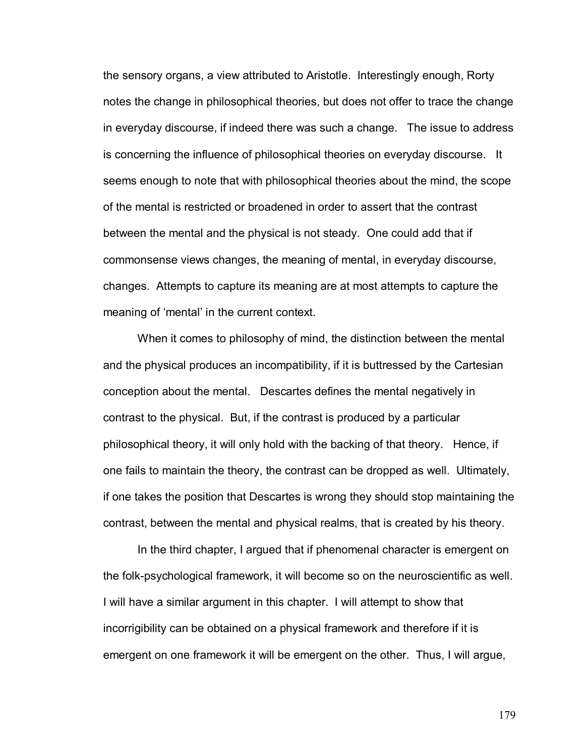the sensory organs, a view attributed to Aristotle. Interestingly enough, Rorty notes the change in philosophical theories, but does not offer to trace the change in everyday discourse, if indeed there was such a change. The issue to address is concerning the influence of philosophical theories on everyday discourse. It seems enough to note that with philosophical theories about the mind, the scope of the mental is restricted or broadened in order to assert that the contrast between the mental and the physical is not steady. One could add that if commonsense views changes, the meaning of mental, in everyday discourse, changes. Attempts to capture its meaning are at most attempts to capture the meaning of 'mental' in the current context.

When it comes to philosophy of mind, the distinction between the mental and the physical produces an incompatibility, if it is buttressed by the Cartesian conception about the mental. Descartes defines the mental negatively in contrast to the physical. But, if the contrast is produced by a particular philosophical theory, it will only hold with the backing of that theory. Hence, if one fails to maintain the theory, the contrast can be dropped as well. Ultimately, if one takes the position that Descartes is wrong they should stop maintaining the contrast, between the mental and physical realms, that is created by his theory.

 In the third chapter, I argued that if phenomenal character is emergent on the folk-psychological framework, it will become so on the neuroscientific as well. I will have a similar argument in this chapter. I will attempt to show that incorrigibility can be obtained on a physical framework and therefore if it is emergent on one framework it will be emergent on the other. Thus, I will argue,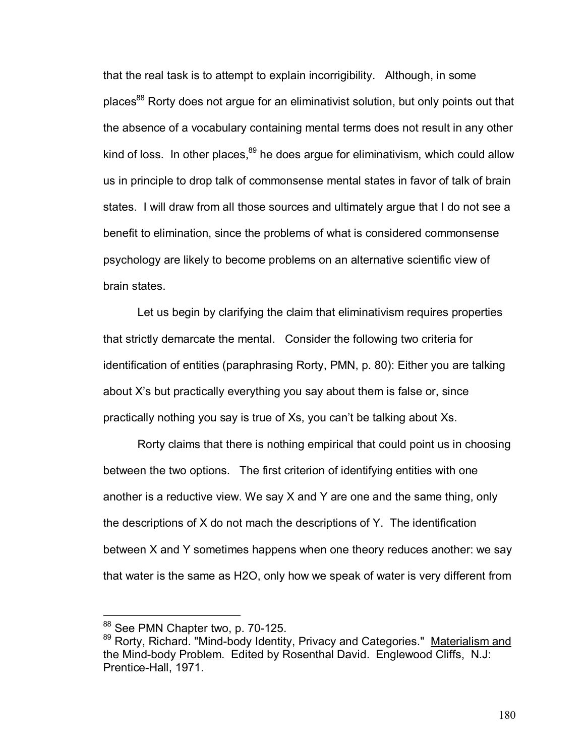that the real task is to attempt to explain incorrigibility. Although, in some places<sup>88</sup> Rorty does not argue for an eliminativist solution, but only points out that the absence of a vocabulary containing mental terms does not result in any other kind of loss. In other places, $89$  he does argue for eliminativism, which could allow us in principle to drop talk of commonsense mental states in favor of talk of brain states. I will draw from all those sources and ultimately argue that I do not see a benefit to elimination, since the problems of what is considered commonsense psychology are likely to become problems on an alternative scientific view of brain states.

Let us begin by clarifying the claim that eliminativism requires properties that strictly demarcate the mental. Consider the following two criteria for identification of entities (paraphrasing Rorty, PMN, p. 80): Either you are talking about X's but practically everything you say about them is false or, since practically nothing you say is true of Xs, you can't be talking about Xs.

Rorty claims that there is nothing empirical that could point us in choosing between the two options. The first criterion of identifying entities with one another is a reductive view. We say X and Y are one and the same thing, only the descriptions of X do not mach the descriptions of Y. The identification between X and Y sometimes happens when one theory reduces another: we say that water is the same as H2O, only how we speak of water is very different from

 $\overline{a}$ 

<sup>88</sup> See PMN Chapter two, p. 70-125.

<sup>89</sup> Rorty, Richard. "Mind-body Identity, Privacy and Categories." Materialism and the Mind-body Problem. Edited by Rosenthal David. Englewood Cliffs, N.J: Prentice-Hall, 1971.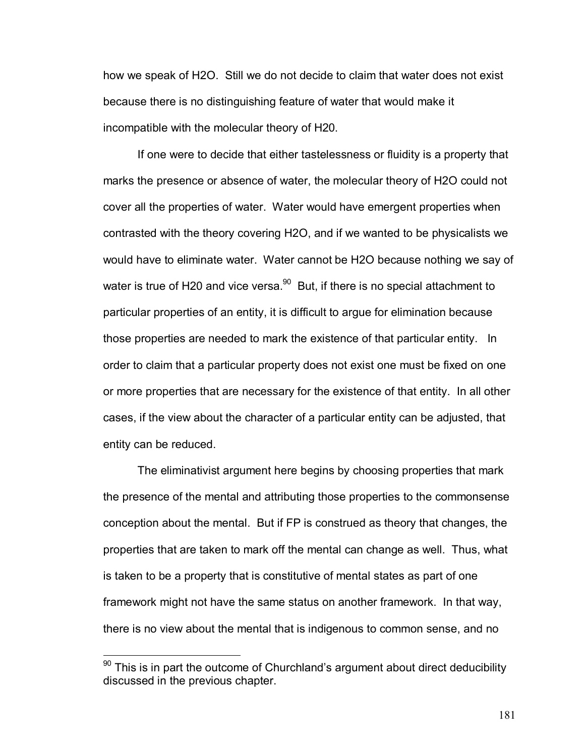how we speak of H2O. Still we do not decide to claim that water does not exist because there is no distinguishing feature of water that would make it incompatible with the molecular theory of H20.

If one were to decide that either tastelessness or fluidity is a property that marks the presence or absence of water, the molecular theory of H2O could not cover all the properties of water. Water would have emergent properties when contrasted with the theory covering H2O, and if we wanted to be physicalists we would have to eliminate water. Water cannot be H2O because nothing we say of water is true of H20 and vice versa. $90$  But, if there is no special attachment to particular properties of an entity, it is difficult to argue for elimination because those properties are needed to mark the existence of that particular entity. In order to claim that a particular property does not exist one must be fixed on one or more properties that are necessary for the existence of that entity. In all other cases, if the view about the character of a particular entity can be adjusted, that entity can be reduced.

 The eliminativist argument here begins by choosing properties that mark the presence of the mental and attributing those properties to the commonsense conception about the mental. But if FP is construed as theory that changes, the properties that are taken to mark off the mental can change as well. Thus, what is taken to be a property that is constitutive of mental states as part of one framework might not have the same status on another framework. In that way, there is no view about the mental that is indigenous to common sense, and no

 $\overline{a}$ 

 $90$  This is in part the outcome of Churchland's argument about direct deducibility discussed in the previous chapter.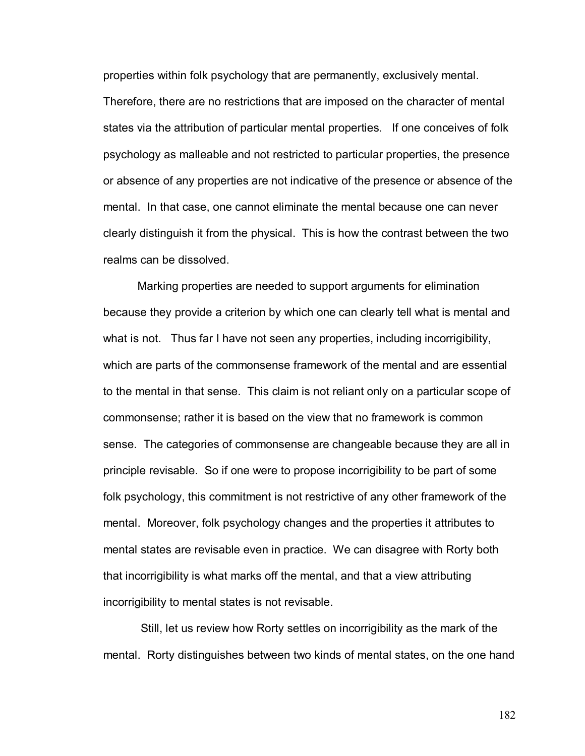properties within folk psychology that are permanently, exclusively mental.

Therefore, there are no restrictions that are imposed on the character of mental states via the attribution of particular mental properties. If one conceives of folk psychology as malleable and not restricted to particular properties, the presence or absence of any properties are not indicative of the presence or absence of the mental. In that case, one cannot eliminate the mental because one can never clearly distinguish it from the physical. This is how the contrast between the two realms can be dissolved.

 Marking properties are needed to support arguments for elimination because they provide a criterion by which one can clearly tell what is mental and what is not. Thus far I have not seen any properties, including incorrigibility, which are parts of the commonsense framework of the mental and are essential to the mental in that sense. This claim is not reliant only on a particular scope of commonsense; rather it is based on the view that no framework is common sense. The categories of commonsense are changeable because they are all in principle revisable. So if one were to propose incorrigibility to be part of some folk psychology, this commitment is not restrictive of any other framework of the mental. Moreover, folk psychology changes and the properties it attributes to mental states are revisable even in practice. We can disagree with Rorty both that incorrigibility is what marks off the mental, and that a view attributing incorrigibility to mental states is not revisable.

 Still, let us review how Rorty settles on incorrigibility as the mark of the mental. Rorty distinguishes between two kinds of mental states, on the one hand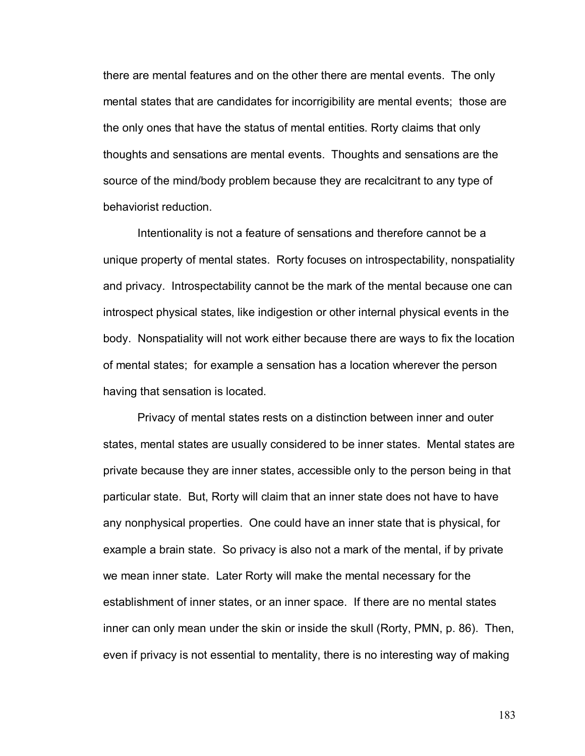there are mental features and on the other there are mental events. The only mental states that are candidates for incorrigibility are mental events; those are the only ones that have the status of mental entities. Rorty claims that only thoughts and sensations are mental events. Thoughts and sensations are the source of the mind/body problem because they are recalcitrant to any type of behaviorist reduction.

Intentionality is not a feature of sensations and therefore cannot be a unique property of mental states. Rorty focuses on introspectability, nonspatiality and privacy. Introspectability cannot be the mark of the mental because one can introspect physical states, like indigestion or other internal physical events in the body. Nonspatiality will not work either because there are ways to fix the location of mental states; for example a sensation has a location wherever the person having that sensation is located.

Privacy of mental states rests on a distinction between inner and outer states, mental states are usually considered to be inner states. Mental states are private because they are inner states, accessible only to the person being in that particular state. But, Rorty will claim that an inner state does not have to have any nonphysical properties. One could have an inner state that is physical, for example a brain state. So privacy is also not a mark of the mental, if by private we mean inner state. Later Rorty will make the mental necessary for the establishment of inner states, or an inner space. If there are no mental states inner can only mean under the skin or inside the skull (Rorty, PMN, p. 86). Then, even if privacy is not essential to mentality, there is no interesting way of making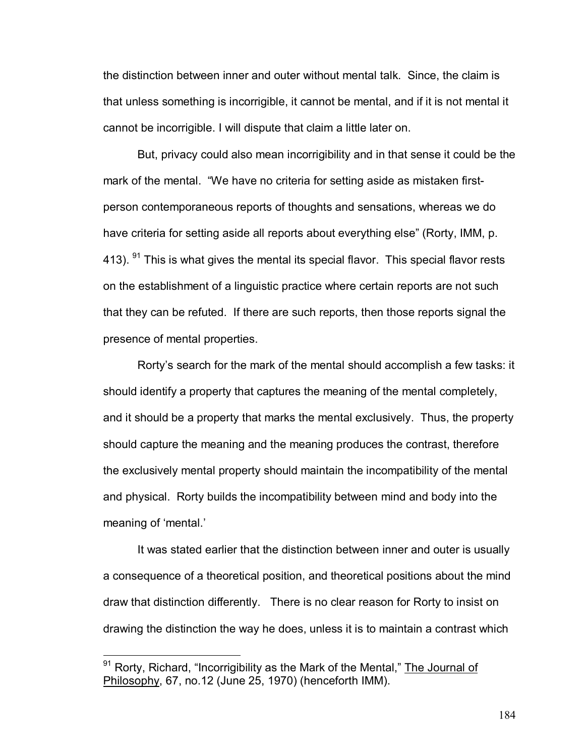the distinction between inner and outer without mental talk. Since, the claim is that unless something is incorrigible, it cannot be mental, and if it is not mental it cannot be incorrigible. I will dispute that claim a little later on.

But, privacy could also mean incorrigibility and in that sense it could be the mark of the mental. "We have no criteria for setting aside as mistaken firstperson contemporaneous reports of thoughts and sensations, whereas we do have criteria for setting aside all reports about everything else" (Rorty, IMM, p. 413).  $91$  This is what gives the mental its special flavor. This special flavor rests on the establishment of a linguistic practice where certain reports are not such that they can be refuted. If there are such reports, then those reports signal the presence of mental properties.

Rortyís search for the mark of the mental should accomplish a few tasks: it should identify a property that captures the meaning of the mental completely, and it should be a property that marks the mental exclusively. Thus, the property should capture the meaning and the meaning produces the contrast, therefore the exclusively mental property should maintain the incompatibility of the mental and physical. Rorty builds the incompatibility between mind and body into the meaning of 'mental.'

It was stated earlier that the distinction between inner and outer is usually a consequence of a theoretical position, and theoretical positions about the mind draw that distinction differently. There is no clear reason for Rorty to insist on drawing the distinction the way he does, unless it is to maintain a contrast which

 $\overline{a}$ 

 $91$  Rorty, Richard, "Incorrigibility as the Mark of the Mental," The Journal of Philosophy, 67, no.12 (June 25, 1970) (henceforth IMM).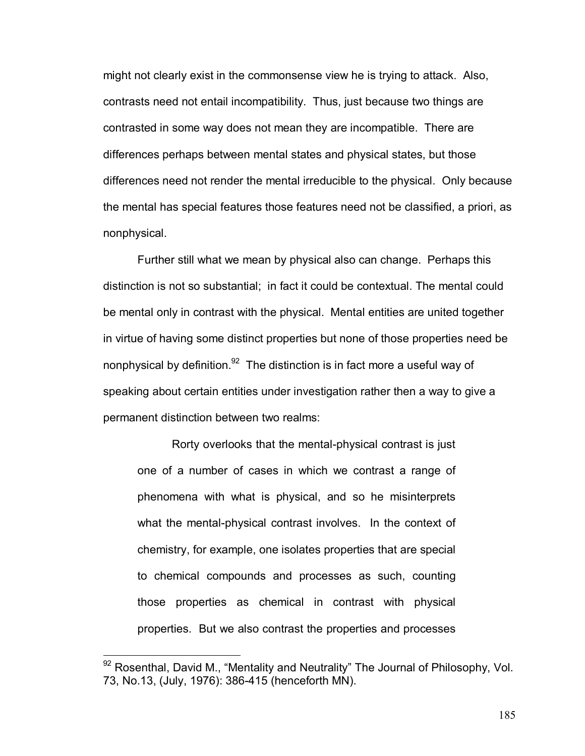might not clearly exist in the commonsense view he is trying to attack. Also, contrasts need not entail incompatibility. Thus, just because two things are contrasted in some way does not mean they are incompatible. There are differences perhaps between mental states and physical states, but those differences need not render the mental irreducible to the physical. Only because the mental has special features those features need not be classified, a priori, as nonphysical.

Further still what we mean by physical also can change. Perhaps this distinction is not so substantial; in fact it could be contextual. The mental could be mental only in contrast with the physical. Mental entities are united together in virtue of having some distinct properties but none of those properties need be nonphysical by definition.<sup>92</sup> The distinction is in fact more a useful way of speaking about certain entities under investigation rather then a way to give a permanent distinction between two realms:

Rorty overlooks that the mental-physical contrast is just one of a number of cases in which we contrast a range of phenomena with what is physical, and so he misinterprets what the mental-physical contrast involves. In the context of chemistry, for example, one isolates properties that are special to chemical compounds and processes as such, counting those properties as chemical in contrast with physical properties. But we also contrast the properties and processes

 $\overline{a}$ 

 $92$  Rosenthal, David M., "Mentality and Neutrality" The Journal of Philosophy, Vol. 73, No.13, (July, 1976): 386-415 (henceforth MN).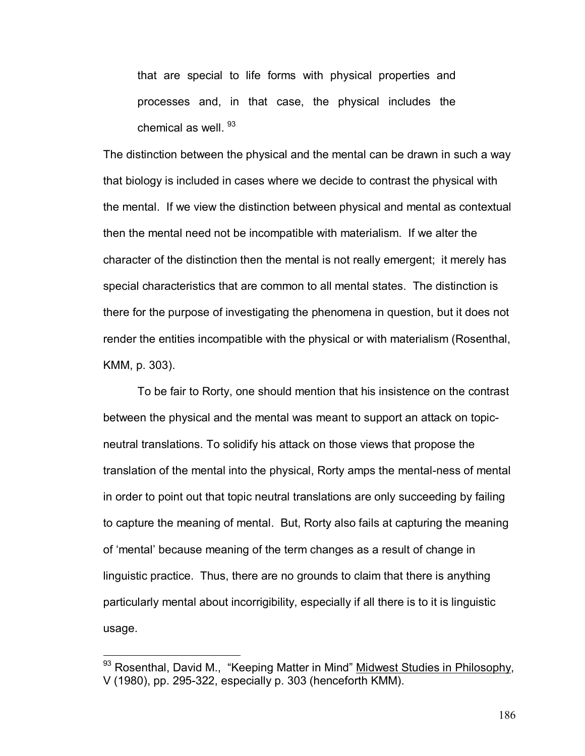that are special to life forms with physical properties and processes and, in that case, the physical includes the chemical as well.  $93$ 

The distinction between the physical and the mental can be drawn in such a way that biology is included in cases where we decide to contrast the physical with the mental. If we view the distinction between physical and mental as contextual then the mental need not be incompatible with materialism. If we alter the character of the distinction then the mental is not really emergent; it merely has special characteristics that are common to all mental states. The distinction is there for the purpose of investigating the phenomena in question, but it does not render the entities incompatible with the physical or with materialism (Rosenthal, KMM, p. 303).

To be fair to Rorty, one should mention that his insistence on the contrast between the physical and the mental was meant to support an attack on topicneutral translations. To solidify his attack on those views that propose the translation of the mental into the physical, Rorty amps the mental-ness of mental in order to point out that topic neutral translations are only succeeding by failing to capture the meaning of mental. But, Rorty also fails at capturing the meaning of 'mental' because meaning of the term changes as a result of change in linguistic practice. Thus, there are no grounds to claim that there is anything particularly mental about incorrigibility, especially if all there is to it is linguistic usage.

 $\overline{a}$ 

 $93$  Rosenthal, David M., "Keeping Matter in Mind" Midwest Studies in Philosophy, V (1980), pp. 295-322, especially p. 303 (henceforth KMM).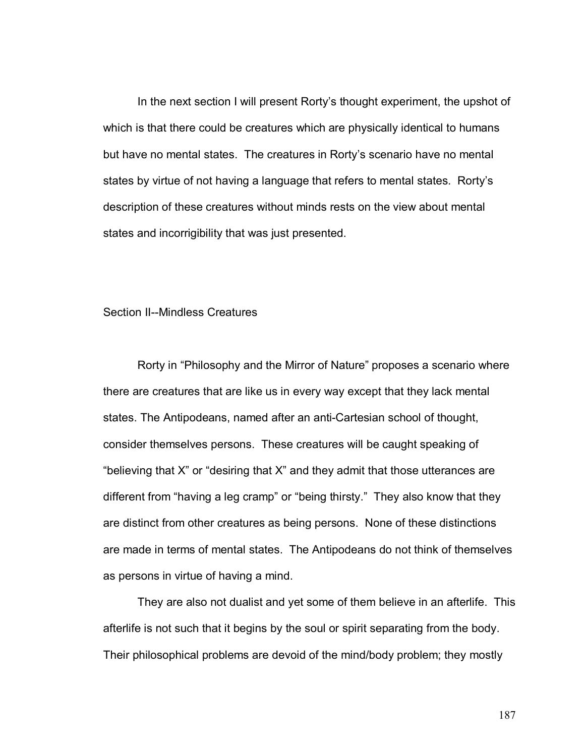In the next section I will present Rortyís thought experiment, the upshot of which is that there could be creatures which are physically identical to humans but have no mental states. The creatures in Rortyís scenario have no mental states by virtue of not having a language that refers to mental states. Rortyís description of these creatures without minds rests on the view about mental states and incorrigibility that was just presented.

## Section II--Mindless Creatures

Rorty in "Philosophy and the Mirror of Nature" proposes a scenario where there are creatures that are like us in every way except that they lack mental states. The Antipodeans, named after an anti-Cartesian school of thought, consider themselves persons. These creatures will be caught speaking of "believing that  $X$ " or "desiring that  $X$ " and they admit that those utterances are different from "having a leg cramp" or "being thirsty." They also know that they are distinct from other creatures as being persons. None of these distinctions are made in terms of mental states. The Antipodeans do not think of themselves as persons in virtue of having a mind.

 They are also not dualist and yet some of them believe in an afterlife. This afterlife is not such that it begins by the soul or spirit separating from the body. Their philosophical problems are devoid of the mind/body problem; they mostly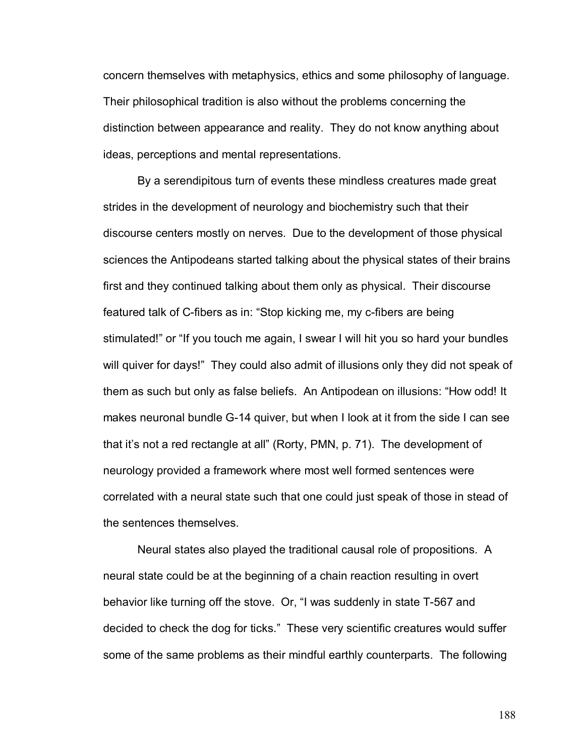concern themselves with metaphysics, ethics and some philosophy of language. Their philosophical tradition is also without the problems concerning the distinction between appearance and reality. They do not know anything about ideas, perceptions and mental representations.

 By a serendipitous turn of events these mindless creatures made great strides in the development of neurology and biochemistry such that their discourse centers mostly on nerves. Due to the development of those physical sciences the Antipodeans started talking about the physical states of their brains first and they continued talking about them only as physical. Their discourse featured talk of C-fibers as in: "Stop kicking me, my c-fibers are being stimulated!" or "If you touch me again, I swear I will hit you so hard your bundles will quiver for days!" They could also admit of illusions only they did not speak of them as such but only as false beliefs. An Antipodean on illusions: "How odd! It makes neuronal bundle G-14 quiver, but when I look at it from the side I can see that it's not a red rectangle at all" (Rorty, PMN, p. 71). The development of neurology provided a framework where most well formed sentences were correlated with a neural state such that one could just speak of those in stead of the sentences themselves.

Neural states also played the traditional causal role of propositions. A neural state could be at the beginning of a chain reaction resulting in overt behavior like turning off the stove. Or, "I was suddenly in state T-567 and decided to check the dog for ticks." These very scientific creatures would suffer some of the same problems as their mindful earthly counterparts. The following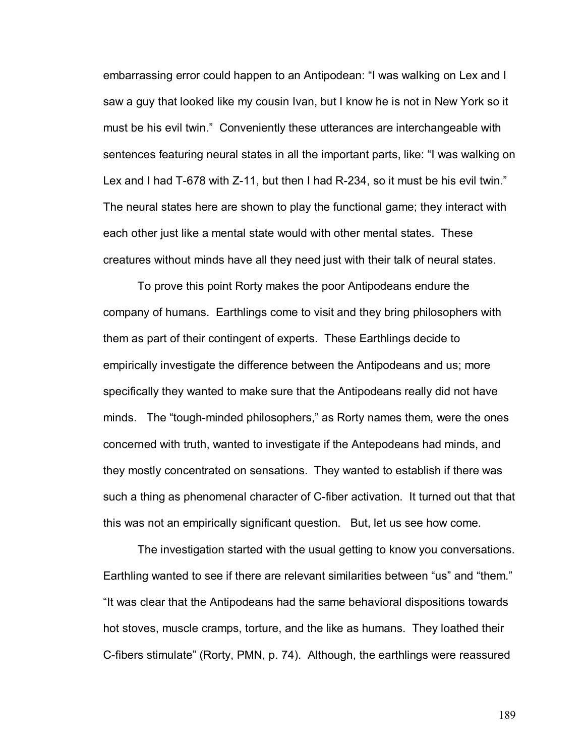embarrassing error could happen to an Antipodean: "I was walking on Lex and I saw a guy that looked like my cousin Ivan, but I know he is not in New York so it must be his evil twin." Conveniently these utterances are interchangeable with sentences featuring neural states in all the important parts, like: "I was walking on Lex and I had  $T$ -678 with  $Z$ -11, but then I had  $R$ -234, so it must be his evil twin.<sup>"</sup> The neural states here are shown to play the functional game; they interact with each other just like a mental state would with other mental states. These creatures without minds have all they need just with their talk of neural states.

To prove this point Rorty makes the poor Antipodeans endure the company of humans. Earthlings come to visit and they bring philosophers with them as part of their contingent of experts. These Earthlings decide to empirically investigate the difference between the Antipodeans and us; more specifically they wanted to make sure that the Antipodeans really did not have minds. The "tough-minded philosophers," as Rorty names them, were the ones concerned with truth, wanted to investigate if the Antepodeans had minds, and they mostly concentrated on sensations. They wanted to establish if there was such a thing as phenomenal character of C-fiber activation. It turned out that that this was not an empirically significant question. But, let us see how come.

The investigation started with the usual getting to know you conversations. Earthling wanted to see if there are relevant similarities between "us" and "them." "It was clear that the Antipodeans had the same behavioral dispositions towards hot stoves, muscle cramps, torture, and the like as humans. They loathed their C-fibers stimulate" (Rorty, PMN, p. 74). Although, the earthlings were reassured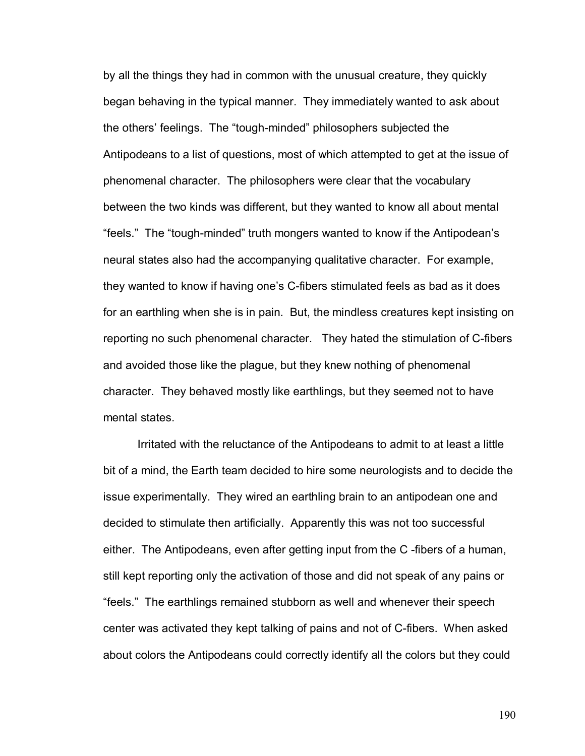by all the things they had in common with the unusual creature, they quickly began behaving in the typical manner. They immediately wanted to ask about the others' feelings. The "tough-minded" philosophers subjected the Antipodeans to a list of questions, most of which attempted to get at the issue of phenomenal character. The philosophers were clear that the vocabulary between the two kinds was different, but they wanted to know all about mental "feels." The "tough-minded" truth mongers wanted to know if the Antipodean's neural states also had the accompanying qualitative character. For example, they wanted to know if having one's C-fibers stimulated feels as bad as it does for an earthling when she is in pain. But, the mindless creatures kept insisting on reporting no such phenomenal character. They hated the stimulation of C-fibers and avoided those like the plague, but they knew nothing of phenomenal character. They behaved mostly like earthlings, but they seemed not to have mental states.

Irritated with the reluctance of the Antipodeans to admit to at least a little bit of a mind, the Earth team decided to hire some neurologists and to decide the issue experimentally. They wired an earthling brain to an antipodean one and decided to stimulate then artificially. Apparently this was not too successful either. The Antipodeans, even after getting input from the C -fibers of a human, still kept reporting only the activation of those and did not speak of any pains or ìfeels.î The earthlings remained stubborn as well and whenever their speech center was activated they kept talking of pains and not of C-fibers. When asked about colors the Antipodeans could correctly identify all the colors but they could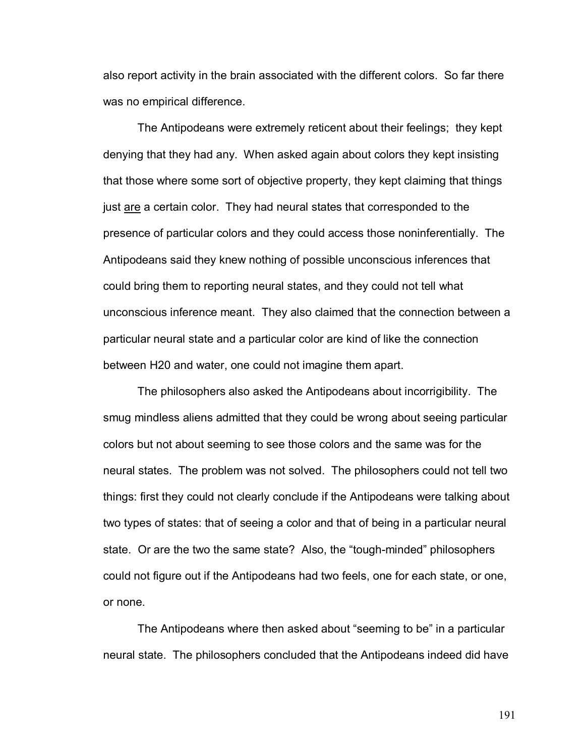also report activity in the brain associated with the different colors. So far there was no empirical difference.

The Antipodeans were extremely reticent about their feelings; they kept denying that they had any. When asked again about colors they kept insisting that those where some sort of objective property, they kept claiming that things just are a certain color. They had neural states that corresponded to the presence of particular colors and they could access those noninferentially. The Antipodeans said they knew nothing of possible unconscious inferences that could bring them to reporting neural states, and they could not tell what unconscious inference meant. They also claimed that the connection between a particular neural state and a particular color are kind of like the connection between H20 and water, one could not imagine them apart.

The philosophers also asked the Antipodeans about incorrigibility. The smug mindless aliens admitted that they could be wrong about seeing particular colors but not about seeming to see those colors and the same was for the neural states. The problem was not solved. The philosophers could not tell two things: first they could not clearly conclude if the Antipodeans were talking about two types of states: that of seeing a color and that of being in a particular neural state. Or are the two the same state? Also, the "tough-minded" philosophers could not figure out if the Antipodeans had two feels, one for each state, or one, or none.

The Antipodeans where then asked about "seeming to be" in a particular neural state. The philosophers concluded that the Antipodeans indeed did have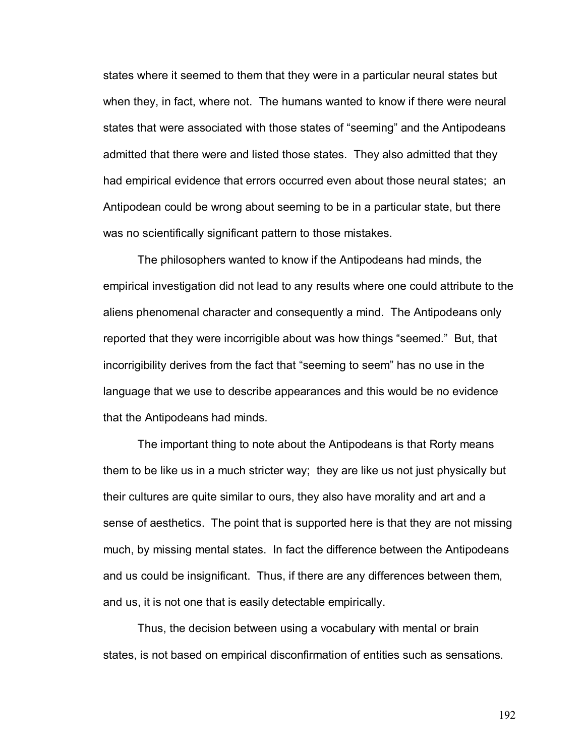states where it seemed to them that they were in a particular neural states but when they, in fact, where not. The humans wanted to know if there were neural states that were associated with those states of "seeming" and the Antipodeans admitted that there were and listed those states. They also admitted that they had empirical evidence that errors occurred even about those neural states; an Antipodean could be wrong about seeming to be in a particular state, but there was no scientifically significant pattern to those mistakes.

The philosophers wanted to know if the Antipodeans had minds, the empirical investigation did not lead to any results where one could attribute to the aliens phenomenal character and consequently a mind. The Antipodeans only reported that they were incorrigible about was how things "seemed." But, that incorrigibility derives from the fact that "seeming to seem" has no use in the language that we use to describe appearances and this would be no evidence that the Antipodeans had minds.

The important thing to note about the Antipodeans is that Rorty means them to be like us in a much stricter way; they are like us not just physically but their cultures are quite similar to ours, they also have morality and art and a sense of aesthetics. The point that is supported here is that they are not missing much, by missing mental states. In fact the difference between the Antipodeans and us could be insignificant. Thus, if there are any differences between them, and us, it is not one that is easily detectable empirically.

Thus, the decision between using a vocabulary with mental or brain states, is not based on empirical disconfirmation of entities such as sensations.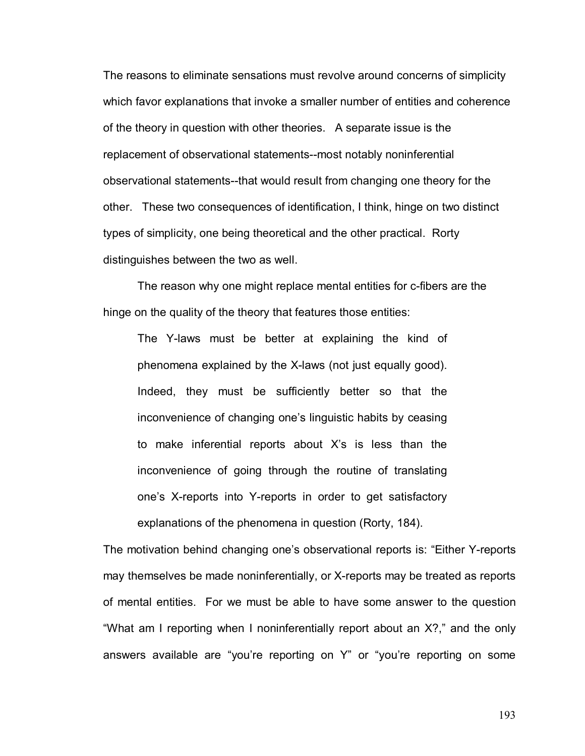The reasons to eliminate sensations must revolve around concerns of simplicity which favor explanations that invoke a smaller number of entities and coherence of the theory in question with other theories. A separate issue is the replacement of observational statements--most notably noninferential observational statements--that would result from changing one theory for the other. These two consequences of identification, I think, hinge on two distinct types of simplicity, one being theoretical and the other practical. Rorty distinguishes between the two as well.

The reason why one might replace mental entities for c-fibers are the hinge on the quality of the theory that features those entities:

The Y-laws must be better at explaining the kind of phenomena explained by the X-laws (not just equally good). Indeed, they must be sufficiently better so that the inconvenience of changing one's linguistic habits by ceasing to make inferential reports about Xís is less than the inconvenience of going through the routine of translating one's X-reports into Y-reports in order to get satisfactory explanations of the phenomena in question (Rorty, 184).

The motivation behind changing one's observational reports is: "Either Y-reports" may themselves be made noninferentially, or X-reports may be treated as reports of mental entities. For we must be able to have some answer to the question "What am I reporting when I noninferentially report about an X?," and the only answers available are "you're reporting on Y" or "you're reporting on some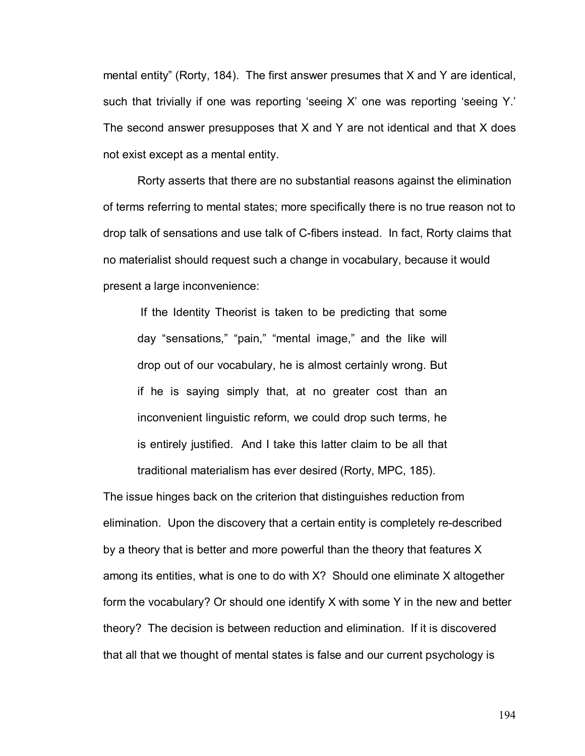mental entityî (Rorty, 184). The first answer presumes that X and Y are identical, such that trivially if one was reporting 'seeing X' one was reporting 'seeing Y.' The second answer presupposes that X and Y are not identical and that X does not exist except as a mental entity.

Rorty asserts that there are no substantial reasons against the elimination of terms referring to mental states; more specifically there is no true reason not to drop talk of sensations and use talk of C-fibers instead. In fact, Rorty claims that no materialist should request such a change in vocabulary, because it would present a large inconvenience:

If the Identity Theorist is taken to be predicting that some day "sensations," "pain," "mental image," and the like will drop out of our vocabulary, he is almost certainly wrong. But if he is saying simply that, at no greater cost than an inconvenient linguistic reform, we could drop such terms, he is entirely justified. And I take this latter claim to be all that traditional materialism has ever desired (Rorty, MPC, 185).

The issue hinges back on the criterion that distinguishes reduction from elimination. Upon the discovery that a certain entity is completely re-described by a theory that is better and more powerful than the theory that features X among its entities, what is one to do with X? Should one eliminate X altogether form the vocabulary? Or should one identify X with some Y in the new and better theory? The decision is between reduction and elimination. If it is discovered that all that we thought of mental states is false and our current psychology is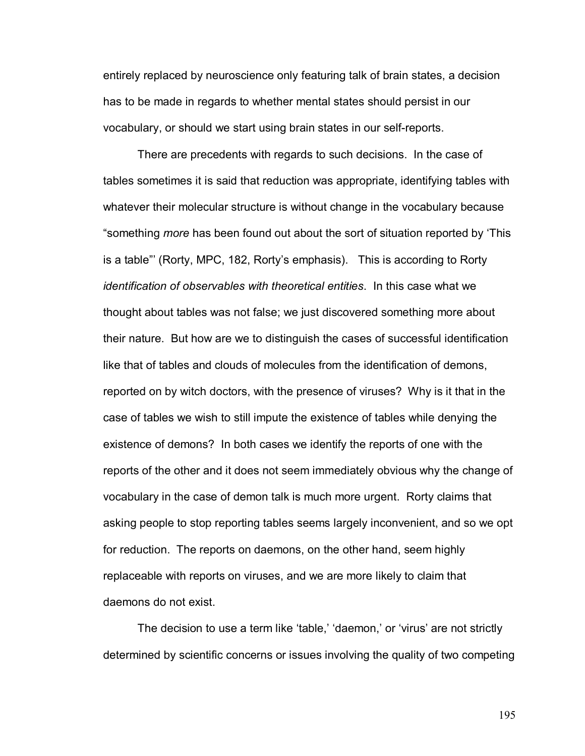entirely replaced by neuroscience only featuring talk of brain states, a decision has to be made in regards to whether mental states should persist in our vocabulary, or should we start using brain states in our self-reports.

 There are precedents with regards to such decisions. In the case of tables sometimes it is said that reduction was appropriate, identifying tables with whatever their molecular structure is without change in the vocabulary because "something *more* has been found out about the sort of situation reported by 'This is a table" (Rorty, MPC, 182, Rorty's emphasis). This is according to Rorty *identification of observables with theoretical entities*. In this case what we thought about tables was not false; we just discovered something more about their nature. But how are we to distinguish the cases of successful identification like that of tables and clouds of molecules from the identification of demons, reported on by witch doctors, with the presence of viruses? Why is it that in the case of tables we wish to still impute the existence of tables while denying the existence of demons? In both cases we identify the reports of one with the reports of the other and it does not seem immediately obvious why the change of vocabulary in the case of demon talk is much more urgent. Rorty claims that asking people to stop reporting tables seems largely inconvenient, and so we opt for reduction. The reports on daemons, on the other hand, seem highly replaceable with reports on viruses, and we are more likely to claim that daemons do not exist.

The decision to use a term like 'table,' 'daemon,' or 'virus' are not strictly determined by scientific concerns or issues involving the quality of two competing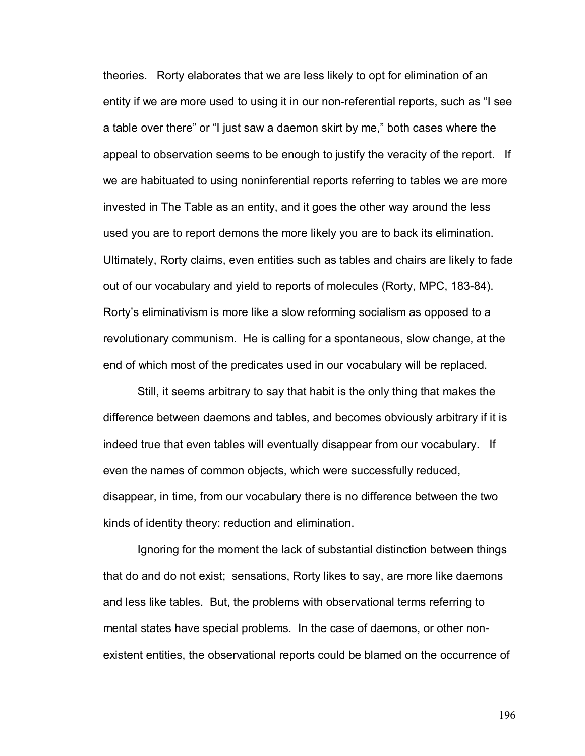theories. Rorty elaborates that we are less likely to opt for elimination of an entity if we are more used to using it in our non-referential reports, such as "I see a table over there" or "I just saw a daemon skirt by me," both cases where the appeal to observation seems to be enough to justify the veracity of the report. If we are habituated to using noninferential reports referring to tables we are more invested in The Table as an entity, and it goes the other way around the less used you are to report demons the more likely you are to back its elimination. Ultimately, Rorty claims, even entities such as tables and chairs are likely to fade out of our vocabulary and yield to reports of molecules (Rorty, MPC, 183-84). Rortyís eliminativism is more like a slow reforming socialism as opposed to a revolutionary communism. He is calling for a spontaneous, slow change, at the end of which most of the predicates used in our vocabulary will be replaced.

Still, it seems arbitrary to say that habit is the only thing that makes the difference between daemons and tables, and becomes obviously arbitrary if it is indeed true that even tables will eventually disappear from our vocabulary. If even the names of common objects, which were successfully reduced, disappear, in time, from our vocabulary there is no difference between the two kinds of identity theory: reduction and elimination.

 Ignoring for the moment the lack of substantial distinction between things that do and do not exist; sensations, Rorty likes to say, are more like daemons and less like tables. But, the problems with observational terms referring to mental states have special problems. In the case of daemons, or other nonexistent entities, the observational reports could be blamed on the occurrence of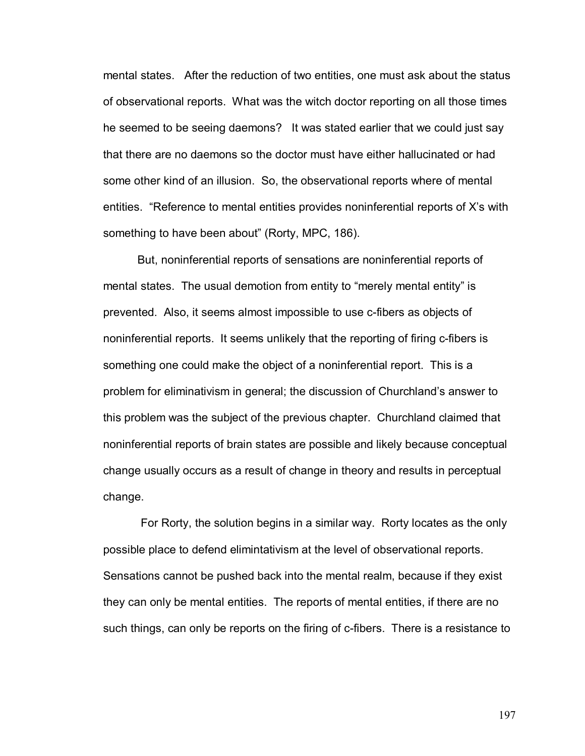mental states. After the reduction of two entities, one must ask about the status of observational reports. What was the witch doctor reporting on all those times he seemed to be seeing daemons? It was stated earlier that we could just say that there are no daemons so the doctor must have either hallucinated or had some other kind of an illusion. So, the observational reports where of mental entities.  $\hat{R}$  Reference to mental entities provides noninferential reports of X's with something to have been about" (Rorty, MPC, 186).

 But, noninferential reports of sensations are noninferential reports of mental states. The usual demotion from entity to "merely mental entity" is prevented. Also, it seems almost impossible to use c-fibers as objects of noninferential reports. It seems unlikely that the reporting of firing c-fibers is something one could make the object of a noninferential report. This is a problem for eliminativism in general; the discussion of Churchland's answer to this problem was the subject of the previous chapter. Churchland claimed that noninferential reports of brain states are possible and likely because conceptual change usually occurs as a result of change in theory and results in perceptual change.

 For Rorty, the solution begins in a similar way. Rorty locates as the only possible place to defend elimintativism at the level of observational reports. Sensations cannot be pushed back into the mental realm, because if they exist they can only be mental entities. The reports of mental entities, if there are no such things, can only be reports on the firing of c-fibers. There is a resistance to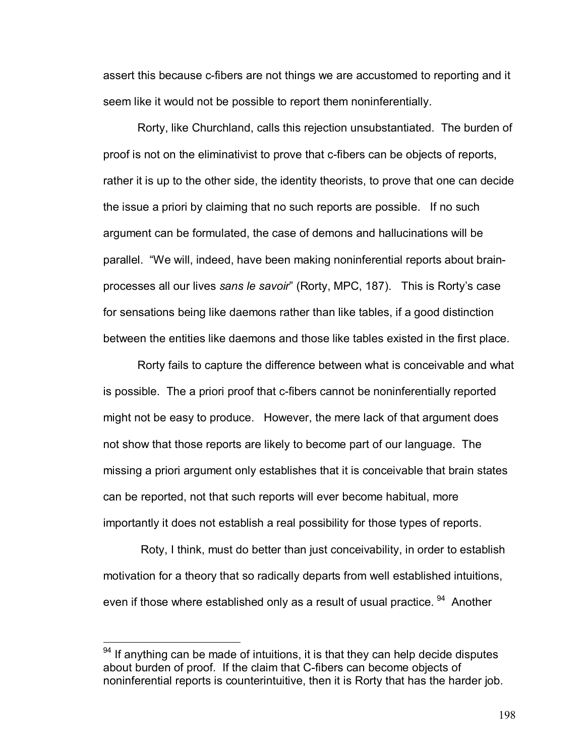assert this because c-fibers are not things we are accustomed to reporting and it seem like it would not be possible to report them noninferentially.

Rorty, like Churchland, calls this rejection unsubstantiated. The burden of proof is not on the eliminativist to prove that c-fibers can be objects of reports, rather it is up to the other side, the identity theorists, to prove that one can decide the issue a priori by claiming that no such reports are possible. If no such argument can be formulated, the case of demons and hallucinations will be parallel. "We will, indeed, have been making noninferential reports about brainprocesses all our lives *sans le savoir*î (Rorty, MPC, 187). This is Rortyís case for sensations being like daemons rather than like tables, if a good distinction between the entities like daemons and those like tables existed in the first place.

Rorty fails to capture the difference between what is conceivable and what is possible. The a priori proof that c-fibers cannot be noninferentially reported might not be easy to produce. However, the mere lack of that argument does not show that those reports are likely to become part of our language. The missing a priori argument only establishes that it is conceivable that brain states can be reported, not that such reports will ever become habitual, more importantly it does not establish a real possibility for those types of reports.

 Roty, I think, must do better than just conceivability, in order to establish motivation for a theory that so radically departs from well established intuitions, even if those where established only as a result of usual practice. <sup>94</sup> Another

 $94$  If anything can be made of intuitions, it is that they can help decide disputes about burden of proof. If the claim that C-fibers can become objects of noninferential reports is counterintuitive, then it is Rorty that has the harder job.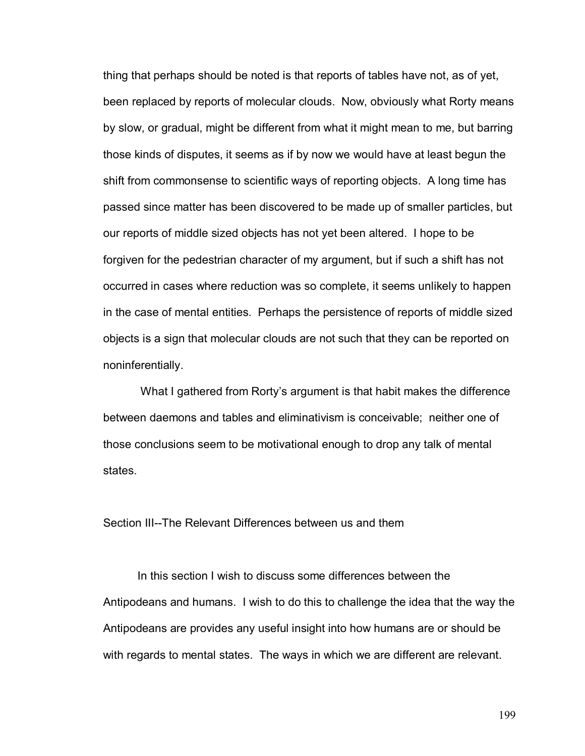thing that perhaps should be noted is that reports of tables have not, as of yet, been replaced by reports of molecular clouds. Now, obviously what Rorty means by slow, or gradual, might be different from what it might mean to me, but barring those kinds of disputes, it seems as if by now we would have at least begun the shift from commonsense to scientific ways of reporting objects. A long time has passed since matter has been discovered to be made up of smaller particles, but our reports of middle sized objects has not yet been altered. I hope to be forgiven for the pedestrian character of my argument, but if such a shift has not occurred in cases where reduction was so complete, it seems unlikely to happen in the case of mental entities. Perhaps the persistence of reports of middle sized objects is a sign that molecular clouds are not such that they can be reported on noninferentially.

What I gathered from Rorty's argument is that habit makes the difference between daemons and tables and eliminativism is conceivable; neither one of those conclusions seem to be motivational enough to drop any talk of mental states.

Section III--The Relevant Differences between us and them

In this section I wish to discuss some differences between the Antipodeans and humans. I wish to do this to challenge the idea that the way the Antipodeans are provides any useful insight into how humans are or should be with regards to mental states. The ways in which we are different are relevant.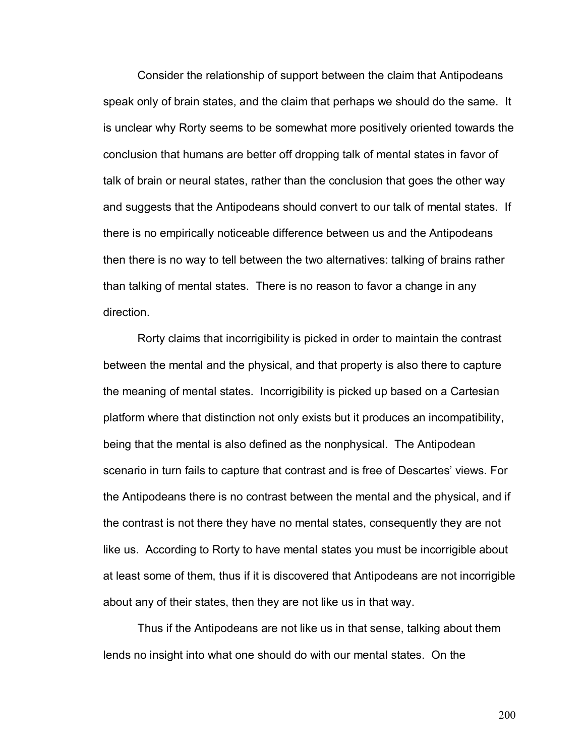Consider the relationship of support between the claim that Antipodeans speak only of brain states, and the claim that perhaps we should do the same. It is unclear why Rorty seems to be somewhat more positively oriented towards the conclusion that humans are better off dropping talk of mental states in favor of talk of brain or neural states, rather than the conclusion that goes the other way and suggests that the Antipodeans should convert to our talk of mental states. If there is no empirically noticeable difference between us and the Antipodeans then there is no way to tell between the two alternatives: talking of brains rather than talking of mental states. There is no reason to favor a change in any direction.

Rorty claims that incorrigibility is picked in order to maintain the contrast between the mental and the physical, and that property is also there to capture the meaning of mental states. Incorrigibility is picked up based on a Cartesian platform where that distinction not only exists but it produces an incompatibility, being that the mental is also defined as the nonphysical. The Antipodean scenario in turn fails to capture that contrast and is free of Descartes' views. For the Antipodeans there is no contrast between the mental and the physical, and if the contrast is not there they have no mental states, consequently they are not like us. According to Rorty to have mental states you must be incorrigible about at least some of them, thus if it is discovered that Antipodeans are not incorrigible about any of their states, then they are not like us in that way.

Thus if the Antipodeans are not like us in that sense, talking about them lends no insight into what one should do with our mental states. On the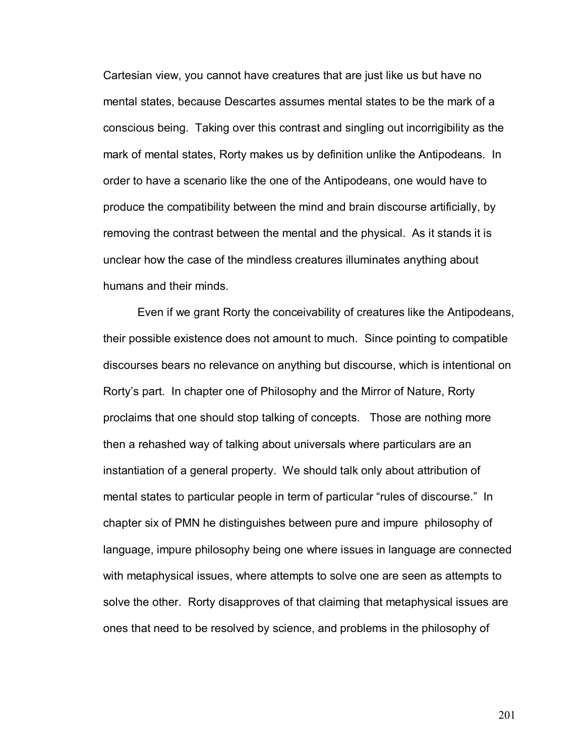Cartesian view, you cannot have creatures that are just like us but have no mental states, because Descartes assumes mental states to be the mark of a conscious being. Taking over this contrast and singling out incorrigibility as the mark of mental states, Rorty makes us by definition unlike the Antipodeans. In order to have a scenario like the one of the Antipodeans, one would have to produce the compatibility between the mind and brain discourse artificially, by removing the contrast between the mental and the physical. As it stands it is unclear how the case of the mindless creatures illuminates anything about humans and their minds.

Even if we grant Rorty the conceivability of creatures like the Antipodeans, their possible existence does not amount to much. Since pointing to compatible discourses bears no relevance on anything but discourse, which is intentional on Rortyís part. In chapter one of Philosophy and the Mirror of Nature, Rorty proclaims that one should stop talking of concepts. Those are nothing more then a rehashed way of talking about universals where particulars are an instantiation of a general property. We should talk only about attribution of mental states to particular people in term of particular "rules of discourse." In chapter six of PMN he distinguishes between pure and impure philosophy of language, impure philosophy being one where issues in language are connected with metaphysical issues, where attempts to solve one are seen as attempts to solve the other. Rorty disapproves of that claiming that metaphysical issues are ones that need to be resolved by science, and problems in the philosophy of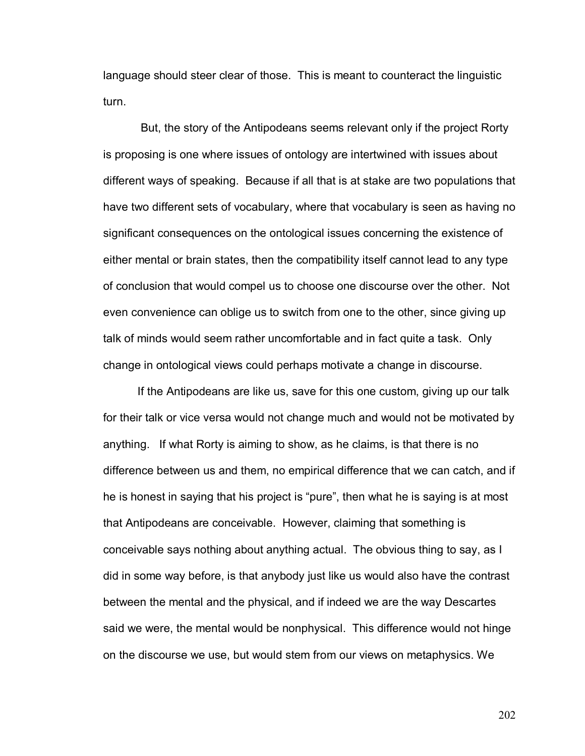language should steer clear of those. This is meant to counteract the linguistic turn.

 But, the story of the Antipodeans seems relevant only if the project Rorty is proposing is one where issues of ontology are intertwined with issues about different ways of speaking. Because if all that is at stake are two populations that have two different sets of vocabulary, where that vocabulary is seen as having no significant consequences on the ontological issues concerning the existence of either mental or brain states, then the compatibility itself cannot lead to any type of conclusion that would compel us to choose one discourse over the other. Not even convenience can oblige us to switch from one to the other, since giving up talk of minds would seem rather uncomfortable and in fact quite a task. Only change in ontological views could perhaps motivate a change in discourse.

If the Antipodeans are like us, save for this one custom, giving up our talk for their talk or vice versa would not change much and would not be motivated by anything. If what Rorty is aiming to show, as he claims, is that there is no difference between us and them, no empirical difference that we can catch, and if he is honest in saying that his project is "pure", then what he is saying is at most that Antipodeans are conceivable. However, claiming that something is conceivable says nothing about anything actual. The obvious thing to say, as I did in some way before, is that anybody just like us would also have the contrast between the mental and the physical, and if indeed we are the way Descartes said we were, the mental would be nonphysical. This difference would not hinge on the discourse we use, but would stem from our views on metaphysics. We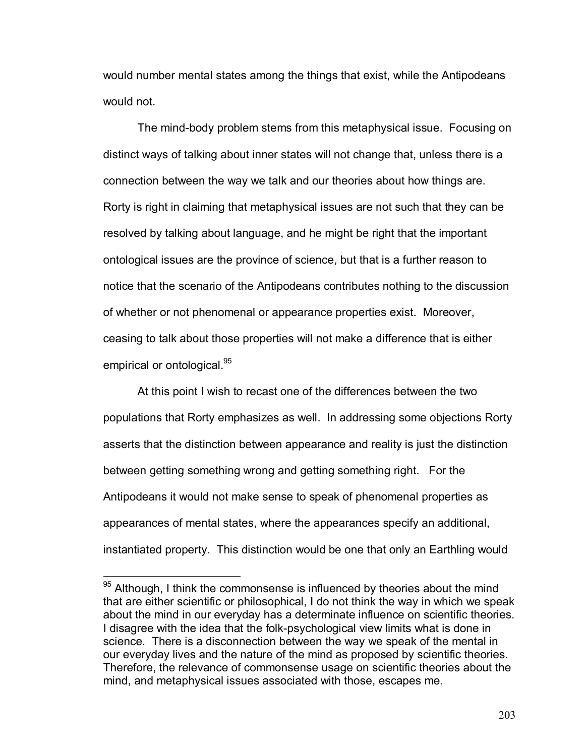would number mental states among the things that exist, while the Antipodeans would not.

The mind-body problem stems from this metaphysical issue. Focusing on distinct ways of talking about inner states will not change that, unless there is a connection between the way we talk and our theories about how things are. Rorty is right in claiming that metaphysical issues are not such that they can be resolved by talking about language, and he might be right that the important ontological issues are the province of science, but that is a further reason to notice that the scenario of the Antipodeans contributes nothing to the discussion of whether or not phenomenal or appearance properties exist. Moreover, ceasing to talk about those properties will not make a difference that is either empirical or ontological.<sup>95</sup>

At this point I wish to recast one of the differences between the two populations that Rorty emphasizes as well. In addressing some objections Rorty asserts that the distinction between appearance and reality is just the distinction between getting something wrong and getting something right. For the Antipodeans it would not make sense to speak of phenomenal properties as appearances of mental states, where the appearances specify an additional, instantiated property. This distinction would be one that only an Earthling would

 $\overline{a}$ 

 $95$  Although, I think the commonsense is influenced by theories about the mind that are either scientific or philosophical, I do not think the way in which we speak about the mind in our everyday has a determinate influence on scientific theories. I disagree with the idea that the folk-psychological view limits what is done in science. There is a disconnection between the way we speak of the mental in our everyday lives and the nature of the mind as proposed by scientific theories. Therefore, the relevance of commonsense usage on scientific theories about the mind, and metaphysical issues associated with those, escapes me.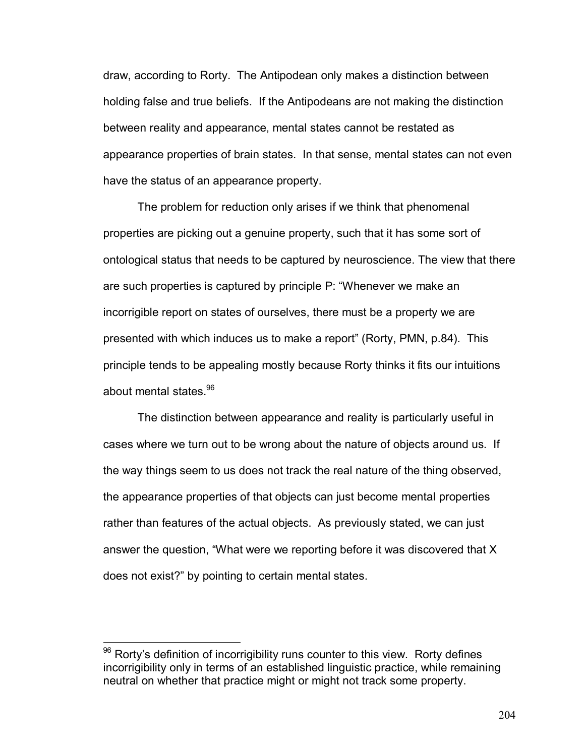draw, according to Rorty. The Antipodean only makes a distinction between holding false and true beliefs. If the Antipodeans are not making the distinction between reality and appearance, mental states cannot be restated as appearance properties of brain states. In that sense, mental states can not even have the status of an appearance property.

The problem for reduction only arises if we think that phenomenal properties are picking out a genuine property, such that it has some sort of ontological status that needs to be captured by neuroscience. The view that there are such properties is captured by principle P: "Whenever we make an incorrigible report on states of ourselves, there must be a property we are presented with which induces us to make a reportî (Rorty, PMN, p.84). This principle tends to be appealing mostly because Rorty thinks it fits our intuitions about mental states.<sup>96</sup>

The distinction between appearance and reality is particularly useful in cases where we turn out to be wrong about the nature of objects around us. If the way things seem to us does not track the real nature of the thing observed, the appearance properties of that objects can just become mental properties rather than features of the actual objects. As previously stated, we can just answer the question, "What were we reporting before it was discovered that X does not exist?î by pointing to certain mental states.

 $\overline{a}$ 

 $96$  Rorty's definition of incorrigibility runs counter to this view. Rorty defines incorrigibility only in terms of an established linguistic practice, while remaining neutral on whether that practice might or might not track some property.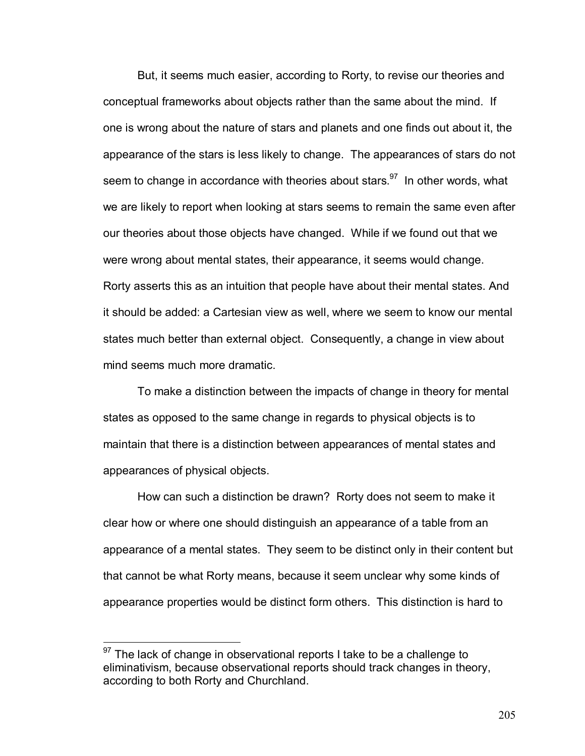But, it seems much easier, according to Rorty, to revise our theories and conceptual frameworks about objects rather than the same about the mind. If one is wrong about the nature of stars and planets and one finds out about it, the appearance of the stars is less likely to change. The appearances of stars do not seem to change in accordance with theories about stars. $97$  In other words, what we are likely to report when looking at stars seems to remain the same even after our theories about those objects have changed. While if we found out that we were wrong about mental states, their appearance, it seems would change. Rorty asserts this as an intuition that people have about their mental states. And it should be added: a Cartesian view as well, where we seem to know our mental states much better than external object. Consequently, a change in view about mind seems much more dramatic.

To make a distinction between the impacts of change in theory for mental states as opposed to the same change in regards to physical objects is to maintain that there is a distinction between appearances of mental states and appearances of physical objects.

How can such a distinction be drawn? Rorty does not seem to make it clear how or where one should distinguish an appearance of a table from an appearance of a mental states. They seem to be distinct only in their content but that cannot be what Rorty means, because it seem unclear why some kinds of appearance properties would be distinct form others. This distinction is hard to

 $\overline{a}$ 

 $97$  The lack of change in observational reports I take to be a challenge to eliminativism, because observational reports should track changes in theory, according to both Rorty and Churchland.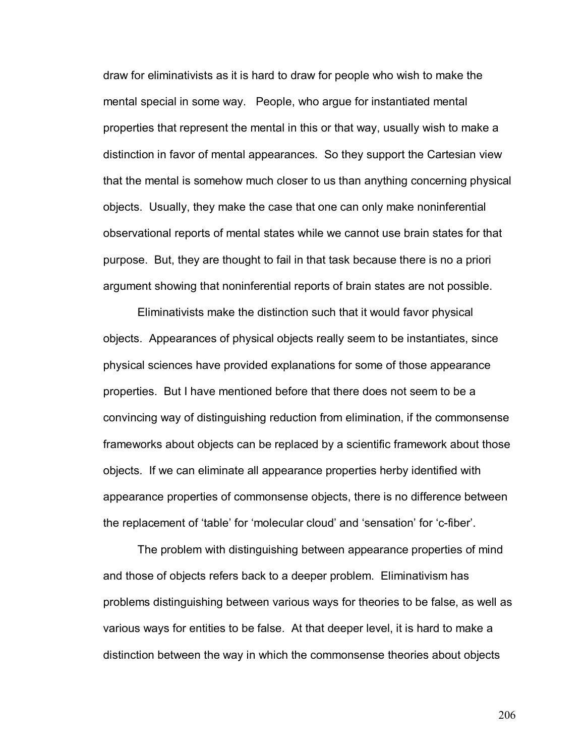draw for eliminativists as it is hard to draw for people who wish to make the mental special in some way. People, who argue for instantiated mental properties that represent the mental in this or that way, usually wish to make a distinction in favor of mental appearances. So they support the Cartesian view that the mental is somehow much closer to us than anything concerning physical objects. Usually, they make the case that one can only make noninferential observational reports of mental states while we cannot use brain states for that purpose. But, they are thought to fail in that task because there is no a priori argument showing that noninferential reports of brain states are not possible.

Eliminativists make the distinction such that it would favor physical objects. Appearances of physical objects really seem to be instantiates, since physical sciences have provided explanations for some of those appearance properties. But I have mentioned before that there does not seem to be a convincing way of distinguishing reduction from elimination, if the commonsense frameworks about objects can be replaced by a scientific framework about those objects. If we can eliminate all appearance properties herby identified with appearance properties of commonsense objects, there is no difference between the replacement of 'table' for 'molecular cloud' and 'sensation' for 'c-fiber'.

The problem with distinguishing between appearance properties of mind and those of objects refers back to a deeper problem. Eliminativism has problems distinguishing between various ways for theories to be false, as well as various ways for entities to be false. At that deeper level, it is hard to make a distinction between the way in which the commonsense theories about objects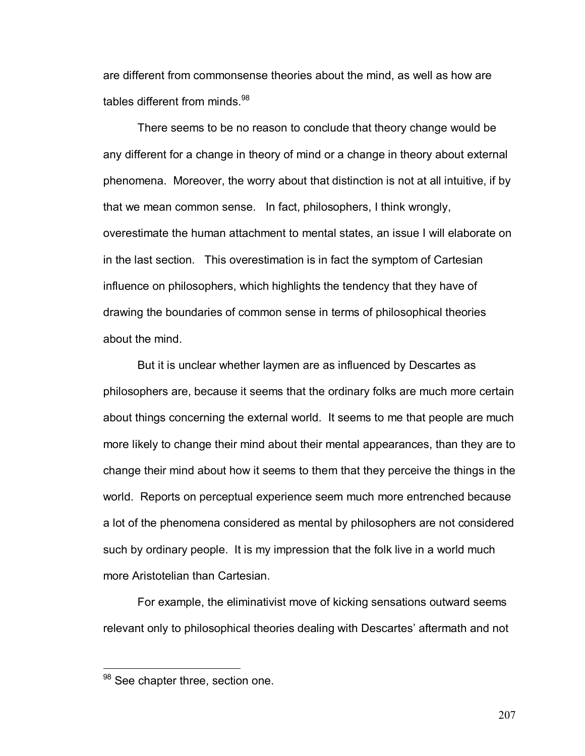are different from commonsense theories about the mind, as well as how are tables different from minds.<sup>98</sup>

There seems to be no reason to conclude that theory change would be any different for a change in theory of mind or a change in theory about external phenomena. Moreover, the worry about that distinction is not at all intuitive, if by that we mean common sense. In fact, philosophers, I think wrongly, overestimate the human attachment to mental states, an issue I will elaborate on in the last section. This overestimation is in fact the symptom of Cartesian influence on philosophers, which highlights the tendency that they have of drawing the boundaries of common sense in terms of philosophical theories about the mind.

But it is unclear whether laymen are as influenced by Descartes as philosophers are, because it seems that the ordinary folks are much more certain about things concerning the external world. It seems to me that people are much more likely to change their mind about their mental appearances, than they are to change their mind about how it seems to them that they perceive the things in the world. Reports on perceptual experience seem much more entrenched because a lot of the phenomena considered as mental by philosophers are not considered such by ordinary people. It is my impression that the folk live in a world much more Aristotelian than Cartesian.

For example, the eliminativist move of kicking sensations outward seems relevant only to philosophical theories dealing with Descartes' aftermath and not

1

 $98$  See chapter three, section one.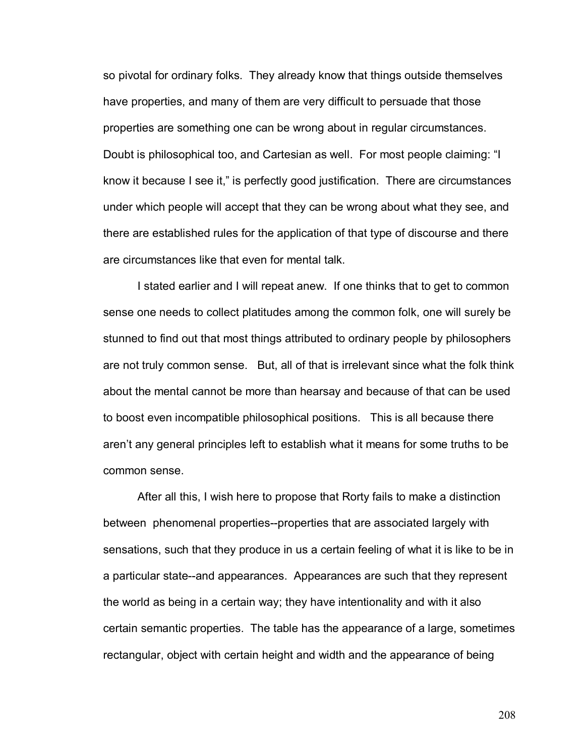so pivotal for ordinary folks. They already know that things outside themselves have properties, and many of them are very difficult to persuade that those properties are something one can be wrong about in regular circumstances. Doubt is philosophical too, and Cartesian as well. For most people claiming: "I know it because I see it," is perfectly good justification. There are circumstances under which people will accept that they can be wrong about what they see, and there are established rules for the application of that type of discourse and there are circumstances like that even for mental talk.

I stated earlier and I will repeat anew. If one thinks that to get to common sense one needs to collect platitudes among the common folk, one will surely be stunned to find out that most things attributed to ordinary people by philosophers are not truly common sense. But, all of that is irrelevant since what the folk think about the mental cannot be more than hearsay and because of that can be used to boost even incompatible philosophical positions. This is all because there aren't any general principles left to establish what it means for some truths to be common sense.

After all this, I wish here to propose that Rorty fails to make a distinction between phenomenal properties--properties that are associated largely with sensations, such that they produce in us a certain feeling of what it is like to be in a particular state--and appearances. Appearances are such that they represent the world as being in a certain way; they have intentionality and with it also certain semantic properties. The table has the appearance of a large, sometimes rectangular, object with certain height and width and the appearance of being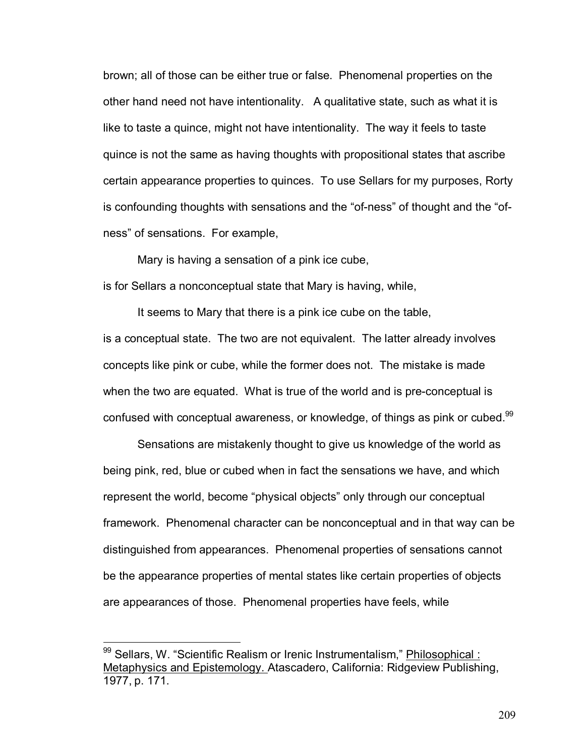brown; all of those can be either true or false. Phenomenal properties on the other hand need not have intentionality. A qualitative state, such as what it is like to taste a quince, might not have intentionality. The way it feels to taste quince is not the same as having thoughts with propositional states that ascribe certain appearance properties to quinces. To use Sellars for my purposes, Rorty is confounding thoughts with sensations and the "of-ness" of thought and the "ofness" of sensations. For example,

Mary is having a sensation of a pink ice cube,

is for Sellars a nonconceptual state that Mary is having, while,

It seems to Mary that there is a pink ice cube on the table, is a conceptual state. The two are not equivalent. The latter already involves concepts like pink or cube, while the former does not. The mistake is made when the two are equated. What is true of the world and is pre-conceptual is confused with conceptual awareness, or knowledge, of things as pink or cubed.<sup>99</sup>

 Sensations are mistakenly thought to give us knowledge of the world as being pink, red, blue or cubed when in fact the sensations we have, and which represent the world, become "physical objects" only through our conceptual framework. Phenomenal character can be nonconceptual and in that way can be distinguished from appearances. Phenomenal properties of sensations cannot be the appearance properties of mental states like certain properties of objects are appearances of those. Phenomenal properties have feels, while

 $\overline{a}$ 

<sup>99</sup> Sellars, W. "Scientific Realism or Irenic Instrumentalism," **Philosophical :** Metaphysics and Epistemology. Atascadero, California: Ridgeview Publishing, 1977, p. 171.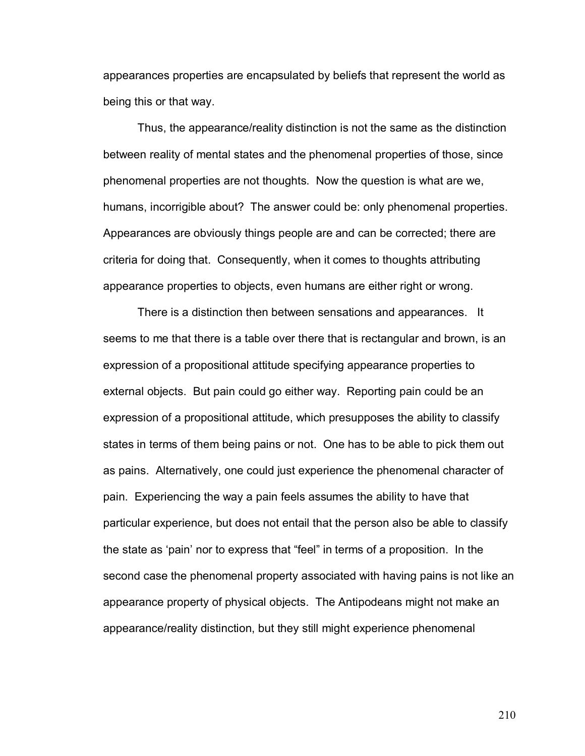appearances properties are encapsulated by beliefs that represent the world as being this or that way.

Thus, the appearance/reality distinction is not the same as the distinction between reality of mental states and the phenomenal properties of those, since phenomenal properties are not thoughts. Now the question is what are we, humans, incorrigible about? The answer could be: only phenomenal properties. Appearances are obviously things people are and can be corrected; there are criteria for doing that. Consequently, when it comes to thoughts attributing appearance properties to objects, even humans are either right or wrong.

There is a distinction then between sensations and appearances. It seems to me that there is a table over there that is rectangular and brown, is an expression of a propositional attitude specifying appearance properties to external objects. But pain could go either way. Reporting pain could be an expression of a propositional attitude, which presupposes the ability to classify states in terms of them being pains or not. One has to be able to pick them out as pains. Alternatively, one could just experience the phenomenal character of pain. Experiencing the way a pain feels assumes the ability to have that particular experience, but does not entail that the person also be able to classify the state as 'pain' nor to express that "feel" in terms of a proposition. In the second case the phenomenal property associated with having pains is not like an appearance property of physical objects. The Antipodeans might not make an appearance/reality distinction, but they still might experience phenomenal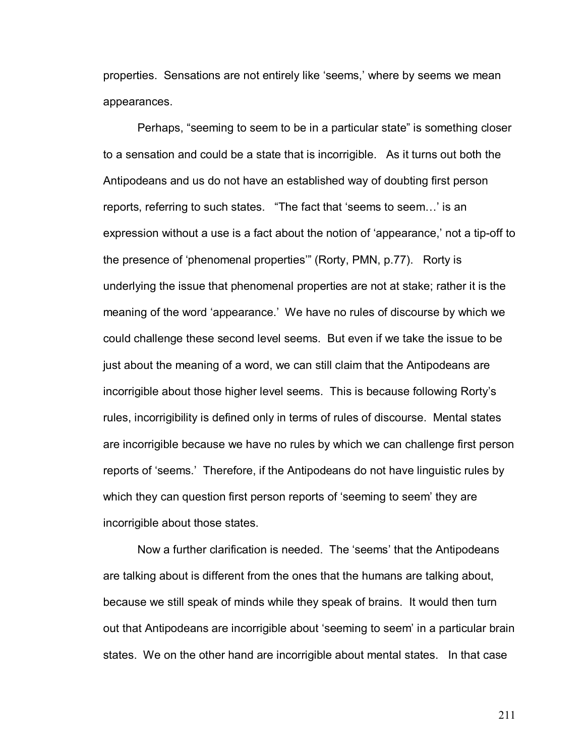properties. Sensations are not entirely like 'seems,' where by seems we mean appearances.

Perhaps, "seeming to seem to be in a particular state" is something closer to a sensation and could be a state that is incorrigible. As it turns out both the Antipodeans and us do not have an established way of doubting first person reports, referring to such states. "The fact that 'seems to seem...' is an expression without a use is a fact about the notion of 'appearance,' not a tip-off to the presence of 'phenomenal properties'" (Rorty, PMN, p.77). Rorty is underlying the issue that phenomenal properties are not at stake; rather it is the meaning of the word 'appearance.' We have no rules of discourse by which we could challenge these second level seems. But even if we take the issue to be just about the meaning of a word, we can still claim that the Antipodeans are incorrigible about those higher level seems. This is because following Rortyís rules, incorrigibility is defined only in terms of rules of discourse. Mental states are incorrigible because we have no rules by which we can challenge first person reports of 'seems.' Therefore, if the Antipodeans do not have linguistic rules by which they can question first person reports of 'seeming to seem' they are incorrigible about those states.

Now a further clarification is needed. The 'seems' that the Antipodeans are talking about is different from the ones that the humans are talking about, because we still speak of minds while they speak of brains. It would then turn out that Antipodeans are incorrigible about 'seeming to seem' in a particular brain states. We on the other hand are incorrigible about mental states. In that case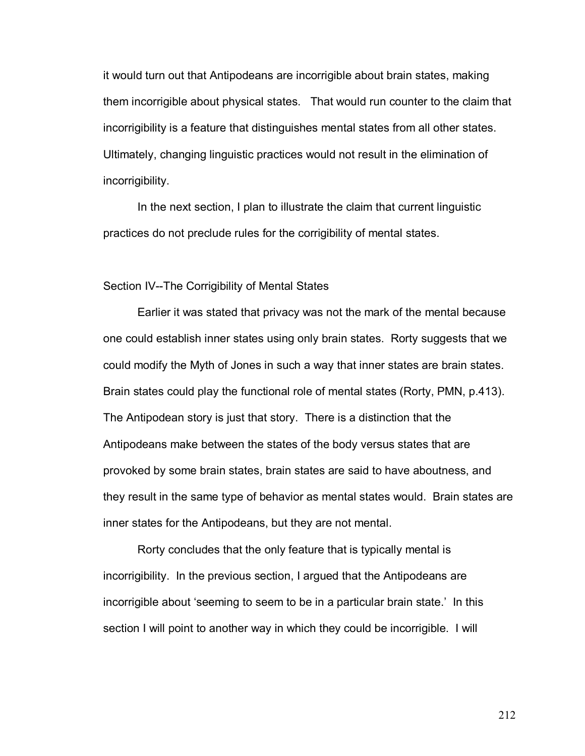it would turn out that Antipodeans are incorrigible about brain states, making them incorrigible about physical states. That would run counter to the claim that incorrigibility is a feature that distinguishes mental states from all other states. Ultimately, changing linguistic practices would not result in the elimination of incorrigibility.

In the next section, I plan to illustrate the claim that current linguistic practices do not preclude rules for the corrigibility of mental states.

## Section IV--The Corrigibility of Mental States

Earlier it was stated that privacy was not the mark of the mental because one could establish inner states using only brain states. Rorty suggests that we could modify the Myth of Jones in such a way that inner states are brain states. Brain states could play the functional role of mental states (Rorty, PMN, p.413). The Antipodean story is just that story. There is a distinction that the Antipodeans make between the states of the body versus states that are provoked by some brain states, brain states are said to have aboutness, and they result in the same type of behavior as mental states would. Brain states are inner states for the Antipodeans, but they are not mental.

Rorty concludes that the only feature that is typically mental is incorrigibility. In the previous section, I argued that the Antipodeans are incorrigible about 'seeming to seem to be in a particular brain state.' In this section I will point to another way in which they could be incorrigible. I will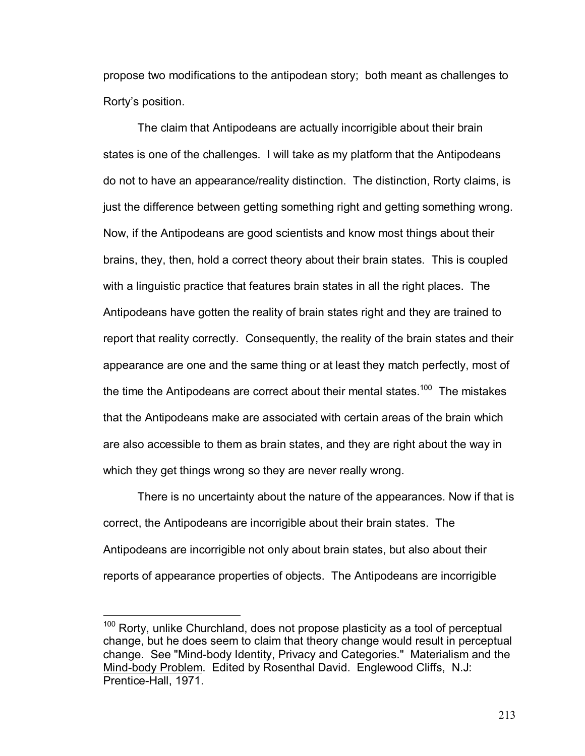propose two modifications to the antipodean story; both meant as challenges to Rorty's position.

The claim that Antipodeans are actually incorrigible about their brain states is one of the challenges. I will take as my platform that the Antipodeans do not to have an appearance/reality distinction. The distinction, Rorty claims, is just the difference between getting something right and getting something wrong. Now, if the Antipodeans are good scientists and know most things about their brains, they, then, hold a correct theory about their brain states. This is coupled with a linguistic practice that features brain states in all the right places. The Antipodeans have gotten the reality of brain states right and they are trained to report that reality correctly. Consequently, the reality of the brain states and their appearance are one and the same thing or at least they match perfectly, most of the time the Antipodeans are correct about their mental states.<sup>100</sup> The mistakes that the Antipodeans make are associated with certain areas of the brain which are also accessible to them as brain states, and they are right about the way in which they get things wrong so they are never really wrong.

There is no uncertainty about the nature of the appearances. Now if that is correct, the Antipodeans are incorrigible about their brain states. The Antipodeans are incorrigible not only about brain states, but also about their reports of appearance properties of objects. The Antipodeans are incorrigible

<u>.</u>

<sup>&</sup>lt;sup>100</sup> Rorty, unlike Churchland, does not propose plasticity as a tool of perceptual change, but he does seem to claim that theory change would result in perceptual change. See "Mind-body Identity, Privacy and Categories." Materialism and the Mind-body Problem. Edited by Rosenthal David. Englewood Cliffs, N.J: Prentice-Hall, 1971.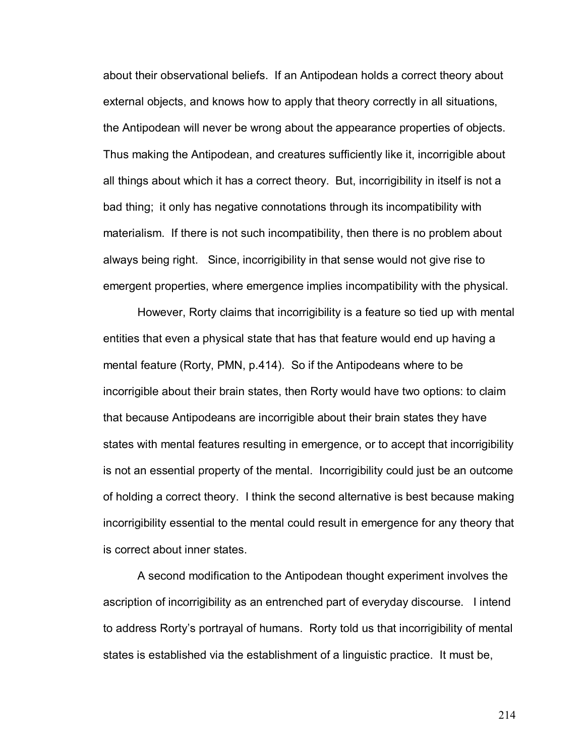about their observational beliefs. If an Antipodean holds a correct theory about external objects, and knows how to apply that theory correctly in all situations, the Antipodean will never be wrong about the appearance properties of objects. Thus making the Antipodean, and creatures sufficiently like it, incorrigible about all things about which it has a correct theory. But, incorrigibility in itself is not a bad thing; it only has negative connotations through its incompatibility with materialism. If there is not such incompatibility, then there is no problem about always being right. Since, incorrigibility in that sense would not give rise to emergent properties, where emergence implies incompatibility with the physical.

However, Rorty claims that incorrigibility is a feature so tied up with mental entities that even a physical state that has that feature would end up having a mental feature (Rorty, PMN, p.414). So if the Antipodeans where to be incorrigible about their brain states, then Rorty would have two options: to claim that because Antipodeans are incorrigible about their brain states they have states with mental features resulting in emergence, or to accept that incorrigibility is not an essential property of the mental. Incorrigibility could just be an outcome of holding a correct theory. I think the second alternative is best because making incorrigibility essential to the mental could result in emergence for any theory that is correct about inner states.

A second modification to the Antipodean thought experiment involves the ascription of incorrigibility as an entrenched part of everyday discourse. I intend to address Rorty's portrayal of humans. Rorty told us that incorrigibility of mental states is established via the establishment of a linguistic practice. It must be,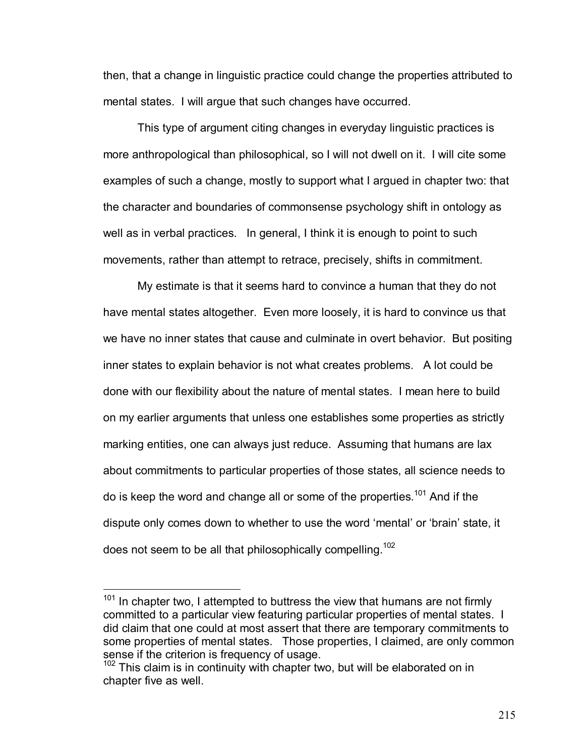then, that a change in linguistic practice could change the properties attributed to mental states. I will argue that such changes have occurred.

This type of argument citing changes in everyday linguistic practices is more anthropological than philosophical, so I will not dwell on it. I will cite some examples of such a change, mostly to support what I argued in chapter two: that the character and boundaries of commonsense psychology shift in ontology as well as in verbal practices. In general, I think it is enough to point to such movements, rather than attempt to retrace, precisely, shifts in commitment.

My estimate is that it seems hard to convince a human that they do not have mental states altogether. Even more loosely, it is hard to convince us that we have no inner states that cause and culminate in overt behavior. But positing inner states to explain behavior is not what creates problems. A lot could be done with our flexibility about the nature of mental states. I mean here to build on my earlier arguments that unless one establishes some properties as strictly marking entities, one can always just reduce. Assuming that humans are lax about commitments to particular properties of those states, all science needs to do is keep the word and change all or some of the properties.<sup>101</sup> And if the dispute only comes down to whether to use the word 'mental' or 'brain' state, it does not seem to be all that philosophically compelling.<sup>102</sup>

 $\overline{a}$ 

 $101$  In chapter two, I attempted to buttress the view that humans are not firmly committed to a particular view featuring particular properties of mental states. I did claim that one could at most assert that there are temporary commitments to some properties of mental states. Those properties, I claimed, are only common sense if the criterion is frequency of usage.

 $102$  This claim is in continuity with chapter two, but will be elaborated on in chapter five as well.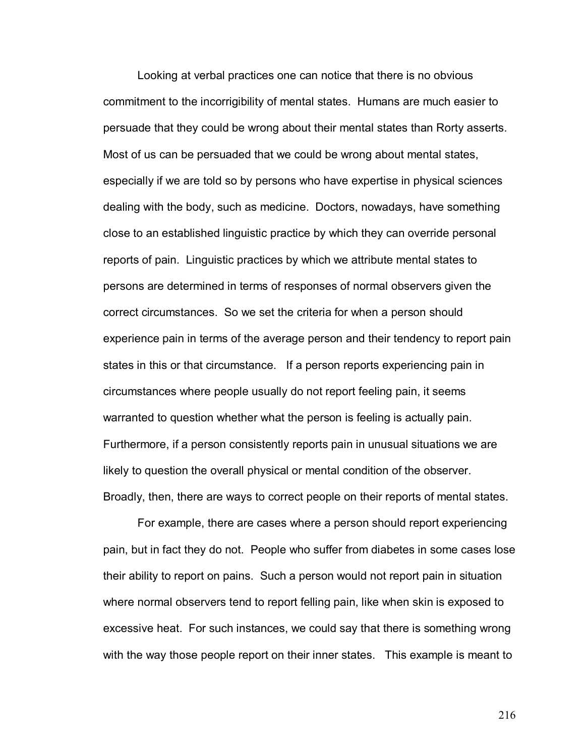Looking at verbal practices one can notice that there is no obvious commitment to the incorrigibility of mental states. Humans are much easier to persuade that they could be wrong about their mental states than Rorty asserts. Most of us can be persuaded that we could be wrong about mental states, especially if we are told so by persons who have expertise in physical sciences dealing with the body, such as medicine. Doctors, nowadays, have something close to an established linguistic practice by which they can override personal reports of pain. Linguistic practices by which we attribute mental states to persons are determined in terms of responses of normal observers given the correct circumstances. So we set the criteria for when a person should experience pain in terms of the average person and their tendency to report pain states in this or that circumstance. If a person reports experiencing pain in circumstances where people usually do not report feeling pain, it seems warranted to question whether what the person is feeling is actually pain. Furthermore, if a person consistently reports pain in unusual situations we are likely to question the overall physical or mental condition of the observer. Broadly, then, there are ways to correct people on their reports of mental states.

For example, there are cases where a person should report experiencing pain, but in fact they do not. People who suffer from diabetes in some cases lose their ability to report on pains. Such a person would not report pain in situation where normal observers tend to report felling pain, like when skin is exposed to excessive heat. For such instances, we could say that there is something wrong with the way those people report on their inner states. This example is meant to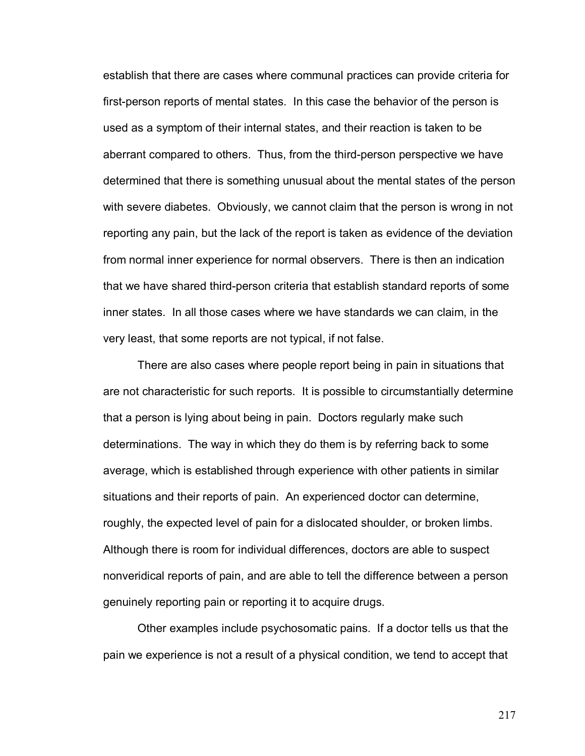establish that there are cases where communal practices can provide criteria for first-person reports of mental states. In this case the behavior of the person is used as a symptom of their internal states, and their reaction is taken to be aberrant compared to others. Thus, from the third-person perspective we have determined that there is something unusual about the mental states of the person with severe diabetes. Obviously, we cannot claim that the person is wrong in not reporting any pain, but the lack of the report is taken as evidence of the deviation from normal inner experience for normal observers. There is then an indication that we have shared third-person criteria that establish standard reports of some inner states. In all those cases where we have standards we can claim, in the very least, that some reports are not typical, if not false.

 There are also cases where people report being in pain in situations that are not characteristic for such reports. It is possible to circumstantially determine that a person is lying about being in pain. Doctors regularly make such determinations. The way in which they do them is by referring back to some average, which is established through experience with other patients in similar situations and their reports of pain. An experienced doctor can determine, roughly, the expected level of pain for a dislocated shoulder, or broken limbs. Although there is room for individual differences, doctors are able to suspect nonveridical reports of pain, and are able to tell the difference between a person genuinely reporting pain or reporting it to acquire drugs.

Other examples include psychosomatic pains. If a doctor tells us that the pain we experience is not a result of a physical condition, we tend to accept that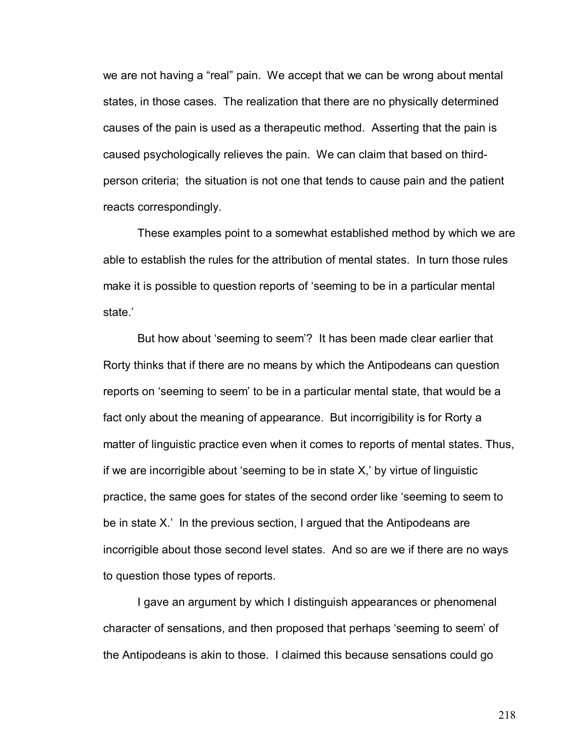we are not having a "real" pain. We accept that we can be wrong about mental states, in those cases. The realization that there are no physically determined causes of the pain is used as a therapeutic method. Asserting that the pain is caused psychologically relieves the pain. We can claim that based on thirdperson criteria; the situation is not one that tends to cause pain and the patient reacts correspondingly.

These examples point to a somewhat established method by which we are able to establish the rules for the attribution of mental states. In turn those rules make it is possible to question reports of 'seeming to be in a particular mental state.'

But how about 'seeming to seem<sup>?</sup> It has been made clear earlier that Rorty thinks that if there are no means by which the Antipodeans can question reports on 'seeming to seem' to be in a particular mental state, that would be a fact only about the meaning of appearance. But incorrigibility is for Rorty a matter of linguistic practice even when it comes to reports of mental states. Thus, if we are incorrigible about 'seeming to be in state  $X_i$ ' by virtue of linguistic practice, the same goes for states of the second order like 'seeming to seem to be in state  $X<sup>l</sup>$  In the previous section, I argued that the Antipodeans are incorrigible about those second level states. And so are we if there are no ways to question those types of reports.

I gave an argument by which I distinguish appearances or phenomenal character of sensations, and then proposed that perhaps 'seeming to seem' of the Antipodeans is akin to those. I claimed this because sensations could go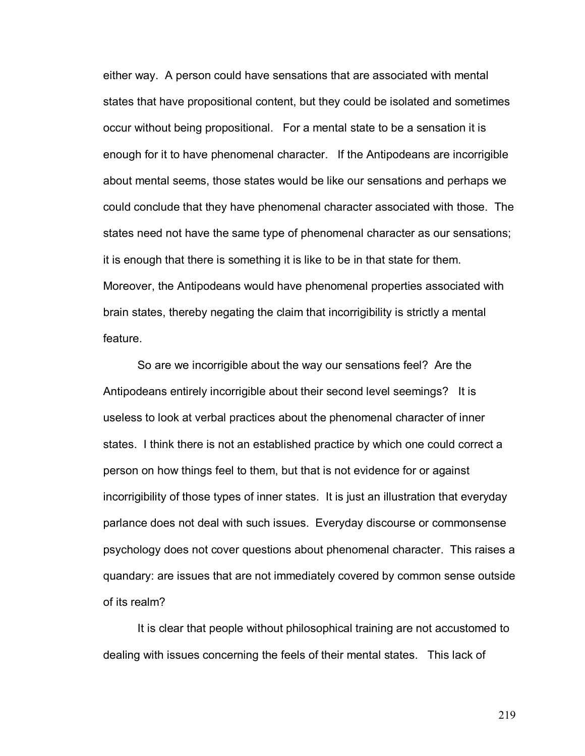either way. A person could have sensations that are associated with mental states that have propositional content, but they could be isolated and sometimes occur without being propositional. For a mental state to be a sensation it is enough for it to have phenomenal character. If the Antipodeans are incorrigible about mental seems, those states would be like our sensations and perhaps we could conclude that they have phenomenal character associated with those. The states need not have the same type of phenomenal character as our sensations; it is enough that there is something it is like to be in that state for them. Moreover, the Antipodeans would have phenomenal properties associated with brain states, thereby negating the claim that incorrigibility is strictly a mental feature.

So are we incorrigible about the way our sensations feel? Are the Antipodeans entirely incorrigible about their second level seemings? It is useless to look at verbal practices about the phenomenal character of inner states. I think there is not an established practice by which one could correct a person on how things feel to them, but that is not evidence for or against incorrigibility of those types of inner states. It is just an illustration that everyday parlance does not deal with such issues. Everyday discourse or commonsense psychology does not cover questions about phenomenal character. This raises a quandary: are issues that are not immediately covered by common sense outside of its realm?

 It is clear that people without philosophical training are not accustomed to dealing with issues concerning the feels of their mental states. This lack of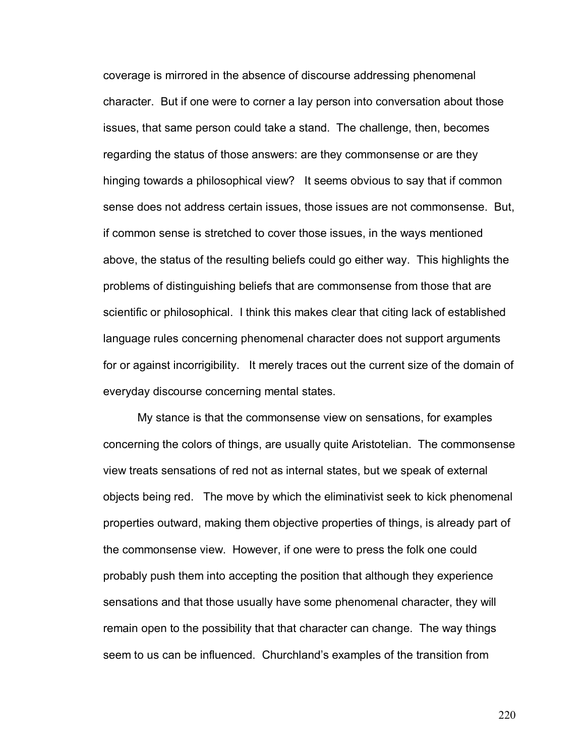coverage is mirrored in the absence of discourse addressing phenomenal character. But if one were to corner a lay person into conversation about those issues, that same person could take a stand. The challenge, then, becomes regarding the status of those answers: are they commonsense or are they hinging towards a philosophical view? It seems obvious to say that if common sense does not address certain issues, those issues are not commonsense. But, if common sense is stretched to cover those issues, in the ways mentioned above, the status of the resulting beliefs could go either way. This highlights the problems of distinguishing beliefs that are commonsense from those that are scientific or philosophical. I think this makes clear that citing lack of established language rules concerning phenomenal character does not support arguments for or against incorrigibility. It merely traces out the current size of the domain of everyday discourse concerning mental states.

My stance is that the commonsense view on sensations, for examples concerning the colors of things, are usually quite Aristotelian. The commonsense view treats sensations of red not as internal states, but we speak of external objects being red. The move by which the eliminativist seek to kick phenomenal properties outward, making them objective properties of things, is already part of the commonsense view. However, if one were to press the folk one could probably push them into accepting the position that although they experience sensations and that those usually have some phenomenal character, they will remain open to the possibility that that character can change. The way things seem to us can be influenced. Churchland's examples of the transition from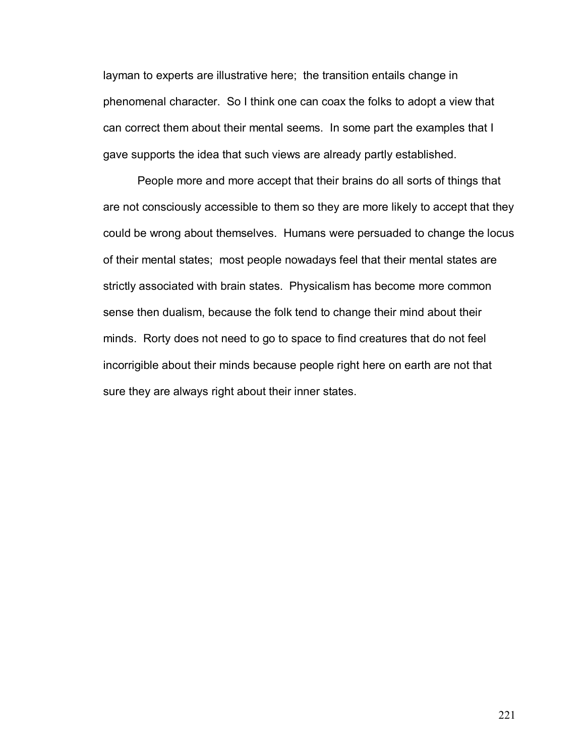layman to experts are illustrative here; the transition entails change in phenomenal character. So I think one can coax the folks to adopt a view that can correct them about their mental seems. In some part the examples that I gave supports the idea that such views are already partly established.

People more and more accept that their brains do all sorts of things that are not consciously accessible to them so they are more likely to accept that they could be wrong about themselves. Humans were persuaded to change the locus of their mental states; most people nowadays feel that their mental states are strictly associated with brain states. Physicalism has become more common sense then dualism, because the folk tend to change their mind about their minds. Rorty does not need to go to space to find creatures that do not feel incorrigible about their minds because people right here on earth are not that sure they are always right about their inner states.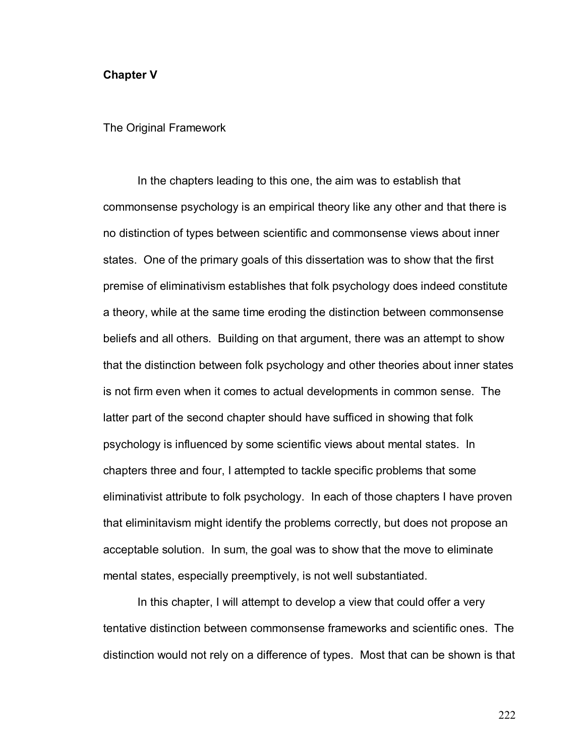## **Chapter V**

The Original Framework

In the chapters leading to this one, the aim was to establish that commonsense psychology is an empirical theory like any other and that there is no distinction of types between scientific and commonsense views about inner states. One of the primary goals of this dissertation was to show that the first premise of eliminativism establishes that folk psychology does indeed constitute a theory, while at the same time eroding the distinction between commonsense beliefs and all others. Building on that argument, there was an attempt to show that the distinction between folk psychology and other theories about inner states is not firm even when it comes to actual developments in common sense. The latter part of the second chapter should have sufficed in showing that folk psychology is influenced by some scientific views about mental states. In chapters three and four, I attempted to tackle specific problems that some eliminativist attribute to folk psychology. In each of those chapters I have proven that eliminitavism might identify the problems correctly, but does not propose an acceptable solution. In sum, the goal was to show that the move to eliminate mental states, especially preemptively, is not well substantiated.

 In this chapter, I will attempt to develop a view that could offer a very tentative distinction between commonsense frameworks and scientific ones. The distinction would not rely on a difference of types. Most that can be shown is that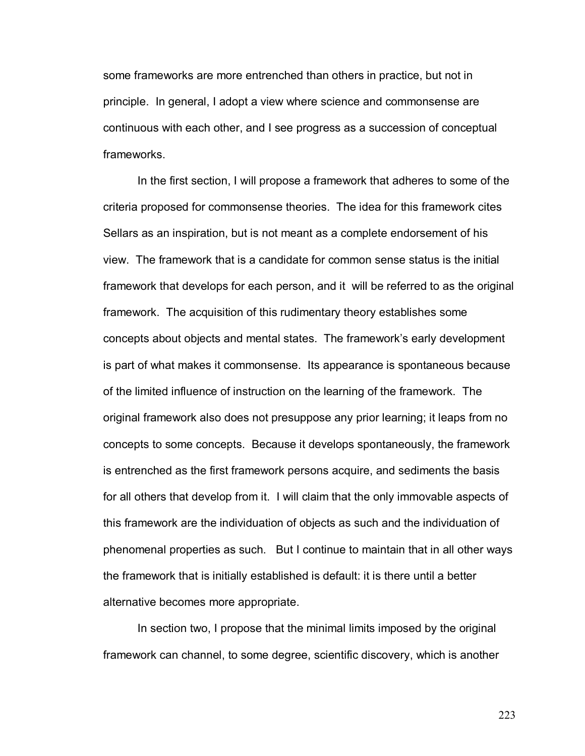some frameworks are more entrenched than others in practice, but not in principle. In general, I adopt a view where science and commonsense are continuous with each other, and I see progress as a succession of conceptual frameworks.

 In the first section, I will propose a framework that adheres to some of the criteria proposed for commonsense theories. The idea for this framework cites Sellars as an inspiration, but is not meant as a complete endorsement of his view. The framework that is a candidate for common sense status is the initial framework that develops for each person, and it will be referred to as the original framework. The acquisition of this rudimentary theory establishes some concepts about objects and mental states. The frameworkís early development is part of what makes it commonsense. Its appearance is spontaneous because of the limited influence of instruction on the learning of the framework. The original framework also does not presuppose any prior learning; it leaps from no concepts to some concepts. Because it develops spontaneously, the framework is entrenched as the first framework persons acquire, and sediments the basis for all others that develop from it. I will claim that the only immovable aspects of this framework are the individuation of objects as such and the individuation of phenomenal properties as such. But I continue to maintain that in all other ways the framework that is initially established is default: it is there until a better alternative becomes more appropriate.

In section two, I propose that the minimal limits imposed by the original framework can channel, to some degree, scientific discovery, which is another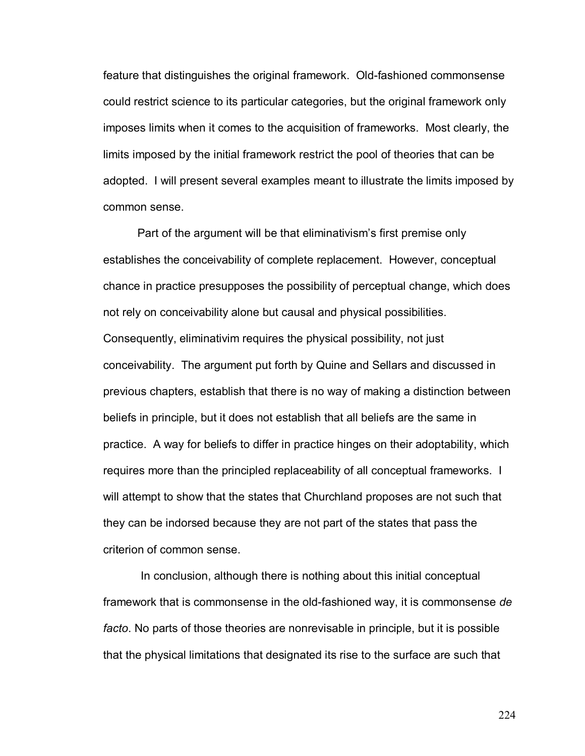feature that distinguishes the original framework. Old-fashioned commonsense could restrict science to its particular categories, but the original framework only imposes limits when it comes to the acquisition of frameworks. Most clearly, the limits imposed by the initial framework restrict the pool of theories that can be adopted. I will present several examples meant to illustrate the limits imposed by common sense.

Part of the argument will be that eliminativism's first premise only establishes the conceivability of complete replacement. However, conceptual chance in practice presupposes the possibility of perceptual change, which does not rely on conceivability alone but causal and physical possibilities. Consequently, eliminativim requires the physical possibility, not just conceivability. The argument put forth by Quine and Sellars and discussed in previous chapters, establish that there is no way of making a distinction between beliefs in principle, but it does not establish that all beliefs are the same in practice. A way for beliefs to differ in practice hinges on their adoptability, which requires more than the principled replaceability of all conceptual frameworks. I will attempt to show that the states that Churchland proposes are not such that they can be indorsed because they are not part of the states that pass the criterion of common sense.

 In conclusion, although there is nothing about this initial conceptual framework that is commonsense in the old-fashioned way, it is commonsense *de facto*. No parts of those theories are nonrevisable in principle, but it is possible that the physical limitations that designated its rise to the surface are such that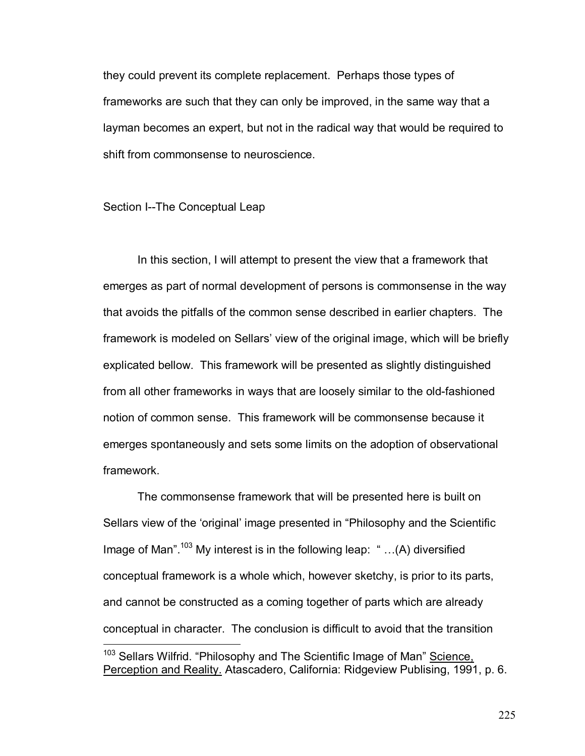they could prevent its complete replacement. Perhaps those types of frameworks are such that they can only be improved, in the same way that a layman becomes an expert, but not in the radical way that would be required to shift from commonsense to neuroscience.

## Section I--The Conceptual Leap

In this section, I will attempt to present the view that a framework that emerges as part of normal development of persons is commonsense in the way that avoids the pitfalls of the common sense described in earlier chapters. The framework is modeled on Sellars' view of the original image, which will be briefly explicated bellow. This framework will be presented as slightly distinguished from all other frameworks in ways that are loosely similar to the old-fashioned notion of common sense. This framework will be commonsense because it emerges spontaneously and sets some limits on the adoption of observational framework.

 The commonsense framework that will be presented here is built on Sellars view of the 'original' image presented in "Philosophy and the Scientific Image of Man".<sup>103</sup> My interest is in the following leap:  $\dot{m}$ ...(A) diversified conceptual framework is a whole which, however sketchy, is prior to its parts, and cannot be constructed as a coming together of parts which are already conceptual in character. The conclusion is difficult to avoid that the transition  $\overline{a}$ <sup>103</sup> Sellars Wilfrid. "Philosophy and The Scientific Image of Man" Science,

Perception and Reality. Atascadero, California: Ridgeview Publising, 1991, p. 6.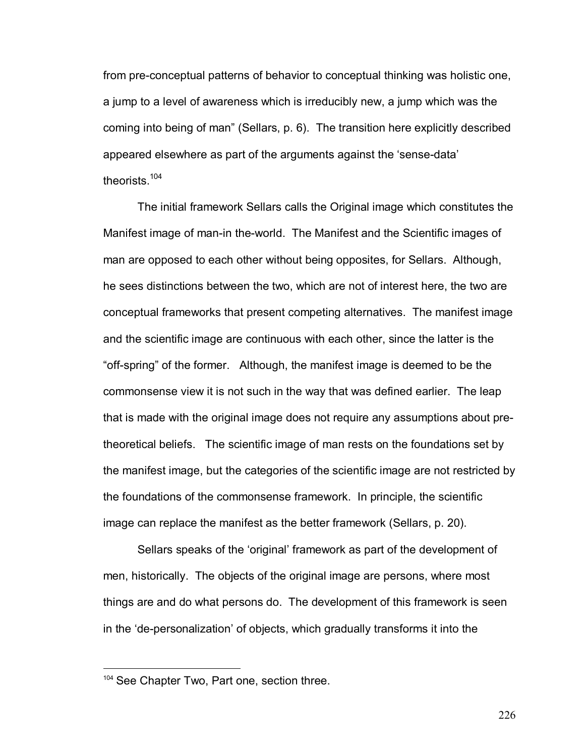from pre-conceptual patterns of behavior to conceptual thinking was holistic one, a jump to a level of awareness which is irreducibly new, a jump which was the coming into being of manî (Sellars, p. 6). The transition here explicitly described appeared elsewhere as part of the arguments against the 'sense-data' theorists.<sup>104</sup>

The initial framework Sellars calls the Original image which constitutes the Manifest image of man-in the-world. The Manifest and the Scientific images of man are opposed to each other without being opposites, for Sellars. Although, he sees distinctions between the two, which are not of interest here, the two are conceptual frameworks that present competing alternatives. The manifest image and the scientific image are continuous with each other, since the latter is the ìoff-springî of the former. Although, the manifest image is deemed to be the commonsense view it is not such in the way that was defined earlier. The leap that is made with the original image does not require any assumptions about pretheoretical beliefs. The scientific image of man rests on the foundations set by the manifest image, but the categories of the scientific image are not restricted by the foundations of the commonsense framework. In principle, the scientific image can replace the manifest as the better framework (Sellars, p. 20).

Sellars speaks of the 'original' framework as part of the development of men, historically. The objects of the original image are persons, where most things are and do what persons do. The development of this framework is seen in the 'de-personalization' of objects, which gradually transforms it into the

 $\overline{a}$ 

<sup>&</sup>lt;sup>104</sup> See Chapter Two, Part one, section three.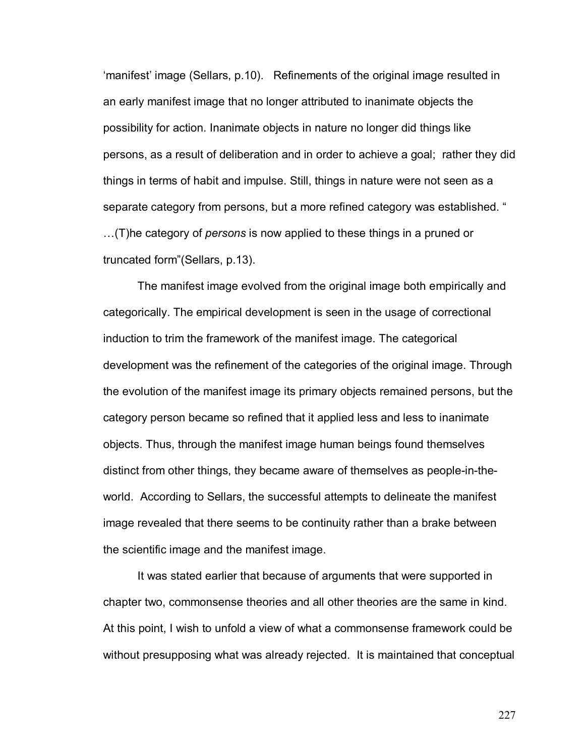ëmanifestí image (Sellars, p.10). Refinements of the original image resulted in an early manifest image that no longer attributed to inanimate objects the possibility for action. Inanimate objects in nature no longer did things like persons, as a result of deliberation and in order to achieve a goal; rather they did things in terms of habit and impulse. Still, things in nature were not seen as a separate category from persons, but a more refined category was established. " Ö(T)he category of *persons* is now applied to these things in a pruned or truncated form" (Sellars, p.13).

The manifest image evolved from the original image both empirically and categorically. The empirical development is seen in the usage of correctional induction to trim the framework of the manifest image. The categorical development was the refinement of the categories of the original image. Through the evolution of the manifest image its primary objects remained persons, but the category person became so refined that it applied less and less to inanimate objects. Thus, through the manifest image human beings found themselves distinct from other things, they became aware of themselves as people-in-theworld. According to Sellars, the successful attempts to delineate the manifest image revealed that there seems to be continuity rather than a brake between the scientific image and the manifest image.

It was stated earlier that because of arguments that were supported in chapter two, commonsense theories and all other theories are the same in kind. At this point, I wish to unfold a view of what a commonsense framework could be without presupposing what was already rejected. It is maintained that conceptual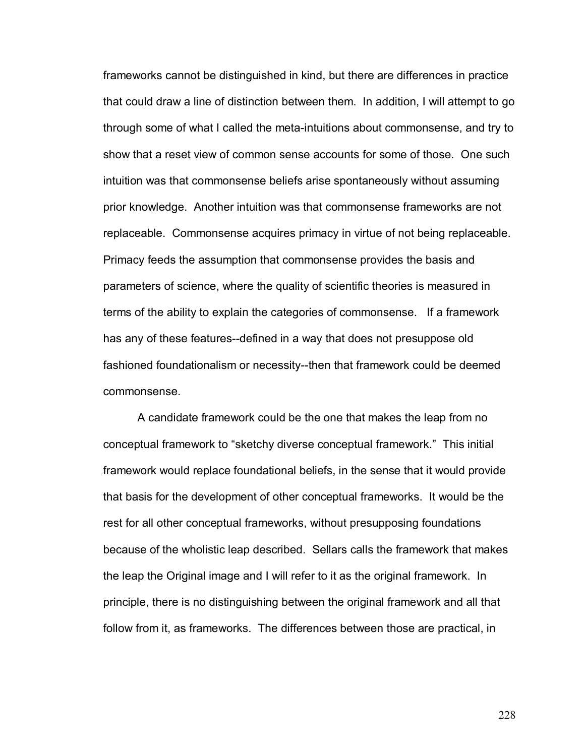frameworks cannot be distinguished in kind, but there are differences in practice that could draw a line of distinction between them. In addition, I will attempt to go through some of what I called the meta-intuitions about commonsense, and try to show that a reset view of common sense accounts for some of those. One such intuition was that commonsense beliefs arise spontaneously without assuming prior knowledge. Another intuition was that commonsense frameworks are not replaceable. Commonsense acquires primacy in virtue of not being replaceable. Primacy feeds the assumption that commonsense provides the basis and parameters of science, where the quality of scientific theories is measured in terms of the ability to explain the categories of commonsense. If a framework has any of these features--defined in a way that does not presuppose old fashioned foundationalism or necessity--then that framework could be deemed commonsense.

A candidate framework could be the one that makes the leap from no conceptual framework to "sketchy diverse conceptual framework." This initial framework would replace foundational beliefs, in the sense that it would provide that basis for the development of other conceptual frameworks. It would be the rest for all other conceptual frameworks, without presupposing foundations because of the wholistic leap described. Sellars calls the framework that makes the leap the Original image and I will refer to it as the original framework. In principle, there is no distinguishing between the original framework and all that follow from it, as frameworks. The differences between those are practical, in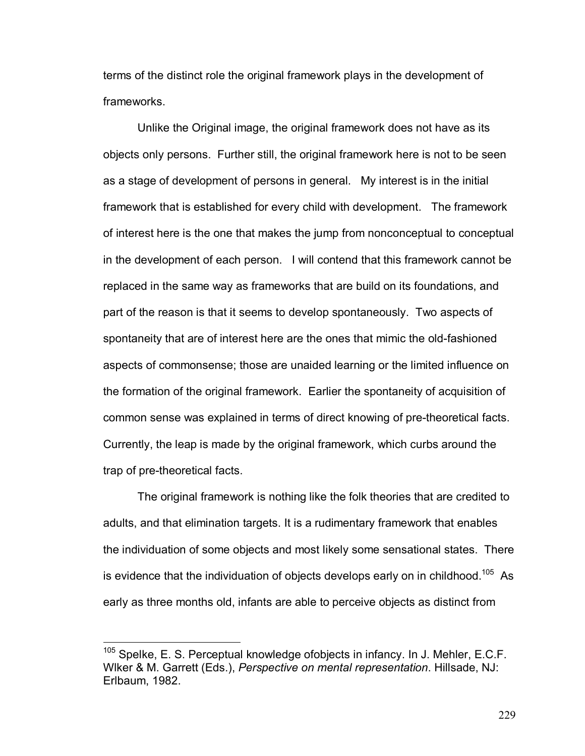terms of the distinct role the original framework plays in the development of frameworks.

Unlike the Original image, the original framework does not have as its objects only persons. Further still, the original framework here is not to be seen as a stage of development of persons in general. My interest is in the initial framework that is established for every child with development. The framework of interest here is the one that makes the jump from nonconceptual to conceptual in the development of each person. I will contend that this framework cannot be replaced in the same way as frameworks that are build on its foundations, and part of the reason is that it seems to develop spontaneously. Two aspects of spontaneity that are of interest here are the ones that mimic the old-fashioned aspects of commonsense; those are unaided learning or the limited influence on the formation of the original framework. Earlier the spontaneity of acquisition of common sense was explained in terms of direct knowing of pre-theoretical facts. Currently, the leap is made by the original framework, which curbs around the trap of pre-theoretical facts.

The original framework is nothing like the folk theories that are credited to adults, and that elimination targets. It is a rudimentary framework that enables the individuation of some objects and most likely some sensational states. There is evidence that the individuation of objects develops early on in childhood.<sup>105</sup> As early as three months old, infants are able to perceive objects as distinct from

 $\overline{a}$ 

 $105$  Spelke, E. S. Perceptual knowledge ofobjects in infancy. In J. Mehler, E.C.F. Wlker & M. Garrett (Eds.), *Perspective on mental representation*. Hillsade, NJ: Erlbaum, 1982.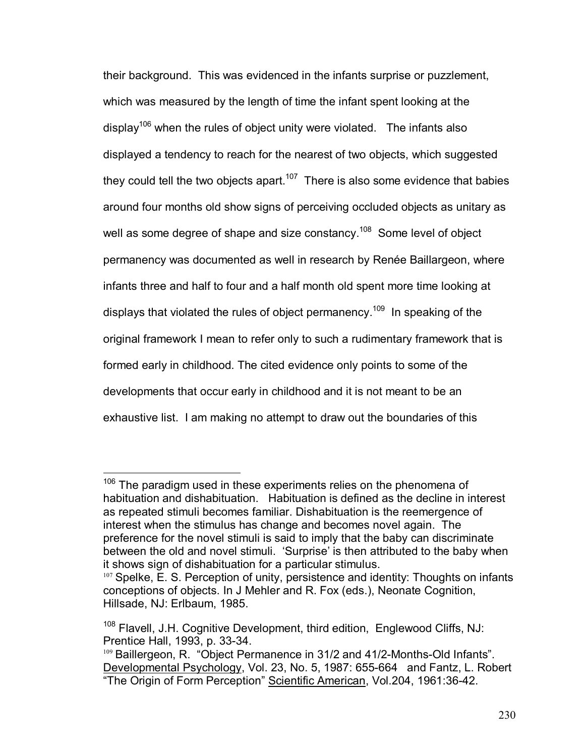their background. This was evidenced in the infants surprise or puzzlement, which was measured by the length of time the infant spent looking at the display<sup>106</sup> when the rules of object unity were violated. The infants also displayed a tendency to reach for the nearest of two objects, which suggested they could tell the two objects apart.<sup>107</sup> There is also some evidence that babies around four months old show signs of perceiving occluded objects as unitary as well as some degree of shape and size constancy.<sup>108</sup> Some level of object permanency was documented as well in research by Renée Baillargeon, where infants three and half to four and a half month old spent more time looking at displays that violated the rules of object permanency.<sup>109</sup> In speaking of the original framework I mean to refer only to such a rudimentary framework that is formed early in childhood. The cited evidence only points to some of the developments that occur early in childhood and it is not meant to be an exhaustive list. I am making no attempt to draw out the boundaries of this

 $\overline{a}$ 

 $106$  The paradigm used in these experiments relies on the phenomena of habituation and dishabituation. Habituation is defined as the decline in interest as repeated stimuli becomes familiar. Dishabituation is the reemergence of interest when the stimulus has change and becomes novel again. The preference for the novel stimuli is said to imply that the baby can discriminate between the old and novel stimuli. 'Surprise' is then attributed to the baby when it shows sign of dishabituation for a particular stimulus.

<sup>107</sup> Spelke, E. S. Perception of unity, persistence and identity: Thoughts on infants conceptions of objects. In J Mehler and R. Fox (eds.), Neonate Cognition, Hillsade, NJ: Erlbaum, 1985.

<sup>&</sup>lt;sup>108</sup> Flavell, J.H. Cognitive Development, third edition, Englewood Cliffs, NJ: Prentice Hall, 1993, p. 33-34.

<sup>109</sup> Baillergeon, R. "Object Permanence in 31/2 and 41/2-Months-Old Infants". Developmental Psychology, Vol. 23, No. 5, 1987: 655-664 and Fantz, L. Robert "The Origin of Form Perception" Scientific American, Vol.204, 1961:36-42.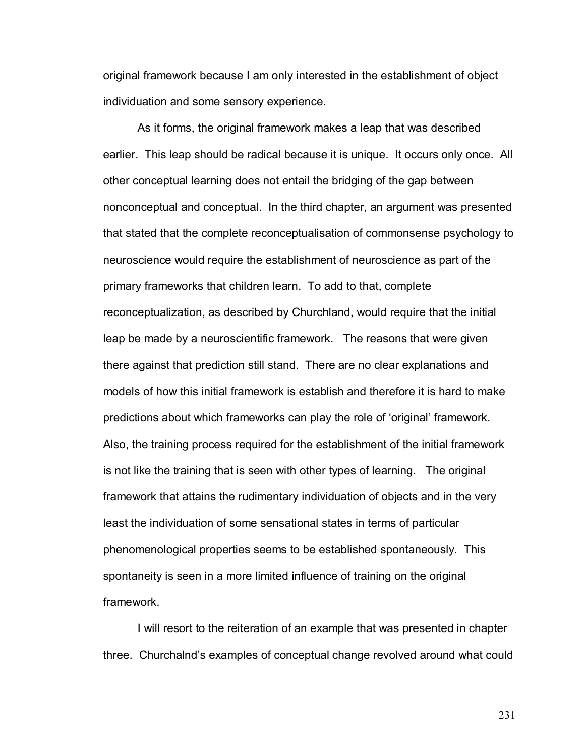original framework because I am only interested in the establishment of object individuation and some sensory experience.

 As it forms, the original framework makes a leap that was described earlier. This leap should be radical because it is unique. It occurs only once. All other conceptual learning does not entail the bridging of the gap between nonconceptual and conceptual. In the third chapter, an argument was presented that stated that the complete reconceptualisation of commonsense psychology to neuroscience would require the establishment of neuroscience as part of the primary frameworks that children learn. To add to that, complete reconceptualization, as described by Churchland, would require that the initial leap be made by a neuroscientific framework. The reasons that were given there against that prediction still stand. There are no clear explanations and models of how this initial framework is establish and therefore it is hard to make predictions about which frameworks can play the role of 'original' framework. Also, the training process required for the establishment of the initial framework is not like the training that is seen with other types of learning. The original framework that attains the rudimentary individuation of objects and in the very least the individuation of some sensational states in terms of particular phenomenological properties seems to be established spontaneously. This spontaneity is seen in a more limited influence of training on the original framework.

 I will resort to the reiteration of an example that was presented in chapter three. Churchalnd's examples of conceptual change revolved around what could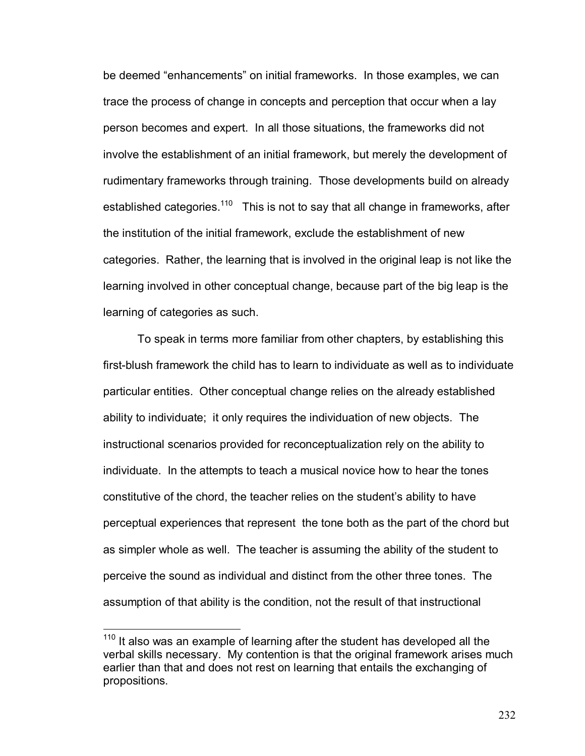be deemed "enhancements" on initial frameworks. In those examples, we can trace the process of change in concepts and perception that occur when a lay person becomes and expert. In all those situations, the frameworks did not involve the establishment of an initial framework, but merely the development of rudimentary frameworks through training. Those developments build on already established categories.<sup>110</sup> This is not to say that all change in frameworks, after the institution of the initial framework, exclude the establishment of new categories. Rather, the learning that is involved in the original leap is not like the learning involved in other conceptual change, because part of the big leap is the learning of categories as such.

To speak in terms more familiar from other chapters, by establishing this first-blush framework the child has to learn to individuate as well as to individuate particular entities. Other conceptual change relies on the already established ability to individuate; it only requires the individuation of new objects. The instructional scenarios provided for reconceptualization rely on the ability to individuate. In the attempts to teach a musical novice how to hear the tones constitutive of the chord, the teacher relies on the student's ability to have perceptual experiences that represent the tone both as the part of the chord but as simpler whole as well. The teacher is assuming the ability of the student to perceive the sound as individual and distinct from the other three tones. The assumption of that ability is the condition, not the result of that instructional

 $\overline{a}$ 

<sup>&</sup>lt;sup>110</sup> It also was an example of learning after the student has developed all the verbal skills necessary. My contention is that the original framework arises much earlier than that and does not rest on learning that entails the exchanging of propositions.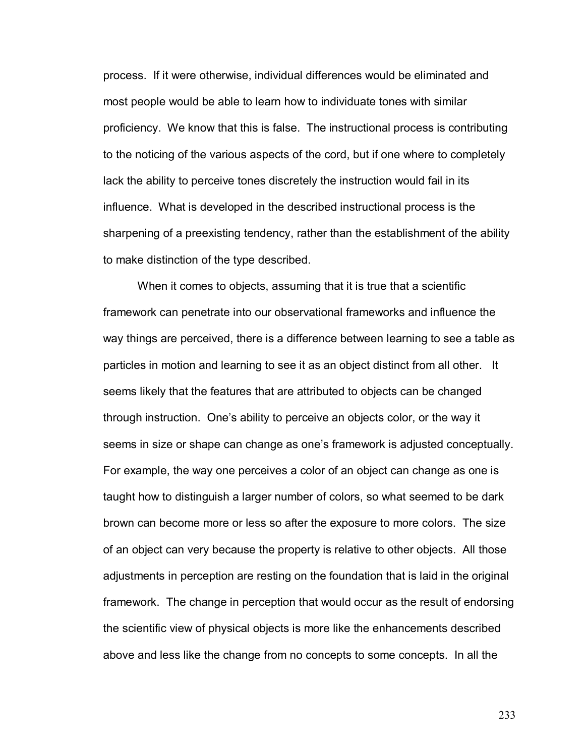process. If it were otherwise, individual differences would be eliminated and most people would be able to learn how to individuate tones with similar proficiency. We know that this is false. The instructional process is contributing to the noticing of the various aspects of the cord, but if one where to completely lack the ability to perceive tones discretely the instruction would fail in its influence. What is developed in the described instructional process is the sharpening of a preexisting tendency, rather than the establishment of the ability to make distinction of the type described.

When it comes to objects, assuming that it is true that a scientific framework can penetrate into our observational frameworks and influence the way things are perceived, there is a difference between learning to see a table as particles in motion and learning to see it as an object distinct from all other. It seems likely that the features that are attributed to objects can be changed through instruction. Oneís ability to perceive an objects color, or the way it seems in size or shape can change as one's framework is adjusted conceptually. For example, the way one perceives a color of an object can change as one is taught how to distinguish a larger number of colors, so what seemed to be dark brown can become more or less so after the exposure to more colors. The size of an object can very because the property is relative to other objects. All those adjustments in perception are resting on the foundation that is laid in the original framework. The change in perception that would occur as the result of endorsing the scientific view of physical objects is more like the enhancements described above and less like the change from no concepts to some concepts. In all the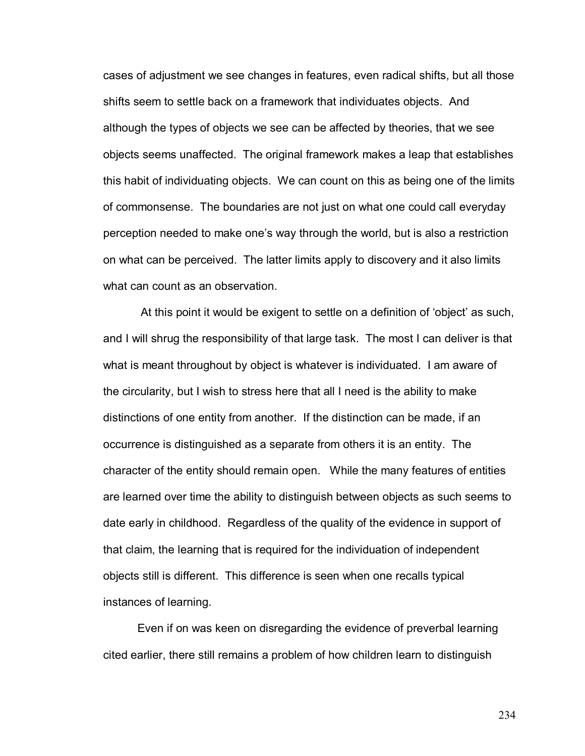cases of adjustment we see changes in features, even radical shifts, but all those shifts seem to settle back on a framework that individuates objects. And although the types of objects we see can be affected by theories, that we see objects seems unaffected. The original framework makes a leap that establishes this habit of individuating objects. We can count on this as being one of the limits of commonsense. The boundaries are not just on what one could call everyday perception needed to make oneís way through the world, but is also a restriction on what can be perceived. The latter limits apply to discovery and it also limits what can count as an observation.

At this point it would be exigent to settle on a definition of 'object' as such, and I will shrug the responsibility of that large task. The most I can deliver is that what is meant throughout by object is whatever is individuated. I am aware of the circularity, but I wish to stress here that all I need is the ability to make distinctions of one entity from another. If the distinction can be made, if an occurrence is distinguished as a separate from others it is an entity. The character of the entity should remain open. While the many features of entities are learned over time the ability to distinguish between objects as such seems to date early in childhood. Regardless of the quality of the evidence in support of that claim, the learning that is required for the individuation of independent objects still is different. This difference is seen when one recalls typical instances of learning.

Even if on was keen on disregarding the evidence of preverbal learning cited earlier, there still remains a problem of how children learn to distinguish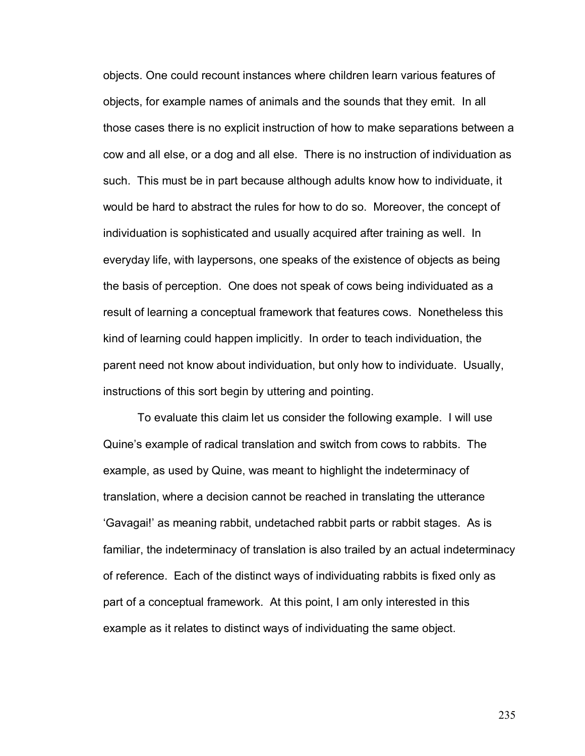objects. One could recount instances where children learn various features of objects, for example names of animals and the sounds that they emit. In all those cases there is no explicit instruction of how to make separations between a cow and all else, or a dog and all else. There is no instruction of individuation as such. This must be in part because although adults know how to individuate, it would be hard to abstract the rules for how to do so. Moreover, the concept of individuation is sophisticated and usually acquired after training as well. In everyday life, with laypersons, one speaks of the existence of objects as being the basis of perception. One does not speak of cows being individuated as a result of learning a conceptual framework that features cows. Nonetheless this kind of learning could happen implicitly. In order to teach individuation, the parent need not know about individuation, but only how to individuate. Usually, instructions of this sort begin by uttering and pointing.

To evaluate this claim let us consider the following example. I will use Quine's example of radical translation and switch from cows to rabbits. The example, as used by Quine, was meant to highlight the indeterminacy of translation, where a decision cannot be reached in translating the utterance ëGavagai!í as meaning rabbit, undetached rabbit parts or rabbit stages. As is familiar, the indeterminacy of translation is also trailed by an actual indeterminacy of reference. Each of the distinct ways of individuating rabbits is fixed only as part of a conceptual framework. At this point, I am only interested in this example as it relates to distinct ways of individuating the same object.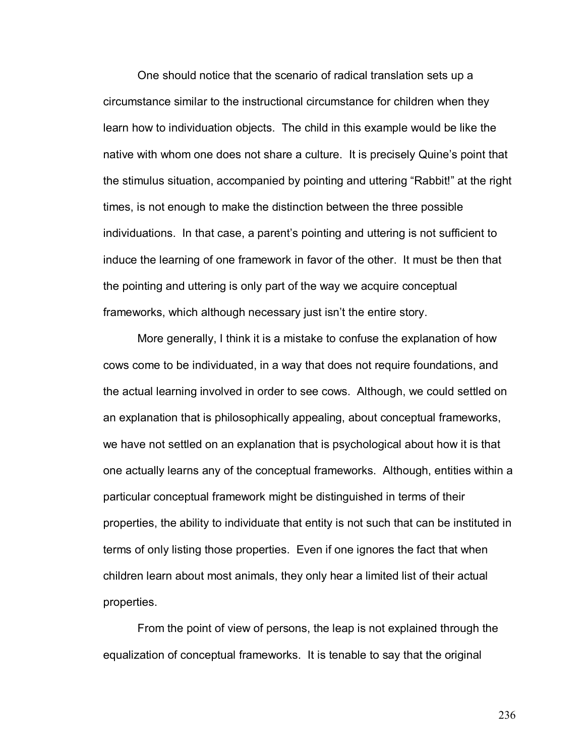One should notice that the scenario of radical translation sets up a circumstance similar to the instructional circumstance for children when they learn how to individuation objects. The child in this example would be like the native with whom one does not share a culture. It is precisely Quine's point that the stimulus situation, accompanied by pointing and uttering "Rabbit!" at the right times, is not enough to make the distinction between the three possible individuations. In that case, a parentís pointing and uttering is not sufficient to induce the learning of one framework in favor of the other. It must be then that the pointing and uttering is only part of the way we acquire conceptual frameworks, which although necessary just isn't the entire story.

More generally, I think it is a mistake to confuse the explanation of how cows come to be individuated, in a way that does not require foundations, and the actual learning involved in order to see cows. Although, we could settled on an explanation that is philosophically appealing, about conceptual frameworks, we have not settled on an explanation that is psychological about how it is that one actually learns any of the conceptual frameworks. Although, entities within a particular conceptual framework might be distinguished in terms of their properties, the ability to individuate that entity is not such that can be instituted in terms of only listing those properties. Even if one ignores the fact that when children learn about most animals, they only hear a limited list of their actual properties.

From the point of view of persons, the leap is not explained through the equalization of conceptual frameworks. It is tenable to say that the original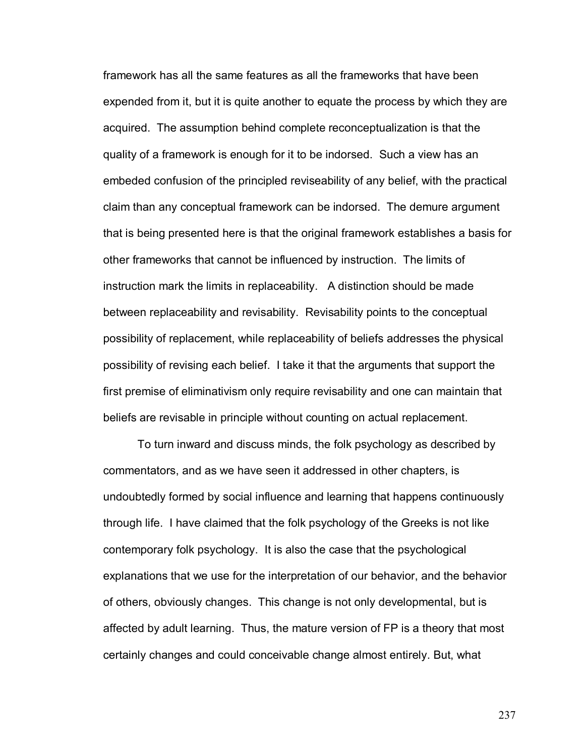framework has all the same features as all the frameworks that have been expended from it, but it is quite another to equate the process by which they are acquired. The assumption behind complete reconceptualization is that the quality of a framework is enough for it to be indorsed. Such a view has an embeded confusion of the principled reviseability of any belief, with the practical claim than any conceptual framework can be indorsed. The demure argument that is being presented here is that the original framework establishes a basis for other frameworks that cannot be influenced by instruction. The limits of instruction mark the limits in replaceability. A distinction should be made between replaceability and revisability. Revisability points to the conceptual possibility of replacement, while replaceability of beliefs addresses the physical possibility of revising each belief. I take it that the arguments that support the first premise of eliminativism only require revisability and one can maintain that beliefs are revisable in principle without counting on actual replacement.

To turn inward and discuss minds, the folk psychology as described by commentators, and as we have seen it addressed in other chapters, is undoubtedly formed by social influence and learning that happens continuously through life. I have claimed that the folk psychology of the Greeks is not like contemporary folk psychology. It is also the case that the psychological explanations that we use for the interpretation of our behavior, and the behavior of others, obviously changes. This change is not only developmental, but is affected by adult learning. Thus, the mature version of FP is a theory that most certainly changes and could conceivable change almost entirely. But, what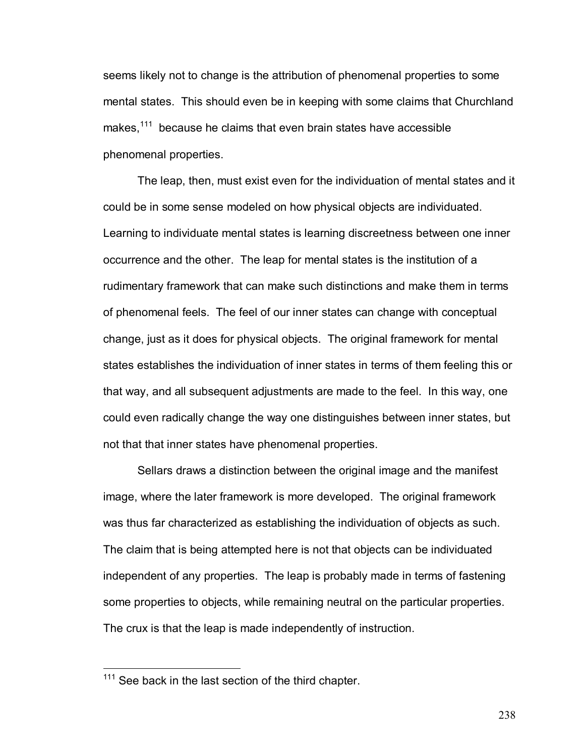seems likely not to change is the attribution of phenomenal properties to some mental states. This should even be in keeping with some claims that Churchland makes,<sup>111</sup> because he claims that even brain states have accessible phenomenal properties.

The leap, then, must exist even for the individuation of mental states and it could be in some sense modeled on how physical objects are individuated. Learning to individuate mental states is learning discreetness between one inner occurrence and the other. The leap for mental states is the institution of a rudimentary framework that can make such distinctions and make them in terms of phenomenal feels. The feel of our inner states can change with conceptual change, just as it does for physical objects. The original framework for mental states establishes the individuation of inner states in terms of them feeling this or that way, and all subsequent adjustments are made to the feel. In this way, one could even radically change the way one distinguishes between inner states, but not that that inner states have phenomenal properties.

Sellars draws a distinction between the original image and the manifest image, where the later framework is more developed. The original framework was thus far characterized as establishing the individuation of objects as such. The claim that is being attempted here is not that objects can be individuated independent of any properties. The leap is probably made in terms of fastening some properties to objects, while remaining neutral on the particular properties. The crux is that the leap is made independently of instruction.

 $\overline{a}$ 

 $111$  See back in the last section of the third chapter.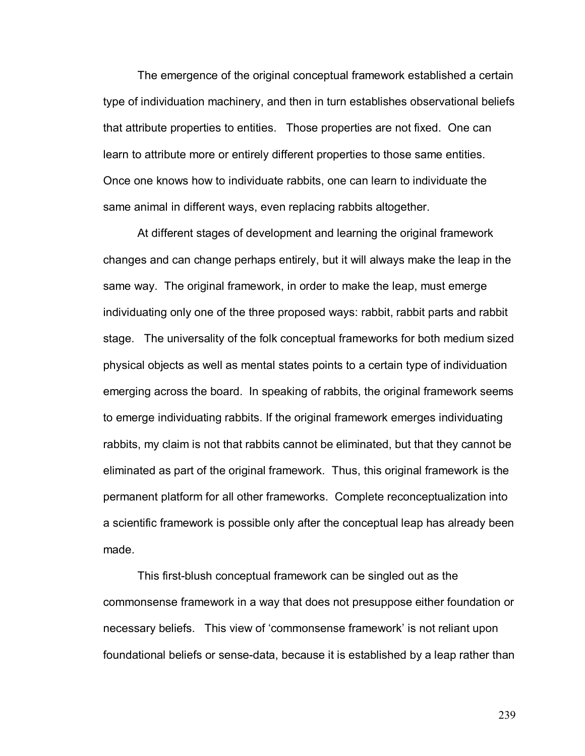The emergence of the original conceptual framework established a certain type of individuation machinery, and then in turn establishes observational beliefs that attribute properties to entities. Those properties are not fixed. One can learn to attribute more or entirely different properties to those same entities. Once one knows how to individuate rabbits, one can learn to individuate the same animal in different ways, even replacing rabbits altogether.

At different stages of development and learning the original framework changes and can change perhaps entirely, but it will always make the leap in the same way. The original framework, in order to make the leap, must emerge individuating only one of the three proposed ways: rabbit, rabbit parts and rabbit stage. The universality of the folk conceptual frameworks for both medium sized physical objects as well as mental states points to a certain type of individuation emerging across the board. In speaking of rabbits, the original framework seems to emerge individuating rabbits. If the original framework emerges individuating rabbits, my claim is not that rabbits cannot be eliminated, but that they cannot be eliminated as part of the original framework. Thus, this original framework is the permanent platform for all other frameworks. Complete reconceptualization into a scientific framework is possible only after the conceptual leap has already been made.

This first-blush conceptual framework can be singled out as the commonsense framework in a way that does not presuppose either foundation or necessary beliefs. This view of 'commonsense framework' is not reliant upon foundational beliefs or sense-data, because it is established by a leap rather than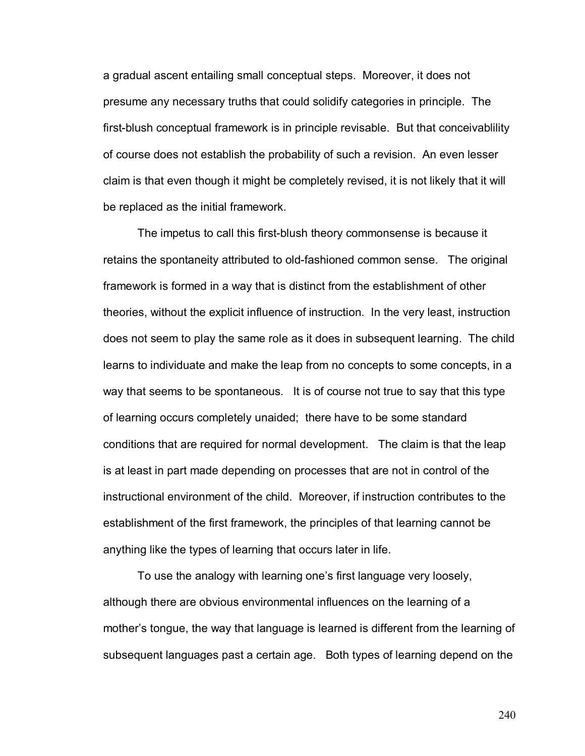a gradual ascent entailing small conceptual steps. Moreover, it does not presume any necessary truths that could solidify categories in principle. The first-blush conceptual framework is in principle revisable. But that conceivablility of course does not establish the probability of such a revision. An even lesser claim is that even though it might be completely revised, it is not likely that it will be replaced as the initial framework.

The impetus to call this first-blush theory commonsense is because it retains the spontaneity attributed to old-fashioned common sense. The original framework is formed in a way that is distinct from the establishment of other theories, without the explicit influence of instruction. In the very least, instruction does not seem to play the same role as it does in subsequent learning. The child learns to individuate and make the leap from no concepts to some concepts, in a way that seems to be spontaneous. It is of course not true to say that this type of learning occurs completely unaided; there have to be some standard conditions that are required for normal development. The claim is that the leap is at least in part made depending on processes that are not in control of the instructional environment of the child. Moreover, if instruction contributes to the establishment of the first framework, the principles of that learning cannot be anything like the types of learning that occurs later in life.

To use the analogy with learning one's first language very loosely, although there are obvious environmental influences on the learning of a mother's tongue, the way that language is learned is different from the learning of subsequent languages past a certain age. Both types of learning depend on the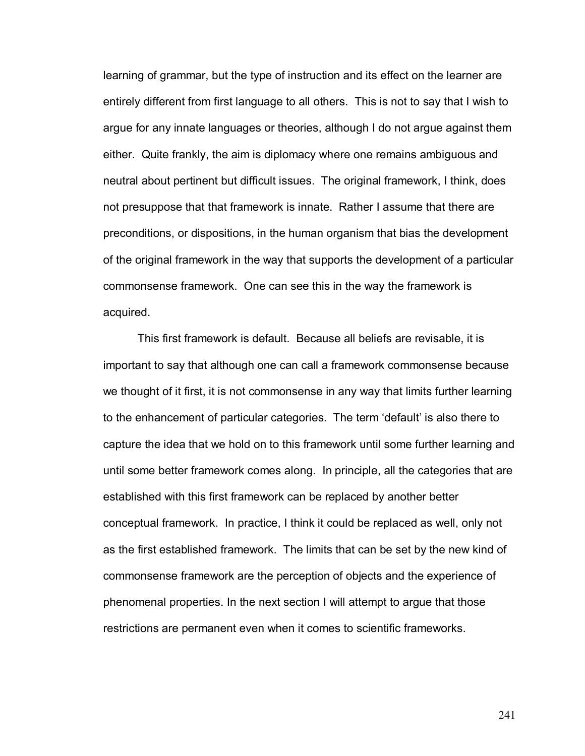learning of grammar, but the type of instruction and its effect on the learner are entirely different from first language to all others. This is not to say that I wish to argue for any innate languages or theories, although I do not argue against them either. Quite frankly, the aim is diplomacy where one remains ambiguous and neutral about pertinent but difficult issues. The original framework, I think, does not presuppose that that framework is innate. Rather I assume that there are preconditions, or dispositions, in the human organism that bias the development of the original framework in the way that supports the development of a particular commonsense framework. One can see this in the way the framework is acquired.

This first framework is default. Because all beliefs are revisable, it is important to say that although one can call a framework commonsense because we thought of it first, it is not commonsense in any way that limits further learning to the enhancement of particular categories. The term 'default' is also there to capture the idea that we hold on to this framework until some further learning and until some better framework comes along. In principle, all the categories that are established with this first framework can be replaced by another better conceptual framework. In practice, I think it could be replaced as well, only not as the first established framework. The limits that can be set by the new kind of commonsense framework are the perception of objects and the experience of phenomenal properties. In the next section I will attempt to argue that those restrictions are permanent even when it comes to scientific frameworks.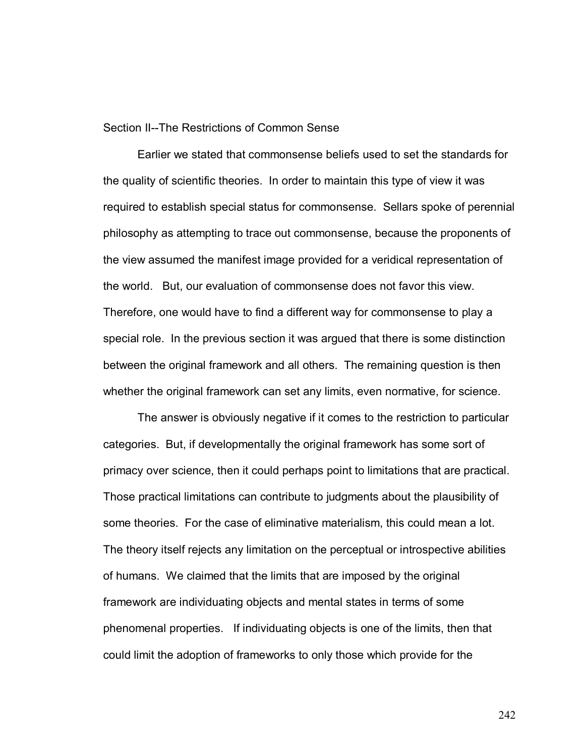Section II--The Restrictions of Common Sense

Earlier we stated that commonsense beliefs used to set the standards for the quality of scientific theories. In order to maintain this type of view it was required to establish special status for commonsense. Sellars spoke of perennial philosophy as attempting to trace out commonsense, because the proponents of the view assumed the manifest image provided for a veridical representation of the world. But, our evaluation of commonsense does not favor this view. Therefore, one would have to find a different way for commonsense to play a special role. In the previous section it was argued that there is some distinction between the original framework and all others. The remaining question is then whether the original framework can set any limits, even normative, for science.

The answer is obviously negative if it comes to the restriction to particular categories. But, if developmentally the original framework has some sort of primacy over science, then it could perhaps point to limitations that are practical. Those practical limitations can contribute to judgments about the plausibility of some theories. For the case of eliminative materialism, this could mean a lot. The theory itself rejects any limitation on the perceptual or introspective abilities of humans. We claimed that the limits that are imposed by the original framework are individuating objects and mental states in terms of some phenomenal properties. If individuating objects is one of the limits, then that could limit the adoption of frameworks to only those which provide for the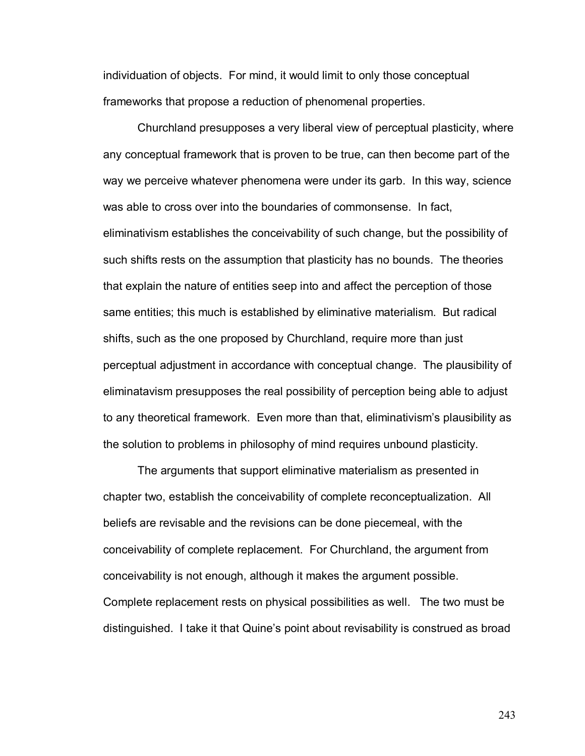individuation of objects. For mind, it would limit to only those conceptual frameworks that propose a reduction of phenomenal properties.

Churchland presupposes a very liberal view of perceptual plasticity, where any conceptual framework that is proven to be true, can then become part of the way we perceive whatever phenomena were under its garb. In this way, science was able to cross over into the boundaries of commonsense. In fact, eliminativism establishes the conceivability of such change, but the possibility of such shifts rests on the assumption that plasticity has no bounds. The theories that explain the nature of entities seep into and affect the perception of those same entities; this much is established by eliminative materialism. But radical shifts, such as the one proposed by Churchland, require more than just perceptual adjustment in accordance with conceptual change. The plausibility of eliminatavism presupposes the real possibility of perception being able to adjust to any theoretical framework. Even more than that, eliminativismís plausibility as the solution to problems in philosophy of mind requires unbound plasticity.

The arguments that support eliminative materialism as presented in chapter two, establish the conceivability of complete reconceptualization. All beliefs are revisable and the revisions can be done piecemeal, with the conceivability of complete replacement. For Churchland, the argument from conceivability is not enough, although it makes the argument possible. Complete replacement rests on physical possibilities as well. The two must be distinguished. I take it that Quine's point about revisability is construed as broad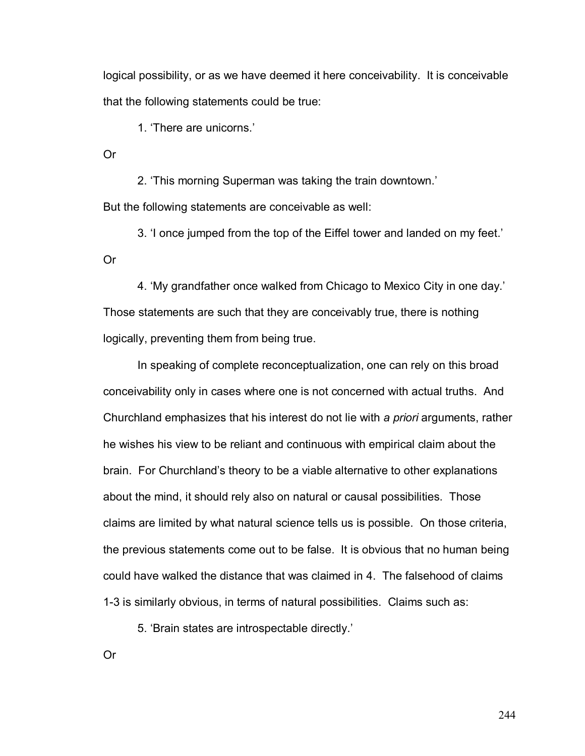logical possibility, or as we have deemed it here conceivability. It is conceivable that the following statements could be true:

1. 'There are unicorns.'

Or

2. This morning Superman was taking the train downtown. But the following statements are conceivable as well:

3. I once jumped from the top of the Eiffel tower and landed on my feet. Or

4. 'My grandfather once walked from Chicago to Mexico City in one day.' Those statements are such that they are conceivably true, there is nothing logically, preventing them from being true.

 In speaking of complete reconceptualization, one can rely on this broad conceivability only in cases where one is not concerned with actual truths. And Churchland emphasizes that his interest do not lie with *a priori* arguments, rather he wishes his view to be reliant and continuous with empirical claim about the brain. For Churchlandís theory to be a viable alternative to other explanations about the mind, it should rely also on natural or causal possibilities. Those claims are limited by what natural science tells us is possible. On those criteria, the previous statements come out to be false. It is obvious that no human being could have walked the distance that was claimed in 4. The falsehood of claims 1-3 is similarly obvious, in terms of natural possibilities. Claims such as:

5. Brain states are introspectable directly.'

Or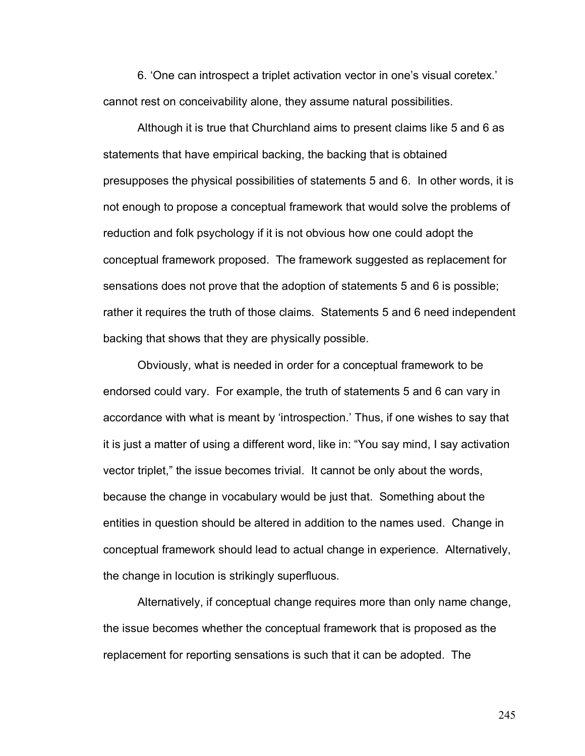6. One can introspect a triplet activation vector in one's visual coretex. cannot rest on conceivability alone, they assume natural possibilities.

Although it is true that Churchland aims to present claims like 5 and 6 as statements that have empirical backing, the backing that is obtained presupposes the physical possibilities of statements 5 and 6. In other words, it is not enough to propose a conceptual framework that would solve the problems of reduction and folk psychology if it is not obvious how one could adopt the conceptual framework proposed. The framework suggested as replacement for sensations does not prove that the adoption of statements 5 and 6 is possible; rather it requires the truth of those claims. Statements 5 and 6 need independent backing that shows that they are physically possible.

 Obviously, what is needed in order for a conceptual framework to be endorsed could vary. For example, the truth of statements 5 and 6 can vary in accordance with what is meant by 'introspection.' Thus, if one wishes to say that it is just a matter of using a different word, like in: "You say mind, I say activation vector triplet,î the issue becomes trivial. It cannot be only about the words, because the change in vocabulary would be just that. Something about the entities in question should be altered in addition to the names used. Change in conceptual framework should lead to actual change in experience. Alternatively, the change in locution is strikingly superfluous.

Alternatively, if conceptual change requires more than only name change, the issue becomes whether the conceptual framework that is proposed as the replacement for reporting sensations is such that it can be adopted. The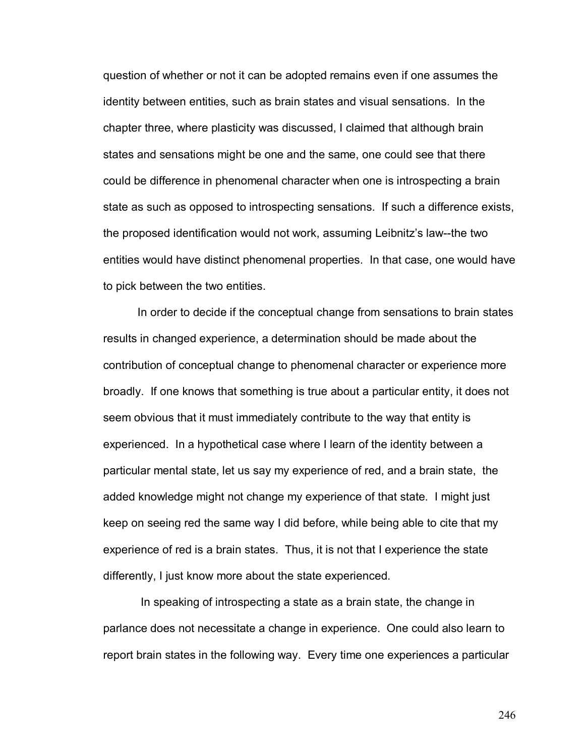question of whether or not it can be adopted remains even if one assumes the identity between entities, such as brain states and visual sensations. In the chapter three, where plasticity was discussed, I claimed that although brain states and sensations might be one and the same, one could see that there could be difference in phenomenal character when one is introspecting a brain state as such as opposed to introspecting sensations. If such a difference exists, the proposed identification would not work, assuming Leibnitz's law--the two entities would have distinct phenomenal properties. In that case, one would have to pick between the two entities.

 In order to decide if the conceptual change from sensations to brain states results in changed experience, a determination should be made about the contribution of conceptual change to phenomenal character or experience more broadly. If one knows that something is true about a particular entity, it does not seem obvious that it must immediately contribute to the way that entity is experienced. In a hypothetical case where I learn of the identity between a particular mental state, let us say my experience of red, and a brain state, the added knowledge might not change my experience of that state. I might just keep on seeing red the same way I did before, while being able to cite that my experience of red is a brain states. Thus, it is not that I experience the state differently, I just know more about the state experienced.

 In speaking of introspecting a state as a brain state, the change in parlance does not necessitate a change in experience. One could also learn to report brain states in the following way. Every time one experiences a particular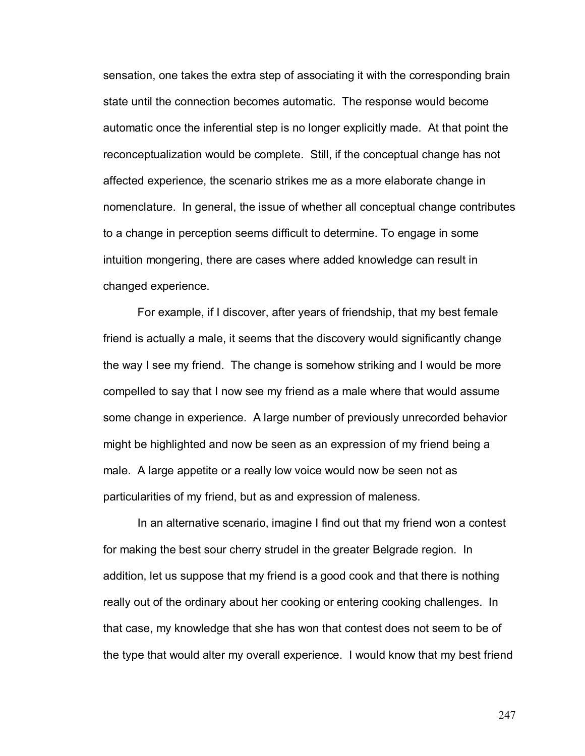sensation, one takes the extra step of associating it with the corresponding brain state until the connection becomes automatic. The response would become automatic once the inferential step is no longer explicitly made. At that point the reconceptualization would be complete. Still, if the conceptual change has not affected experience, the scenario strikes me as a more elaborate change in nomenclature. In general, the issue of whether all conceptual change contributes to a change in perception seems difficult to determine. To engage in some intuition mongering, there are cases where added knowledge can result in changed experience.

For example, if I discover, after years of friendship, that my best female friend is actually a male, it seems that the discovery would significantly change the way I see my friend. The change is somehow striking and I would be more compelled to say that I now see my friend as a male where that would assume some change in experience. A large number of previously unrecorded behavior might be highlighted and now be seen as an expression of my friend being a male. A large appetite or a really low voice would now be seen not as particularities of my friend, but as and expression of maleness.

In an alternative scenario, imagine I find out that my friend won a contest for making the best sour cherry strudel in the greater Belgrade region. In addition, let us suppose that my friend is a good cook and that there is nothing really out of the ordinary about her cooking or entering cooking challenges. In that case, my knowledge that she has won that contest does not seem to be of the type that would alter my overall experience. I would know that my best friend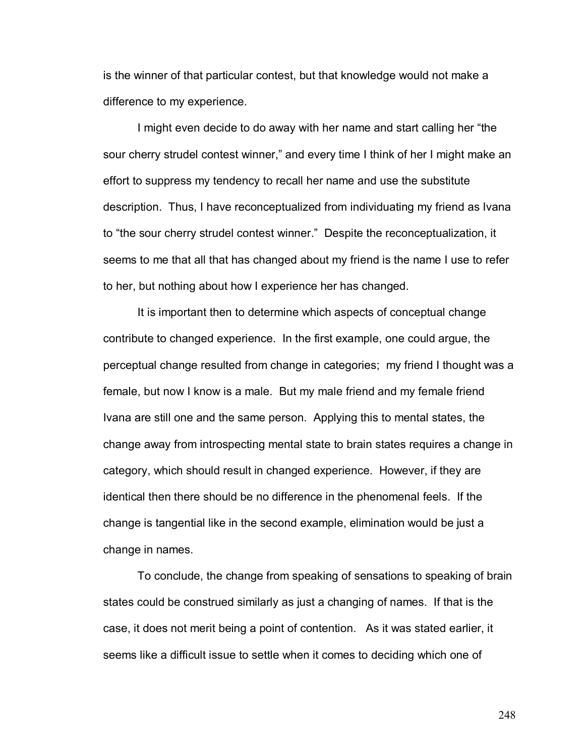is the winner of that particular contest, but that knowledge would not make a difference to my experience.

I might even decide to do away with her name and start calling her "the sour cherry strudel contest winner," and every time I think of her I might make an effort to suppress my tendency to recall her name and use the substitute description. Thus, I have reconceptualized from individuating my friend as Ivana to "the sour cherry strudel contest winner." Despite the reconceptualization, it seems to me that all that has changed about my friend is the name I use to refer to her, but nothing about how I experience her has changed.

It is important then to determine which aspects of conceptual change contribute to changed experience. In the first example, one could argue, the perceptual change resulted from change in categories; my friend I thought was a female, but now I know is a male. But my male friend and my female friend Ivana are still one and the same person. Applying this to mental states, the change away from introspecting mental state to brain states requires a change in category, which should result in changed experience. However, if they are identical then there should be no difference in the phenomenal feels. If the change is tangential like in the second example, elimination would be just a change in names.

 To conclude, the change from speaking of sensations to speaking of brain states could be construed similarly as just a changing of names. If that is the case, it does not merit being a point of contention. As it was stated earlier, it seems like a difficult issue to settle when it comes to deciding which one of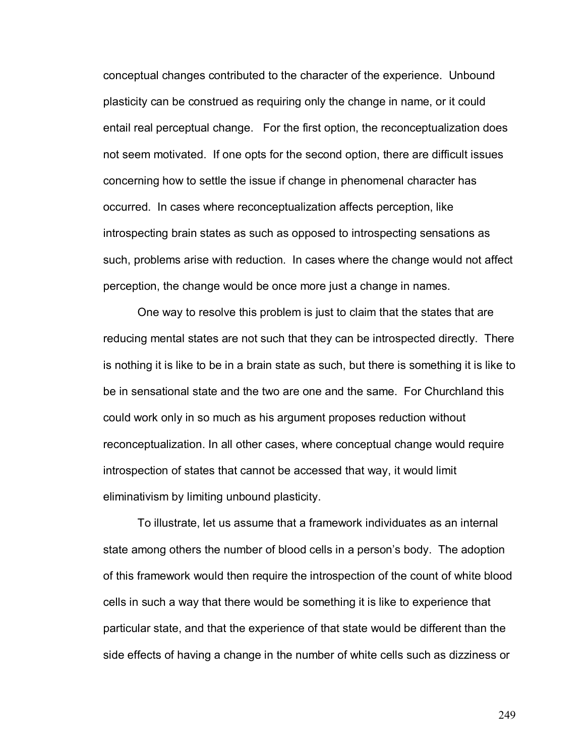conceptual changes contributed to the character of the experience. Unbound plasticity can be construed as requiring only the change in name, or it could entail real perceptual change. For the first option, the reconceptualization does not seem motivated. If one opts for the second option, there are difficult issues concerning how to settle the issue if change in phenomenal character has occurred. In cases where reconceptualization affects perception, like introspecting brain states as such as opposed to introspecting sensations as such, problems arise with reduction. In cases where the change would not affect perception, the change would be once more just a change in names.

 One way to resolve this problem is just to claim that the states that are reducing mental states are not such that they can be introspected directly. There is nothing it is like to be in a brain state as such, but there is something it is like to be in sensational state and the two are one and the same. For Churchland this could work only in so much as his argument proposes reduction without reconceptualization. In all other cases, where conceptual change would require introspection of states that cannot be accessed that way, it would limit eliminativism by limiting unbound plasticity.

To illustrate, let us assume that a framework individuates as an internal state among others the number of blood cells in a person's body. The adoption of this framework would then require the introspection of the count of white blood cells in such a way that there would be something it is like to experience that particular state, and that the experience of that state would be different than the side effects of having a change in the number of white cells such as dizziness or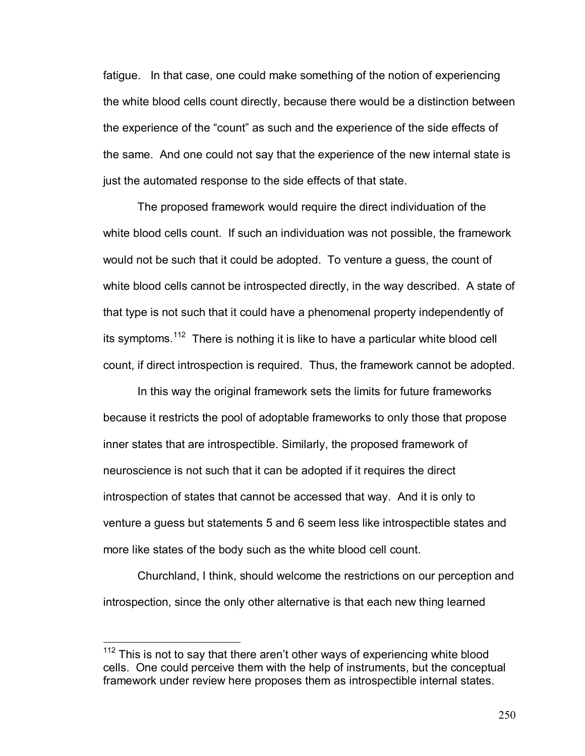fatigue. In that case, one could make something of the notion of experiencing the white blood cells count directly, because there would be a distinction between the experience of the "count" as such and the experience of the side effects of the same. And one could not say that the experience of the new internal state is just the automated response to the side effects of that state.

The proposed framework would require the direct individuation of the white blood cells count. If such an individuation was not possible, the framework would not be such that it could be adopted. To venture a guess, the count of white blood cells cannot be introspected directly, in the way described. A state of that type is not such that it could have a phenomenal property independently of its symptoms.<sup>112</sup> There is nothing it is like to have a particular white blood cell count, if direct introspection is required. Thus, the framework cannot be adopted.

In this way the original framework sets the limits for future frameworks because it restricts the pool of adoptable frameworks to only those that propose inner states that are introspectible. Similarly, the proposed framework of neuroscience is not such that it can be adopted if it requires the direct introspection of states that cannot be accessed that way. And it is only to venture a guess but statements 5 and 6 seem less like introspectible states and more like states of the body such as the white blood cell count.

Churchland, I think, should welcome the restrictions on our perception and introspection, since the only other alternative is that each new thing learned

 $\overline{a}$ 

 $112$  This is not to say that there aren't other ways of experiencing white blood cells. One could perceive them with the help of instruments, but the conceptual framework under review here proposes them as introspectible internal states.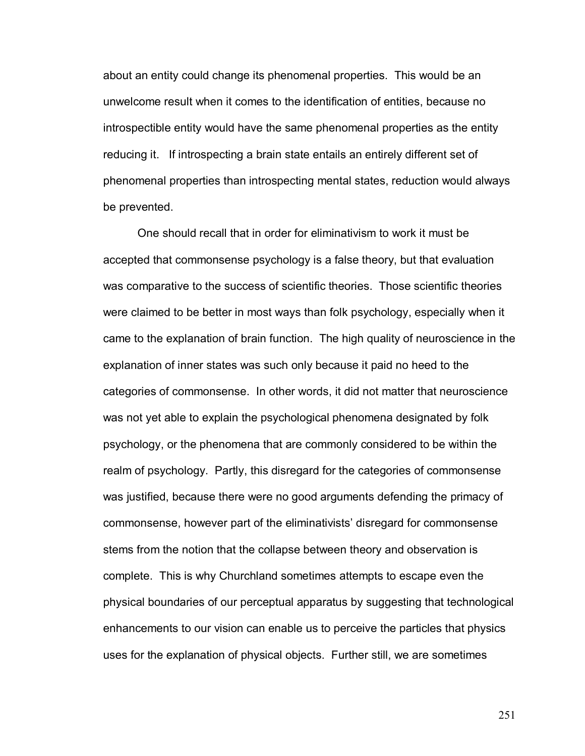about an entity could change its phenomenal properties. This would be an unwelcome result when it comes to the identification of entities, because no introspectible entity would have the same phenomenal properties as the entity reducing it. If introspecting a brain state entails an entirely different set of phenomenal properties than introspecting mental states, reduction would always be prevented.

One should recall that in order for eliminativism to work it must be accepted that commonsense psychology is a false theory, but that evaluation was comparative to the success of scientific theories. Those scientific theories were claimed to be better in most ways than folk psychology, especially when it came to the explanation of brain function. The high quality of neuroscience in the explanation of inner states was such only because it paid no heed to the categories of commonsense. In other words, it did not matter that neuroscience was not yet able to explain the psychological phenomena designated by folk psychology, or the phenomena that are commonly considered to be within the realm of psychology. Partly, this disregard for the categories of commonsense was justified, because there were no good arguments defending the primacy of commonsense, however part of the eliminativists' disregard for commonsense stems from the notion that the collapse between theory and observation is complete. This is why Churchland sometimes attempts to escape even the physical boundaries of our perceptual apparatus by suggesting that technological enhancements to our vision can enable us to perceive the particles that physics uses for the explanation of physical objects. Further still, we are sometimes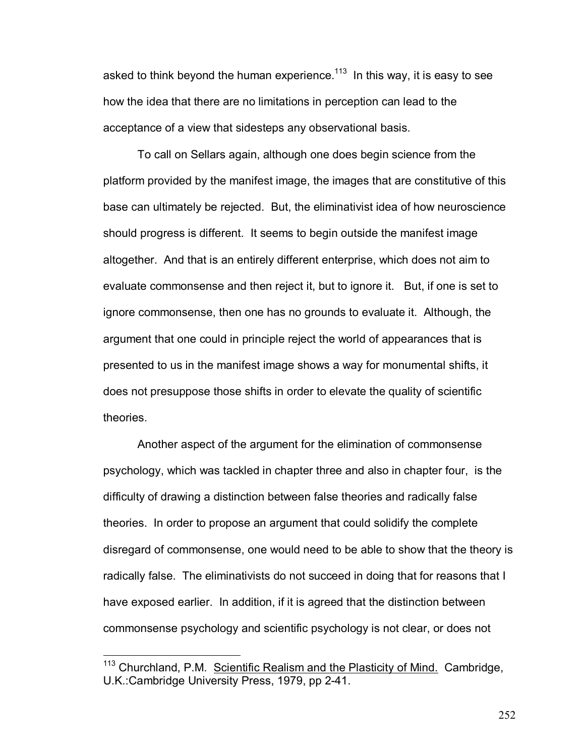asked to think beyond the human experience.<sup>113</sup> In this way, it is easy to see how the idea that there are no limitations in perception can lead to the acceptance of a view that sidesteps any observational basis.

To call on Sellars again, although one does begin science from the platform provided by the manifest image, the images that are constitutive of this base can ultimately be rejected. But, the eliminativist idea of how neuroscience should progress is different. It seems to begin outside the manifest image altogether. And that is an entirely different enterprise, which does not aim to evaluate commonsense and then reject it, but to ignore it. But, if one is set to ignore commonsense, then one has no grounds to evaluate it. Although, the argument that one could in principle reject the world of appearances that is presented to us in the manifest image shows a way for monumental shifts, it does not presuppose those shifts in order to elevate the quality of scientific theories.

Another aspect of the argument for the elimination of commonsense psychology, which was tackled in chapter three and also in chapter four, is the difficulty of drawing a distinction between false theories and radically false theories. In order to propose an argument that could solidify the complete disregard of commonsense, one would need to be able to show that the theory is radically false. The eliminativists do not succeed in doing that for reasons that I have exposed earlier. In addition, if it is agreed that the distinction between commonsense psychology and scientific psychology is not clear, or does not

 $\overline{a}$ 

<sup>113</sup> Churchland, P.M. Scientific Realism and the Plasticity of Mind.Cambridge, U.K.:Cambridge University Press, 1979, pp 2-41.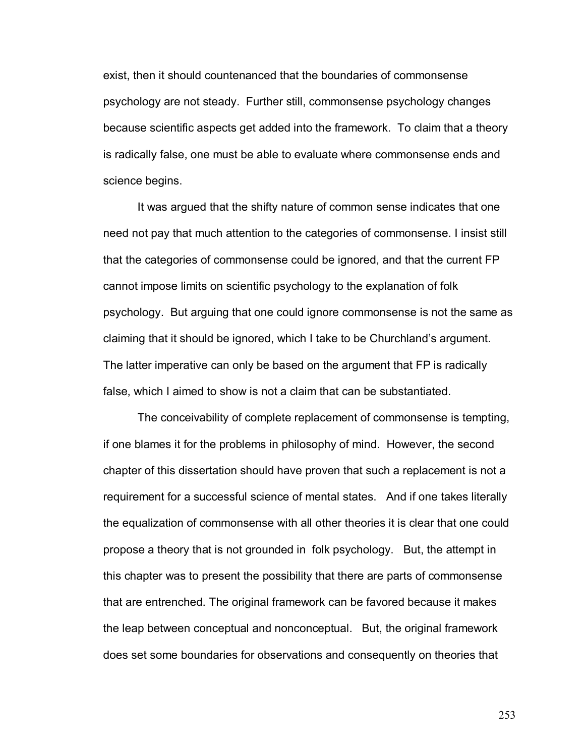exist, then it should countenanced that the boundaries of commonsense psychology are not steady. Further still, commonsense psychology changes because scientific aspects get added into the framework. To claim that a theory is radically false, one must be able to evaluate where commonsense ends and science begins.

It was argued that the shifty nature of common sense indicates that one need not pay that much attention to the categories of commonsense. I insist still that the categories of commonsense could be ignored, and that the current FP cannot impose limits on scientific psychology to the explanation of folk psychology. But arguing that one could ignore commonsense is not the same as claiming that it should be ignored, which I take to be Churchlandís argument. The latter imperative can only be based on the argument that FP is radically false, which I aimed to show is not a claim that can be substantiated.

The conceivability of complete replacement of commonsense is tempting, if one blames it for the problems in philosophy of mind. However, the second chapter of this dissertation should have proven that such a replacement is not a requirement for a successful science of mental states. And if one takes literally the equalization of commonsense with all other theories it is clear that one could propose a theory that is not grounded in folk psychology. But, the attempt in this chapter was to present the possibility that there are parts of commonsense that are entrenched. The original framework can be favored because it makes the leap between conceptual and nonconceptual. But, the original framework does set some boundaries for observations and consequently on theories that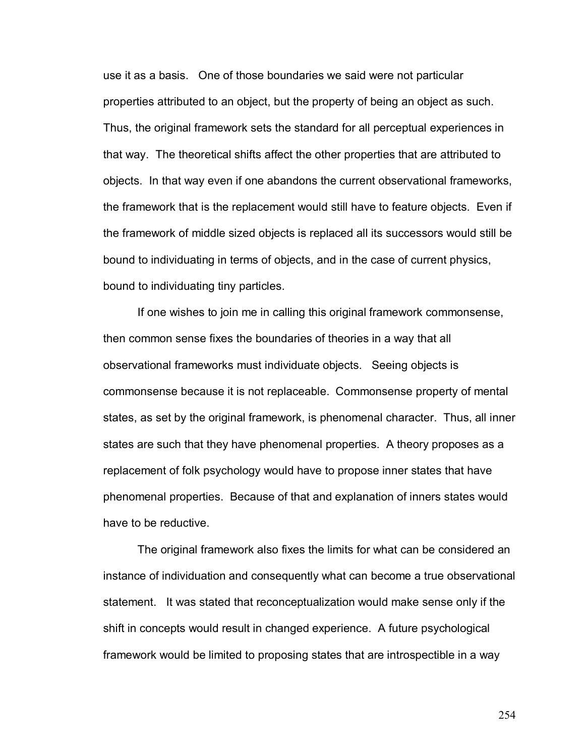use it as a basis. One of those boundaries we said were not particular properties attributed to an object, but the property of being an object as such. Thus, the original framework sets the standard for all perceptual experiences in that way. The theoretical shifts affect the other properties that are attributed to objects. In that way even if one abandons the current observational frameworks, the framework that is the replacement would still have to feature objects. Even if the framework of middle sized objects is replaced all its successors would still be bound to individuating in terms of objects, and in the case of current physics, bound to individuating tiny particles.

If one wishes to join me in calling this original framework commonsense, then common sense fixes the boundaries of theories in a way that all observational frameworks must individuate objects. Seeing objects is commonsense because it is not replaceable. Commonsense property of mental states, as set by the original framework, is phenomenal character. Thus, all inner states are such that they have phenomenal properties. A theory proposes as a replacement of folk psychology would have to propose inner states that have phenomenal properties. Because of that and explanation of inners states would have to be reductive.

The original framework also fixes the limits for what can be considered an instance of individuation and consequently what can become a true observational statement. It was stated that reconceptualization would make sense only if the shift in concepts would result in changed experience. A future psychological framework would be limited to proposing states that are introspectible in a way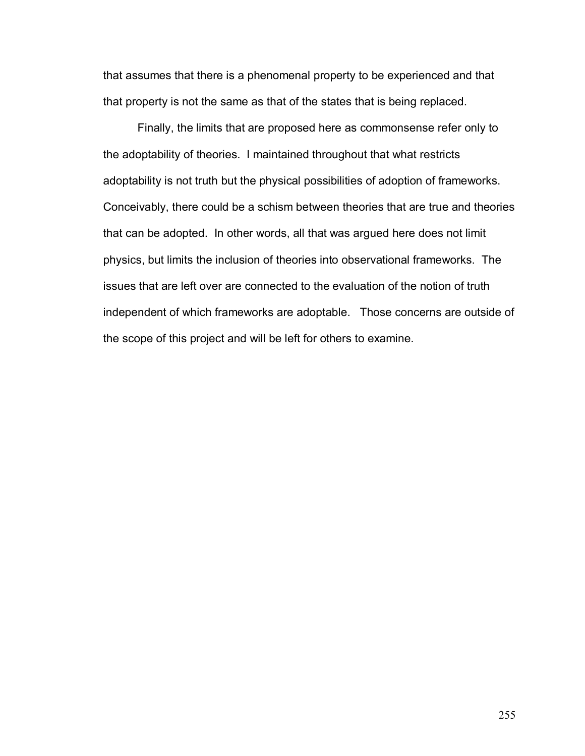that assumes that there is a phenomenal property to be experienced and that that property is not the same as that of the states that is being replaced.

Finally, the limits that are proposed here as commonsense refer only to the adoptability of theories. I maintained throughout that what restricts adoptability is not truth but the physical possibilities of adoption of frameworks. Conceivably, there could be a schism between theories that are true and theories that can be adopted. In other words, all that was argued here does not limit physics, but limits the inclusion of theories into observational frameworks. The issues that are left over are connected to the evaluation of the notion of truth independent of which frameworks are adoptable. Those concerns are outside of the scope of this project and will be left for others to examine.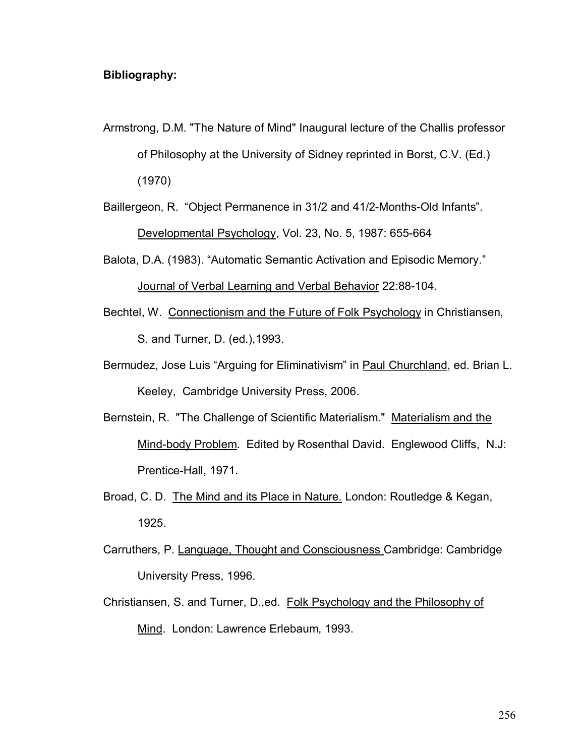## **Bibliography:**

Armstrong, D.M. "The Nature of Mind" Inaugural lecture of the Challis professor of Philosophy at the University of Sidney reprinted in Borst, C.V. (Ed.) (1970)

Baillergeon, R. "Object Permanence in 31/2 and 41/2-Months-Old Infants". Developmental Psychology, Vol. 23, No. 5, 1987: 655-664

Balota, D.A. (1983). "Automatic Semantic Activation and Episodic Memory."

Journal of Verbal Learning and Verbal Behavior 22:88-104.

- Bechtel, W. Connectionism and the Future of Folk Psychology in Christiansen, S. and Turner, D. (ed.),1993.
- Bermudez, Jose Luis "Arguing for Eliminativism" in Paul Churchland, ed. Brian L. Keeley, Cambridge University Press, 2006.
- Bernstein, R. "The Challenge of Scientific Materialism." Materialism and the Mind-body Problem. Edited by Rosenthal David. Englewood Cliffs, N.J: Prentice-Hall, 1971.
- Broad, C. D. The Mind and its Place in Nature*.* London: Routledge & Kegan, 1925.
- Carruthers, P. Language, Thought and Consciousness Cambridge: Cambridge University Press, 1996.
- Christiansen, S. and Turner, D.,ed. Folk Psychology and the Philosophy of Mind. London: Lawrence Erlebaum, 1993.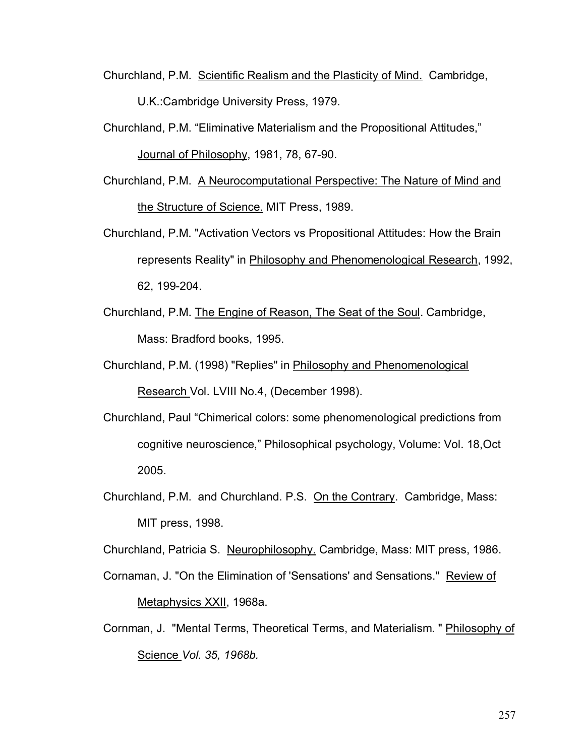- Churchland, P.M. Scientific Realism and the Plasticity of Mind.Cambridge, U.K.:Cambridge University Press, 1979.
- Churchland, P.M. "Eliminative Materialism and the Propositional Attitudes."

Journal of Philosophy, 1981, 78, 67-90.

- Churchland, P.M. A Neurocomputational Perspective: The Nature of Mind and the Structure of Science. MIT Press, 1989.
- Churchland, P.M. "Activation Vectors vs Propositional Attitudes: How the Brain represents Reality" in Philosophy and Phenomenological Research, 1992, 62, 199-204.
- Churchland, P.M. The Engine of Reason, The Seat of the Soul. Cambridge, Mass: Bradford books, 1995.
- Churchland, P.M. (1998) "Replies" in Philosophy and Phenomenological Research Vol. LVIII No.4, (December 1998).
- Churchland, Paul "Chimerical colors: some phenomenological predictions from cognitive neuroscience," Philosophical psychology, Volume: Vol. 18, Oct 2005.
- Churchland, P.M. and Churchland. P.S. On the Contrary. Cambridge, Mass: MIT press, 1998.

Churchland, Patricia S. Neurophilosophy. Cambridge, Mass: MIT press, 1986.

- Cornaman, J. "On the Elimination of 'Sensations' and Sensations." Review of Metaphysics XXII, 1968a.
- Cornman, J. "Mental Terms, Theoretical Terms, and Materialism. " Philosophy of Science *Vol. 35, 1968b.*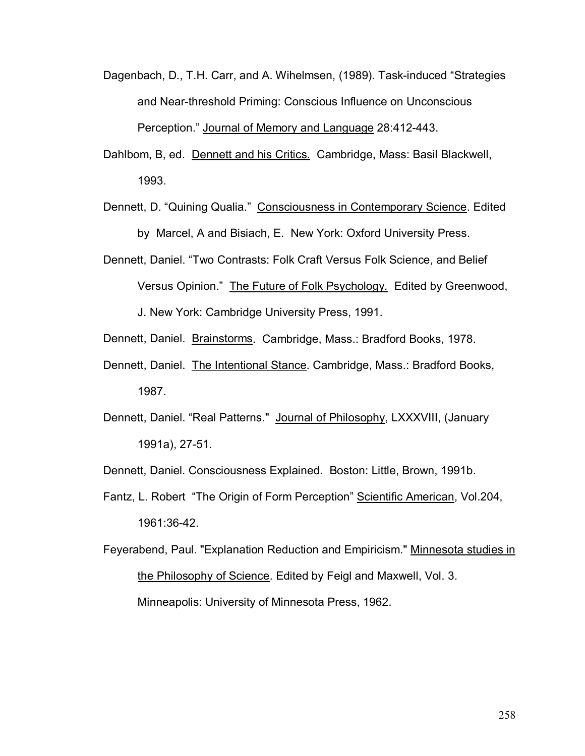- Dagenbach, D., T.H. Carr, and A. Wihelmsen, (1989). Task-induced "Strategies and Near-threshold Priming: Conscious Influence on Unconscious Perception." Journal of Memory and Language 28:412-443.
- Dahlbom, B, ed. Dennett and his Critics. Cambridge, Mass: Basil Blackwell, 1993.
- Dennett, D. "Quining Qualia." Consciousness in Contemporary Science. Edited by Marcel, A and Bisiach, E. New York: Oxford University Press.
- Dennett, Daniel. "Two Contrasts: Folk Craft Versus Folk Science, and Belief Versus Opinion.î The Future of Folk Psychology*.* Edited by Greenwood,
	- J. New York: Cambridge University Press, 1991.
- Dennett, Daniel. Brainstorms. Cambridge, Mass.: Bradford Books, 1978.
- Dennett, Daniel. The Intentional Stance. Cambridge, Mass.: Bradford Books, 1987.
- Dennett, Daniel. "Real Patterns." Journal of Philosophy, LXXXVIII, (January 1991a), 27-51.
- Dennett, Daniel. Consciousness Explained. Boston: Little, Brown, 1991b.
- Fantz, L. Robert "The Origin of Form Perception" Scientific American, Vol.204, 1961:36-42.

Feyerabend, Paul. "Explanation Reduction and Empiricism." Minnesota studies in the Philosophy of Science. Edited by Feigl and Maxwell, Vol. 3. Minneapolis: University of Minnesota Press, 1962.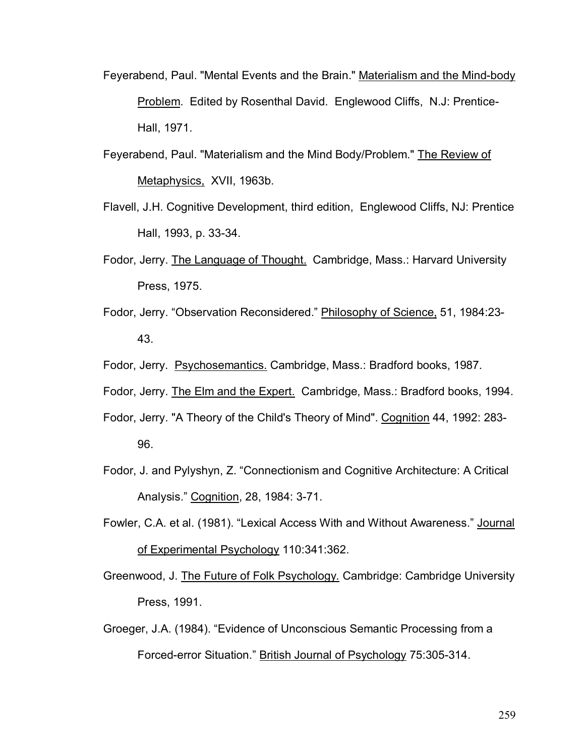- Feyerabend, Paul. "Mental Events and the Brain." Materialism and the Mind-body Problem. Edited by Rosenthal David. Englewood Cliffs, N.J: Prentice-Hall, 1971.
- Feyerabend, Paul. "Materialism and the Mind Body/Problem." The Review of Metaphysics, XVII, 1963b.
- Flavell, J.H. Cognitive Development, third edition, Englewood Cliffs, NJ: Prentice Hall, 1993, p. 33-34.
- Fodor, Jerry. The Language of Thought. Cambridge, Mass.: Harvard University Press, 1975.
- Fodor, Jerry. "Observation Reconsidered." Philosophy of Science, 51, 1984:23-43.
- Fodor, Jerry. Psychosemantics. Cambridge, Mass.: Bradford books, 1987.
- Fodor, Jerry. The Elm and the Expert. Cambridge, Mass.: Bradford books, 1994.
- Fodor, Jerry. "A Theory of the Child's Theory of Mind". Cognition 44, 1992: 283- 96.
- Fodor, J. and Pylyshyn, Z. "Connectionism and Cognitive Architecture: A Critical Analysis." Cognition, 28, 1984: 3-71.
- Fowler, C.A. et al. (1981). "Lexical Access With and Without Awareness." Journal of Experimental Psychology 110:341:362.
- Greenwood, J. The Future of Folk Psychology*.* Cambridge: Cambridge University Press, 1991.
- Groeger, J.A. (1984). "Evidence of Unconscious Semantic Processing from a Forced-error Situation." British Journal of Psychology 75:305-314.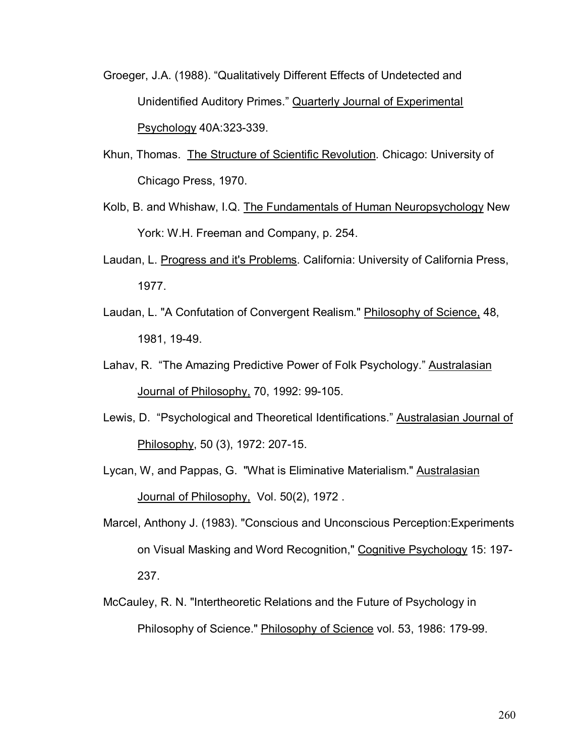- Groeger, J.A. (1988). "Qualitatively Different Effects of Undetected and Unidentified Auditory Primes." Quarterly Journal of Experimental Psychology 40A:323-339.
- Khun, Thomas. The Structure of Scientific Revolution*.* Chicago: University of Chicago Press, 1970.
- Kolb, B. and Whishaw, I.Q. The Fundamentals of Human Neuropsychology New York: W.H. Freeman and Company, p. 254.
- Laudan, L. Progress and it's Problems. California: University of California Press, 1977.
- Laudan, L. "A Confutation of Convergent Realism." Philosophy of Science, 48, 1981, 19-49.
- Lahav, R. "The Amazing Predictive Power of Folk Psychology." Australasian Journal of Philosophy, 70, 1992: 99-105.
- Lewis, D. "Psychological and Theoretical Identifications." Australasian Journal of Philosophy, 50 (3), 1972: 207-15.
- Lycan, W, and Pappas, G. "What is Eliminative Materialism." Australasian Journal of Philosophy, Vol. 50(2), 1972.
- Marcel, Anthony J. (1983). "Conscious and Unconscious Perception:Experiments on Visual Masking and Word Recognition," Cognitive Psychology 15: 197- 237.
- McCauley, R. N. "Intertheoretic Relations and the Future of Psychology in Philosophy of Science." Philosophy of Science vol. 53, 1986: 179-99.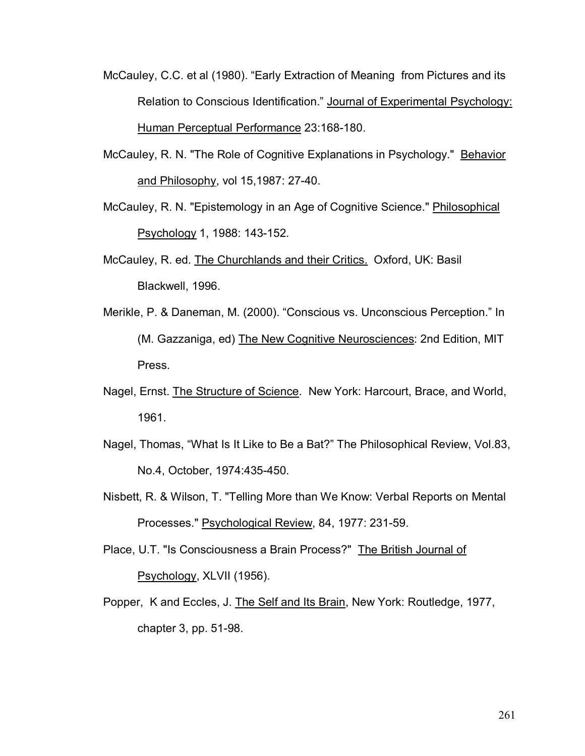- McCauley, C.C. et al (1980). "Early Extraction of Meaning from Pictures and its Relation to Conscious Identification." Journal of Experimental Psychology: Human Perceptual Performance 23:168-180.
- McCauley, R. N. "The Role of Cognitive Explanations in Psychology." Behavior and Philosophy, vol 15,1987: 27-40.
- McCauley, R. N. "Epistemology in an Age of Cognitive Science." Philosophical Psychology 1, 1988: 143-152.
- McCauley, R. ed. The Churchlands and their Critics. Oxford, UK: Basil Blackwell, 1996.
- Merikle, P. & Daneman, M. (2000). "Conscious vs. Unconscious Perception." In (M. Gazzaniga, ed) The New Cognitive Neurosciences: 2nd Edition, MIT Press.
- Nagel, Ernst. The Structure of Science. New York: Harcourt, Brace, and World, 1961.
- Nagel, Thomas, "What Is It Like to Be a Bat?" The Philosophical Review, Vol.83, No.4, October, 1974:435-450.
- Nisbett, R. & Wilson, T. "Telling More than We Know: Verbal Reports on Mental Processes." Psychological Review, 84, 1977: 231-59.

Place, U.T. "Is Consciousness a Brain Process?" The British Journal of Psychology, XLVII (1956).

Popper, K and Eccles, J. The Self and Its Brain, New York: Routledge, 1977, chapter 3, pp. 51-98.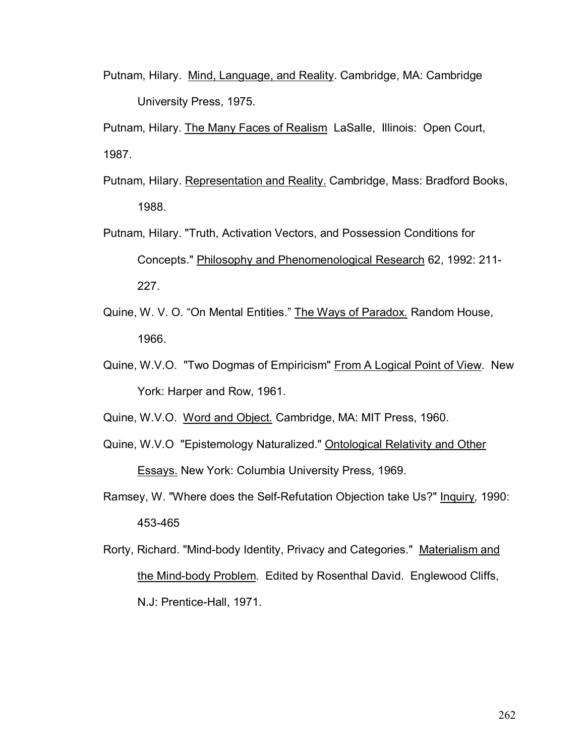Putnam, Hilary. Mind, Language, and Reality. Cambridge, MA: Cambridge University Press, 1975.

Putnam, Hilary. The Many Faces of RealismLaSalle, Illinois: Open Court, 1987.

- Putnam, Hilary. Representation and Reality. Cambridge, Mass: Bradford Books, 1988.
- Putnam, Hilary. "Truth, Activation Vectors, and Possession Conditions for Concepts." Philosophy and Phenomenological Research 62, 1992: 211- 227.
- Quine, W. V. O. "On Mental Entities." The Ways of Paradox. Random House, 1966.
- Quine, W.V.O. "Two Dogmas of Empiricism" From A Logical Point of View. New York: Harper and Row, 1961.
- Quine, W.V.O. Word and Object*.* Cambridge, MA: MIT Press, 1960.
- Quine, W.V.O "Epistemology Naturalized." Ontological Relativity and Other Essays. New York: Columbia University Press, 1969.
- Ramsey, W. "Where does the Self-Refutation Objection take Us?" Inquiry*,* 1990: 453-465
- Rorty, Richard. "Mind-body Identity, Privacy and Categories." Materialism and the Mind-body Problem. Edited by Rosenthal David. Englewood Cliffs, N.J: Prentice-Hall, 1971.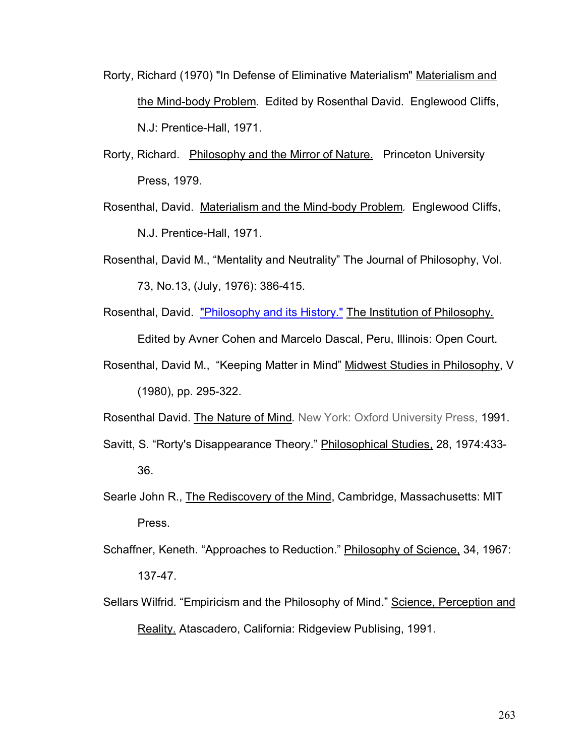- Rorty, Richard (1970) "In Defense of Eliminative Materialism" Materialism and the Mind-body Problem. Edited by Rosenthal David. Englewood Cliffs, N.J: Prentice-Hall, 1971.
- Rorty, Richard. Philosophy and the Mirror of Nature.Princeton University Press, 1979.
- Rosenthal, David. Materialism and the Mind-body Problem*.* Englewood Cliffs, N.J. Prentice-Hall, 1971.
- Rosenthal, David M., "Mentality and Neutrality" The Journal of Philosophy, Vol. 73, No.13, (July, 1976): 386-415.
- Rosenthal, David. "Philosophy and its History." The Institution of Philosophy. Edited by Avner Cohen and Marcelo Dascal, Peru, Illinois: Open Court.
- Rosenthal, David M., "Keeping Matter in Mind" Midwest Studies in Philosophy, V (1980), pp. 295-322.

Rosenthal David. The Nature of Mind*.* New York: Oxford University Press, 1991.

- Savitt, S. "Rorty's Disappearance Theory." Philosophical Studies, 28, 1974:433-36.
- Searle John R., The Rediscovery of the Mind, Cambridge, Massachusetts: MIT Press.
- Schaffner, Keneth. "Approaches to Reduction." Philosophy of Science, 34, 1967: 137-47.
- Sellars Wilfrid. "Empiricism and the Philosophy of Mind." Science, Perception and Reality. Atascadero, California: Ridgeview Publising, 1991.